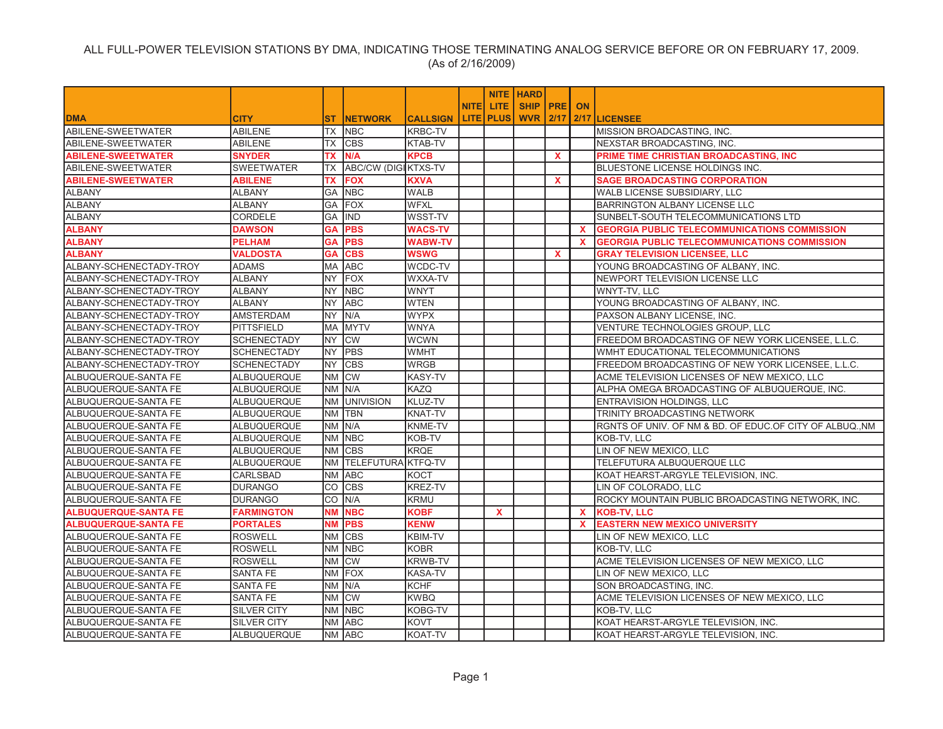|                             |                    |           |                       |                 |             |                  | <b>NITE   HARD</b> |              |              |                                                         |
|-----------------------------|--------------------|-----------|-----------------------|-----------------|-------------|------------------|--------------------|--------------|--------------|---------------------------------------------------------|
|                             |                    |           |                       |                 | <b>NITE</b> | LITE.            | SHIP   PRE         |              | <b>ON</b>    |                                                         |
| <b>DMA</b>                  | <b>CITY</b>        | <b>ST</b> | <b>INETWORK</b>       | <b>CALLSIGN</b> |             | <b>LITE PLUS</b> | <b>WVR 2/17</b>    |              |              | 2/17 LICENSEE                                           |
| ABILENE-SWEETWATER          | <b>ABILENE</b>     | TX        | <b>NBC</b>            | <b>KRBC-TV</b>  |             |                  |                    |              |              | MISSION BROADCASTING, INC.                              |
| ABILENE-SWEETWATER          | <b>ABILENE</b>     | ТX        | <b>CBS</b>            | KTAB-TV         |             |                  |                    |              |              | NEXSTAR BROADCASTING, INC.                              |
| <b>ABILENE-SWEETWATER</b>   | <b>SNYDER</b>      | <b>TX</b> | N/A                   | <b>KPCB</b>     |             |                  |                    | $\mathbf{x}$ |              | PRIME TIME CHRISTIAN BROADCASTING, INC                  |
| ABILENE-SWEETWATER          | <b>SWEETWATER</b>  | <b>TX</b> | ABC/CW (DIGIKTXS-TV   |                 |             |                  |                    |              |              | BLUESTONE LICENSE HOLDINGS INC.                         |
| <b>ABILENE-SWEETWATER</b>   | <b>ABILENE</b>     | TX        | <b>FOX</b>            | <b>KXVA</b>     |             |                  |                    | $\mathbf{x}$ |              | <b>SAGE BROADCASTING CORPORATION</b>                    |
| <b>ALBANY</b>               | <b>ALBANY</b>      | GA        | <b>NBC</b>            | <b>WALB</b>     |             |                  |                    |              |              | WALB LICENSE SUBSIDIARY, LLC                            |
| <b>ALBANY</b>               | <b>ALBANY</b>      | GA        | FOX                   | <b>WFXL</b>     |             |                  |                    |              |              | BARRINGTON ALBANY LICENSE LLC                           |
| <b>ALBANY</b>               | <b>CORDELE</b>     |           | GA IND                | WSST-TV         |             |                  |                    |              |              | SUNBELT-SOUTH TELECOMMUNICATIONS LTD                    |
| <b>ALBANY</b>               | <b>DAWSON</b>      | <b>GA</b> | <b>PBS</b>            | <b>WACS-TV</b>  |             |                  |                    |              | $\mathbf{x}$ | <b>GEORGIA PUBLIC TELECOMMUNICATIONS COMMISSION</b>     |
| <b>ALBANY</b>               | <b>PELHAM</b>      | GA        | <b>PBS</b>            | <b>WABW-TV</b>  |             |                  |                    |              | x            | <b>GEORGIA PUBLIC TELECOMMUNICATIONS COMMISSION</b>     |
| <b>ALBANY</b>               | <b>VALDOSTA</b>    | <b>GA</b> | <b>CBS</b>            | <b>WSWG</b>     |             |                  |                    | $\mathbf{x}$ |              | <b>GRAY TELEVISION LICENSEE, LLC</b>                    |
| ALBANY-SCHENECTADY-TROY     | <b>ADAMS</b>       | <b>MA</b> | <b>ABC</b>            | WCDC-TV         |             |                  |                    |              |              | YOUNG BROADCASTING OF ALBANY, INC.                      |
| ALBANY-SCHENECTADY-TROY     | <b>ALBANY</b>      | NY.       | <b>FOX</b>            | WXXA-TV         |             |                  |                    |              |              | NEWPORT TELEVISION LICENSE LLC                          |
| ALBANY-SCHENECTADY-TROY     | <b>ALBANY</b>      | NY.       | <b>NBC</b>            | <b>WNYT</b>     |             |                  |                    |              |              | WNYT-TV, LLC                                            |
| ALBANY-SCHENECTADY-TROY     | <b>ALBANY</b>      | NY.       | <b>ABC</b>            | <b>WTEN</b>     |             |                  |                    |              |              | YOUNG BROADCASTING OF ALBANY, INC.                      |
| ALBANY-SCHENECTADY-TROY     | <b>AMSTERDAM</b>   | NY.       | N/A                   | <b>WYPX</b>     |             |                  |                    |              |              | PAXSON ALBANY LICENSE, INC.                             |
| ALBANY-SCHENECTADY-TROY     | <b>PITTSFIELD</b>  | MA        | <b>MYTV</b>           | <b>WNYA</b>     |             |                  |                    |              |              | VENTURE TECHNOLOGIES GROUP, LLC                         |
| ALBANY-SCHENECTADY-TROY     | <b>SCHENECTADY</b> | NY.       | <b>CW</b>             | <b>WCWN</b>     |             |                  |                    |              |              | FREEDOM BROADCASTING OF NEW YORK LICENSEE, L.L.C.       |
| ALBANY-SCHENECTADY-TROY     | <b>SCHENECTADY</b> | NY.       | <b>PBS</b>            | <b>WMHT</b>     |             |                  |                    |              |              | WMHT EDUCATIONAL TELECOMMUNICATIONS                     |
| ALBANY-SCHENECTADY-TROY     | <b>SCHENECTADY</b> | NY.       | <b>CBS</b>            | <b>WRGB</b>     |             |                  |                    |              |              | FREEDOM BROADCASTING OF NEW YORK LICENSEE, L.L.C.       |
| ALBUQUERQUE-SANTA FE        | ALBUQUERQUE        |           | NM CW                 | <b>KASY-TV</b>  |             |                  |                    |              |              | ACME TELEVISION LICENSES OF NEW MEXICO, LLC             |
| ALBUQUERQUE-SANTA FE        | ALBUQUERQUE        |           | NM IN/A               | KAZQ            |             |                  |                    |              |              | ALPHA OMEGA BROADCASTING OF ALBUQUERQUE, INC.           |
| ALBUQUERQUE-SANTA FE        | ALBUQUERQUE        |           | NM UNIVISION          | KLUZ-TV         |             |                  |                    |              |              | ENTRAVISION HOLDINGS, LLC                               |
| ALBUQUERQUE-SANTA FE        | ALBUQUERQUE        |           | NM TBN                | <b>KNAT-TV</b>  |             |                  |                    |              |              | TRINITY BROADCASTING NETWORK                            |
| ALBUQUERQUE-SANTA FE        | <b>ALBUQUERQUE</b> |           | NM N/A                | <b>KNME-TV</b>  |             |                  |                    |              |              | RGNTS OF UNIV. OF NM & BD. OF EDUC.OF CITY OF ALBUQ.,NM |
| ALBUQUERQUE-SANTA FE        | ALBUQUERQUE        |           | NM NBC                | KOB-TV          |             |                  |                    |              |              | KOB-TV, LLC                                             |
| ALBUQUERQUE-SANTA FE        | ALBUQUERQUE        |           | NM CBS                | <b>KRQE</b>     |             |                  |                    |              |              | LIN OF NEW MEXICO, LLC                                  |
| ALBUQUERQUE-SANTA FE        | <b>ALBUQUERQUE</b> |           | NM TELEFUTURA KTFQ-TV |                 |             |                  |                    |              |              | TELEFUTURA ALBUQUERQUE LLC                              |
| ALBUQUERQUE-SANTA FE        | CARLSBAD           | <b>NM</b> | <b>ABC</b>            | <b>KOCT</b>     |             |                  |                    |              |              | KOAT HEARST-ARGYLE TELEVISION, INC.                     |
| ALBUQUERQUE-SANTA FE        | <b>DURANGO</b>     | CO        | <b>CBS</b>            | KREZ-TV         |             |                  |                    |              |              | LIN OF COLORADO, LLC                                    |
| ALBUQUERQUE-SANTA FE        | <b>DURANGO</b>     | CO        | N/A                   | <b>KRMU</b>     |             |                  |                    |              |              | ROCKY MOUNTAIN PUBLIC BROADCASTING NETWORK, INC.        |
| <b>ALBUQUERQUE-SANTA FE</b> | <b>FARMINGTON</b>  | <b>NM</b> | <b>NBC</b>            | <b>KOBF</b>     |             | X                |                    |              | $\mathbf{x}$ | <b>KOB-TV, LLC</b>                                      |
| <b>ALBUQUERQUE-SANTA FE</b> | <b>PORTALES</b>    | <b>NM</b> | <b>PBS</b>            | <b>KENW</b>     |             |                  |                    |              | $\mathbf{x}$ | <b>EASTERN NEW MEXICO UNIVERSITY</b>                    |
| ALBUQUERQUE-SANTA FE        | <b>ROSWELL</b>     |           | NM CBS                | <b>KBIM-TV</b>  |             |                  |                    |              |              | LIN OF NEW MEXICO, LLC                                  |
| ALBUQUERQUE-SANTA FE        | <b>ROSWELL</b>     | <b>NM</b> | <b>NBC</b>            | <b>KOBR</b>     |             |                  |                    |              |              | KOB-TV, LLC                                             |
| ALBUQUERQUE-SANTA FE        | <b>ROSWELL</b>     | <b>NM</b> | <b>CW</b>             | <b>KRWB-TV</b>  |             |                  |                    |              |              | ACME TELEVISION LICENSES OF NEW MEXICO, LLC             |
| ALBUQUERQUE-SANTA FE        | <b>SANTA FE</b>    |           | NM FOX                | <b>KASA-TV</b>  |             |                  |                    |              |              | LIN OF NEW MEXICO, LLC                                  |
| ALBUQUERQUE-SANTA FE        | <b>SANTA FE</b>    | <b>NM</b> | N/A                   | <b>KCHF</b>     |             |                  |                    |              |              | SON BROADCASTING, INC.                                  |
| ALBUQUERQUE-SANTA FE        | SANTA FE           |           | NM CW                 | <b>KWBQ</b>     |             |                  |                    |              |              | ACME TELEVISION LICENSES OF NEW MEXICO, LLC             |
| ALBUQUERQUE-SANTA FE        | <b>SILVER CITY</b> |           | NM NBC                | KOBG-TV         |             |                  |                    |              |              | KOB-TV. LLC                                             |
| ALBUQUERQUE-SANTA FE        | <b>SILVER CITY</b> | <b>NM</b> | <b>ABC</b>            | <b>KOVT</b>     |             |                  |                    |              |              | KOAT HEARST-ARGYLE TELEVISION, INC.                     |
| ALBUQUERQUE-SANTA FE        | <b>ALBUQUERQUE</b> |           | NM ABC                | KOAT-TV         |             |                  |                    |              |              | KOAT HEARST-ARGYLE TELEVISION, INC.                     |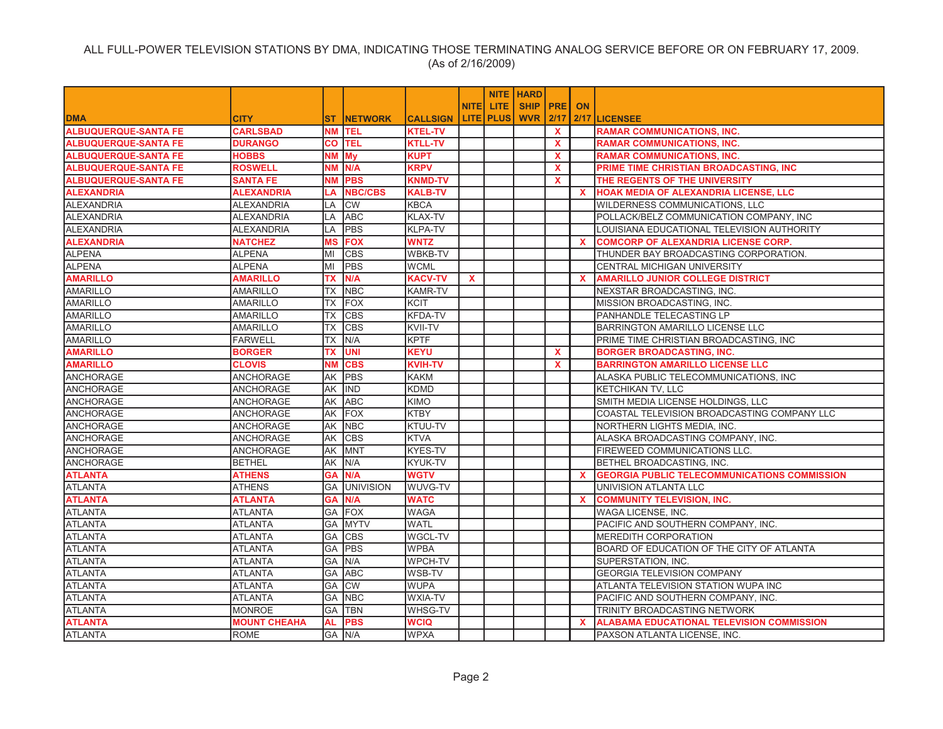|                             |                     |           |                  |                 |              |                    | <b>NITE HARD</b> |              |              |                                                     |
|-----------------------------|---------------------|-----------|------------------|-----------------|--------------|--------------------|------------------|--------------|--------------|-----------------------------------------------------|
|                             |                     |           |                  |                 | <b>NITEI</b> | LITE.              | <b>SHIP PRE</b>  |              | <b>ON</b>    |                                                     |
| <b>DMA</b>                  | <b>CITY</b>         | ST.       | <b>INETWORK</b>  | <b>CALLSIGN</b> |              | <b>LITE   PLUS</b> | <b>WVR 2/17</b>  |              |              | 2/17 LICENSEE                                       |
| <b>ALBUQUERQUE-SANTA FE</b> | <b>CARLSBAD</b>     |           | NM <b>TEL</b>    | <b>KTEL-TV</b>  |              |                    |                  | $\mathbf{x}$ |              | <b>RAMAR COMMUNICATIONS. INC.</b>                   |
| <b>ALBUQUERQUE-SANTA FE</b> | <b>DURANGO</b>      | CO.       | <b>TEL</b>       | <b>KTLL-TV</b>  |              |                    |                  | $\mathbf{x}$ |              | <b>RAMAR COMMUNICATIONS, INC.</b>                   |
| <b>ALBUQUERQUE-SANTA FE</b> | <b>HOBBS</b>        | NΜ        | My               | <b>KUPT</b>     |              |                    |                  | $\mathbf{x}$ |              | <b>RAMAR COMMUNICATIONS, INC.</b>                   |
| <b>ALBUQUERQUE-SANTA FE</b> | <b>ROSWELL</b>      | <b>NM</b> | N/A              | <b>KRPV</b>     |              |                    |                  | $\mathbf{x}$ |              | PRIME TIME CHRISTIAN BROADCASTING, INC              |
| <b>ALBUQUERQUE-SANTA FE</b> | <b>SANTA FE</b>     | NΜ        | <b>PBS</b>       | <b>KNMD-TV</b>  |              |                    |                  | $\mathbf{x}$ |              | THE REGENTS OF THE UNIVERSITY                       |
| <b>ALEXANDRIA</b>           | <b>ALEXANDRIA</b>   | LA        | <b>NBC/CBS</b>   | <b>KALB-TV</b>  |              |                    |                  |              | <b>X</b>     | HOAK MEDIA OF ALEXANDRIA LICENSE, LLC               |
| <b>ALEXANDRIA</b>           | <b>ALEXANDRIA</b>   | LA        | <b>CW</b>        | <b>KBCA</b>     |              |                    |                  |              |              | WILDERNESS COMMUNICATIONS, LLC                      |
| <b>ALEXANDRIA</b>           | <b>ALEXANDRIA</b>   | LA        | <b>ABC</b>       | <b>KLAX-TV</b>  |              |                    |                  |              |              | POLLACK/BELZ COMMUNICATION COMPANY, INC             |
| <b>ALEXANDRIA</b>           | <b>ALEXANDRIA</b>   | LA        | <b>PBS</b>       | KLPA-TV         |              |                    |                  |              |              | LOUISIANA EDUCATIONAL TELEVISION AUTHORITY          |
| <b>ALEXANDRIA</b>           | <b>NATCHEZ</b>      | <b>MS</b> | <b>FOX</b>       | <b>WNTZ</b>     |              |                    |                  |              | x            | <b>COMCORP OF ALEXANDRIA LICENSE CORP.</b>          |
| <b>ALPENA</b>               | <b>ALPENA</b>       | MI        | <b>CBS</b>       | <b>WBKB-TV</b>  |              |                    |                  |              |              | THUNDER BAY BROADCASTING CORPORATION.               |
| <b>ALPENA</b>               | <b>ALPENA</b>       | MI        | <b>PBS</b>       | <b>WCML</b>     |              |                    |                  |              |              | CENTRAL MICHIGAN UNIVERSITY                         |
| <b>AMARILLO</b>             | <b>AMARILLO</b>     | ТX        | N/A              | <b>KACV-TV</b>  | <b>X</b>     |                    |                  |              | x            | <b>AMARILLO JUNIOR COLLEGE DISTRICT</b>             |
| <b>AMARILLO</b>             | <b>AMARILLO</b>     | <b>TX</b> | <b>NBC</b>       | <b>KAMR-TV</b>  |              |                    |                  |              |              | NEXSTAR BROADCASTING, INC.                          |
| <b>AMARILLO</b>             | <b>AMARILLO</b>     | <b>TX</b> | <b>FOX</b>       | <b>KCIT</b>     |              |                    |                  |              |              | MISSION BROADCASTING, INC.                          |
| <b>AMARILLO</b>             | <b>AMARILLO</b>     | TX        | <b>CBS</b>       | KFDA-TV         |              |                    |                  |              |              | PANHANDLE TELECASTING LP                            |
| <b>AMARILLO</b>             | <b>AMARILLO</b>     | <b>TX</b> | <b>CBS</b>       | <b>KVII-TV</b>  |              |                    |                  |              |              | BARRINGTON AMARILLO LICENSE LLC                     |
| <b>AMARILLO</b>             | <b>FARWELL</b>      | <b>TX</b> | N/A              | <b>KPTF</b>     |              |                    |                  |              |              | PRIME TIME CHRISTIAN BROADCASTING, INC              |
| <b>AMARILLO</b>             | <b>BORGER</b>       | TX        | <b>UNI</b>       | <b>KEYU</b>     |              |                    |                  | X            |              | <b>BORGER BROADCASTING, INC.</b>                    |
| <b>AMARILLO</b>             | <b>CLOVIS</b>       | <b>NM</b> | <b>CBS</b>       | <b>KVIH-TV</b>  |              |                    |                  | $\mathbf{x}$ |              | <b>BARRINGTON AMARILLO LICENSE LLC</b>              |
| <b>ANCHORAGE</b>            | <b>ANCHORAGE</b>    | AΚ        | <b>PBS</b>       | <b>KAKM</b>     |              |                    |                  |              |              | ALASKA PUBLIC TELECOMMUNICATIONS, INC               |
| ANCHORAGE                   | <b>ANCHORAGE</b>    | AK        | <b>IIND</b>      | <b>KDMD</b>     |              |                    |                  |              |              | KETCHIKAN TV. LLC                                   |
| <b>ANCHORAGE</b>            | <b>ANCHORAGE</b>    | AK        | <b>ABC</b>       | <b>KIMO</b>     |              |                    |                  |              |              | SMITH MEDIA LICENSE HOLDINGS, LLC                   |
| <b>ANCHORAGE</b>            | <b>ANCHORAGE</b>    | АK        | FOX              | <b>KTBY</b>     |              |                    |                  |              |              | COASTAL TELEVISION BROADCASTING COMPANY LLC         |
| <b>ANCHORAGE</b>            | <b>ANCHORAGE</b>    | AK        | <b>NBC</b>       | KTUU-TV         |              |                    |                  |              |              | NORTHERN LIGHTS MEDIA, INC.                         |
| <b>ANCHORAGE</b>            | <b>ANCHORAGE</b>    | AΚ        | <b>CBS</b>       | <b>KTVA</b>     |              |                    |                  |              |              | ALASKA BROADCASTING COMPANY, INC.                   |
| <b>ANCHORAGE</b>            | ANCHORAGE           | AΚ        | MNT              | KYES-TV         |              |                    |                  |              |              | FIREWEED COMMUNICATIONS LLC.                        |
| <b>ANCHORAGE</b>            | <b>BETHEL</b>       | AK        | N/A              | KYUK-TV         |              |                    |                  |              |              | BETHEL BROADCASTING, INC.                           |
| <b>ATLANTA</b>              | <b>ATHENS</b>       | <b>GA</b> | N/A              | <b>WGTV</b>     |              |                    |                  |              | $\mathbf{x}$ | <b>GEORGIA PUBLIC TELECOMMUNICATIONS COMMISSION</b> |
| <b>ATLANTA</b>              | <b>ATHENS</b>       | GA        | <b>UNIVISION</b> | WUVG-TV         |              |                    |                  |              |              | UNIVISION ATLANTA LLC                               |
| <b>ATLANTA</b>              | <b>ATLANTA</b>      | <b>GA</b> | N/A              | <b>WATC</b>     |              |                    |                  |              | $\mathbf{x}$ | <b>COMMUNITY TELEVISION, INC.</b>                   |
| <b>ATLANTA</b>              | <b>ATLANTA</b>      | GA        | <b>FOX</b>       | <b>WAGA</b>     |              |                    |                  |              |              | WAGA LICENSE, INC.                                  |
| <b>ATLANTA</b>              | <b>ATLANTA</b>      | GA        | <b>MYTV</b>      | <b>WATL</b>     |              |                    |                  |              |              | PACIFIC AND SOUTHERN COMPANY, INC.                  |
| <b>ATLANTA</b>              | <b>ATLANTA</b>      | GA        | <b>CBS</b>       | WGCL-TV         |              |                    |                  |              |              | <b>MEREDITH CORPORATION</b>                         |
| <b>ATLANTA</b>              | <b>ATLANTA</b>      | GA        | <b>PBS</b>       | <b>WPBA</b>     |              |                    |                  |              |              | BOARD OF EDUCATION OF THE CITY OF ATLANTA           |
| <b>ATLANTA</b>              | <b>ATLANTA</b>      | GA        | N/A              | <b>WPCH-TV</b>  |              |                    |                  |              |              | SUPERSTATION, INC.                                  |
| <b>ATLANTA</b>              | <b>ATLANTA</b>      | GA        | <b>ABC</b>       | WSB-TV          |              |                    |                  |              |              | <b>GEORGIA TELEVISION COMPANY</b>                   |
| <b>ATLANTA</b>              | <b>ATLANTA</b>      | GA        | <b>CW</b>        | <b>WUPA</b>     |              |                    |                  |              |              | ATLANTA TELEVISION STATION WUPA INC                 |
| <b>ATLANTA</b>              | <b>ATLANTA</b>      | GA        | <b>NBC</b>       | WXIA-TV         |              |                    |                  |              |              | PACIFIC AND SOUTHERN COMPANY, INC.                  |
| <b>ATLANTA</b>              | <b>MONROE</b>       | GA        | <b>TBN</b>       | <b>WHSG-TV</b>  |              |                    |                  |              |              | TRINITY BROADCASTING NETWORK                        |
| <b>ATLANTA</b>              | <b>MOUNT CHEAHA</b> | AL        | <b>PBS</b>       | <b>WCIQ</b>     |              |                    |                  |              | x            | <b>ALABAMA EDUCATIONAL TELEVISION COMMISSION</b>    |
| <b>ATLANTA</b>              | <b>ROME</b>         |           | GA IN/A          | <b>WPXA</b>     |              |                    |                  |              |              | PAXSON ATLANTA LICENSE. INC.                        |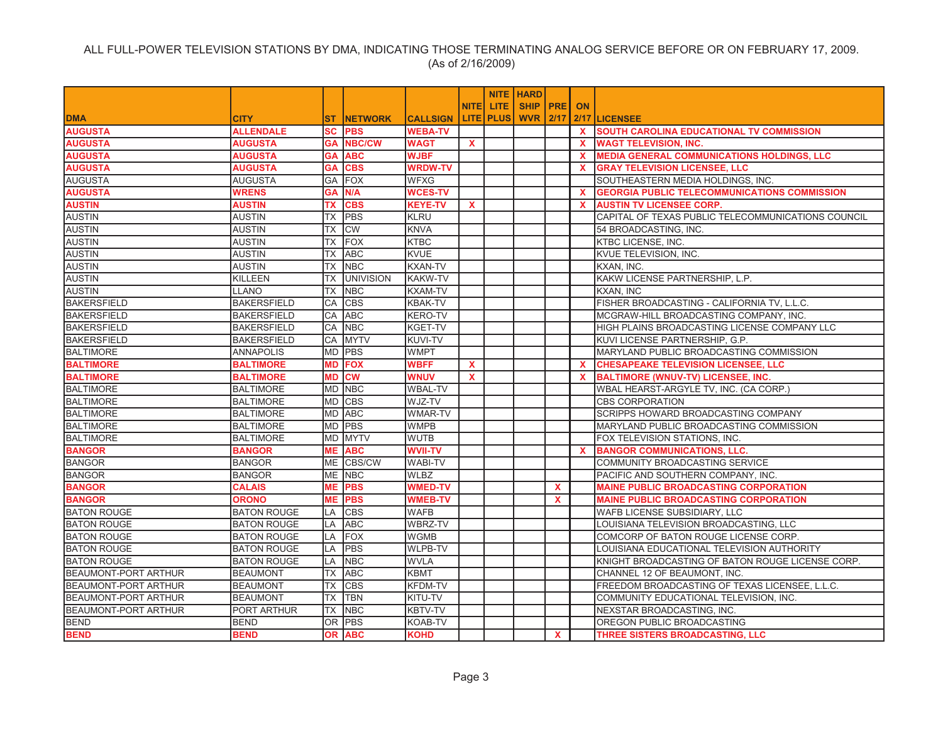|                             |                    |           |                  |                 |             |                  | <b>NITE HARD</b> |              |          |                                                     |
|-----------------------------|--------------------|-----------|------------------|-----------------|-------------|------------------|------------------|--------------|----------|-----------------------------------------------------|
|                             |                    |           |                  |                 | <b>NITE</b> | <b>LITE</b>      | <b>SHIP PRE</b>  |              | ON       |                                                     |
| <b>DMA</b>                  | <b>CITY</b>        | ST.       | <b>NETWORK</b>   | <b>CALLSIGN</b> |             | <b>LITE PLUS</b> | <b>WVR</b>       | 12/17        |          | 2/17 LICENSEE                                       |
| <b>AUGUSTA</b>              | <b>ALLENDALE</b>   | <b>SC</b> | <b>PBS</b>       | <b>WEBA-TV</b>  |             |                  |                  |              | <b>X</b> | <b>SOUTH CAROLINA EDUCATIONAL TV COMMISSION</b>     |
| <b>AUGUSTA</b>              | AUGUSTA            | GA        | <b>NBC/CW</b>    | WAGT            | X.          |                  |                  |              | X.       | <b>WAGT TELEVISION, INC.</b>                        |
| <b>AUGUSTA</b>              | AUGUSTA            | GA        | <b>ABC</b>       | <b>WJBF</b>     |             |                  |                  |              | x        | <b>MEDIA GENERAL COMMUNICATIONS HOLDINGS, LLC</b>   |
| <b>AUGUSTA</b>              | <b>AUGUSTA</b>     | <b>GA</b> | <b>CBS</b>       | <b>WRDW-TV</b>  |             |                  |                  |              | X.       | <b>GRAY TELEVISION LICENSEE, LLC</b>                |
| <b>AUGUSTA</b>              | <b>AUGUSTA</b>     | GA        | <b>FOX</b>       | <b>WFXG</b>     |             |                  |                  |              |          | SOUTHEASTERN MEDIA HOLDINGS, INC.                   |
| <b>AUGUSTA</b>              | WRENS              | GA        | N/A              | <b>WCES-TV</b>  |             |                  |                  |              | X.       | <b>GEORGIA PUBLIC TELECOMMUNICATIONS COMMISSION</b> |
| <b>AUSTIN</b>               | <b>AUSTIN</b>      | ТX        | <b>CBS</b>       | <b>KEYE-TV</b>  | $\mathbf x$ |                  |                  |              | <b>X</b> | <b>AUSTIN TV LICENSEE CORP.</b>                     |
| <b>AUSTIN</b>               | <b>AUSTIN</b>      | ТX        | <b>PBS</b>       | <b>KLRU</b>     |             |                  |                  |              |          | CAPITAL OF TEXAS PUBLIC TELECOMMUNICATIONS COUNCIL  |
| <b>AUSTIN</b>               | <b>AUSTIN</b>      | ТX        | <b>CW</b>        | <b>KNVA</b>     |             |                  |                  |              |          | 54 BROADCASTING, INC.                               |
| <b>AUSTIN</b>               | <b>AUSTIN</b>      | ТX        | <b>FOX</b>       | <b>KTBC</b>     |             |                  |                  |              |          | <b>KTBC LICENSE, INC.</b>                           |
| <b>AUSTIN</b>               | <b>AUSTIN</b>      | <b>TX</b> | <b>ABC</b>       | <b>KVUE</b>     |             |                  |                  |              |          | KVUE TELEVISION, INC.                               |
| <b>AUSTIN</b>               | <b>AUSTIN</b>      | TX        | <b>NBC</b>       | <b>KXAN-TV</b>  |             |                  |                  |              |          | KXAN, INC.                                          |
| <b>AUSTIN</b>               | <b>KILLEEN</b>     | ТX        | <b>UNIVISION</b> | <b>KAKW-TV</b>  |             |                  |                  |              |          | KAKW LICENSE PARTNERSHIP, L.P.                      |
| <b>AUSTIN</b>               | <b>LLANO</b>       | <b>TX</b> | <b>NBC</b>       | <b>KXAM-TV</b>  |             |                  |                  |              |          | KXAN, INC                                           |
| <b>BAKERSFIELD</b>          | <b>BAKERSFIELD</b> | CA        | <b>CBS</b>       | <b>KBAK-TV</b>  |             |                  |                  |              |          | FISHER BROADCASTING - CALIFORNIA TV, L.L.C.         |
| <b>BAKERSFIELD</b>          | <b>BAKERSFIELD</b> | CA        | <b>ABC</b>       | <b>KERO-TV</b>  |             |                  |                  |              |          | MCGRAW-HILL BROADCASTING COMPANY, INC.              |
| <b>BAKERSFIELD</b>          | <b>BAKERSFIELD</b> | <b>CA</b> | <b>NBC</b>       | <b>KGET-TV</b>  |             |                  |                  |              |          | HIGH PLAINS BROADCASTING LICENSE COMPANY LLC        |
| <b>BAKERSFIELD</b>          | <b>BAKERSFIELD</b> | <b>CA</b> | <b>MYTV</b>      | <b>KUVI-TV</b>  |             |                  |                  |              |          | KUVI LICENSE PARTNERSHIP, G.P.                      |
| <b>BALTIMORE</b>            | <b>ANNAPOLIS</b>   | <b>MD</b> | PBS              | <b>WMPT</b>     |             |                  |                  |              |          | MARYLAND PUBLIC BROADCASTING COMMISSION             |
| <b>BALTIMORE</b>            | <b>BALTIMORE</b>   | <b>MD</b> | <b>FOX</b>       | <b>WBFF</b>     | X           |                  |                  |              | X.       | <b>CHESAPEAKE TELEVISION LICENSEE, LLC</b>          |
| <b>BALTIMORE</b>            | <b>BALTIMORE</b>   | <b>MD</b> | <b>CM</b>        | <b>WNUV</b>     | x           |                  |                  |              | X.       | <b>BALTIMORE (WNUV-TV) LICENSEE, INC.</b>           |
| <b>BALTIMORE</b>            | <b>BALTIMORE</b>   | <b>MD</b> | <b>NBC</b>       | <b>WBAL-TV</b>  |             |                  |                  |              |          | WBAL HEARST-ARGYLE TV, INC. (CA CORP.)              |
| <b>BALTIMORE</b>            | <b>BALTIMORE</b>   | <b>MD</b> | <b>CBS</b>       | WJZ-TV          |             |                  |                  |              |          | <b>CBS CORPORATION</b>                              |
| <b>BALTIMORE</b>            | <b>BALTIMORE</b>   | <b>MD</b> | <b>ABC</b>       | <b>WMAR-TV</b>  |             |                  |                  |              |          | <b>SCRIPPS HOWARD BROADCASTING COMPANY</b>          |
| <b>BALTIMORE</b>            | <b>BALTIMORE</b>   | <b>MD</b> | <b>IPBS</b>      | <b>WMPB</b>     |             |                  |                  |              |          | MARYLAND PUBLIC BROADCASTING COMMISSION             |
| <b>BALTIMORE</b>            | <b>BALTIMORE</b>   | <b>MD</b> | <b>MYTV</b>      | <b>WUTB</b>     |             |                  |                  |              |          | FOX TELEVISION STATIONS, INC.                       |
| <b>BANGOR</b>               | <b>BANGOR</b>      | MЕ        | <b>ABC</b>       | <b>WVII-TV</b>  |             |                  |                  |              | X        | <b>BANGOR COMMUNICATIONS, LLC.</b>                  |
| <b>BANGOR</b>               | <b>BANGOR</b>      | ME        | CBS/CW           | <b>WABI-TV</b>  |             |                  |                  |              |          | COMMUNITY BROADCASTING SERVICE                      |
| <b>BANGOR</b>               | <b>BANGOR</b>      | <b>ME</b> | <b>NBC</b>       | <b>WLBZ</b>     |             |                  |                  |              |          | PACIFIC AND SOUTHERN COMPANY, INC.                  |
| <b>BANGOR</b>               | <b>CALAIS</b>      | МE        | <b>PBS</b>       | <b>WMED-TV</b>  |             |                  |                  | $\mathbf{x}$ |          | <b>MAINE PUBLIC BROADCASTING CORPORATION</b>        |
| <b>BANGOR</b>               | <b>ORONO</b>       | MЕ        | <b>PBS</b>       | <b>WMEB-TV</b>  |             |                  |                  | $\mathbf{x}$ |          | <b>MAINE PUBLIC BROADCASTING CORPORATION</b>        |
| <b>BATON ROUGE</b>          | <b>BATON ROUGE</b> | LA        | <b>CBS</b>       | <b>WAFB</b>     |             |                  |                  |              |          | WAFB LICENSE SUBSIDIARY, LLC                        |
| <b>BATON ROUGE</b>          | <b>BATON ROUGE</b> | LA        | <b>ABC</b>       | WBRZ-TV         |             |                  |                  |              |          | LOUISIANA TELEVISION BROADCASTING, LLC              |
| <b>BATON ROUGE</b>          | <b>BATON ROUGE</b> | <b>LA</b> | FOX              | <b>WGMB</b>     |             |                  |                  |              |          | COMCORP OF BATON ROUGE LICENSE CORP.                |
| <b>BATON ROUGE</b>          | <b>BATON ROUGE</b> | <b>LA</b> | <b>PBS</b>       | <b>WLPB-TV</b>  |             |                  |                  |              |          | LOUISIANA EDUCATIONAL TELEVISION AUTHORITY          |
| <b>BATON ROUGE</b>          | <b>BATON ROUGE</b> | LA        | <b>NBC</b>       | <b>WVLA</b>     |             |                  |                  |              |          | KNIGHT BROADCASTING OF BATON ROUGE LICENSE CORP.    |
| <b>BEAUMONT-PORT ARTHUR</b> | <b>BEAUMONT</b>    | ТX        | <b>ABC</b>       | <b>KBMT</b>     |             |                  |                  |              |          | CHANNEL 12 OF BEAUMONT, INC.                        |
| <b>BEAUMONT-PORT ARTHUR</b> | <b>BEAUMONT</b>    | ТX        | <b>CBS</b>       | <b>KFDM-TV</b>  |             |                  |                  |              |          | FREEDOM BROADCASTING OF TEXAS LICENSEE, L.L.C.      |
| <b>BEAUMONT-PORT ARTHUR</b> | <b>BEAUMONT</b>    | ТX        | <b>TBN</b>       | KITU-TV         |             |                  |                  |              |          | COMMUNITY EDUCATIONAL TELEVISION, INC.              |
| <b>BEAUMONT-PORT ARTHUR</b> | PORT ARTHUR        | ТX        | <b>NBC</b>       | <b>KBTV-TV</b>  |             |                  |                  |              |          | NEXSTAR BROADCASTING, INC.                          |
| <b>BEND</b>                 | <b>BEND</b>        | IOR.      | <b>PBS</b>       | <b>KOAB-TV</b>  |             |                  |                  |              |          | OREGON PUBLIC BROADCASTING                          |
| <b>BEND</b>                 | <b>BEND</b>        | 0R        | <b>ABC</b>       | <b>KOHD</b>     |             |                  |                  | X.           |          | THREE SISTERS BROADCASTING. LLC                     |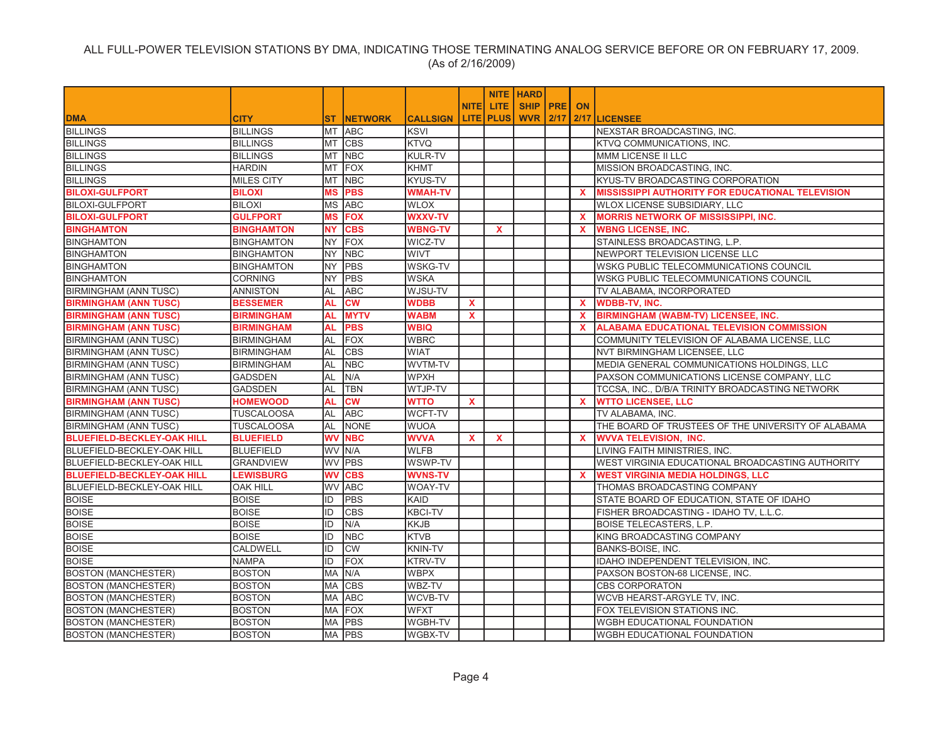|                                   |                   |           |                 |                 |              |                  | <b>NITE   HARD</b> |              |                                                         |
|-----------------------------------|-------------------|-----------|-----------------|-----------------|--------------|------------------|--------------------|--------------|---------------------------------------------------------|
|                                   |                   |           |                 |                 | <b>NITE</b>  | <b>LITE</b>      | <b>SHIP PRE</b>    | <b>ON</b>    |                                                         |
| <b>DMA</b>                        | <b>CITY</b>       | ST.       | <b>INETWORK</b> | <b>CALLSIGN</b> |              | <b>LITE PLUS</b> | <b>WVR 2/17</b>    |              | 2/17 LICENSEE                                           |
| <b>BILLINGS</b>                   | <b>BILLINGS</b>   | MT        | <b>ABC</b>      | <b>KSVI</b>     |              |                  |                    |              | NEXSTAR BROADCASTING, INC.                              |
| <b>BILLINGS</b>                   | <b>BILLINGS</b>   | MT        | <b>CBS</b>      | <b>KTVQ</b>     |              |                  |                    |              | KTVQ COMMUNICATIONS, INC.                               |
| <b>BILLINGS</b>                   | <b>BILLINGS</b>   | MT        | <b>NBC</b>      | <b>KULR-TV</b>  |              |                  |                    |              | MMM LICENSE II LLC                                      |
| <b>BILLINGS</b>                   | HARDIN            | МT        | FOX             | <b>KHMT</b>     |              |                  |                    |              | MISSION BROADCASTING, INC.                              |
| <b>BILLINGS</b>                   | <b>MILES CITY</b> | MT        | <b>NBC</b>      | <b>KYUS-TV</b>  |              |                  |                    |              | KYUS-TV BROADCASTING CORPORATION                        |
| <b>BILOXI-GULFPORT</b>            | <b>BILOXI</b>     | <b>MS</b> | <b>PBS</b>      | <b>WMAH-TV</b>  |              |                  |                    | $\mathbf{x}$ | <b>MISSISSIPPI AUTHORITY FOR EDUCATIONAL TELEVISION</b> |
| <b>BILOXI-GULFPORT</b>            | <b>BILOXI</b>     | МS        | <b>ABC</b>      | <b>WLOX</b>     |              |                  |                    |              | WLOX LICENSE SUBSIDIARY, LLC                            |
| <b>BILOXI-GULFPORT</b>            | <b>GULFPORT</b>   | <b>MS</b> | <b>FOX</b>      | <b>WXXV-TV</b>  |              |                  |                    | $\mathbf{x}$ | <b>MORRIS NETWORK OF MISSISSIPPI, INC.</b>              |
| <b>BINGHAMTON</b>                 | <b>BINGHAMTON</b> | <b>NY</b> | <b>CBS</b>      | <b>WBNG-TV</b>  |              | $\mathbf{x}$     |                    | $\mathbf{x}$ | <b>WBNG LICENSE, INC.</b>                               |
| <b>BINGHAMTON</b>                 | <b>BINGHAMTON</b> | NY.       | <b>FOX</b>      | WICZ-TV         |              |                  |                    |              | STAINLESS BROADCASTING, L.P.                            |
| <b>BINGHAMTON</b>                 | <b>BINGHAMTON</b> | <b>NY</b> | <b>NBC</b>      | <b>WIVT</b>     |              |                  |                    |              | NEWPORT TELEVISION LICENSE LLC                          |
| <b>BINGHAMTON</b>                 | <b>BINGHAMTON</b> | NY.       | PBS             | <b>WSKG-TV</b>  |              |                  |                    |              | WSKG PUBLIC TELECOMMUNICATIONS COUNCIL                  |
| <b>BINGHAMTON</b>                 | <b>CORNING</b>    | <b>NY</b> | PBS             | <b>WSKA</b>     |              |                  |                    |              | WSKG PUBLIC TELECOMMUNICATIONS COUNCIL                  |
| <b>BIRMINGHAM (ANN TUSC)</b>      | <b>ANNISTON</b>   | AL        | <b>ABC</b>      | WJSU-TV         |              |                  |                    |              | TV ALABAMA, INCORPORATED                                |
| <b>BIRMINGHAM (ANN TUSC)</b>      | <b>BESSEMER</b>   | AL        | <b>CW</b>       | <b>WDBB</b>     | $\mathbf{x}$ |                  |                    | X.           | <b>WDBB-TV, INC.</b>                                    |
| <b>BIRMINGHAM (ANN TUSC)</b>      | <b>BIRMINGHAM</b> | AL        | <b>MYTV</b>     | <b>WABM</b>     | $\mathbf{x}$ |                  |                    | $\mathbf{x}$ | <b>BIRMINGHAM (WABM-TV) LICENSEE, INC.</b>              |
| <b>BIRMINGHAM (ANN TUSC)</b>      | <b>BIRMINGHAM</b> | AL        | <b>PBS</b>      | <b>WBIQ</b>     |              |                  |                    | $\mathbf{x}$ | <b>ALABAMA EDUCATIONAL TELEVISION COMMISSION</b>        |
| <b>BIRMINGHAM (ANN TUSC)</b>      | <b>BIRMINGHAM</b> | AL        | <b>FOX</b>      | <b>WBRC</b>     |              |                  |                    |              | COMMUNITY TELEVISION OF ALABAMA LICENSE, LLC            |
| <b>BIRMINGHAM (ANN TUSC)</b>      | <b>BIRMINGHAM</b> | AL        | <b>CBS</b>      | <b>WIAT</b>     |              |                  |                    |              | NVT BIRMINGHAM LICENSEE, LLC                            |
| <b>BIRMINGHAM (ANN TUSC)</b>      | <b>BIRMINGHAM</b> | AL        | <b>NBC</b>      | WVTM-TV         |              |                  |                    |              | MEDIA GENERAL COMMUNICATIONS HOLDINGS, LLC              |
| <b>BIRMINGHAM (ANN TUSC)</b>      | GADSDEN           | AL        | N/A             | <b>WPXH</b>     |              |                  |                    |              | PAXSON COMMUNICATIONS LICENSE COMPANY, LLC              |
| <b>BIRMINGHAM (ANN TUSC)</b>      | <b>GADSDEN</b>    | AL        | <b>TBN</b>      | WTJP-TV         |              |                  |                    |              | TCCSA, INC., D/B/A TRINITY BROADCASTING NETWORK         |
| <b>BIRMINGHAM (ANN TUSC)</b>      | <b>HOMEWOOD</b>   | AL        | <b>CW</b>       | <b>WTTO</b>     | $\mathbf{x}$ |                  |                    | $\mathbf{x}$ | <b>WTTO LICENSEE, LLC</b>                               |
| <b>BIRMINGHAM (ANN TUSC)</b>      | <b>TUSCALOOSA</b> | AL        | <b>ABC</b>      | WCFT-TV         |              |                  |                    |              | TV ALABAMA, INC.                                        |
| <b>BIRMINGHAM (ANN TUSC)</b>      | <b>TUSCALOOSA</b> | AL        | <b>NONE</b>     | <b>WUOA</b>     |              |                  |                    |              | THE BOARD OF TRUSTEES OF THE UNIVERSITY OF ALABAMA      |
| <b>BLUEFIELD-BECKLEY-OAK HILL</b> | <b>BLUEFIELD</b>  | <b>WV</b> | <b>NBC</b>      | <b>WVVA</b>     | X.           | $\mathbf{x}$     |                    | <b>X</b>     | <b>WVVA TELEVISION, INC.</b>                            |
| <b>BLUEFIELD-BECKLEY-OAK HILL</b> | <b>BLUEFIELD</b>  |           | WV N/A          | <b>WLFB</b>     |              |                  |                    |              | LIVING FAITH MINISTRIES, INC.                           |
| <b>BLUEFIELD-BECKLEY-OAK HILL</b> | <b>GRANDVIEW</b>  |           | WV PBS          | WSWP-TV         |              |                  |                    |              | WEST VIRGINIA EDUCATIONAL BROADCASTING AUTHORITY        |
| <b>BLUEFIELD-BECKLEY-OAK HILL</b> | <b>LEWISBURG</b>  | WV        | <b>CBS</b>      | <b>WVNS-TV</b>  |              |                  |                    | $\mathbf{x}$ | <b>WEST VIRGINIA MEDIA HOLDINGS, LLC</b>                |
| <b>BLUEFIELD-BECKLEY-OAK HILL</b> | <b>OAK HILL</b>   |           | WV ABC          | <b>WOAY-TV</b>  |              |                  |                    |              | THOMAS BROADCASTING COMPANY                             |
| <b>BOISE</b>                      | <b>BOISE</b>      | ID        | <b>PBS</b>      | <b>KAID</b>     |              |                  |                    |              | STATE BOARD OF EDUCATION, STATE OF IDAHO                |
| <b>BOISE</b>                      | <b>BOISE</b>      | ID        | <b>CBS</b>      | <b>KBCI-TV</b>  |              |                  |                    |              | FISHER BROADCASTING - IDAHO TV, L.L.C.                  |
| <b>BOISE</b>                      | <b>BOISE</b>      | ID        | N/A             | <b>KKJB</b>     |              |                  |                    |              | <b>BOISE TELECASTERS, L.P.</b>                          |
| <b>BOISE</b>                      | <b>BOISE</b>      | ID        | <b>NBC</b>      | <b>KTVB</b>     |              |                  |                    |              | KING BROADCASTING COMPANY                               |
| <b>BOISE</b>                      | <b>CALDWELL</b>   | ID        | <b>CW</b>       | <b>KNIN-TV</b>  |              |                  |                    |              | BANKS-BOISE, INC.                                       |
| <b>BOISE</b>                      | <b>NAMPA</b>      | ID        | <b>FOX</b>      | KTRV-TV         |              |                  |                    |              | IDAHO INDEPENDENT TELEVISION, INC.                      |
| <b>BOSTON (MANCHESTER)</b>        | <b>BOSTON</b>     | МA        | N/A             | <b>WBPX</b>     |              |                  |                    |              | PAXSON BOSTON-68 LICENSE, INC.                          |
| <b>BOSTON (MANCHESTER)</b>        | <b>BOSTON</b>     | MA        | <b>CBS</b>      | WBZ-TV          |              |                  |                    |              | <b>CBS CORPORATON</b>                                   |
| <b>BOSTON (MANCHESTER)</b>        | <b>BOSTON</b>     | МA        | <b>ABC</b>      | WCVB-TV         |              |                  |                    |              | WCVB HEARST-ARGYLE TV, INC.                             |
| <b>BOSTON (MANCHESTER)</b>        | <b>BOSTON</b>     | МA        | FOX             | <b>WFXT</b>     |              |                  |                    |              | FOX TELEVISION STATIONS INC.                            |
| <b>BOSTON (MANCHESTER)</b>        | <b>BOSTON</b>     | MA        | PBS             | <b>WGBH-TV</b>  |              |                  |                    |              | WGBH EDUCATIONAL FOUNDATION                             |
| <b>BOSTON (MANCHESTER)</b>        | <b>BOSTON</b>     |           | MA PBS          | <b>WGBX-TV</b>  |              |                  |                    |              | <b>WGBH EDUCATIONAL FOUNDATION</b>                      |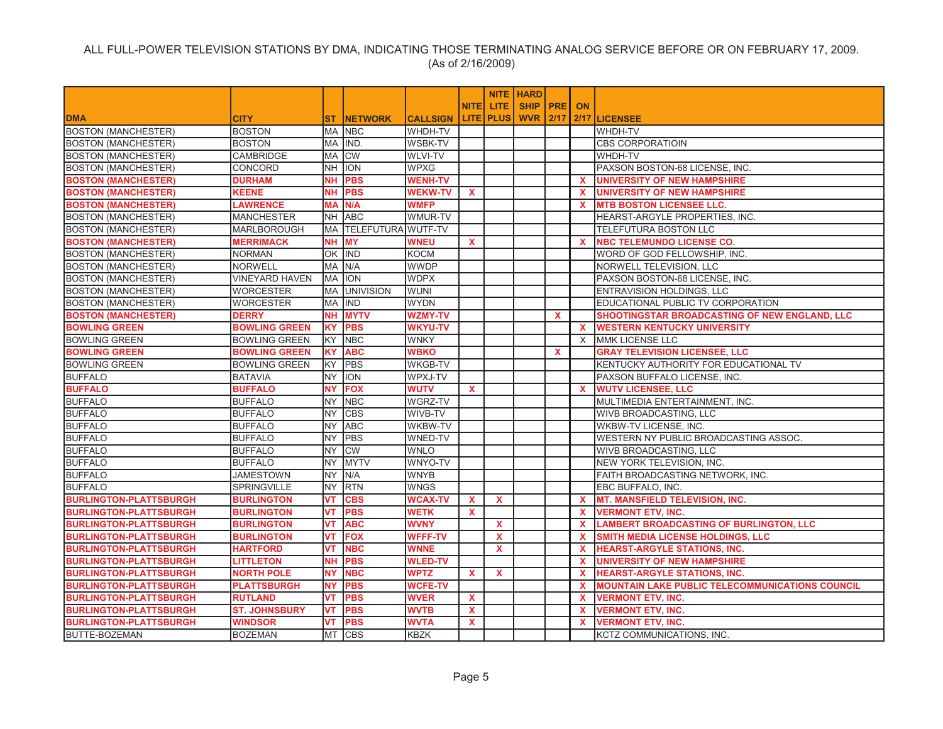|                               |                       |           |                           |                 |              |                    | <b>NITE HARD</b> |              |              |                                                        |
|-------------------------------|-----------------------|-----------|---------------------------|-----------------|--------------|--------------------|------------------|--------------|--------------|--------------------------------------------------------|
|                               |                       |           |                           |                 | <b>NITEI</b> | LITE.              | <b>SHIP PRE</b>  |              | ON           |                                                        |
| <b>DMA</b>                    | <b>CITY</b>           | <b>ST</b> | <b>INETWORK</b>           | <b>CALLSIGN</b> |              | <b>LITE   PLUS</b> | <b>WVR 2/17</b>  |              |              | 2/17 LICENSEE                                          |
| <b>BOSTON (MANCHESTER)</b>    | <b>BOSTON</b>         |           | MA NBC                    | WHDH-TV         |              |                    |                  |              |              | WHDH-TV                                                |
| <b>BOSTON (MANCHESTER)</b>    | <b>BOSTON</b>         |           | MA IIND.                  | <b>WSBK-TV</b>  |              |                    |                  |              |              | <b>CBS CORPORATIOIN</b>                                |
| <b>BOSTON (MANCHESTER)</b>    | <b>CAMBRIDGE</b>      | MA        | <b>CW</b>                 | <b>WLVI-TV</b>  |              |                    |                  |              |              | WHDH-TV                                                |
| <b>BOSTON (MANCHESTER)</b>    | CONCORD               | NH.       | <b>ION</b>                | <b>WPXG</b>     |              |                    |                  |              |              | PAXSON BOSTON-68 LICENSE, INC.                         |
| <b>BOSTON (MANCHESTER)</b>    | <b>DURHAM</b>         | <b>NH</b> | <b>PBS</b>                | <b>WENH-TV</b>  |              |                    |                  |              | $\mathbf{x}$ | <b>UNIVERSITY OF NEW HAMPSHIRE</b>                     |
| <b>BOSTON (MANCHESTER)</b>    | <b>KEENE</b>          | <b>NH</b> | <b>PBS</b>                | <b>WEKW-TV</b>  | $\mathbf{x}$ |                    |                  |              | <b>X</b>     | <b>UNIVERSITY OF NEW HAMPSHIRE</b>                     |
| <b>BOSTON (MANCHESTER)</b>    | <b>LAWRENCE</b>       | <b>MA</b> | N/A                       | <b>WMFP</b>     |              |                    |                  |              | <b>X</b>     | <b>MTB BOSTON LICENSEE LLC.</b>                        |
| <b>BOSTON (MANCHESTER)</b>    | <b>MANCHESTER</b>     |           | NH ABC                    | WMUR-TV         |              |                    |                  |              |              | HEARST-ARGYLE PROPERTIES, INC.                         |
| <b>BOSTON (MANCHESTER)</b>    | <b>MARLBOROUGH</b>    | <b>MA</b> | <b>TELEFUTURA WUTF-TV</b> |                 |              |                    |                  |              |              | <b>TELEFUTURA BOSTON LLC</b>                           |
| <b>BOSTON (MANCHESTER)</b>    | <b>MERRIMACK</b>      | NΗ        | <b>MY</b>                 | <b>WNEU</b>     | $\mathbf{x}$ |                    |                  |              | <b>X</b>     | <b>NBC TELEMUNDO LICENSE CO.</b>                       |
| <b>BOSTON (MANCHESTER)</b>    | <b>NORMAN</b>         |           | OK IND                    | <b>KOCM</b>     |              |                    |                  |              |              | WORD OF GOD FELLOWSHIP, INC.                           |
| <b>BOSTON (MANCHESTER)</b>    | <b>NORWELL</b>        | MA        | N/A                       | <b>WWDP</b>     |              |                    |                  |              |              | NORWELL TELEVISION, LLC                                |
| <b>BOSTON (MANCHESTER)</b>    | <b>VINEYARD HAVEN</b> | MA        | <b>ION</b>                | <b>WDPX</b>     |              |                    |                  |              |              | PAXSON BOSTON-68 LICENSE, INC.                         |
| <b>BOSTON (MANCHESTER)</b>    | <b>WORCESTER</b>      | MA        | <b>UNIVISION</b>          | <b>WUNI</b>     |              |                    |                  |              |              | ENTRAVISION HOLDINGS, LLC                              |
| <b>BOSTON (MANCHESTER)</b>    | <b>WORCESTER</b>      | <b>MA</b> | <b>IND</b>                | <b>WYDN</b>     |              |                    |                  |              |              | EDUCATIONAL PUBLIC TV CORPORATION                      |
| <b>BOSTON (MANCHESTER)</b>    | <b>DERRY</b>          | NΗ        | <b>MYTV</b>               | WZMY-TV         |              |                    |                  | $\mathbf x$  |              | SHOOTINGSTAR BROADCASTING OF NEW ENGLAND, LLC          |
| <b>BOWLING GREEN</b>          | <b>BOWLING GREEN</b>  | <b>KY</b> | <b>PBS</b>                | <b>WKYU-TV</b>  |              |                    |                  |              | $\mathbf{x}$ | <b>WESTERN KENTUCKY UNIVERSITY</b>                     |
| <b>BOWLING GREEN</b>          | <b>BOWLING GREEN</b>  | KY        | <b>NBC</b>                | <b>WNKY</b>     |              |                    |                  |              | $\times$     | <b>MMK LICENSE LLC</b>                                 |
| <b>BOWLING GREEN</b>          | <b>BOWLING GREEN</b>  | KY        | <b>ABC</b>                | <b>WBKO</b>     |              |                    |                  | $\mathbf{x}$ |              | <b>GRAY TELEVISION LICENSEE, LLC</b>                   |
| <b>BOWLING GREEN</b>          | <b>BOWLING GREEN</b>  | <b>KY</b> | PBS                       | <b>WKGB-TV</b>  |              |                    |                  |              |              | KENTUCKY AUTHORITY FOR EDUCATIONAL TV                  |
| <b>BUFFALO</b>                | <b>BATAVIA</b>        | <b>NY</b> | <b>ION</b>                | WPXJ-TV         |              |                    |                  |              |              | PAXSON BUFFALO LICENSE, INC.                           |
| <b>BUFFALO</b>                | <b>BUFFALO</b>        | <b>NY</b> | <b>FOX</b>                | <b>WUTV</b>     | $\mathbf{x}$ |                    |                  |              | $\mathbf{x}$ | <b>WUTV LICENSEE, LLC</b>                              |
| <b>BUFFALO</b>                | <b>BUFFALO</b>        | <b>NY</b> | <b>NBC</b>                | WGRZ-TV         |              |                    |                  |              |              | MULTIMEDIA ENTERTAINMENT, INC.                         |
| <b>BUFFALO</b>                | <b>BUFFALO</b>        | <b>NY</b> | <b>CBS</b>                | WIVB-TV         |              |                    |                  |              |              | WIVB BROADCASTING, LLC                                 |
| <b>BUFFALO</b>                | <b>BUFFALO</b>        | <b>NY</b> | <b>ABC</b>                | WKBW-TV         |              |                    |                  |              |              | WKBW-TV LICENSE, INC.                                  |
| <b>BUFFALO</b>                | <b>BUFFALO</b>        | <b>NY</b> | <b>PBS</b>                | WNED-TV         |              |                    |                  |              |              | WESTERN NY PUBLIC BROADCASTING ASSOC.                  |
| <b>BUFFALO</b>                | <b>BUFFALO</b>        | <b>NY</b> | <b>CW</b>                 | <b>WNLO</b>     |              |                    |                  |              |              | WIVB BROADCASTING, LLC                                 |
| <b>BUFFALO</b>                | <b>BUFFALO</b>        | NY        | <b>MYTV</b>               | WNYO-TV         |              |                    |                  |              |              | NEW YORK TELEVISION, INC.                              |
| <b>BUFFALO</b>                | <b>JAMESTOWN</b>      | <b>NY</b> | N/A                       | <b>WNYB</b>     |              |                    |                  |              |              | FAITH BROADCASTING NETWORK, INC.                       |
| <b>BUFFALO</b>                | SPRINGVILLE           | NY        | <b>RTN</b>                | <b>WNGS</b>     |              |                    |                  |              |              | EBC BUFFALO, INC.                                      |
| <b>BURLINGTON-PLATTSBURGH</b> | <b>BURLINGTON</b>     | VT        | <b>CBS</b>                | <b>WCAX-TV</b>  | $\mathbf{x}$ | $\mathbf{x}$       |                  |              | $\mathbf{x}$ | <b>MT. MANSFIELD TELEVISION, INC.</b>                  |
| <b>BURLINGTON-PLATTSBURGH</b> | <b>BURLINGTON</b>     | VT        | <b>PBS</b>                | <b>WETK</b>     | X            |                    |                  |              | $\mathbf{x}$ | <b>VERMONT ETV, INC.</b>                               |
| <b>BURLINGTON-PLATTSBURGH</b> | <b>BURLINGTON</b>     | VT        | <b>ABC</b>                | <b>WVNY</b>     |              | X                  |                  |              | <b>X</b>     | <b>LAMBERT BROADCASTING OF BURLINGTON, LLC</b>         |
| <b>BURLINGTON-PLATTSBURGH</b> | <b>BURLINGTON</b>     | VT        | <b>FOX</b>                | <b>WFFF-TV</b>  |              | $\mathbf x$        |                  |              | $\mathbf{x}$ | SMITH MEDIA LICENSE HOLDINGS, LLC                      |
| <b>BURLINGTON-PLATTSBURGH</b> | <b>HARTFORD</b>       | VT        | <b>NBC</b>                | <b>WNNE</b>     |              | $\mathbf{x}$       |                  |              | $\mathbf{x}$ | <b>HEARST-ARGYLE STATIONS, INC.</b>                    |
| <b>BURLINGTON-PLATTSBURGH</b> | LITTLETON             | <b>NH</b> | <b>PBS</b>                | <b>WLED-TV</b>  |              |                    |                  |              | $\mathbf{x}$ | <b>UNIVERSITY OF NEW HAMPSHIRE</b>                     |
| <b>BURLINGTON-PLATTSBURGH</b> | <b>NORTH POLE</b>     | <b>NY</b> | <b>NBC</b>                | <b>WPTZ</b>     | $\mathbf{x}$ | $\mathbf{x}$       |                  |              | $\mathbf{x}$ | <b>HEARST-ARGYLE STATIONS, INC.</b>                    |
| <b>BURLINGTON-PLATTSBURGH</b> | <b>PLATTSBURGH</b>    | <b>NY</b> | <b>PBS</b>                | <b>WCFE-TV</b>  |              |                    |                  |              | $\mathbf x$  | <b>MOUNTAIN LAKE PUBLIC TELECOMMUNICATIONS COUNCIL</b> |
| <b>BURLINGTON-PLATTSBURGH</b> | <b>RUTLAND</b>        | VT        | <b>PBS</b>                | <b>WVER</b>     | $\mathbf{x}$ |                    |                  |              | $\mathbf{x}$ | <b>VERMONT ETV, INC.</b>                               |
| <b>BURLINGTON-PLATTSBURGH</b> | <b>ST. JOHNSBURY</b>  | VT        | <b>PBS</b>                | <b>WVTB</b>     | $\mathbf{x}$ |                    |                  |              | $\mathbf{x}$ | <b>VERMONT ETV. INC.</b>                               |
| <b>BURLINGTON-PLATTSBURGH</b> | <b>WINDSOR</b>        | VT        | <b>PBS</b>                | <b>WVTA</b>     | $\mathbf{x}$ |                    |                  |              | $\mathbf{x}$ | <b>VERMONT ETV. INC.</b>                               |
| <b>BUTTE-BOZEMAN</b>          | <b>BOZEMAN</b>        |           | MT CBS                    | <b>KBZK</b>     |              |                    |                  |              |              | <b>KCTZ COMMUNICATIONS. INC.</b>                       |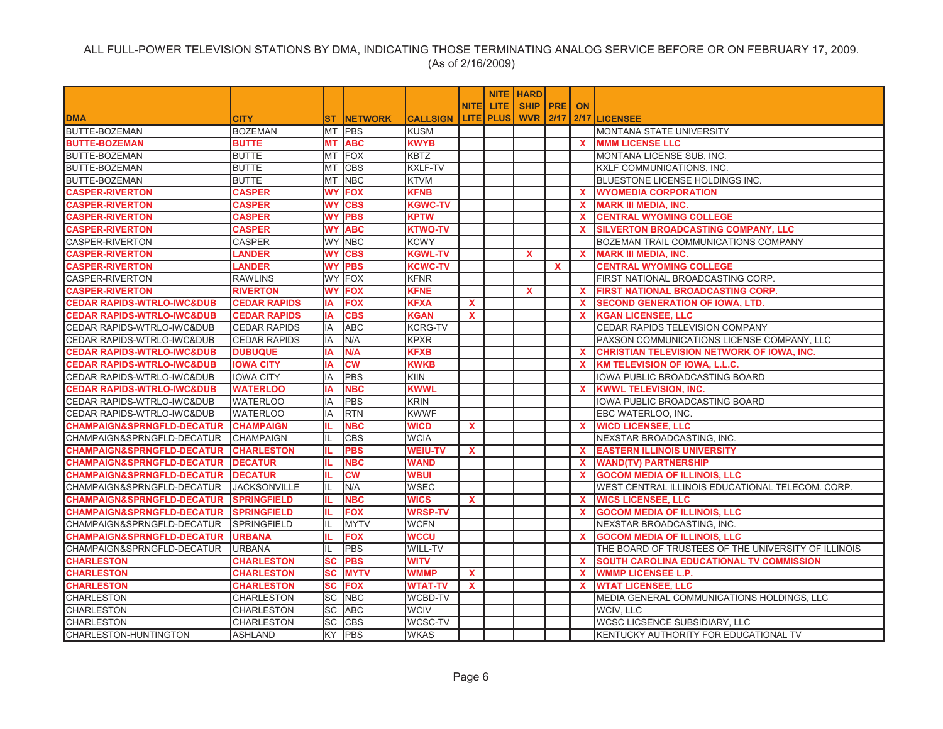|                                       |                     |           |                 |                 |              |                  | <b>NITE   HARD</b>   |              |              |                                                     |
|---------------------------------------|---------------------|-----------|-----------------|-----------------|--------------|------------------|----------------------|--------------|--------------|-----------------------------------------------------|
|                                       |                     |           |                 |                 | <b>NITEI</b> | LITE.            | <b>SHIP IPREI ON</b> |              |              |                                                     |
| <b>DMA</b>                            | <b>CITY</b>         | ST.       | <b>INETWORK</b> | <b>CALLSIGN</b> |              | <b>LITE PLUS</b> |                      |              |              | <b>WVR 2/17 2/17 LICENSEE</b>                       |
| BUTTE-BOZEMAN                         | <b>BOZEMAN</b>      | MT        | <b>PBS</b>      | KUSM            |              |                  |                      |              |              | MONTANA STATE UNIVERSITY                            |
| <b>BUTTE-BOZEMAN</b>                  | <b>BUTTE</b>        | <b>MT</b> | <b>ABC</b>      | <b>KWYB</b>     |              |                  |                      |              | $\mathbf{x}$ | <b>MMM LICENSE LLC</b>                              |
| <b>BUTTE-BOZEMAN</b>                  | <b>BUTTE</b>        | MT        | <b>FOX</b>      | <b>KBTZ</b>     |              |                  |                      |              |              | MONTANA LICENSE SUB, INC.                           |
| BUTTE-BOZEMAN                         | <b>BUTTE</b>        | MT        | <b>CBS</b>      | KXLF-TV         |              |                  |                      |              |              | KXLF COMMUNICATIONS, INC.                           |
| BUTTE-BOZEMAN                         | <b>BUTTE</b>        | MT        | <b>NBC</b>      | <b>KTVM</b>     |              |                  |                      |              |              | BLUESTONE LICENSE HOLDINGS INC.                     |
| <b>CASPER-RIVERTON</b>                | <b>CASPER</b>       | <b>WY</b> | <b>FOX</b>      | <b>KFNB</b>     |              |                  |                      |              | $\mathbf{x}$ | <b>WYOMEDIA CORPORATION</b>                         |
| <b>CASPER-RIVERTON</b>                | <b>CASPER</b>       | WY        | <b>CBS</b>      | <b>KGWC-TV</b>  |              |                  |                      |              | <b>X</b>     | <b>MARK III MEDIA, INC.</b>                         |
| <b>CASPER-RIVERTON</b>                | <b>CASPER</b>       | <b>WY</b> | <b>PBS</b>      | <b>KPTW</b>     |              |                  |                      |              | <b>X</b>     | <b>CENTRAL WYOMING COLLEGE</b>                      |
| <b>CASPER-RIVERTON</b>                | <b>CASPER</b>       | <b>WY</b> | <b>ABC</b>      | <b>KTWO-TV</b>  |              |                  |                      |              | $\mathbf{x}$ | <b>SILVERTON BROADCASTING COMPANY, LLC</b>          |
| <b>CASPER-RIVERTON</b>                | CASPER              |           | WY NBC          | <b>KCWY</b>     |              |                  |                      |              |              | BOZEMAN TRAIL COMMUNICATIONS COMPANY                |
| <b>CASPER-RIVERTON</b>                | <b>LANDER</b>       | <b>WY</b> | <b>CBS</b>      | <b>KGWL-TV</b>  |              |                  | $\mathbf{x}$         |              |              | X MARK III MEDIA, INC.                              |
| <b>CASPER-RIVERTON</b>                | <b>LANDER</b>       | WY        | <b>PBS</b>      | <b>KCWC-TV</b>  |              |                  |                      | $\mathbf{x}$ |              | <b>CENTRAL WYOMING COLLEGE</b>                      |
| <b>CASPER-RIVERTON</b>                | <b>RAWLINS</b>      | <b>WY</b> | FOX             | KFNR            |              |                  |                      |              |              | FIRST NATIONAL BROADCASTING CORP.                   |
| <b>CASPER-RIVERTON</b>                | <b>RIVERTON</b>     | <b>WY</b> | <b>FOX</b>      | <b>KFNE</b>     |              |                  | $\mathbf{x}$         |              | $\mathbf{x}$ | <b>FIRST NATIONAL BROADCASTING CORP.</b>            |
| <b>CEDAR RAPIDS-WTRLO-IWC&amp;DUB</b> | <b>CEDAR RAPIDS</b> | IA        | <b>FOX</b>      | <b>KFXA</b>     | $\mathbf{x}$ |                  |                      |              | $\mathbf{x}$ | <b>SECOND GENERATION OF IOWA, LTD.</b>              |
| <b>CEDAR RAPIDS-WTRLO-IWC&amp;DUB</b> | <b>CEDAR RAPIDS</b> | IA        | <b>CBS</b>      | <b>KGAN</b>     | X            |                  |                      |              | $\mathbf{x}$ | <b>KGAN LICENSEE, LLC</b>                           |
| CEDAR RAPIDS-WTRLO-IWC&DUB            | <b>CEDAR RAPIDS</b> | IA        | <b>ABC</b>      | <b>KCRG-TV</b>  |              |                  |                      |              |              | CEDAR RAPIDS TELEVISION COMPANY                     |
| CEDAR RAPIDS-WTRLO-IWC&DUB            | <b>CEDAR RAPIDS</b> | IA        | N/A             | <b>KPXR</b>     |              |                  |                      |              |              | PAXSON COMMUNICATIONS LICENSE COMPANY, LLC          |
| <b>CEDAR RAPIDS-WTRLO-IWC&amp;DUB</b> | <b>DUBUQUE</b>      | IA        | N/A             | <b>KFXB</b>     |              |                  |                      |              | <b>X</b>     | <b>CHRISTIAN TELEVISION NETWORK OF IOWA, INC.</b>   |
| <b>CEDAR RAPIDS-WTRLO-IWC&amp;DUB</b> | <b>IOWA CITY</b>    | IΑ        | <b>CW</b>       | <b>KWKB</b>     |              |                  |                      |              | $\mathbf{x}$ | <b>KM TELEVISION OF IOWA, L.L.C.</b>                |
| CEDAR RAPIDS-WTRLO-IWC&DUB            | <b>IOWA CITY</b>    | IA        | <b>PBS</b>      | <b>KIIN</b>     |              |                  |                      |              |              | IOWA PUBLIC BROADCASTING BOARD                      |
| <b>CEDAR RAPIDS-WTRLO-IWC&amp;DUB</b> | <b>WATERLOO</b>     | ΙA        | <b>NBC</b>      | <b>KWWL</b>     |              |                  |                      |              | x.           | <b>KWWL TELEVISION, INC.</b>                        |
| CEDAR RAPIDS-WTRLO-IWC&DUB            | <b>WATERLOO</b>     | IA        | <b>PBS</b>      | <b>KRIN</b>     |              |                  |                      |              |              | IOWA PUBLIC BROADCASTING BOARD                      |
| CEDAR RAPIDS-WTRLO-IWC&DUB            | <b>WATERLOO</b>     | IA        | <b>RTN</b>      | <b>KWWF</b>     |              |                  |                      |              |              | EBC WATERLOO, INC.                                  |
| <b>CHAMPAIGN&amp;SPRNGFLD-DECATUR</b> | <b>CHAMPAIGN</b>    | IL.       | <b>NBC</b>      | <b>WICD</b>     | X            |                  |                      |              | $\mathbf{x}$ | <b>WICD LICENSEE, LLC</b>                           |
| CHAMPAIGN&SPRNGFLD-DECATUR            | <b>CHAMPAIGN</b>    | IL        | <b>CBS</b>      | <b>WCIA</b>     |              |                  |                      |              |              | NEXSTAR BROADCASTING, INC.                          |
| <b>CHAMPAIGN&amp;SPRNGFLD-DECATUR</b> | <b>CHARLESTON</b>   | IL.       | <b>PBS</b>      | <b>WEIU-TV</b>  | X            |                  |                      |              | <b>X</b>     | <b>EASTERN ILLINOIS UNIVERSITY</b>                  |
| <b>CHAMPAIGN&amp;SPRNGFLD-DECATUR</b> | <b>DECATUR</b>      | IL.       | <b>NBC</b>      | <b>WAND</b>     |              |                  |                      |              | $\mathbf{x}$ | <b>WAND(TV) PARTNERSHIP</b>                         |
| <b>CHAMPAIGN&amp;SPRNGFLD-DECATUR</b> | <b>DECATUR</b>      | IL.       | <b>CW</b>       | <b>WBUI</b>     |              |                  |                      |              | $\mathbf{x}$ | <b>GOCOM MEDIA OF ILLINOIS, LLC</b>                 |
| CHAMPAIGN&SPRNGFLD-DECATUR            | <b>JACKSONVILLE</b> | IL        | N/A             | WSEC            |              |                  |                      |              |              | WEST CENTRAL ILLINOIS EDUCATIONAL TELECOM. CORP.    |
| <b>CHAMPAIGN&amp;SPRNGFLD-DECATUR</b> | <b>SPRINGFIELD</b>  | IL.       | <b>NBC</b>      | <b>WICS</b>     | $\mathbf{x}$ |                  |                      |              | $\mathbf{x}$ | <b>WICS LICENSEE, LLC</b>                           |
| <b>CHAMPAIGN&amp;SPRNGFLD-DECATUR</b> | <b>SPRINGFIELD</b>  | IL.       | <b>FOX</b>      | <b>WRSP-TV</b>  |              |                  |                      |              | $\mathbf{x}$ | <b>GOCOM MEDIA OF ILLINOIS, LLC</b>                 |
| CHAMPAIGN&SPRNGFLD-DECATUR            | <b>SPRINGFIELD</b>  | IIL       | <b>MYTV</b>     | WCFN            |              |                  |                      |              |              | NEXSTAR BROADCASTING, INC.                          |
| <b>CHAMPAIGN&amp;SPRNGFLD-DECATUR</b> | <b>URBANA</b>       | IL.       | <b>FOX</b>      | WCCU            |              |                  |                      |              | x.           | <b>GOCOM MEDIA OF ILLINOIS, LLC</b>                 |
| CHAMPAIGN&SPRNGFLD-DECATUR            | <b>URBANA</b>       | IL        | <b>PBS</b>      | WILL-TV         |              |                  |                      |              |              | THE BOARD OF TRUSTEES OF THE UNIVERSITY OF ILLINOIS |
| <b>CHARLESTON</b>                     | <b>CHARLESTON</b>   | <b>SC</b> | <b>PBS</b>      | <b>WITV</b>     |              |                  |                      |              | <b>X</b>     | SOUTH CAROLINA EDUCATIONAL TV COMMISSION            |
| <b>CHARLESTON</b>                     | <b>CHARLESTON</b>   | <b>SC</b> | <b>MYTV</b>     | <b>WMMP</b>     | $\mathbf{x}$ |                  |                      |              | $\mathbf{x}$ | <b>WMMP LICENSEE L.P.</b>                           |
| <b>CHARLESTON</b>                     | <b>CHARLESTON</b>   | <b>SC</b> | <b>FOX</b>      | <b>WTAT-TV</b>  | $\mathbf{x}$ |                  |                      |              | $\mathbf{x}$ | <b>WTAT LICENSEE, LLC</b>                           |
| <b>CHARLESTON</b>                     | <b>CHARLESTON</b>   |           | SC NBC          | WCBD-TV         |              |                  |                      |              |              | MEDIA GENERAL COMMUNICATIONS HOLDINGS, LLC          |
| <b>CHARLESTON</b>                     | <b>CHARLESTON</b>   | SC        | <b>ABC</b>      | <b>WCIV</b>     |              |                  |                      |              |              | WCIV, LLC                                           |
| <b>CHARLESTON</b>                     | <b>CHARLESTON</b>   | <b>SC</b> | <b>CBS</b>      | WCSC-TV         |              |                  |                      |              |              | WCSC LICSENCE SUBSIDIARY, LLC                       |
| CHARLESTON-HUNTINGTON                 | ASHLAND             |           | <b>KY PBS</b>   | <b>WKAS</b>     |              |                  |                      |              |              | KENTUCKY AUTHORITY FOR EDUCATIONAL TV               |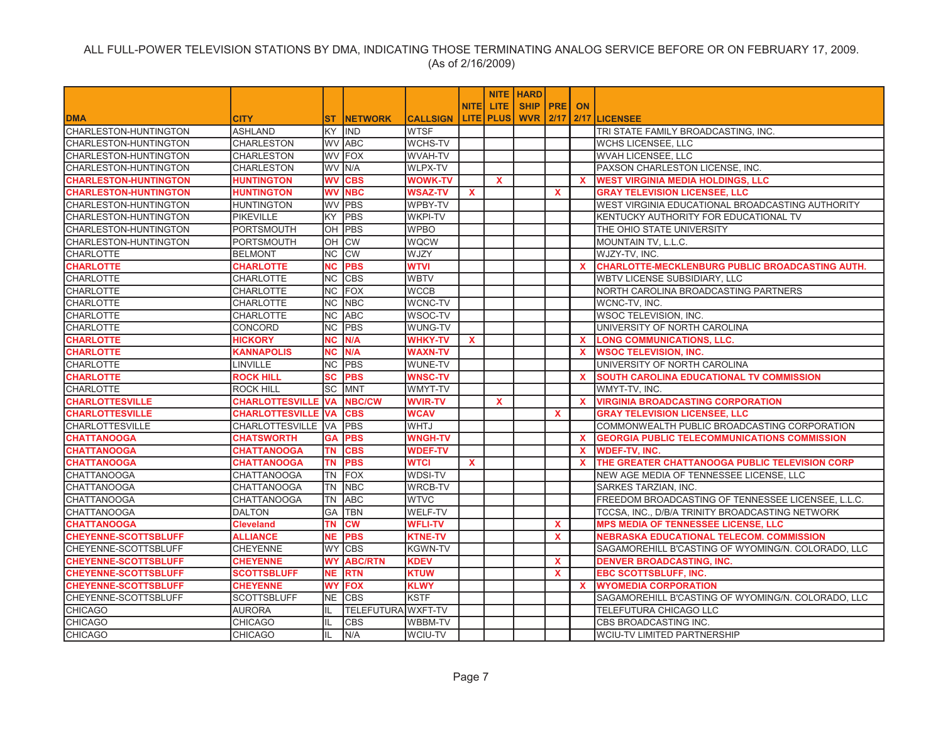|                              |                           |           |                    |                 |              |                  | <b>NITE HARD</b> |              |              |                                                        |
|------------------------------|---------------------------|-----------|--------------------|-----------------|--------------|------------------|------------------|--------------|--------------|--------------------------------------------------------|
|                              |                           |           |                    |                 | <b>NITE</b>  | <b>LITE</b>      | <b>SHIP PRE</b>  |              | <b>ON</b>    |                                                        |
| <b>DMA</b>                   | <b>CITY</b>               | ST.       | <b>INETWORK</b>    | <b>CALLSIGN</b> |              | <b>LITE PLUS</b> | <b>WVR 2/17</b>  |              |              | 2/17 LICENSEE                                          |
| <b>CHARLESTON-HUNTINGTON</b> | <b>ASHLAND</b>            |           | KY IIND            | <b>WTSF</b>     |              |                  |                  |              |              | TRI STATE FAMILY BROADCASTING. INC.                    |
| CHARLESTON-HUNTINGTON        | <b>CHARLESTON</b>         |           | <b>WV ABC</b>      | WCHS-TV         |              |                  |                  |              |              | <b>WCHS LICENSEE, LLC</b>                              |
| CHARLESTON-HUNTINGTON        | <b>CHARLESTON</b>         | <b>WV</b> | <b>IFOX</b>        | WVAH-TV         |              |                  |                  |              |              | <b>WVAH LICENSEE, LLC</b>                              |
| CHARLESTON-HUNTINGTON        | <b>CHARLESTON</b>         |           | WV N/A             | WLPX-TV         |              |                  |                  |              |              | PAXSON CHARLESTON LICENSE, INC.                        |
| <b>CHARLESTON-HUNTINGTON</b> | <b>HUNTINGTON</b>         | <b>WV</b> | <b>CBS</b>         | <b>WOWK-TV</b>  |              | $\mathbf{x}$     |                  |              | $\mathbf{x}$ | <b>WEST VIRGINIA MEDIA HOLDINGS, LLC</b>               |
| <b>CHARLESTON-HUNTINGTON</b> | <b>HUNTINGTON</b>         | <b>WV</b> | <b>NBC</b>         | <b>WSAZ-TV</b>  | x            |                  |                  | $\mathbf{x}$ |              | <b>GRAY TELEVISION LICENSEE, LLC</b>                   |
| CHARLESTON-HUNTINGTON        | <b>HUNTINGTON</b>         | <b>WV</b> | <b>PBS</b>         | WPBY-TV         |              |                  |                  |              |              | WEST VIRGINIA EDUCATIONAL BROADCASTING AUTHORITY       |
| CHARLESTON-HUNTINGTON        | <b>PIKEVILLE</b>          | <b>KY</b> | PBS                | <b>WKPI-TV</b>  |              |                  |                  |              |              | KENTUCKY AUTHORITY FOR EDUCATIONAL TV                  |
| CHARLESTON-HUNTINGTON        | <b>PORTSMOUTH</b>         | OH        | <b>PBS</b>         | <b>WPBO</b>     |              |                  |                  |              |              | THE OHIO STATE UNIVERSITY                              |
| CHARLESTON-HUNTINGTON        | <b>PORTSMOUTH</b>         | ЮH        | <b>CW</b>          | <b>WQCW</b>     |              |                  |                  |              |              | MOUNTAIN TV, L.L.C.                                    |
| <b>CHARLOTTE</b>             | <b>BELMONT</b>            | INC.      | <b>CW</b>          | WJZY            |              |                  |                  |              |              | WJZY-TV, INC.                                          |
| <b>CHARLOTTE</b>             | <b>CHARLOTTE</b>          | <b>NC</b> | <b>PBS</b>         | WTVI            |              |                  |                  |              | <b>X</b>     | <b>CHARLOTTE-MECKLENBURG PUBLIC BROADCASTING AUTH.</b> |
| <b>CHARLOTTE</b>             | <b>CHARLOTTE</b>          | NC        | <b>CBS</b>         | <b>WBTV</b>     |              |                  |                  |              |              | WBTV LICENSE SUBSIDIARY, LLC                           |
| <b>CHARLOTTE</b>             | <b>CHARLOTTE</b>          | <b>NC</b> | FOX                | <b>WCCB</b>     |              |                  |                  |              |              | NORTH CAROLINA BROADCASTING PARTNERS                   |
| <b>CHARLOTTE</b>             | <b>CHARLOTTE</b>          | INC.      | <b>NBC</b>         | WCNC-TV         |              |                  |                  |              |              | WCNC-TV, INC.                                          |
| <b>CHARLOTTE</b>             | <b>CHARLOTTE</b>          | NC        | <b>ABC</b>         | WSOC-TV         |              |                  |                  |              |              | <b>WSOC TELEVISION, INC.</b>                           |
| <b>CHARLOTTE</b>             | CONCORD                   | <b>NC</b> | PBS                | WUNG-TV         |              |                  |                  |              |              | UNIVERSITY OF NORTH CAROLINA                           |
| <b>CHARLOTTE</b>             | <b>HICKORY</b>            | <b>NC</b> | N/A                | <b>WHKY-TV</b>  | $\mathbf{x}$ |                  |                  |              | <b>X</b>     | <b>LONG COMMUNICATIONS, LLC.</b>                       |
| <b>CHARLOTTE</b>             | <b>KANNAPOLIS</b>         | <b>NC</b> | N/A                | <b>WAXN-TV</b>  |              |                  |                  |              | $\mathbf{x}$ | <b>WSOC TELEVISION, INC.</b>                           |
| <b>CHARLOTTE</b>             | LINVILLE                  | <b>NC</b> | <b>PBS</b>         | WUNE-TV         |              |                  |                  |              |              | UNIVERSITY OF NORTH CAROLINA                           |
| <b>CHARLOTTE</b>             | <b>ROCK HILL</b>          | <b>SC</b> | <b>PBS</b>         | <b>WNSC-TV</b>  |              |                  |                  |              | $\mathbf{x}$ | SOUTH CAROLINA EDUCATIONAL TV COMMISSION               |
| <b>CHARLOTTE</b>             | <b>ROCK HILL</b>          | <b>SC</b> | <b>MNT</b>         | WMYT-TV         |              |                  |                  |              |              | WMYT-TV, INC.                                          |
| <b>CHARLOTTESVILLE</b>       | <b>CHARLOTTESVILLE VA</b> |           | <b>NBC/CW</b>      | <b>WVIR-TV</b>  |              | $\mathbf{x}$     |                  |              | $\mathbf{x}$ | <b>VIRGINIA BROADCASTING CORPORATION</b>               |
| <b>CHARLOTTESVILLE</b>       | <b>CHARLOTTESVILLE VA</b> |           | <b>CBS</b>         | <b>WCAV</b>     |              |                  |                  | X            |              | <b>GRAY TELEVISION LICENSEE, LLC</b>                   |
| <b>CHARLOTTESVILLE</b>       | CHARLOTTESVILLE VA        |           | <b>PBS</b>         | WHTJ            |              |                  |                  |              |              | COMMONWEALTH PUBLIC BROADCASTING CORPORATION           |
| <b>CHATTANOOGA</b>           | <b>CHATSWORTH</b>         | <b>GA</b> | <b>PBS</b>         | <b>WNGH-TV</b>  |              |                  |                  |              | <b>X</b>     | <b>GEORGIA PUBLIC TELECOMMUNICATIONS COMMISSION</b>    |
| <b>CHATTANOOGA</b>           | <b>CHATTANOOGA</b>        | ΤN        | <b>CBS</b>         | <b>WDEF-TV</b>  |              |                  |                  |              | <b>X</b>     | <b>WDEF-TV, INC.</b>                                   |
| <b>CHATTANOOGA</b>           | <b>CHATTANOOGA</b>        | <b>TN</b> | <b>PBS</b>         | <b>WTCI</b>     | $\mathbf{x}$ |                  |                  |              | $\mathbf{x}$ | THE GREATER CHATTANOOGA PUBLIC TELEVISION CORP         |
| <b>CHATTANOOGA</b>           | <b>CHATTANOOGA</b>        | <b>TN</b> | <b>FOX</b>         | WDSI-TV         |              |                  |                  |              |              | NEW AGE MEDIA OF TENNESSEE LICENSE, LLC                |
| <b>CHATTANOOGA</b>           | <b>CHATTANOOGA</b>        | <b>TN</b> | <b>NBC</b>         | WRCB-TV         |              |                  |                  |              |              | <b>SARKES TARZIAN, INC.</b>                            |
| <b>CHATTANOOGA</b>           | <b>CHATTANOOGA</b>        | <b>TN</b> | <b>ABC</b>         | <b>WTVC</b>     |              |                  |                  |              |              | FREEDOM BROADCASTING OF TENNESSEE LICENSEE, L.L.C.     |
| <b>CHATTANOOGA</b>           | <b>DALTON</b>             | GA        | <b>TBN</b>         | WELF-TV         |              |                  |                  |              |              | TCCSA, INC., D/B/A TRINITY BROADCASTING NETWORK        |
| <b>CHATTANOOGA</b>           | <b>Cleveland</b>          | ΤN        | <b>CW</b>          | <b>WFLI-TV</b>  |              |                  |                  | X            |              | <b>MPS MEDIA OF TENNESSEE LICENSE, LLC</b>             |
| <b>CHEYENNE-SCOTTSBLUFF</b>  | <b>ALLIANCE</b>           | <b>NE</b> | <b>PBS</b>         | <b>KTNE-TV</b>  |              |                  |                  | $\mathbf{x}$ |              | <b>NEBRASKA EDUCATIONAL TELECOM. COMMISSION</b>        |
| CHEYENNE-SCOTTSBLUFF         | <b>CHEYENNE</b>           | <b>WY</b> | <b>CBS</b>         | <b>KGWN-TV</b>  |              |                  |                  |              |              | SAGAMOREHILL B'CASTING OF WYOMING/N. COLORADO, LLC     |
| <b>CHEYENNE-SCOTTSBLUFF</b>  | <b>CHEYENNE</b>           | <b>WY</b> | <b>ABC/RTN</b>     | <b>KDEV</b>     |              |                  |                  | <b>X</b>     |              | <b>DENVER BROADCASTING, INC.</b>                       |
| <b>CHEYENNE-SCOTTSBLUFF</b>  | <b>SCOTTSBLUFF</b>        | <b>NE</b> | <b>RTN</b>         | <b>KTUW</b>     |              |                  |                  | $\mathbf{x}$ |              | <b>EBC SCOTTSBLUFF. INC.</b>                           |
| <b>CHEYENNE-SCOTTSBLUFF</b>  | <b>CHEYENNE</b>           | <b>WY</b> | <b>FOX</b>         | <b>KLWY</b>     |              |                  |                  |              | <b>X</b>     | <b>WYOMEDIA CORPORATION</b>                            |
| CHEYENNE-SCOTTSBLUFF         | <b>SCOTTSBLUFF</b>        | INE.      | <b>CBS</b>         | <b>KSTF</b>     |              |                  |                  |              |              | SAGAMOREHILL B'CASTING OF WYOMING/N. COLORADO, LLC     |
| <b>CHICAGO</b>               | <b>AURORA</b>             | IL        | TELEFUTURA WXFT-TV |                 |              |                  |                  |              |              | <b>TELEFUTURA CHICAGO LLC</b>                          |
| <b>CHICAGO</b>               | <b>CHICAGO</b>            | IL.       | <b>CBS</b>         | WBBM-TV         |              |                  |                  |              |              | CBS BROADCASTING INC.                                  |
| <b>CHICAGO</b>               | <b>CHICAGO</b>            | IIL       | N/A                | WCIU-TV         |              |                  |                  |              |              | <b>WCIU-TV LIMITED PARTNERSHIP</b>                     |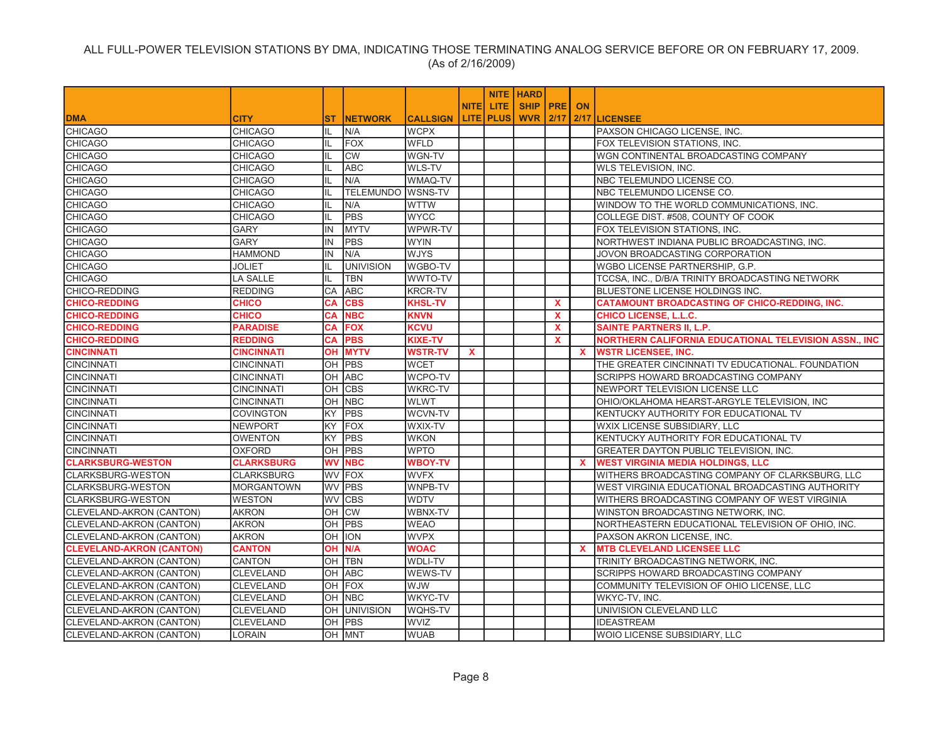|                                 |                   |           |                     |                 |              |                  | <b>NITE HARD</b>     |              |              |                                                       |
|---------------------------------|-------------------|-----------|---------------------|-----------------|--------------|------------------|----------------------|--------------|--------------|-------------------------------------------------------|
|                                 |                   |           |                     |                 | <b>NITEI</b> | LITE.            | <b>SHIP IPREI ON</b> |              |              |                                                       |
| <b>DMA</b>                      | <b>CITY</b>       | ST.       | <b>INETWORK</b>     | <b>CALLSIGN</b> |              | <b>LITE PLUS</b> | <b>WVR 2/17</b>      |              |              | 2/17 LICENSEE                                         |
| <b>CHICAGO</b>                  | <b>CHICAGO</b>    | IL        | N/A                 | <b>WCPX</b>     |              |                  |                      |              |              | PAXSON CHICAGO LICENSE, INC.                          |
| <b>CHICAGO</b>                  | <b>CHICAGO</b>    | IL        | <b>FOX</b>          | <b>WFLD</b>     |              |                  |                      |              |              | FOX TELEVISION STATIONS, INC.                         |
| <b>CHICAGO</b>                  | <b>CHICAGO</b>    | IL        | <b>CW</b>           | WGN-TV          |              |                  |                      |              |              | WGN CONTINENTAL BROADCASTING COMPANY                  |
| <b>CHICAGO</b>                  | <b>CHICAGO</b>    | IL        | <b>ABC</b>          | WLS-TV          |              |                  |                      |              |              | <b>WLS TELEVISION, INC.</b>                           |
| <b>CHICAGO</b>                  | <b>CHICAGO</b>    | IL        | N/A                 | WMAQ-TV         |              |                  |                      |              |              | NBC TELEMUNDO LICENSE CO.                             |
| <b>CHICAGO</b>                  | <b>CHICAGO</b>    | IL        | TELEMUNDO WSNS-TV   |                 |              |                  |                      |              |              | NBC TELEMUNDO LICENSE CO.                             |
| <b>CHICAGO</b>                  | <b>CHICAGO</b>    | IL        | N/A                 | <b>WTTW</b>     |              |                  |                      |              |              | WINDOW TO THE WORLD COMMUNICATIONS, INC.              |
| <b>CHICAGO</b>                  | <b>CHICAGO</b>    | IL        | <b>PBS</b>          | <b>WYCC</b>     |              |                  |                      |              |              | COLLEGE DIST. #508, COUNTY OF COOK                    |
| <b>CHICAGO</b>                  | <b>GARY</b>       | IN        | <b>MYTV</b>         | WPWR-TV         |              |                  |                      |              |              | FOX TELEVISION STATIONS, INC.                         |
| <b>CHICAGO</b>                  | <b>GARY</b>       | IN        | <b>PBS</b>          | <b>WYIN</b>     |              |                  |                      |              |              | NORTHWEST INDIANA PUBLIC BROADCASTING, INC.           |
| <b>CHICAGO</b>                  | <b>HAMMOND</b>    | IN        | N/A                 | <b>WJYS</b>     |              |                  |                      |              |              | JOVON BROADCASTING CORPORATION                        |
| <b>CHICAGO</b>                  | <b>JOLIET</b>     | IL.       | <b>UNIVISION</b>    | WGBO-TV         |              |                  |                      |              |              | WGBO LICENSE PARTNERSHIP, G.P.                        |
| <b>CHICAGO</b>                  | LA SALLE          | IL        | <b>TBN</b>          | WWTO-TV         |              |                  |                      |              |              | TCCSA, INC., D/B/A TRINITY BROADCASTING NETWORK       |
| CHICO-REDDING                   | <b>REDDING</b>    | CA        | <b>ABC</b>          | <b>KRCR-TV</b>  |              |                  |                      |              |              | BLUESTONE LICENSE HOLDINGS INC.                       |
| <b>CHICO-REDDING</b>            | <b>CHICO</b>      | CA        | <b>CBS</b>          | <b>KHSL-TV</b>  |              |                  |                      | X            |              | <b>CATAMOUNT BROADCASTING OF CHICO-REDDING, INC.</b>  |
| <b>CHICO-REDDING</b>            | <b>CHICO</b>      | <b>CA</b> | <b>NBC</b>          | <b>KNVN</b>     |              |                  |                      | X            |              | <b>CHICO LICENSE, L.L.C.</b>                          |
| <b>CHICO-REDDING</b>            | <b>PARADISE</b>   | CA        | <b>FOX</b>          | <b>KCVU</b>     |              |                  |                      | $\mathbf{x}$ |              | <b>SAINTE PARTNERS II, L.P.</b>                       |
| <b>CHICO-REDDING</b>            | <b>REDDING</b>    | CA        | <b>PBS</b>          | <b>KIXE-TV</b>  |              |                  |                      | <b>X</b>     |              | NORTHERN CALIFORNIA EDUCATIONAL TELEVISION ASSN., INC |
| <b>CINCINNATI</b>               | <b>CINCINNATI</b> | OН        | <b>MYTV</b>         | <b>WSTR-TV</b>  | x            |                  |                      |              | $\mathbf{x}$ | <b>WSTR LICENSEE, INC.</b>                            |
| <b>CINCINNATI</b>               | <b>CINCINNATI</b> | OН        | <b>PBS</b>          | <b>WCET</b>     |              |                  |                      |              |              | THE GREATER CINCINNATI TV EDUCATIONAL. FOUNDATION     |
| <b>CINCINNATI</b>               | <b>CINCINNATI</b> | OH        | <b>ABC</b>          | WCPO-TV         |              |                  |                      |              |              | SCRIPPS HOWARD BROADCASTING COMPANY                   |
| <b>CINCINNATI</b>               | <b>CINCINNATI</b> | OH        | <b>CBS</b>          | <b>WKRC-TV</b>  |              |                  |                      |              |              | NEWPORT TELEVISION LICENSE LLC                        |
| <b>CINCINNATI</b>               | <b>CINCINNATI</b> | OH        | <b>NBC</b>          | <b>WLWT</b>     |              |                  |                      |              |              | OHIO/OKLAHOMA HEARST-ARGYLE TELEVISION, INC           |
| <b>CINCINNATI</b>               | <b>COVINGTON</b>  | KY        | <b>PBS</b>          | WCVN-TV         |              |                  |                      |              |              | KENTUCKY AUTHORITY FOR EDUCATIONAL TV                 |
| <b>CINCINNATI</b>               | <b>NEWPORT</b>    | KY        | <b>FOX</b>          | WXIX-TV         |              |                  |                      |              |              | WXIX LICENSE SUBSIDIARY, LLC                          |
| <b>CINCINNATI</b>               | <b>OWENTON</b>    | KY        | <b>PBS</b>          | <b>WKON</b>     |              |                  |                      |              |              | KENTUCKY AUTHORITY FOR EDUCATIONAL TV                 |
| <b>CINCINNATI</b>               | OXFORD            | OH        | <b>PBS</b>          | <b>WPTO</b>     |              |                  |                      |              |              | GREATER DAYTON PUBLIC TELEVISION, INC.                |
| <b>CLARKSBURG-WESTON</b>        | <b>CLARKSBURG</b> | <b>WV</b> | <b>NBC</b>          | <b>WBOY-TV</b>  |              |                  |                      |              | $\mathbf{x}$ | <b>WEST VIRGINIA MEDIA HOLDINGS, LLC</b>              |
| <b>CLARKSBURG-WESTON</b>        | <b>CLARKSBURG</b> | WV        | FOX                 | <b>WVFX</b>     |              |                  |                      |              |              | WITHERS BROADCASTING COMPANY OF CLARKSBURG, LLC       |
| <b>CLARKSBURG-WESTON</b>        | <b>MORGANTOWN</b> | WV        | PBS                 | WNPB-TV         |              |                  |                      |              |              | WEST VIRGINIA EDUCATIONAL BROADCASTING AUTHORITY      |
| <b>CLARKSBURG-WESTON</b>        | <b>WESTON</b>     | WV        | <b>CBS</b>          | <b>WDTV</b>     |              |                  |                      |              |              | WITHERS BROADCASTING COMPANY OF WEST VIRGINIA         |
| <b>CLEVELAND-AKRON (CANTON)</b> | <b>AKRON</b>      | OH        | <b>CW</b>           | WBNX-TV         |              |                  |                      |              |              | WINSTON BROADCASTING NETWORK, INC.                    |
| CLEVELAND-AKRON (CANTON)        | <b>AKRON</b>      | OH        | <b>PBS</b>          | <b>WEAO</b>     |              |                  |                      |              |              | NORTHEASTERN EDUCATIONAL TELEVISION OF OHIO, INC.     |
| CLEVELAND-AKRON (CANTON)        | <b>AKRON</b>      | OH        | <b>ION</b>          | <b>WVPX</b>     |              |                  |                      |              |              | PAXSON AKRON LICENSE, INC.                            |
| <b>CLEVELAND-AKRON (CANTON)</b> | <b>CANTON</b>     | OН        | N/A                 | <b>WOAC</b>     |              |                  |                      |              | <b>X</b>     | <b>MTB CLEVELAND LICENSEE LLC</b>                     |
| CLEVELAND-AKRON (CANTON)        | <b>CANTON</b>     | OH        | <b>TBN</b>          | WDLI-TV         |              |                  |                      |              |              | TRINITY BROADCASTING NETWORK, INC.                    |
| CLEVELAND-AKRON (CANTON)        | <b>CLEVELAND</b>  |           | OH ABC              | WEWS-TV         |              |                  |                      |              |              | SCRIPPS HOWARD BROADCASTING COMPANY                   |
| <b>CLEVELAND-AKRON (CANTON)</b> | <b>CLEVELAND</b>  | OH        | FOX                 | WJW             |              |                  |                      |              |              | COMMUNITY TELEVISION OF OHIO LICENSE, LLC             |
| CLEVELAND-AKRON (CANTON)        | <b>CLEVELAND</b>  |           | OH NBC              | WKYC-TV         |              |                  |                      |              |              | WKYC-TV, INC.                                         |
| CLEVELAND-AKRON (CANTON)        | <b>CLEVELAND</b>  |           | <b>OH UNIVISION</b> | WQHS-TV         |              |                  |                      |              |              | UNIVISION CLEVELAND LLC                               |
| CLEVELAND-AKRON (CANTON)        | <b>CLEVELAND</b>  | OН        | <b>PBS</b>          | <b>WVIZ</b>     |              |                  |                      |              |              | <b>IDEASTREAM</b>                                     |
| CLEVELAND-AKRON (CANTON)        | <b>LORAIN</b>     |           | OH MNT              | <b>WUAB</b>     |              |                  |                      |              |              | WOIO LICENSE SUBSIDIARY, LLC                          |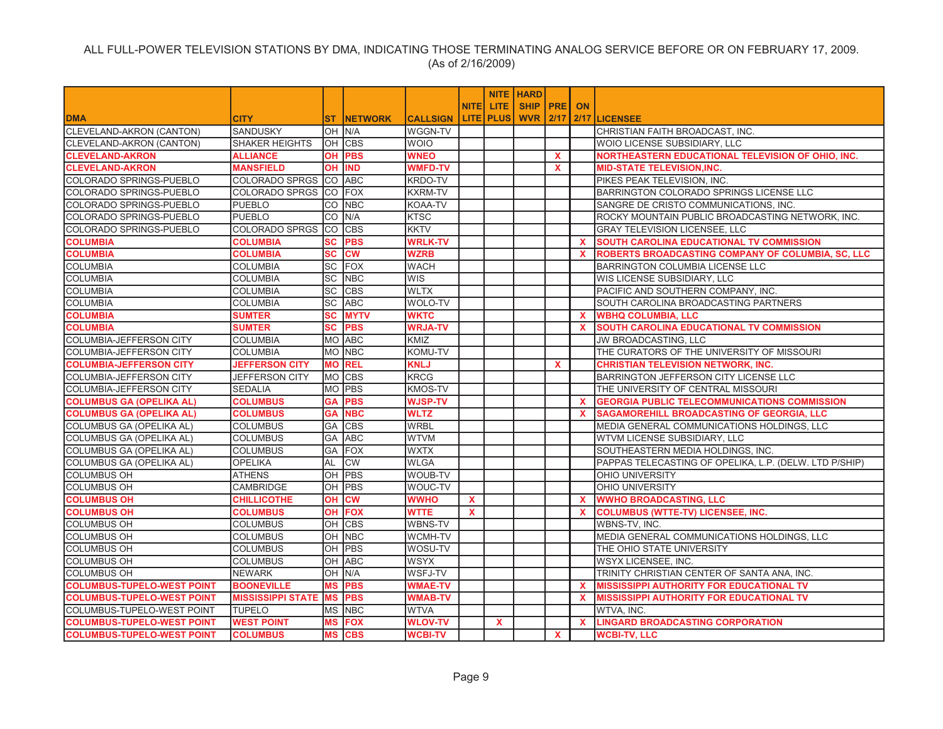|                                   |                          |            |                 |                 |              |              | <b>NITE   HARD</b> |              |              |                                                        |
|-----------------------------------|--------------------------|------------|-----------------|-----------------|--------------|--------------|--------------------|--------------|--------------|--------------------------------------------------------|
|                                   |                          |            |                 |                 | <b>NITE</b>  | LITE.        | SHIP   PRE   ON    |              |              |                                                        |
| <b>DMA</b>                        | <b>CITY</b>              | ST         | <b>INETWORK</b> | <b>CALLSIGN</b> |              | LITE   PLUS  | <b>WVR 2/17</b>    |              |              | 2/17 LICENSEE                                          |
| CLEVELAND-AKRON (CANTON)          | SANDUSKY                 |            | OH N/A          | <b>WGGN-TV</b>  |              |              |                    |              |              | CHRISTIAN FAITH BROADCAST, INC.                        |
| <b>CLEVELAND-AKRON (CANTON)</b>   | <b>SHAKER HEIGHTS</b>    |            | OH CBS          | <b>WOIO</b>     |              |              |                    |              |              | WOIO LICENSE SUBSIDIARY, LLC                           |
| <b>CLEVELAND-AKRON</b>            | <b>ALLIANCE</b>          | OH         | <b>PBS</b>      | <b>WNEO</b>     |              |              |                    | <b>X</b>     |              | NORTHEASTERN EDUCATIONAL TELEVISION OF OHIO, INC.      |
| <b>CLEVELAND-AKRON</b>            | <b>MANSFIELD</b>         | <b>OH</b>  | <b>IND</b>      | <b>WMFD-TV</b>  |              |              |                    | $\mathbf{x}$ |              | <b>MID-STATE TELEVISION, INC.</b>                      |
| COLORADO SPRINGS-PUEBLO           | COLORADO SPRGS CO ABC    |            |                 | <b>KRDO-TV</b>  |              |              |                    |              |              | PIKES PEAK TELEVISION, INC.                            |
| COLORADO SPRINGS-PUEBLO           | COLORADO SPRGS           | <b>CO</b>  | FOX             | <b>KXRM-TV</b>  |              |              |                    |              |              | BARRINGTON COLORADO SPRINGS LICENSE LLC                |
| COLORADO SPRINGS-PUEBLO           | <b>PUEBLO</b>            | ICO.       | <b>NBC</b>      | <b>KOAA-TV</b>  |              |              |                    |              |              | SANGRE DE CRISTO COMMUNICATIONS, INC.                  |
| COLORADO SPRINGS-PUEBLO           | <b>PUEBLO</b>            | lCO        | N/A             | <b>KTSC</b>     |              |              |                    |              |              | ROCKY MOUNTAIN PUBLIC BROADCASTING NETWORK, INC.       |
| <b>COLORADO SPRINGS-PUEBLO</b>    | COLORADO SPRGS           | <b>CO</b>  | <b>CBS</b>      | <b>KKTV</b>     |              |              |                    |              |              | <b>GRAY TELEVISION LICENSEE, LLC</b>                   |
| <b>COLUMBIA</b>                   | <b>COLUMBIA</b>          | SC         | <b>PBS</b>      | <b>WRLK-TV</b>  |              |              |                    |              | X.           | <b>SOUTH CAROLINA EDUCATIONAL TV COMMISSION</b>        |
| <b>COLUMBIA</b>                   | <b>COLUMBIA</b>          | <b>SC</b>  | <b>CW</b>       | <b>WZRB</b>     |              |              |                    |              | $\mathbf{x}$ | ROBERTS BROADCASTING COMPANY OF COLUMBIA, SC, LLC      |
| <b>COLUMBIA</b>                   | <b>COLUMBIA</b>          | SC         | FOX             | <b>WACH</b>     |              |              |                    |              |              | <b>BARRINGTON COLUMBIA LICENSE LLC</b>                 |
| <b>COLUMBIA</b>                   | <b>COLUMBIA</b>          | lSC.       | <b>NBC</b>      | <b>WIS</b>      |              |              |                    |              |              | WIS LICENSE SUBSIDIARY, LLC                            |
| <b>COLUMBIA</b>                   | <b>COLUMBIA</b>          | lsc        | <b>CBS</b>      | <b>WLTX</b>     |              |              |                    |              |              | PACIFIC AND SOUTHERN COMPANY, INC.                     |
| <b>COLUMBIA</b>                   | <b>COLUMBIA</b>          | lSC.       | <b>ABC</b>      | <b>WOLO-TV</b>  |              |              |                    |              |              | SOUTH CAROLINA BROADCASTING PARTNERS                   |
| <b>COLUMBIA</b>                   | <b>SUMTER</b>            | <b>SC</b>  | <b>MYTV</b>     | <b>WKTC</b>     |              |              |                    |              | X.           | <b>WBHQ COLUMBIA, LLC</b>                              |
| <b>COLUMBIA</b>                   | <b>SUMTER</b>            | <b>SC</b>  | <b>PBS</b>      | <b>WRJA-TV</b>  |              |              |                    |              | $\mathbf{x}$ | <b>SOUTH CAROLINA EDUCATIONAL TV COMMISSION</b>        |
| <b>COLUMBIA-JEFFERSON CITY</b>    | <b>COLUMBIA</b>          |            | MO ABC          | KMIZ            |              |              |                    |              |              | <b>JW BROADCASTING, LLC</b>                            |
| COLUMBIA-JEFFERSON CITY           | <b>COLUMBIA</b>          |            | MO NBC          | KOMU-TV         |              |              |                    |              |              | THE CURATORS OF THE UNIVERSITY OF MISSOURI             |
| <b>COLUMBIA-JEFFERSON CITY</b>    | <b>JEFFERSON CITY</b>    | <b>MO</b>  | <b>REL</b>      | <b>KNLJ</b>     |              |              |                    | $\mathbf{x}$ |              | <b>CHRISTIAN TELEVISION NETWORK, INC.</b>              |
| <b>COLUMBIA-JEFFERSON CITY</b>    | <b>JEFFERSON CITY</b>    |            | MO CBS          | <b>KRCG</b>     |              |              |                    |              |              | <b>BARRINGTON JEFFERSON CITY LICENSE LLC</b>           |
| <b>COLUMBIA-JEFFERSON CITY</b>    | <b>SEDALIA</b>           |            | MO PBS          | <b>KMOS-TV</b>  |              |              |                    |              |              | THE UNIVERSITY OF CENTRAL MISSOURI                     |
| <b>COLUMBUS GA (OPELIKA AL)</b>   | <b>COLUMBUS</b>          | <b>GA</b>  | <b>PBS</b>      | <b>WJSP-TV</b>  |              |              |                    |              | X.           | <b>GEORGIA PUBLIC TELECOMMUNICATIONS COMMISSION</b>    |
| <b>COLUMBUS GA (OPELIKA AL)</b>   | <b>COLUMBUS</b>          | <b>GA</b>  | <b>NBC</b>      | <b>WLTZ</b>     |              |              |                    |              | <b>X</b>     | SAGAMOREHILL BROADCASTING OF GEORGIA, LLC              |
| <b>COLUMBUS GA (OPELIKA AL)</b>   | <b>COLUMBUS</b>          | GA         | <b>CBS</b>      | <b>WRBL</b>     |              |              |                    |              |              | MEDIA GENERAL COMMUNICATIONS HOLDINGS, LLC             |
| <b>COLUMBUS GA (OPELIKA AL)</b>   | <b>COLUMBUS</b>          | GA         | <b>ABC</b>      | <b>WTVM</b>     |              |              |                    |              |              | WTVM LICENSE SUBSIDIARY, LLC                           |
| COLUMBUS GA (OPELIKA AL)          | <b>COLUMBUS</b>          | GA         | <b>FOX</b>      | <b>WXTX</b>     |              |              |                    |              |              | SOUTHEASTERN MEDIA HOLDINGS, INC.                      |
| <b>COLUMBUS GA (OPELIKA AL)</b>   | <b>OPELIKA</b>           | AL         | <b>CW</b>       | <b>WLGA</b>     |              |              |                    |              |              | PAPPAS TELECASTING OF OPELIKA, L.P. (DELW. LTD P/SHIP) |
| <b>COLUMBUS OH</b>                | <b>ATHENS</b>            | OH         | <b>PBS</b>      | WOUB-TV         |              |              |                    |              |              | <b>OHIO UNIVERSITY</b>                                 |
| <b>COLUMBUS OH</b>                | <b>CAMBRIDGE</b>         | ЮH         | PBS             | WOUC-TV         |              |              |                    |              |              | <b>OHIO UNIVERSITY</b>                                 |
| <b>COLUMBUS OH</b>                | <b>CHILLICOTHE</b>       | <b>OH</b>  | <b>CW</b>       | <b>WWHO</b>     | $\mathbf{x}$ |              |                    |              | <b>X</b>     | <b>WWHO BROADCASTING, LLC</b>                          |
| <b>COLUMBUS OH</b>                | <b>COLUMBUS</b>          | OН         | <b>FOX</b>      | <b>WTTE</b>     | $\mathbf x$  |              |                    |              | X            | <b>COLUMBUS (WTTE-TV) LICENSEE, INC.</b>               |
| <b>COLUMBUS OH</b>                | <b>COLUMBUS</b>          | <b>IOH</b> | <b>CBS</b>      | <b>WBNS-TV</b>  |              |              |                    |              |              | WBNS-TV, INC.                                          |
| <b>COLUMBUS OH</b>                | <b>COLUMBUS</b>          |            | OH NBC          | WCMH-TV         |              |              |                    |              |              | MEDIA GENERAL COMMUNICATIONS HOLDINGS, LLC             |
| <b>COLUMBUS OH</b>                | <b>COLUMBUS</b>          | lОH        | PBS             | WOSU-TV         |              |              |                    |              |              | THE OHIO STATE UNIVERSITY                              |
| <b>COLUMBUS OH</b>                | <b>COLUMBUS</b>          | lОH        | <b>ABC</b>      | <b>WSYX</b>     |              |              |                    |              |              | <b>WSYX LICENSEE, INC.</b>                             |
| <b>COLUMBUS OH</b>                | <b>NEWARK</b>            | OH N/A     |                 | <b>WSFJ-TV</b>  |              |              |                    |              |              | TRINITY CHRISTIAN CENTER OF SANTA ANA, INC.            |
| <b>COLUMBUS-TUPELO-WEST POINT</b> | <b>BOONEVILLE</b>        | <b>MS</b>  | <b>PBS</b>      | <b>WMAE-TV</b>  |              |              |                    |              | <b>X</b>     | <b>MISSISSIPPI AUTHORITY FOR EDUCATIONAL TV</b>        |
| <b>COLUMBUS-TUPELO-WEST POINT</b> | <b>MISSISSIPPI STATE</b> | <b>MS</b>  | <b>PBS</b>      | <b>WMAB-TV</b>  |              |              |                    |              | X.           | <b>MISSISSIPPI AUTHORITY FOR EDUCATIONAL TV</b>        |
| <b>COLUMBUS-TUPELO-WEST POINT</b> | <b>TUPELO</b>            | MS         | <b>NBC</b>      | <b>WTVA</b>     |              |              |                    |              |              | WTVA. INC.                                             |
| <b>COLUMBUS-TUPELO-WEST POINT</b> | <b>WEST POINT</b>        | <b>MS</b>  | <b>FOX</b>      | <b>WLOV-TV</b>  |              | $\mathbf{x}$ |                    |              | <b>X</b>     | <b>LINGARD BROADCASTING CORPORATION</b>                |
| <b>COLUMBUS-TUPELO-WEST POINT</b> | <b>COLUMBUS</b>          | <b>MS</b>  | <b>CBS</b>      | <b>WCBI-TV</b>  |              |              |                    | $\mathbf{x}$ |              | <b>WCBI-TV, LLC</b>                                    |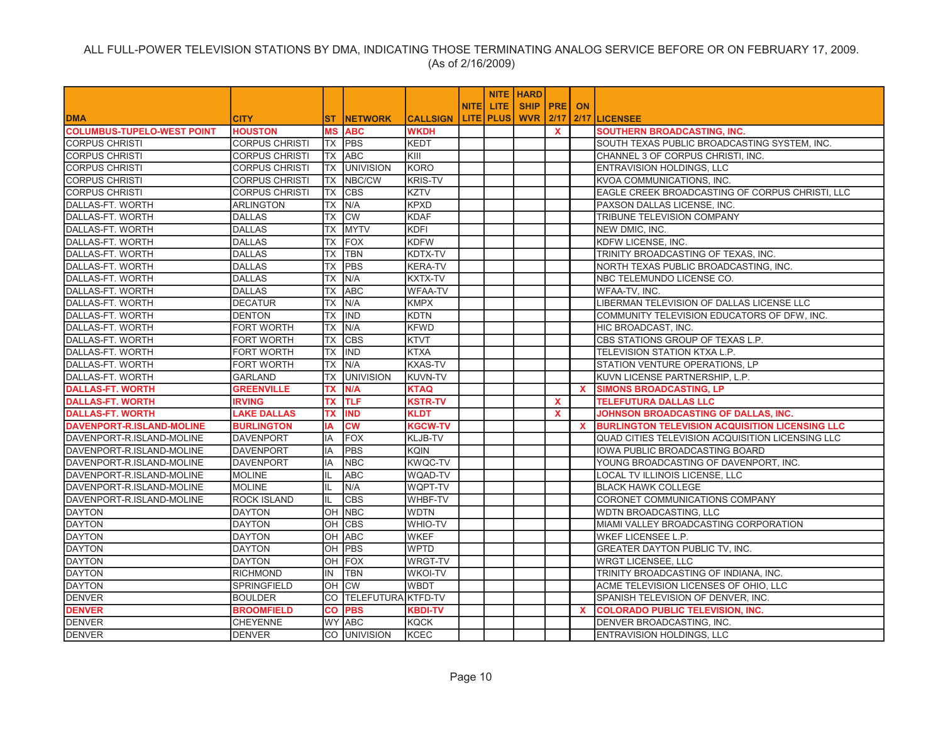|                                   |                       |           |                    |                 |              |                  | <b>NITE HARD</b> |              |              |                                                        |
|-----------------------------------|-----------------------|-----------|--------------------|-----------------|--------------|------------------|------------------|--------------|--------------|--------------------------------------------------------|
|                                   |                       |           |                    |                 | <b>NITEI</b> | LITE.            | SHIP   PRE       |              | ON           |                                                        |
| <b>DMA</b>                        | <b>CITY</b>           | <b>ST</b> | <b>INETWORK</b>    | <b>CALLSIGN</b> |              | <b>LITE PLUS</b> | WVR              | 2/17         |              | 2/17 LICENSEE                                          |
| <b>COLUMBUS-TUPELO-WEST POINT</b> | <b>HOUSTON</b>        |           | <b>MS ABC</b>      | <b>WKDH</b>     |              |                  |                  | $\mathbf{x}$ |              | <b>SOUTHERN BROADCASTING, INC.</b>                     |
| <b>CORPUS CHRISTI</b>             | <b>CORPUS CHRISTI</b> |           | TX PBS             | KEDT            |              |                  |                  |              |              | SOUTH TEXAS PUBLIC BROADCASTING SYSTEM, INC.           |
| <b>CORPUS CHRISTI</b>             | <b>CORPUS CHRISTI</b> | <b>TX</b> | <b>ABC</b>         | KIII            |              |                  |                  |              |              | CHANNEL 3 OF CORPUS CHRISTI, INC.                      |
| <b>CORPUS CHRISTI</b>             | <b>CORPUS CHRISTI</b> | TX        | <b>UNIVISION</b>   | <b>KORO</b>     |              |                  |                  |              |              | ENTRAVISION HOLDINGS, LLC                              |
| <b>CORPUS CHRISTI</b>             | <b>CORPUS CHRISTI</b> | <b>TX</b> | NBC/CW             | <b>KRIS-TV</b>  |              |                  |                  |              |              | KVOA COMMUNICATIONS, INC.                              |
| <b>CORPUS CHRISTI</b>             | <b>CORPUS CHRISTI</b> | ТX        | <b>CBS</b>         | <b>KZTV</b>     |              |                  |                  |              |              | EAGLE CREEK BROADCASTING OF CORPUS CHRISTI, LLC        |
| DALLAS-FT. WORTH                  | <b>ARLINGTON</b>      | TX        | N/A                | <b>KPXD</b>     |              |                  |                  |              |              | PAXSON DALLAS LICENSE, INC.                            |
| DALLAS-FT. WORTH                  | <b>DALLAS</b>         | ТX        | <b>CW</b>          | <b>KDAF</b>     |              |                  |                  |              |              | TRIBUNE TELEVISION COMPANY                             |
| DALLAS-FT. WORTH                  | <b>DALLAS</b>         | <b>TX</b> | <b>MYTV</b>        | <b>KDFI</b>     |              |                  |                  |              |              | NEW DMIC, INC.                                         |
| DALLAS-FT. WORTH                  | <b>DALLAS</b>         | ТX        | FOX                | <b>KDFW</b>     |              |                  |                  |              |              | KDFW LICENSE, INC.                                     |
| DALLAS-FT. WORTH                  | <b>DALLAS</b>         | <b>TX</b> | <b>TBN</b>         | KDTX-TV         |              |                  |                  |              |              | TRINITY BROADCASTING OF TEXAS, INC.                    |
| DALLAS-FT. WORTH                  | <b>DALLAS</b>         | ТX        | PBS                | <b>KERA-TV</b>  |              |                  |                  |              |              | NORTH TEXAS PUBLIC BROADCASTING, INC.                  |
| DALLAS-FT. WORTH                  | <b>DALLAS</b>         | ТX        | N/A                | KXTX-TV         |              |                  |                  |              |              | NBC TELEMUNDO LICENSE CO.                              |
| DALLAS-FT. WORTH                  | <b>DALLAS</b>         | <b>TX</b> | <b>ABC</b>         | <b>WFAA-TV</b>  |              |                  |                  |              |              | WFAA-TV, INC.                                          |
| DALLAS-FT. WORTH                  | <b>DECATUR</b>        | <b>TX</b> | N/A                | <b>KMPX</b>     |              |                  |                  |              |              | LIBERMAN TELEVISION OF DALLAS LICENSE LLC              |
| DALLAS-FT. WORTH                  | <b>DENTON</b>         | <b>TX</b> | <b>IND</b>         | <b>KDTN</b>     |              |                  |                  |              |              | COMMUNITY TELEVISION EDUCATORS OF DFW. INC.            |
| DALLAS-FT. WORTH                  | FORT WORTH            | <b>TX</b> | N/A                | <b>KFWD</b>     |              |                  |                  |              |              | HIC BROADCAST, INC.                                    |
| DALLAS-FT. WORTH                  | <b>FORT WORTH</b>     | <b>TX</b> | <b>CBS</b>         | <b>KTVT</b>     |              |                  |                  |              |              | CBS STATIONS GROUP OF TEXAS L.P.                       |
| DALLAS-FT. WORTH                  | FORT WORTH            | <b>TX</b> | IND                | <b>KTXA</b>     |              |                  |                  |              |              | TELEVISION STATION KTXA L.P.                           |
| DALLAS-FT. WORTH                  | FORT WORTH            | <b>TX</b> | N/A                | <b>KXAS-TV</b>  |              |                  |                  |              |              | STATION VENTURE OPERATIONS, LP                         |
| DALLAS-FT. WORTH                  | GARLAND               | ТX        | <b>UNIVISION</b>   | <b>KUVN-TV</b>  |              |                  |                  |              |              | KUVN LICENSE PARTNERSHIP, L.P.                         |
| <b>DALLAS-FT. WORTH</b>           | <b>GREENVILLE</b>     | ТX        | N/A                | <b>KTAQ</b>     |              |                  |                  |              | $\mathbf{x}$ | <b>SIMONS BROADCASTING, LP</b>                         |
| <b>DALLAS-FT. WORTH</b>           | <b>IRVING</b>         | ТX        | <b>TLF</b>         | <b>KSTR-TV</b>  |              |                  |                  | $\mathbf{x}$ |              | TELEFUTURA DALLAS LLC                                  |
| <b>DALLAS-FT. WORTH</b>           | <b>LAKE DALLAS</b>    | ТX        | <b>IND</b>         | <b>KLDT</b>     |              |                  |                  | $\mathbf{x}$ |              | JOHNSON BROADCASTING OF DALLAS, INC.                   |
| <b>DAVENPORT-R.ISLAND-MOLINE</b>  | <b>BURLINGTON</b>     | ΙA        | <b>CW</b>          | <b>KGCW-TV</b>  |              |                  |                  |              | $\mathbf{x}$ | <b>BURLINGTON TELEVISION ACQUISITION LICENSING LLC</b> |
| DAVENPORT-R.ISLAND-MOLINE         | <b>DAVENPORT</b>      | IA        | <b>FOX</b>         | KLJB-TV         |              |                  |                  |              |              | QUAD CITIES TELEVISION ACQUISITION LICENSING LLC       |
| DAVENPORT-R.ISLAND-MOLINE         | <b>DAVENPORT</b>      | IA        | <b>PBS</b>         | <b>KQIN</b>     |              |                  |                  |              |              | IOWA PUBLIC BROADCASTING BOARD                         |
| DAVENPORT-R.ISLAND-MOLINE         | <b>DAVENPORT</b>      | ΙA        | <b>NBC</b>         | <b>KWQC-TV</b>  |              |                  |                  |              |              | YOUNG BROADCASTING OF DAVENPORT, INC.                  |
| DAVENPORT-R.ISLAND-MOLINE         | <b>MOLINE</b>         |           | <b>ABC</b>         | WQAD-TV         |              |                  |                  |              |              | LOCAL TV ILLINOIS LICENSE, LLC                         |
| DAVENPORT-R.ISLAND-MOLINE         | <b>MOLINE</b>         | IL        | N/A                | WQPT-TV         |              |                  |                  |              |              | <b>BLACK HAWK COLLEGE</b>                              |
| DAVENPORT-R.ISLAND-MOLINE         | <b>ROCK ISLAND</b>    |           | <b>CBS</b>         | WHBF-TV         |              |                  |                  |              |              | CORONET COMMUNICATIONS COMPANY                         |
| <b>DAYTON</b>                     | <b>DAYTON</b>         | OН        | <b>NBC</b>         | <b>WDTN</b>     |              |                  |                  |              |              | WDTN BROADCASTING, LLC                                 |
| <b>DAYTON</b>                     | <b>DAYTON</b>         | OH        | <b>CBS</b>         | <b>WHIO-TV</b>  |              |                  |                  |              |              | MIAMI VALLEY BROADCASTING CORPORATION                  |
| <b>DAYTON</b>                     | <b>DAYTON</b>         | OH        | <b>ABC</b>         | <b>WKEF</b>     |              |                  |                  |              |              | WKEF LICENSEE L.P.                                     |
| <b>DAYTON</b>                     | <b>DAYTON</b>         | OН        | PBS                | <b>WPTD</b>     |              |                  |                  |              |              | GREATER DAYTON PUBLIC TV, INC.                         |
| <b>DAYTON</b>                     | <b>DAYTON</b>         | OН        | <b>FOX</b>         | <b>WRGT-TV</b>  |              |                  |                  |              |              | <b>WRGT LICENSEE, LLC</b>                              |
| <b>DAYTON</b>                     | <b>RICHMOND</b>       | IN        | <b>TBN</b>         | <b>WKOI-TV</b>  |              |                  |                  |              |              | TRINITY BROADCASTING OF INDIANA, INC.                  |
| <b>DAYTON</b>                     | <b>SPRINGFIELD</b>    | OН        | <b>CW</b>          | <b>WBDT</b>     |              |                  |                  |              |              | ACME TELEVISION LICENSES OF OHIO, LLC                  |
| DENVER                            | <b>BOULDER</b>        | CO        | TELEFUTURA KTFD-TV |                 |              |                  |                  |              |              | SPANISH TELEVISION OF DENVER, INC.                     |
| <b>DENVER</b>                     | <b>BROOMFIELD</b>     | <b>CO</b> | <b>PBS</b>         | <b>KBDI-TV</b>  |              |                  |                  |              | <b>X</b>     | <b>COLORADO PUBLIC TELEVISION, INC.</b>                |
| <b>DENVER</b>                     | <b>CHEYENNE</b>       | WY I      | <b>ABC</b>         | <b>KOCK</b>     |              |                  |                  |              |              | DENVER BROADCASTING. INC.                              |
| <b>DENVER</b>                     | DENVER                |           | CO UNIVISION       | <b>KCEC</b>     |              |                  |                  |              |              | ENTRAVISION HOLDINGS. LLC                              |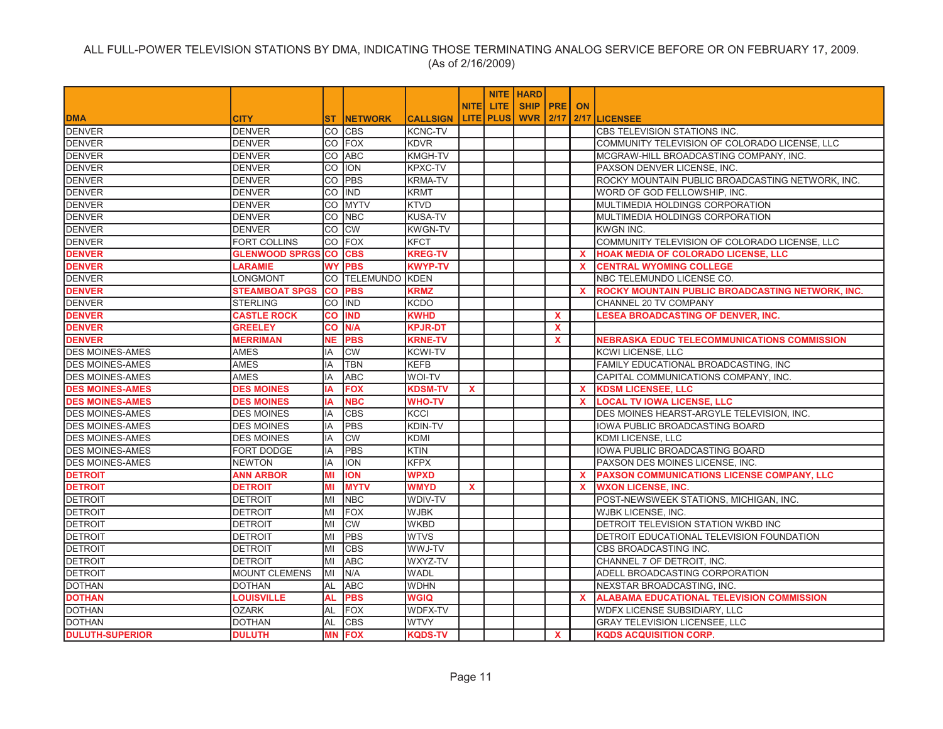|                        |                       |           |                            |                 |              |                  | <b>NITE HARD</b>   |              |          |                                                         |
|------------------------|-----------------------|-----------|----------------------------|-----------------|--------------|------------------|--------------------|--------------|----------|---------------------------------------------------------|
|                        |                       |           |                            |                 | <b>NITE</b>  | LITE.            | <b>SHIP PRE ON</b> |              |          |                                                         |
| <b>DMA</b>             | <b>CITY</b>           | ST.       | <b>INETWORK</b>            | <b>CALLSIGN</b> |              | <b>LITE PLUS</b> | <b>WVR</b>         | 12/17        |          | 2/17 LICENSEE                                           |
| <b>DENVER</b>          | <b>DENVER</b>         |           | CO CBS                     | <b>KCNC-TV</b>  |              |                  |                    |              |          | <b>CBS TELEVISION STATIONS INC.</b>                     |
| <b>DENVER</b>          | <b>DENVER</b>         |           | CO FOX                     | <b>KDVR</b>     |              |                  |                    |              |          | COMMUNITY TELEVISION OF COLORADO LICENSE, LLC           |
| <b>DENVER</b>          | <b>DENVER</b>         | CO        | <b>ABC</b>                 | <b>KMGH-TV</b>  |              |                  |                    |              |          | MCGRAW-HILL BROADCASTING COMPANY, INC.                  |
| <b>DENVER</b>          | <b>DENVER</b>         | lCO.      | <b>ION</b>                 | <b>KPXC-TV</b>  |              |                  |                    |              |          | PAXSON DENVER LICENSE, INC.                             |
| <b>DENVER</b>          | <b>DENVER</b>         | <b>CO</b> | <b>PBS</b>                 | <b>KRMA-TV</b>  |              |                  |                    |              |          | ROCKY MOUNTAIN PUBLIC BROADCASTING NETWORK, INC.        |
| <b>DENVER</b>          | <b>DENVER</b>         | <b>CO</b> | <b>IIND</b>                | <b>KRMT</b>     |              |                  |                    |              |          | WORD OF GOD FELLOWSHIP, INC.                            |
| <b>DENVER</b>          | <b>DENVER</b>         | <b>CO</b> | <b>MYTV</b>                | <b>KTVD</b>     |              |                  |                    |              |          | MULTIMEDIA HOLDINGS CORPORATION                         |
| <b>DENVER</b>          | <b>DENVER</b>         | lCO       | <b>NBC</b>                 | <b>KUSA-TV</b>  |              |                  |                    |              |          | MULTIMEDIA HOLDINGS CORPORATION                         |
| <b>DENVER</b>          | <b>DENVER</b>         | CO        | <b>CW</b>                  | <b>KWGN-TV</b>  |              |                  |                    |              |          | <b>KWGN INC.</b>                                        |
| <b>DENVER</b>          | FORT COLLINS          | lCO       | <b>FOX</b>                 | <b>KFCT</b>     |              |                  |                    |              |          | COMMUNITY TELEVISION OF COLORADO LICENSE, LLC           |
| <b>DENVER</b>          | <b>GLENWOOD SPRGS</b> | <b>CO</b> | <b>CBS</b>                 | <b>KREG-TV</b>  |              |                  |                    |              | <b>X</b> | HOAK MEDIA OF COLORADO LICENSE, LLC                     |
| <b>DENVER</b>          | <b>LARAMIE</b>        | <b>WY</b> | <b>PBS</b>                 | <b>KWYP-TV</b>  |              |                  |                    |              | <b>X</b> | <b>CENTRAL WYOMING COLLEGE</b>                          |
| <b>DENVER</b>          | LONGMONT              |           | <b>CO ITELEMUNDO IKDEN</b> |                 |              |                  |                    |              |          | NBC TELEMUNDO LICENSE CO.                               |
| <b>DENVER</b>          | <b>STEAMBOAT SPGS</b> | <b>CO</b> | <b>PBS</b>                 | <b>KRMZ</b>     |              |                  |                    |              | <b>X</b> | <b>ROCKY MOUNTAIN PUBLIC BROADCASTING NETWORK, INC.</b> |
| <b>DENVER</b>          | <b>STERLING</b>       | lCO       | <b>IIND</b>                | <b>KCDO</b>     |              |                  |                    |              |          | CHANNEL 20 TV COMPANY                                   |
| <b>DENVER</b>          | <b>CASTLE ROCK</b>    | <b>CO</b> | <b>IND</b>                 | <b>KWHD</b>     |              |                  |                    | X            |          | <b>LESEA BROADCASTING OF DENVER, INC.</b>               |
| <b>DENVER</b>          | <b>GREELEY</b>        | CO        | N/A                        | <b>KPJR-DT</b>  |              |                  |                    | $\mathbf{x}$ |          |                                                         |
| <b>DENVER</b>          | <b>MERRIMAN</b>       | <b>NE</b> | <b>PBS</b>                 | <b>KRNE-TV</b>  |              |                  |                    | X.           |          | <b>NEBRASKA EDUC TELECOMMUNICATIONS COMMISSION</b>      |
| <b>DES MOINES-AMES</b> | <b>AMES</b>           | IA        | <b>CW</b>                  | <b>KCWI-TV</b>  |              |                  |                    |              |          | <b>KCWI LICENSE, LLC</b>                                |
| <b>DES MOINES-AMES</b> | <b>AMES</b>           | lIA       | <b>TBN</b>                 | <b>KEFB</b>     |              |                  |                    |              |          | FAMILY EDUCATIONAL BROADCASTING, INC                    |
| <b>DES MOINES-AMES</b> | <b>AMES</b>           | IA        | <b>ABC</b>                 | WOI-TV          |              |                  |                    |              |          | CAPITAL COMMUNICATIONS COMPANY, INC.                    |
| <b>DES MOINES-AMES</b> | <b>DES MOINES</b>     | IA        | <b>FOX</b>                 | <b>KDSM-TV</b>  | $\mathbf{x}$ |                  |                    |              | <b>X</b> | <b>KDSM LICENSEE, LLC</b>                               |
| <b>DES MOINES-AMES</b> | <b>DES MOINES</b>     | IA        | <b>NBC</b>                 | <b>WHO-TV</b>   |              |                  |                    |              | <b>X</b> | <b>LOCAL TV IOWA LICENSE, LLC</b>                       |
| <b>DES MOINES-AMES</b> | <b>DES MOINES</b>     | IA        | <b>CBS</b>                 | <b>KCCI</b>     |              |                  |                    |              |          | DES MOINES HEARST-ARGYLE TELEVISION, INC.               |
| <b>DES MOINES-AMES</b> | <b>DES MOINES</b>     | lIA.      | <b>PBS</b>                 | <b>KDIN-TV</b>  |              |                  |                    |              |          | IOWA PUBLIC BROADCASTING BOARD                          |
| <b>DES MOINES-AMES</b> | <b>DES MOINES</b>     | IA        | <b>CW</b>                  | <b>KDMI</b>     |              |                  |                    |              |          | <b>KDMI LICENSE, LLC</b>                                |
| <b>DES MOINES-AMES</b> | FORT DODGE            | IA        | PBS                        | <b>KTIN</b>     |              |                  |                    |              |          | IOWA PUBLIC BROADCASTING BOARD                          |
| <b>DES MOINES-AMES</b> | <b>NEWTON</b>         | IA        | <b>ION</b>                 | <b>KFPX</b>     |              |                  |                    |              |          | PAXSON DES MOINES LICENSE. INC.                         |
| <b>DETROIT</b>         | ANN ARBOR             | MI        | <b>ION</b>                 | <b>WPXD</b>     |              |                  |                    |              | X.       | <b>PAXSON COMMUNICATIONS LICENSE COMPANY, LLC</b>       |
| <b>DETROIT</b>         | <b>DETROIT</b>        | MI        | <b>MYTV</b>                | <b>WMYD</b>     | $\mathbf{x}$ |                  |                    |              | <b>X</b> | <b>WXON LICENSE, INC.</b>                               |
| <b>DETROIT</b>         | <b>DETROIT</b>        | lМI       | <b>NBC</b>                 | WDIV-TV         |              |                  |                    |              |          | POST-NEWSWEEK STATIONS, MICHIGAN, INC.                  |
| <b>DETROIT</b>         | <b>DETROIT</b>        | MI        | <b>FOX</b>                 | <b>WJBK</b>     |              |                  |                    |              |          | <b>WJBK LICENSE, INC.</b>                               |
| <b>DETROIT</b>         | <b>DETROIT</b>        | MI        | <b>CW</b>                  | <b>WKBD</b>     |              |                  |                    |              |          | DETROIT TELEVISION STATION WKBD INC                     |
| <b>DETROIT</b>         | <b>DETROIT</b>        | lМI       | <b>PBS</b>                 | <b>WTVS</b>     |              |                  |                    |              |          | DETROIT EDUCATIONAL TELEVISION FOUNDATION               |
| <b>DETROIT</b>         | <b>DETROIT</b>        | MI        | <b>CBS</b>                 | WWJ-TV          |              |                  |                    |              |          | CBS BROADCASTING INC.                                   |
| <b>DETROIT</b>         | <b>DETROIT</b>        | MI        | <b>ABC</b>                 | WXYZ-TV         |              |                  |                    |              |          | CHANNEL 7 OF DETROIT, INC.                              |
| <b>DETROIT</b>         | <b>MOUNT CLEMENS</b>  | MI        | N/A                        | <b>WADL</b>     |              |                  |                    |              |          | ADELL BROADCASTING CORPORATION                          |
| <b>DOTHAN</b>          | <b>DOTHAN</b>         | AL        | <b>ABC</b>                 | <b>WDHN</b>     |              |                  |                    |              |          | NEXSTAR BROADCASTING, INC.                              |
| <b>DOTHAN</b>          | <b>LOUISVILLE</b>     | AL        | <b>PBS</b>                 | <b>WGIQ</b>     |              |                  |                    |              | X.       | <b>ALABAMA EDUCATIONAL TELEVISION COMMISSION</b>        |
| <b>DOTHAN</b>          | <b>OZARK</b>          | AL        | <b>FOX</b>                 | <b>WDFX-TV</b>  |              |                  |                    |              |          | <b>WDFX LICENSE SUBSIDIARY, LLC</b>                     |
| <b>DOTHAN</b>          | <b>DOTHAN</b>         | AL        | <b>CBS</b>                 | <b>WTVY</b>     |              |                  |                    |              |          | <b>GRAY TELEVISION LICENSEE. LLC</b>                    |
| <b>DULUTH-SUPERIOR</b> | <b>DULUTH</b>         |           | <b>MN FOX</b>              | <b>KQDS-TV</b>  |              |                  |                    | $\mathbf{x}$ |          | <b>KQDS ACQUISITION CORP.</b>                           |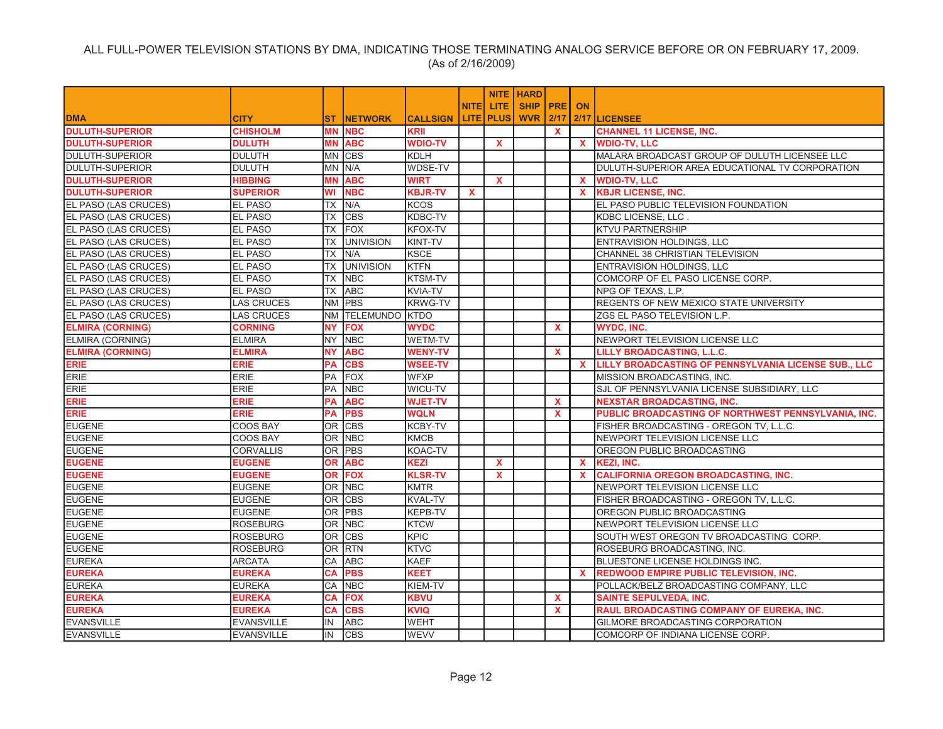|                             |                   |                |                       |                 |             |                  | <b>NITE HARD</b>   |              |              |                                                      |
|-----------------------------|-------------------|----------------|-----------------------|-----------------|-------------|------------------|--------------------|--------------|--------------|------------------------------------------------------|
|                             |                   |                |                       |                 | <b>NITE</b> | LITE.            | <b>SHIP PRE ON</b> |              |              |                                                      |
| <b>DMA</b>                  | <b>CITY</b>       | ST.            | <b>INETWORK</b>       | <b>CALLSIGN</b> |             | <b>LITE PLUS</b> | <b>WVR</b>         | 12/17        |              | 2/17 LICENSEE                                        |
| <b>DULUTH-SUPERIOR</b>      | <b>CHISHOLM</b>   |                | <b>MN NBC</b>         | <b>KRII</b>     |             |                  |                    | $\mathbf{x}$ |              | <b>CHANNEL 11 LICENSE, INC.</b>                      |
| <b>DULUTH-SUPERIOR</b>      | <b>DULUTH</b>     | MΝ             | <b>ABC</b>            | <b>WDIO-TV</b>  |             | $\mathbf{x}$     |                    |              | <b>X</b>     | <b>WDIO-TV, LLC</b>                                  |
| <b>DULUTH-SUPERIOR</b>      | <b>DULUTH</b>     | <b>MN</b>      | <b>CBS</b>            | <b>KDLH</b>     |             |                  |                    |              |              | MALARA BROADCAST GROUP OF DULUTH LICENSEE LLC        |
| <b>DULUTH-SUPERIOR</b>      | <b>DULUTH</b>     | <b>IMN</b>     | N/A                   | WDSE-TV         |             |                  |                    |              |              | DULUTH-SUPERIOR AREA EDUCATIONAL TV CORPORATION      |
| <b>DULUTH-SUPERIOR</b>      | <b>HIBBING</b>    | MN             | <b>ABC</b>            | <b>WIRT</b>     |             | $\mathbf{x}$     |                    |              | $\mathbf{x}$ | <b>WDIO-TV, LLC</b>                                  |
| <b>DULUTH-SUPERIOR</b>      | <b>SUPERIOR</b>   | WI             | <b>NBC</b>            | <b>KBJR-TV</b>  | x           |                  |                    |              | <b>X</b>     | <b>KBJR LICENSE, INC.</b>                            |
| <b>EL PASO (LAS CRUCES)</b> | EL PASO           | ТX             | N/A                   | <b>KCOS</b>     |             |                  |                    |              |              | EL PASO PUBLIC TELEVISION FOUNDATION                 |
| EL PASO (LAS CRUCES)        | <b>EL PASO</b>    | ТX             | <b>CBS</b>            | <b>KDBC-TV</b>  |             |                  |                    |              |              | <b>KDBC LICENSE, LLC</b>                             |
| EL PASO (LAS CRUCES)        | EL PASO           | <b>TX</b>      | <b>FOX</b>            | <b>KFOX-TV</b>  |             |                  |                    |              |              | <b>KTVU PARTNERSHIP</b>                              |
| EL PASO (LAS CRUCES)        | <b>EL PASO</b>    | ТX             | <b>UNIVISION</b>      | KINT-TV         |             |                  |                    |              |              | ENTRAVISION HOLDINGS, LLC                            |
| EL PASO (LAS CRUCES)        | <b>EL PASO</b>    | ТX             | IN/A                  | <b>KSCE</b>     |             |                  |                    |              |              | CHANNEL 38 CHRISTIAN TELEVISION                      |
| EL PASO (LAS CRUCES)        | <b>EL PASO</b>    | ТX             | <b>UNIVISION</b>      | <b>KTFN</b>     |             |                  |                    |              |              | <b>ENTRAVISION HOLDINGS, LLC</b>                     |
| EL PASO (LAS CRUCES)        | <b>EL PASO</b>    | TX             | <b>NBC</b>            | <b>KTSM-TV</b>  |             |                  |                    |              |              | COMCORP OF EL PASO LICENSE CORP.                     |
| EL PASO (LAS CRUCES)        | <b>EL PASO</b>    | <b>TX</b>      | <b>ABC</b>            | <b>KVIA-TV</b>  |             |                  |                    |              |              | NPG OF TEXAS, L.P.                                   |
| EL PASO (LAS CRUCES)        | <b>LAS CRUCES</b> | <b>NM</b>      | <b>PBS</b>            | <b>KRWG-TV</b>  |             |                  |                    |              |              | REGENTS OF NEW MEXICO STATE UNIVERSITY               |
| EL PASO (LAS CRUCES)        | <b>LAS CRUCES</b> | <b>NM</b>      | <b>TELEMUNDO KTDO</b> |                 |             |                  |                    |              |              | ZGS EL PASO TELEVISION L.P.                          |
| <b>ELMIRA (CORNING)</b>     | <b>CORNING</b>    | <b>NY</b>      | <b>FOX</b>            | <b>WYDC</b>     |             |                  |                    | $\mathbf{x}$ |              | <b>WYDC, INC.</b>                                    |
| ELMIRA (CORNING)            | <b>ELMIRA</b>     | NY.            | <b>NBC</b>            | <b>WETM-TV</b>  |             |                  |                    |              |              | NEWPORT TELEVISION LICENSE LLC                       |
| <b>ELMIRA (CORNING)</b>     | <b>ELMIRA</b>     | <b>NY</b>      | <b>ABC</b>            | <b>WENY-TV</b>  |             |                  |                    | X            |              | LILLY BROADCASTING, L.L.C.                           |
| <b>ERIE</b>                 | <b>ERIE</b>       | <b>PA</b>      | <b>CBS</b>            | <b>WSEE-TV</b>  |             |                  |                    |              | $\mathbf{x}$ | LILLY BROADCASTING OF PENNSYLVANIA LICENSE SUB., LLC |
| ERIE                        | ERIE              | PA             | FOX                   | <b>WFXP</b>     |             |                  |                    |              |              | MISSION BROADCASTING, INC.                           |
| <b>ERIE</b>                 | ERIE              | PA             | <b>NBC</b>            | WICU-TV         |             |                  |                    |              |              | SJL OF PENNSYLVANIA LICENSE SUBSIDIARY, LLC          |
| ERIE                        | <b>ERIE</b>       | <b>PA</b>      | <b>ABC</b>            | <b>WJET-TV</b>  |             |                  |                    | $\mathbf{x}$ |              | <b>NEXSTAR BROADCASTING, INC.</b>                    |
| <b>ERIE</b>                 | <b>ERIE</b>       | PA             | <b>PBS</b>            | <b>WQLN</b>     |             |                  |                    | X            |              | PUBLIC BROADCASTING OF NORTHWEST PENNSYLVANIA, INC.  |
| <b>EUGENE</b>               | COOS BAY          | <b>OR</b>      | <b>CBS</b>            | <b>KCBY-TV</b>  |             |                  |                    |              |              | FISHER BROADCASTING - OREGON TV, L.L.C.              |
| <b>EUGENE</b>               | <b>COOS BAY</b>   | <b>OR</b>      | <b>NBC</b>            | <b>KMCB</b>     |             |                  |                    |              |              | NEWPORT TELEVISION LICENSE LLC                       |
| <b>EUGENE</b>               | <b>CORVALLIS</b>  | OR.            | <b>PBS</b>            | <b>KOAC-TV</b>  |             |                  |                    |              |              | OREGON PUBLIC BROADCASTING                           |
| <b>EUGENE</b>               | <b>EUGENE</b>     | OR             | <b>ABC</b>            | <b>KEZI</b>     |             | $\mathbf{x}$     |                    |              | <b>X</b>     | <b>KEZI, INC.</b>                                    |
| <b>EUGENE</b>               | <b>EUGENE</b>     | <b>OR</b>      | <b>FOX</b>            | <b>KLSR-TV</b>  |             | $\mathbf{x}$     |                    |              | X.           | <b>CALIFORNIA OREGON BROADCASTING, INC.</b>          |
| <b>EUGENE</b>               | <b>EUGENE</b>     |                | OR NBC                | <b>KMTR</b>     |             |                  |                    |              |              | NEWPORT TELEVISION LICENSE LLC                       |
| <b>EUGENE</b>               | <b>EUGENE</b>     | IOR.           | <b>CBS</b>            | <b>KVAL-TV</b>  |             |                  |                    |              |              | FISHER BROADCASTING - OREGON TV, L.L.C.              |
| <b>EUGENE</b>               | <b>EUGENE</b>     | <b>OR</b>      | <b>PBS</b>            | KEPB-TV         |             |                  |                    |              |              | OREGON PUBLIC BROADCASTING                           |
| <b>EUGENE</b>               | <b>ROSEBURG</b>   | OR.            | <b>NBC</b>            | <b>KTCW</b>     |             |                  |                    |              |              | NEWPORT TELEVISION LICENSE LLC                       |
| <b>EUGENE</b>               | <b>ROSEBURG</b>   | lOR.           | <b>CBS</b>            | <b>KPIC</b>     |             |                  |                    |              |              | SOUTH WEST OREGON TV BROADCASTING CORP.              |
| <b>EUGENE</b>               | <b>ROSEBURG</b>   | 0 <sub>R</sub> | <b>RTN</b>            | <b>KTVC</b>     |             |                  |                    |              |              | ROSEBURG BROADCASTING, INC.                          |
| <b>EUREKA</b>               | ARCATA            | CA             | <b>ABC</b>            | <b>KAEF</b>     |             |                  |                    |              |              | BLUESTONE LICENSE HOLDINGS INC.                      |
| <b>EUREKA</b>               | <b>EUREKA</b>     | <b>CA</b>      | <b>PBS</b>            | <b>KEET</b>     |             |                  |                    |              | $\mathbf{x}$ | <b>REDWOOD EMPIRE PUBLIC TELEVISION, INC.</b>        |
| <b>EUREKA</b>               | <b>EUREKA</b>     | CA             | <b>NBC</b>            | KIEM-TV         |             |                  |                    |              |              | POLLACK/BELZ BROADCASTING COMPANY, LLC               |
| <b>EUREKA</b>               | <b>EUREKA</b>     | <b>CA</b>      | <b>FOX</b>            | <b>KBVU</b>     |             |                  |                    | $\mathbf{x}$ |              | <b>SAINTE SEPULVEDA, INC.</b>                        |
| <b>EUREKA</b>               | <b>EUREKA</b>     | CA             | <b>CBS</b>            | <b>KVIQ</b>     |             |                  |                    | <b>X</b>     |              | <b>RAUL BROADCASTING COMPANY OF EUREKA, INC.</b>     |
| <b>EVANSVILLE</b>           | <b>EVANSVILLE</b> | IN             | <b>ABC</b>            | <b>WEHT</b>     |             |                  |                    |              |              | GILMORE BROADCASTING CORPORATION                     |
| <b>EVANSVILLE</b>           | <b>EVANSVILLE</b> | IN             | <b>CBS</b>            | <b>WEVV</b>     |             |                  |                    |              |              | COMCORP OF INDIANA LICENSE CORP.                     |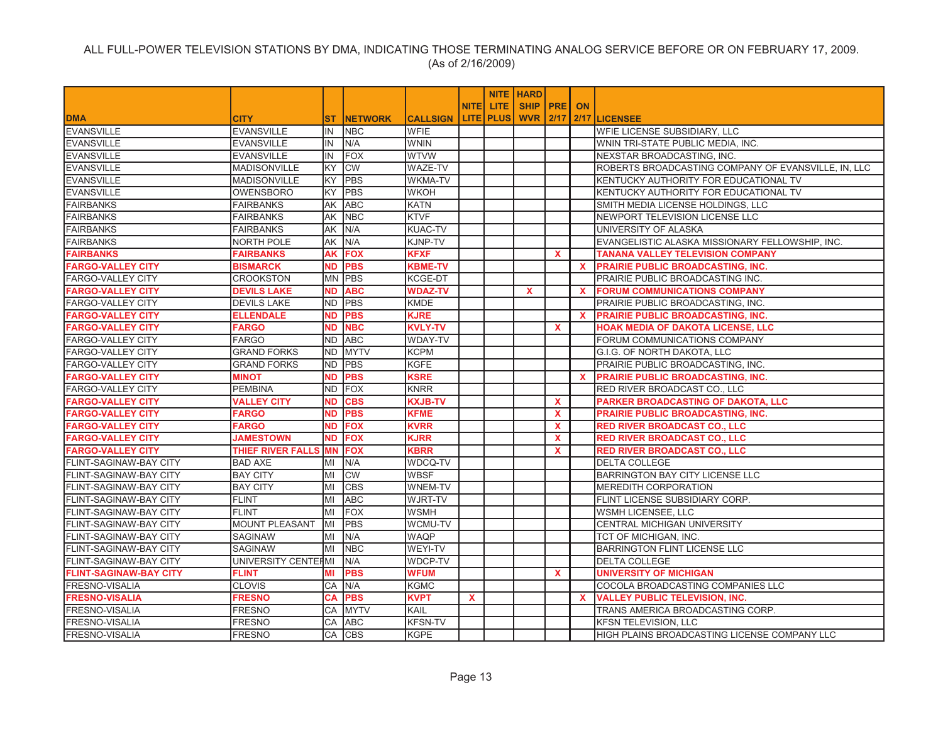|                               |                       |           |                |                 |              |                  | <b>NITE HARD</b>   |              |              |                                                     |
|-------------------------------|-----------------------|-----------|----------------|-----------------|--------------|------------------|--------------------|--------------|--------------|-----------------------------------------------------|
|                               |                       |           |                |                 | <b>NITEI</b> | LITE.            | <b>SHIP PRE ON</b> |              |              |                                                     |
| <b>DMA</b>                    | <b>CITY</b>           | ST.       | <b>NETWORK</b> | <b>CALLSIGN</b> |              | <b>LITE PLUS</b> | <b>WVR 2/17</b>    |              |              | 2/17 LICENSEE                                       |
| <b>EVANSVILLE</b>             | <b>EVANSVILLE</b>     | IN        | <b>NBC</b>     | <b>WFIE</b>     |              |                  |                    |              |              | <b>WFIE LICENSE SUBSIDIARY, LLC</b>                 |
| <b>EVANSVILLE</b>             | <b>EVANSVILLE</b>     | IN        | N/A            | <b>WNIN</b>     |              |                  |                    |              |              | WNIN TRI-STATE PUBLIC MEDIA, INC.                   |
| <b>EVANSVILLE</b>             | <b>EVANSVILLE</b>     | IN        | FOX            | <b>WTVW</b>     |              |                  |                    |              |              | NEXSTAR BROADCASTING, INC.                          |
| <b>EVANSVILLE</b>             | <b>MADISONVILLE</b>   | <b>KY</b> | <b>CW</b>      | WAZE-TV         |              |                  |                    |              |              | ROBERTS BROADCASTING COMPANY OF EVANSVILLE, IN, LLC |
| EVANSVILLE                    | <b>MADISONVILLE</b>   | KY.       | PBS            | WKMA-TV         |              |                  |                    |              |              | KENTUCKY AUTHORITY FOR EDUCATIONAL TV               |
| <b>EVANSVILLE</b>             | <b>OWENSBORO</b>      | KY        | <b>PBS</b>     | <b>WKOH</b>     |              |                  |                    |              |              | KENTUCKY AUTHORITY FOR EDUCATIONAL TV               |
| <b>FAIRBANKS</b>              | <b>FAIRBANKS</b>      | AK        | <b>ABC</b>     | <b>KATN</b>     |              |                  |                    |              |              | SMITH MEDIA LICENSE HOLDINGS, LLC                   |
| <b>FAIRBANKS</b>              | <b>FAIRBANKS</b>      | AK        | <b>NBC</b>     | <b>KTVF</b>     |              |                  |                    |              |              | NEWPORT TELEVISION LICENSE LLC                      |
| <b>FAIRBANKS</b>              | <b>FAIRBANKS</b>      | AK        | N/A            | <b>KUAC-TV</b>  |              |                  |                    |              |              | UNIVERSITY OF ALASKA                                |
| <b>FAIRBANKS</b>              | <b>NORTH POLE</b>     | AK        | N/A            | KJNP-TV         |              |                  |                    |              |              | EVANGELISTIC ALASKA MISSIONARY FELLOWSHIP, INC.     |
| <b>FAIRBANKS</b>              | <b>FAIRBANKS</b>      | <b>AK</b> | <b>FOX</b>     | <b>KFXF</b>     |              |                  |                    | $\mathbf{x}$ |              | <b>TANANA VALLEY TELEVISION COMPANY</b>             |
| <b>FARGO-VALLEY CITY</b>      | <b>BISMARCK</b>       | <b>ND</b> | <b>PBS</b>     | <b>KBME-TV</b>  |              |                  |                    |              | <b>X</b>     | <b>PRAIRIE PUBLIC BROADCASTING, INC.</b>            |
| <b>FARGO-VALLEY CITY</b>      | <b>CROOKSTON</b>      | <b>MN</b> | <b>PBS</b>     | <b>KCGE-DT</b>  |              |                  |                    |              |              | PRAIRIE PUBLIC BROADCASTING INC.                    |
| <b>FARGO-VALLEY CITY</b>      | <b>DEVILS LAKE</b>    | <b>ND</b> | <b>ABC</b>     | <b>WDAZ-TV</b>  |              |                  | $\mathbf x$        |              | $\mathbf{x}$ | <b>FORUM COMMUNICATIONS COMPANY</b>                 |
| <b>FARGO-VALLEY CITY</b>      | <b>DEVILS LAKE</b>    | <b>ND</b> | <b>PBS</b>     | <b>KMDE</b>     |              |                  |                    |              |              | PRAIRIE PUBLIC BROADCASTING, INC.                   |
| <b>FARGO-VALLEY CITY</b>      | <b>ELLENDALE</b>      | ND        | <b>PBS</b>     | <b>KJRE</b>     |              |                  |                    |              | <b>X</b>     | PRAIRIE PUBLIC BROADCASTING, INC.                   |
| <b>FARGO-VALLEY CITY</b>      | <b>FARGO</b>          | <b>ND</b> | <b>NBC</b>     | <b>KVLY-TV</b>  |              |                  |                    | $\mathbf{x}$ |              | HOAK MEDIA OF DAKOTA LICENSE, LLC                   |
| <b>FARGO-VALLEY CITY</b>      | <b>FARGO</b>          | ND.       | <b>ABC</b>     | <b>WDAY-TV</b>  |              |                  |                    |              |              | FORUM COMMUNICATIONS COMPANY                        |
| <b>FARGO-VALLEY CITY</b>      | <b>GRAND FORKS</b>    | <b>ND</b> | <b>MYTV</b>    | <b>KCPM</b>     |              |                  |                    |              |              | G.I.G. OF NORTH DAKOTA, LLC                         |
| <b>FARGO-VALLEY CITY</b>      | <b>GRAND FORKS</b>    | ND.       | <b>PBS</b>     | <b>KGFE</b>     |              |                  |                    |              |              | PRAIRIE PUBLIC BROADCASTING, INC.                   |
| <b>FARGO-VALLEY CITY</b>      | <b>MINOT</b>          | <b>ND</b> | <b>PBS</b>     | <b>KSRE</b>     |              |                  |                    |              | <b>X</b>     | <b>PRAIRIE PUBLIC BROADCASTING, INC.</b>            |
| <b>FARGO-VALLEY CITY</b>      | <b>PEMBINA</b>        | ND.       | <b>FOX</b>     | <b>KNRR</b>     |              |                  |                    |              |              | RED RIVER BROADCAST CO., LLC                        |
| <b>FARGO-VALLEY CITY</b>      | <b>VALLEY CITY</b>    | <b>ND</b> | <b>CBS</b>     | <b>KXJB-TV</b>  |              |                  |                    | $\mathbf{x}$ |              | PARKER BROADCASTING OF DAKOTA, LLC                  |
| <b>FARGO-VALLEY CITY</b>      | <b>FARGO</b>          | <b>ND</b> | <b>PBS</b>     | <b>KFME</b>     |              |                  |                    | <b>X</b>     |              | PRAIRIE PUBLIC BROADCASTING, INC.                   |
| <b>FARGO-VALLEY CITY</b>      | <b>FARGO</b>          | <b>ND</b> | <b>FOX</b>     | <b>KVRR</b>     |              |                  |                    | $\mathbf{x}$ |              | <b>RED RIVER BROADCAST CO., LLC</b>                 |
| <b>FARGO-VALLEY CITY</b>      | <b>JAMESTOWN</b>      | <b>ND</b> | <b>FOX</b>     | <b>KJRR</b>     |              |                  |                    | $\mathbf{x}$ |              | <b>RED RIVER BROADCAST CO., LLC</b>                 |
| <b>FARGO-VALLEY CITY</b>      | THIEF RIVER FALLS     | <b>MN</b> | <b>FOX</b>     | KBRR            |              |                  |                    | X            |              | <b>RED RIVER BROADCAST CO., LLC</b>                 |
| <b>FLINT-SAGINAW-BAY CITY</b> | <b>BAD AXE</b>        | MI        | N/A            | WDCQ-TV         |              |                  |                    |              |              | <b>DELTA COLLEGE</b>                                |
| <b>FLINT-SAGINAW-BAY CITY</b> | <b>BAY CITY</b>       | MI        | <b>CW</b>      | <b>WBSF</b>     |              |                  |                    |              |              | BARRINGTON BAY CITY LICENSE LLC                     |
| <b>FLINT-SAGINAW-BAY CITY</b> | <b>BAY CITY</b>       | MI        | <b>CBS</b>     | WNEM-TV         |              |                  |                    |              |              | <b>MEREDITH CORPORATION</b>                         |
| FLINT-SAGINAW-BAY CITY        | FLINT                 | MI        | <b>ABC</b>     | WJRT-TV         |              |                  |                    |              |              | FLINT LICENSE SUBSIDIARY CORP.                      |
| FLINT-SAGINAW-BAY CITY        | <b>FLINT</b>          | MI        | <b>FOX</b>     | <b>WSMH</b>     |              |                  |                    |              |              | WSMH LICENSEE, LLC                                  |
| FLINT-SAGINAW-BAY CITY        | <b>MOUNT PLEASANT</b> | MI        | PBS            | WCMU-TV         |              |                  |                    |              |              | CENTRAL MICHIGAN UNIVERSITY                         |
| FLINT-SAGINAW-BAY CITY        | <b>SAGINAW</b>        | MI        | N/A            | <b>WAQP</b>     |              |                  |                    |              |              | TCT OF MICHIGAN, INC.                               |
| <b>FLINT-SAGINAW-BAY CITY</b> | <b>SAGINAW</b>        | MI        | <b>NBC</b>     | WEYI-TV         |              |                  |                    |              |              | <b>BARRINGTON FLINT LICENSE LLC</b>                 |
| <b>FLINT-SAGINAW-BAY CITY</b> | UNIVERSITY CENTERMI   |           | N/A            | WDCP-TV         |              |                  |                    |              |              | <b>DELTA COLLEGE</b>                                |
| <b>FLINT-SAGINAW-BAY CITY</b> | <b>FLINT</b>          | ΜI        | <b>PBS</b>     | <b>WFUM</b>     |              |                  |                    | $\mathbf{x}$ |              | <b>UNIVERSITY OF MICHIGAN</b>                       |
| <b>FRESNO-VISALIA</b>         | <b>CLOVIS</b>         | CA        | N/A            | <b>KGMC</b>     |              |                  |                    |              |              | COCOLA BROADCASTING COMPANIES LLC                   |
| <b>FRESNO-VISALIA</b>         | <b>FRESNO</b>         | <b>CA</b> | <b>PBS</b>     | <b>KVPT</b>     | <b>X</b>     |                  |                    |              | $\mathbf{x}$ | <b>VALLEY PUBLIC TELEVISION, INC.</b>               |
| <b>FRESNO-VISALIA</b>         | <b>FRESNO</b>         | CA        | <b>MYTV</b>    | KAIL            |              |                  |                    |              |              | TRANS AMERICA BROADCASTING CORP.                    |
| <b>FRESNO-VISALIA</b>         | <b>FRESNO</b>         | CA        | <b>ABC</b>     | <b>KFSN-TV</b>  |              |                  |                    |              |              | <b>KFSN TELEVISION, LLC</b>                         |
| FRESNO-VISALIA                | <b>FRESNO</b>         |           | CA CBS         | <b>KGPE</b>     |              |                  |                    |              |              | HIGH PLAINS BROADCASTING LICENSE COMPANY LLC        |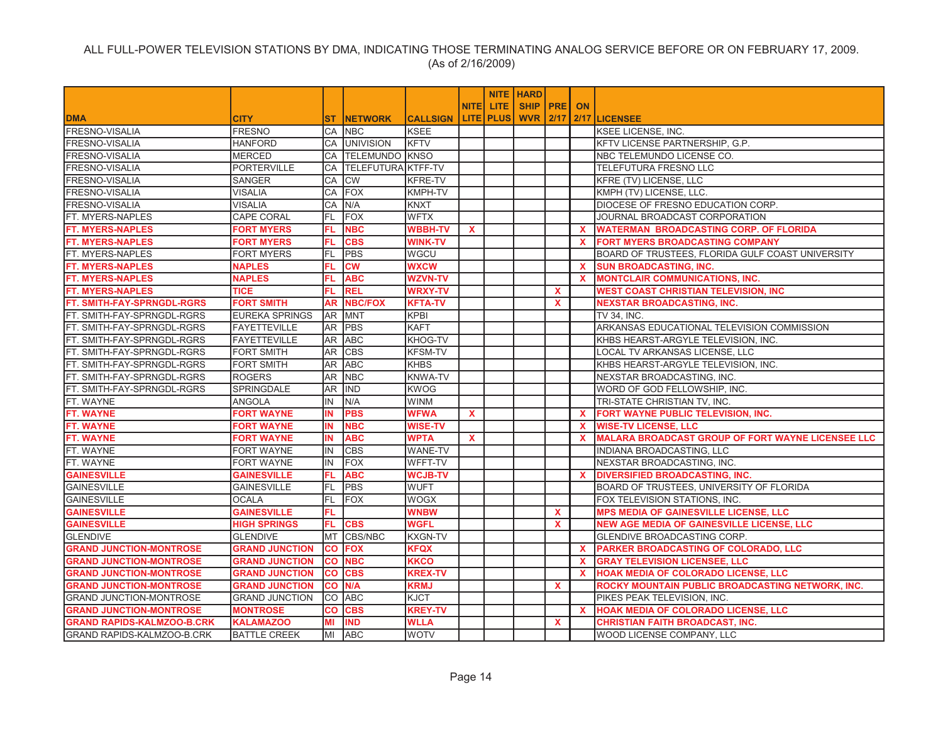|                                   |                       |           |                       |                 |              |                    | <b>NITE HARD</b>   |              |              |                                                          |
|-----------------------------------|-----------------------|-----------|-----------------------|-----------------|--------------|--------------------|--------------------|--------------|--------------|----------------------------------------------------------|
|                                   |                       |           |                       |                 |              | NITEI LITE         | <b>SHIP PRE ON</b> |              |              |                                                          |
| <b>DMA</b>                        | <b>CITY</b>           | ST.       | <b>INETWORK</b>       | <b>CALLSIGN</b> |              | <b>LITE   PLUS</b> | <b>WVR 2/17</b>    |              |              | 2/17 LICENSEE                                            |
| <b>FRESNO-VISALIA</b>             | <b>FRESNO</b>         |           | CA INBC               | <b>KSEE</b>     |              |                    |                    |              |              | <b>KSEE LICENSE, INC.</b>                                |
| FRESNO-VISALIA                    | <b>HANFORD</b>        |           | CA UNIVISION          | KFTV            |              |                    |                    |              |              | <b>KFTV LICENSE PARTNERSHIP, G.P.</b>                    |
| <b>FRESNO-VISALIA</b>             | <b>MERCED</b>         | CA        | <b>TELEMUNDO KNSO</b> |                 |              |                    |                    |              |              | NBC TELEMUNDO LICENSE CO.                                |
| FRESNO-VISALIA                    | <b>PORTERVILLE</b>    | CA        | TELEFUTURA KTFF-TV    |                 |              |                    |                    |              |              | TELEFUTURA FRESNO LLC                                    |
| FRESNO-VISALIA                    | <b>SANGER</b>         | CA        | <b>CW</b>             | <b>KFRE-TV</b>  |              |                    |                    |              |              | <b>KFRE (TV) LICENSE, LLC</b>                            |
| FRESNO-VISALIA                    | <b>VISALIA</b>        | CA        | <b>FOX</b>            | <b>KMPH-TV</b>  |              |                    |                    |              |              | KMPH (TV) LICENSE, LLC.                                  |
| FRESNO-VISALIA                    | <b>VISALIA</b>        | CA        | N/A                   | <b>KNXT</b>     |              |                    |                    |              |              | DIOCESE OF FRESNO EDUCATION CORP.                        |
| FT. MYERS-NAPLES                  | <b>CAPE CORAL</b>     | FL        | <b>FOX</b>            | <b>WFTX</b>     |              |                    |                    |              |              | JOURNAL BROADCAST CORPORATION                            |
| <b>FT. MYERS-NAPLES</b>           | <b>FORT MYERS</b>     | FL.       | <b>NBC</b>            | <b>WBBH-TV</b>  | $\mathbf{x}$ |                    |                    |              | $\mathbf{x}$ | <b>WATERMAN BROADCASTING CORP. OF FLORIDA</b>            |
| <b>FT. MYERS-NAPLES</b>           | <b>FORT MYERS</b>     | FL.       | <b>CBS</b>            | <b>WINK-TV</b>  |              |                    |                    |              | X.           | <b>FORT MYERS BROADCASTING COMPANY</b>                   |
| <b>FT. MYERS-NAPLES</b>           | <b>FORT MYERS</b>     | FL.       | <b>PBS</b>            | <b>WGCU</b>     |              |                    |                    |              |              | BOARD OF TRUSTEES, FLORIDA GULF COAST UNIVERSITY         |
| <b>FT. MYERS-NAPLES</b>           | <b>NAPLES</b>         | FL        | <b>CW</b>             | <b>WXCW</b>     |              |                    |                    |              | <b>X</b>     | <b>SUN BROADCASTING, INC.</b>                            |
| <b>FT. MYERS-NAPLES</b>           | <b>NAPLES</b>         | FL.       | <b>ABC</b>            | <b>WZVN-TV</b>  |              |                    |                    |              | $\mathbf x$  | <b>MONTCLAIR COMMUNICATIONS, INC.</b>                    |
| <b>FT. MYERS-NAPLES</b>           | <b>TICE</b>           | FL.       | <b>REL</b>            | <b>WRXY-TV</b>  |              |                    |                    | $\mathbf{x}$ |              | <b>WEST COAST CHRISTIAN TELEVISION, INC</b>              |
| FT. SMITH-FAY-SPRNGDL-RGRS        | <b>FORT SMITH</b>     | <b>AR</b> | <b>NBC/FOX</b>        | <b>KFTA-TV</b>  |              |                    |                    | $\mathbf{x}$ |              | <b>NEXSTAR BROADCASTING, INC.</b>                        |
| FT. SMITH-FAY-SPRNGDL-RGRS        | <b>EUREKA SPRINGS</b> |           | AR MNT                | KPBI            |              |                    |                    |              |              | TV 34, INC.                                              |
| FT. SMITH-FAY-SPRNGDL-RGRS        | <b>FAYETTEVILLE</b>   |           | AR PBS                | <b>KAFT</b>     |              |                    |                    |              |              | ARKANSAS EDUCATIONAL TELEVISION COMMISSION               |
| FT. SMITH-FAY-SPRNGDL-RGRS        | <b>FAYETTEVILLE</b>   |           | AR ABC                | KHOG-TV         |              |                    |                    |              |              | KHBS HEARST-ARGYLE TELEVISION, INC.                      |
| FT. SMITH-FAY-SPRNGDL-RGRS        | <b>FORT SMITH</b>     | AR        | <b>CBS</b>            | <b>KFSM-TV</b>  |              |                    |                    |              |              | LOCAL TV ARKANSAS LICENSE, LLC                           |
| FT. SMITH-FAY-SPRNGDL-RGRS        | <b>FORT SMITH</b>     | AR.       | <b>ABC</b>            | <b>KHBS</b>     |              |                    |                    |              |              | KHBS HEARST-ARGYLE TELEVISION, INC.                      |
| FT. SMITH-FAY-SPRNGDL-RGRS        | <b>ROGERS</b>         | AR        | <b>NBC</b>            | <b>KNWA-TV</b>  |              |                    |                    |              |              | NEXSTAR BROADCASTING, INC.                               |
| FT. SMITH-FAY-SPRNGDL-RGRS        | SPRINGDALE            | AR        | <b>IND</b>            | <b>KWOG</b>     |              |                    |                    |              |              | WORD OF GOD FELLOWSHIP, INC.                             |
| FT. WAYNE                         | <b>ANGOLA</b>         | IN        | N/A                   | <b>WINM</b>     |              |                    |                    |              |              | TRI-STATE CHRISTIAN TV, INC.                             |
| <b>FT. WAYNE</b>                  | <b>FORT WAYNE</b>     | IN        | <b>PBS</b>            | <b>WFWA</b>     | <b>X</b>     |                    |                    |              | $\mathbf{x}$ | <b>FORT WAYNE PUBLIC TELEVISION, INC.</b>                |
| <b>FT. WAYNE</b>                  | <b>FORT WAYNE</b>     | IN        | <b>NBC</b>            | <b>WISE-TV</b>  |              |                    |                    |              | $\mathbf x$  | <b>WISE-TV LICENSE, LLC</b>                              |
| FT. WAYNE                         | <b>FORT WAYNE</b>     | IN.       | <b>ABC</b>            | <b>WPTA</b>     | <b>X</b>     |                    |                    |              | $\mathbf{x}$ | <b>MALARA BROADCAST GROUP OF FORT WAYNE LICENSEE LLC</b> |
| FT. WAYNE                         | <b>FORT WAYNE</b>     | IN        | <b>CBS</b>            | WANE-TV         |              |                    |                    |              |              | INDIANA BROADCASTING, LLC                                |
| FT. WAYNE                         | <b>FORT WAYNE</b>     | IN        | <b>FOX</b>            | WFFT-TV         |              |                    |                    |              |              | NEXSTAR BROADCASTING, INC.                               |
| <b>GAINESVILLE</b>                | <b>GAINESVILLE</b>    | FL.       | <b>ABC</b>            | <b>WCJB-TV</b>  |              |                    |                    |              | $\mathbf{x}$ | <b>DIVERSIFIED BROADCASTING, INC.</b>                    |
| <b>GAINESVILLE</b>                | <b>GAINESVILLE</b>    | FL.       | <b>PBS</b>            | <b>WUFT</b>     |              |                    |                    |              |              | BOARD OF TRUSTEES, UNIVERSITY OF FLORIDA                 |
| <b>GAINESVILLE</b>                | <b>OCALA</b>          | FL        | <b>FOX</b>            | <b>WOGX</b>     |              |                    |                    |              |              | FOX TELEVISION STATIONS, INC.                            |
| <b>GAINESVILLE</b>                | <b>GAINESVILLE</b>    | FL.       |                       | <b>WNBW</b>     |              |                    |                    | $\mathbf x$  |              | <b>MPS MEDIA OF GAINESVILLE LICENSE, LLC</b>             |
| <b>GAINESVILLE</b>                | <b>HIGH SPRINGS</b>   | FL.       | <b>CBS</b>            | <b>WGFL</b>     |              |                    |                    | $\mathbf{x}$ |              | <b>NEW AGE MEDIA OF GAINESVILLE LICENSE, LLC</b>         |
| <b>GLENDIVE</b>                   | <b>GLENDIVE</b>       | MT        | CBS/NBC               | <b>KXGN-TV</b>  |              |                    |                    |              |              | GLENDIVE BROADCASTING CORP.                              |
| <b>GRAND JUNCTION-MONTROSE</b>    | <b>GRAND JUNCTION</b> | <b>CO</b> | <b>FOX</b>            | <b>KFQX</b>     |              |                    |                    |              | <b>X</b>     | PARKER BROADCASTING OF COLORADO, LLC                     |
| <b>GRAND JUNCTION-MONTROSE</b>    | <b>GRAND JUNCTION</b> |           | <b>CO NBC</b>         | <b>KKCO</b>     |              |                    |                    |              | $\mathbf{x}$ | <b>GRAY TELEVISION LICENSEE, LLC</b>                     |
| <b>GRAND JUNCTION-MONTROSE</b>    | <b>GRAND JUNCTION</b> | <b>CO</b> | <b>CBS</b>            | <b>KREX-TV</b>  |              |                    |                    |              | $\mathbf{x}$ | <b>HOAK MEDIA OF COLORADO LICENSE, LLC</b>               |
| <b>GRAND JUNCTION-MONTROSE</b>    | <b>GRAND JUNCTION</b> | <b>CO</b> | N/A                   | <b>KRMJ</b>     |              |                    |                    | $\mathbf{x}$ |              | ROCKY MOUNTAIN PUBLIC BROADCASTING NETWORK, INC.         |
| <b>GRAND JUNCTION-MONTROSE</b>    | <b>GRAND JUNCTION</b> |           | CO ABC                | <b>KJCT</b>     |              |                    |                    |              |              | PIKES PEAK TELEVISION, INC.                              |
| <b>GRAND JUNCTION-MONTROSE</b>    | <b>MONTROSE</b>       | <b>CO</b> | <b>CBS</b>            | <b>KREY-TV</b>  |              |                    |                    |              | $\mathbf{x}$ | <b>HOAK MEDIA OF COLORADO LICENSE, LLC</b>               |
| <b>GRAND RAPIDS-KALMZOO-B.CRK</b> | <b>KALAMAZOO</b>      | MI        | <b>IND</b>            | <b>WLLA</b>     |              |                    |                    | $\mathbf{x}$ |              | <b>CHRISTIAN FAITH BROADCAST, INC.</b>                   |
| <b>GRAND RAPIDS-KALMZOO-B.CRK</b> | <b>BATTLE CREEK</b>   |           | MI ABC                | <b>WOTV</b>     |              |                    |                    |              |              | <b>WOOD LICENSE COMPANY, LLC</b>                         |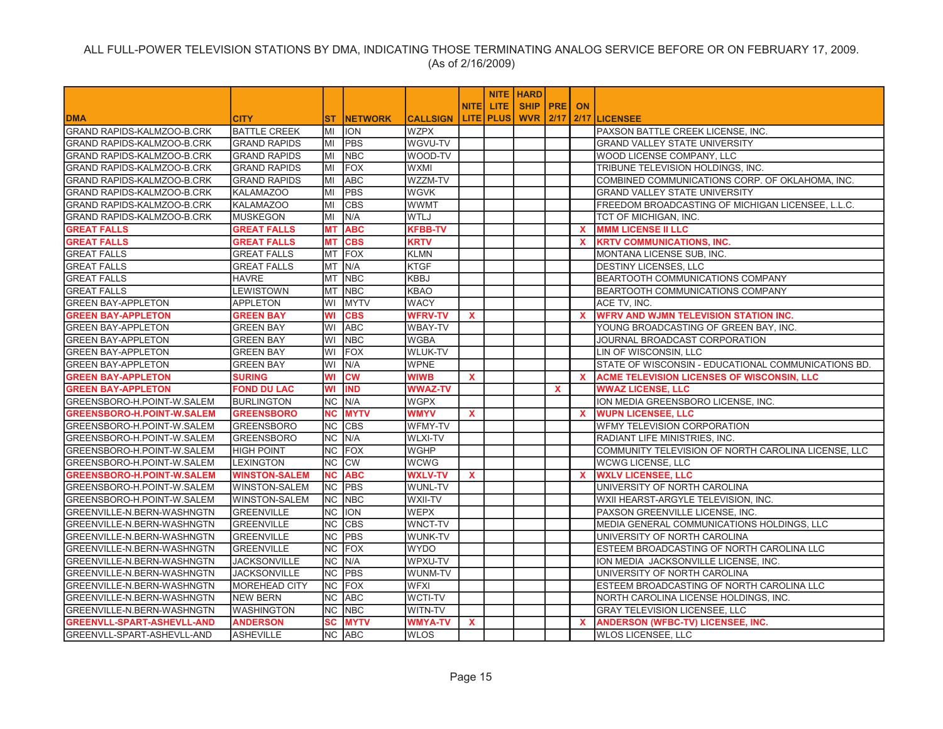|                                   |                      |           |                 |                 |              |                    | <b>NITE HARD</b>   |              |              |                                                     |
|-----------------------------------|----------------------|-----------|-----------------|-----------------|--------------|--------------------|--------------------|--------------|--------------|-----------------------------------------------------|
|                                   |                      |           |                 |                 | <b>NITEI</b> | LITE.              | <b>SHIP PRE ON</b> |              |              |                                                     |
| <b>DMA</b>                        | <b>CITY</b>          | ST.       | <b>INETWORK</b> | <b>CALLSIGN</b> |              | <b>LITE   PLUS</b> | <b>WVR 2/17</b>    |              |              | 2/17 LICENSEE                                       |
| GRAND RAPIDS-KALMZOO-B.CRK        | <b>BATTLE CREEK</b>  | MI        | <b>ION</b>      | <b>WZPX</b>     |              |                    |                    |              |              | PAXSON BATTLE CREEK LICENSE. INC.                   |
| GRAND RAPIDS-KALMZOO-B.CRK        | <b>GRAND RAPIDS</b>  | MI        | <b>PBS</b>      | WGVU-TV         |              |                    |                    |              |              | <b>GRAND VALLEY STATE UNIVERSITY</b>                |
| GRAND RAPIDS-KALMZOO-B.CRK        | <b>GRAND RAPIDS</b>  | MI        | <b>NBC</b>      | WOOD-TV         |              |                    |                    |              |              | WOOD LICENSE COMPANY, LLC                           |
| GRAND RAPIDS-KALMZOO-B.CRK        | <b>GRAND RAPIDS</b>  | MI        | <b>FOX</b>      | <b>WXMI</b>     |              |                    |                    |              |              | TRIBUNE TELEVISION HOLDINGS, INC.                   |
| GRAND RAPIDS-KALMZOO-B.CRK        | <b>GRAND RAPIDS</b>  | MI        | <b>ABC</b>      | WZZM-TV         |              |                    |                    |              |              | COMBINED COMMUNICATIONS CORP. OF OKLAHOMA, INC.     |
| GRAND RAPIDS-KALMZOO-B.CRK        | <b>KALAMAZOO</b>     | lмı       | <b>PBS</b>      | WGVK            |              |                    |                    |              |              | <b>GRAND VALLEY STATE UNIVERSITY</b>                |
| GRAND RAPIDS-KALMZOO-B.CRK        | <b>KALAMAZOO</b>     | MI        | <b>CBS</b>      | WWMT            |              |                    |                    |              |              | FREEDOM BROADCASTING OF MICHIGAN LICENSEE, L.L.C.   |
| <b>GRAND RAPIDS-KALMZOO-B.CRK</b> | <b>MUSKEGON</b>      | MI        | N/A             | <b>WTLJ</b>     |              |                    |                    |              |              | TCT OF MICHIGAN, INC.                               |
| <b>GREAT FALLS</b>                | <b>GREAT FALLS</b>   | <b>MT</b> | <b>ABC</b>      | <b>KFBB-TV</b>  |              |                    |                    |              | <b>X</b>     | <b>MMM LICENSE II LLC</b>                           |
| <b>GREAT FALLS</b>                | <b>GREAT FALLS</b>   | <b>MT</b> | <b>CBS</b>      | <b>KRTV</b>     |              |                    |                    |              | X.           | <b>KRTV COMMUNICATIONS, INC.</b>                    |
| <b>GREAT FALLS</b>                | <b>GREAT FALLS</b>   | <b>MT</b> | FOX             | <b>KLMN</b>     |              |                    |                    |              |              | MONTANA LICENSE SUB, INC.                           |
| <b>GREAT FALLS</b>                | <b>GREAT FALLS</b>   | <b>MT</b> | IN/A            | <b>KTGF</b>     |              |                    |                    |              |              | <b>DESTINY LICENSES. LLC</b>                        |
| <b>GREAT FALLS</b>                | HAVRE                | <b>MT</b> | <b>NBC</b>      | <b>KBBJ</b>     |              |                    |                    |              |              | BEARTOOTH COMMUNICATIONS COMPANY                    |
| <b>GREAT FALLS</b>                | LEWISTOWN            |           | MT NBC          | <b>KBAO</b>     |              |                    |                    |              |              | BEARTOOTH COMMUNICATIONS COMPANY                    |
| <b>GREEN BAY-APPLETON</b>         | <b>APPLETON</b>      | lwı       | <b>MYTV</b>     | <b>WACY</b>     |              |                    |                    |              |              | ACE TV, INC.                                        |
| <b>GREEN BAY-APPLETON</b>         | <b>GREEN BAY</b>     | WI        | <b>CBS</b>      | <b>WFRV-TV</b>  | $\mathbf x$  |                    |                    |              | $\mathbf{x}$ | <b>WFRV AND WJMN TELEVISION STATION INC.</b>        |
| <b>GREEN BAY-APPLETON</b>         | <b>GREEN BAY</b>     | lwı       | <b>ABC</b>      | <b>WBAY-TV</b>  |              |                    |                    |              |              | YOUNG BROADCASTING OF GREEN BAY, INC.               |
| <b>GREEN BAY-APPLETON</b>         | <b>GREEN BAY</b>     | WI        | <b>NBC</b>      | WGBA            |              |                    |                    |              |              | JOURNAL BROADCAST CORPORATION                       |
| <b>GREEN BAY-APPLETON</b>         | <b>GREEN BAY</b>     | WI        | FOX             | <b>WLUK-TV</b>  |              |                    |                    |              |              | LIN OF WISCONSIN, LLC                               |
| <b>GREEN BAY-APPLETON</b>         | <b>GREEN BAY</b>     | WI        | N/A             | <b>WPNE</b>     |              |                    |                    |              |              | STATE OF WISCONSIN - EDUCATIONAL COMMUNICATIONS BD. |
| <b>GREEN BAY-APPLETON</b>         | <b>SURING</b>        | WI        | <b>CW</b>       | <b>WIWB</b>     | $\mathbf{x}$ |                    |                    |              | <b>X</b>     | <b>ACME TELEVISION LICENSES OF WISCONSIN, LLC</b>   |
| <b>GREEN BAY-APPLETON</b>         | <b>FOND DU LAC</b>   | WI        | <b>IND</b>      | <b>WWAZ-TV</b>  |              |                    |                    | $\mathbf{x}$ |              | <b>WWAZ LICENSE, LLC</b>                            |
| GREENSBORO-H.POINT-W.SALEM        | <b>BURLINGTON</b>    | INC.      | N/A             | <b>WGPX</b>     |              |                    |                    |              |              | ION MEDIA GREENSBORO LICENSE, INC.                  |
| <b>GREENSBORO-H.POINT-W.SALEM</b> | <b>GREENSBORO</b>    | <b>NC</b> | <b>MYTV</b>     | <b>WMYV</b>     | X            |                    |                    |              | <b>X</b>     | <b>WUPN LICENSEE, LLC</b>                           |
| GREENSBORO-H.POINT-W.SALEM        | <b>GREENSBORO</b>    | NC        | <b>CBS</b>      | WFMY-TV         |              |                    |                    |              |              | WFMY TELEVISION CORPORATION                         |
| GREENSBORO-H.POINT-W.SALEM        | <b>GREENSBORO</b>    | <b>NC</b> | N/A             | <b>WLXI-TV</b>  |              |                    |                    |              |              | RADIANT LIFE MINISTRIES, INC.                       |
| GREENSBORO-H.POINT-W.SALEM        | <b>HIGH POINT</b>    | <b>NC</b> | FOX             | <b>WGHP</b>     |              |                    |                    |              |              | COMMUNITY TELEVISION OF NORTH CAROLINA LICENSE, LLC |
| GREENSBORO-H.POINT-W.SALEM        | <b>LEXINGTON</b>     | <b>NC</b> | <b>CW</b>       | WCWG            |              |                    |                    |              |              | <b>WCWG LICENSE, LLC</b>                            |
| <b>GREENSBORO-H.POINT-W.SALEM</b> | <b>WINSTON-SALEM</b> | <b>NC</b> | <b>ABC</b>      | <b>WXLV-TV</b>  | $\mathbf{x}$ |                    |                    |              | X.           | <b>WXLV LICENSEE, LLC</b>                           |
| GREENSBORO-H.POINT-W.SALEM        | WINSTON-SALEM        |           | NC PBS          | WUNL-TV         |              |                    |                    |              |              | UNIVERSITY OF NORTH CAROLINA                        |
| GREENSBORO-H.POINT-W.SALEM        | <b>WINSTON-SALEM</b> | <b>NC</b> | <b>NBC</b>      | WXII-TV         |              |                    |                    |              |              | WXII HEARST-ARGYLE TELEVISION, INC.                 |
| GREENVILLE-N.BERN-WASHNGTN        | <b>GREENVILLE</b>    | <b>NC</b> | <b>ION</b>      | <b>WEPX</b>     |              |                    |                    |              |              | PAXSON GREENVILLE LICENSE, INC.                     |
| GREENVILLE-N.BERN-WASHNGTN        | <b>GREENVILLE</b>    | <b>NC</b> | <b>CBS</b>      | WNCT-TV         |              |                    |                    |              |              | MEDIA GENERAL COMMUNICATIONS HOLDINGS, LLC          |
| GREENVILLE-N.BERN-WASHNGTN        | <b>GREENVILLE</b>    | <b>NC</b> | PBS             | <b>WUNK-TV</b>  |              |                    |                    |              |              | UNIVERSITY OF NORTH CAROLINA                        |
| GREENVILLE-N.BERN-WASHNGTN        | <b>GREENVILLE</b>    | <b>NC</b> | <b>FOX</b>      | <b>WYDO</b>     |              |                    |                    |              |              | ESTEEM BROADCASTING OF NORTH CAROLINA LLC           |
| GREENVILLE-N.BERN-WASHNGTN        | <b>JACKSONVILLE</b>  | NC.       | N/A             | WPXU-TV         |              |                    |                    |              |              | ION MEDIA JACKSONVILLE LICENSE, INC.                |
| GREENVILLE-N.BERN-WASHNGTN        | <b>JACKSONVILLE</b>  | NC.       | <b>IPBS</b>     | WUNM-TV         |              |                    |                    |              |              | UNIVERSITY OF NORTH CAROLINA                        |
| GREENVILLE-N.BERN-WASHNGTN        | <b>MOREHEAD CITY</b> | <b>NC</b> | <b>IFOX</b>     | <b>WFXI</b>     |              |                    |                    |              |              | ESTEEM BROADCASTING OF NORTH CAROLINA LLC           |
| GREENVILLE-N.BERN-WASHNGTN        | <b>NEW BERN</b>      |           | NC ABC          | <b>WCTI-TV</b>  |              |                    |                    |              |              | NORTH CAROLINA LICENSE HOLDINGS, INC.               |
| GREENVILLE-N.BERN-WASHNGTN        | <b>WASHINGTON</b>    |           | NC NBC          | WITN-TV         |              |                    |                    |              |              | <b>GRAY TELEVISION LICENSEE. LLC</b>                |
| <b>GREENVLL-SPART-ASHEVLL-AND</b> | <b>ANDERSON</b>      | <b>SC</b> | <b>MYTV</b>     | <b>WMYA-TV</b>  | $\mathbf{x}$ |                    |                    |              | <b>X</b>     | <b>ANDERSON (WFBC-TV) LICENSEE, INC.</b>            |
| GREENVLL-SPART-ASHEVLL-AND        | <b>ASHEVILLE</b>     |           | NC ABC          | <b>WLOS</b>     |              |                    |                    |              |              | <b>WLOS LICENSEE, LLC</b>                           |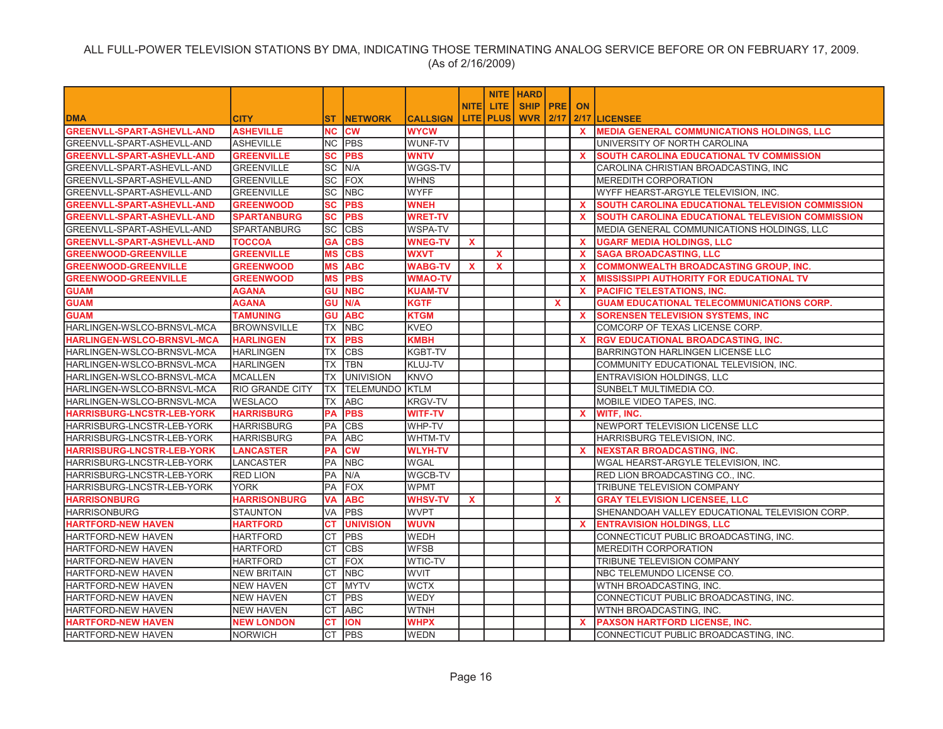|                                   |                        |              |                       |                 |              |                  | <b>NITE   HARD</b> |              |              |                                                         |
|-----------------------------------|------------------------|--------------|-----------------------|-----------------|--------------|------------------|--------------------|--------------|--------------|---------------------------------------------------------|
|                                   |                        |              |                       |                 | <b>NITEI</b> | LITE.            | SHIP   PRE   ON    |              |              |                                                         |
| <b>DMA</b>                        | <b>CITY</b>            | ST.          | <b>NETWORK</b>        | <b>CALLSIGN</b> |              | LITE <b>PLUS</b> | <b>WVR</b>         |              |              | 2/17 LICENSEE                                           |
| <b>GREENVLL-SPART-ASHEVLL-AND</b> | <b>ASHEVILLE</b>       | <b>NC CW</b> |                       | <b>WYCW</b>     |              |                  |                    |              | $\mathbf{x}$ | <b>MEDIA GENERAL COMMUNICATIONS HOLDINGS, LLC</b>       |
| GREENVLL-SPART-ASHEVLL-AND        | <b>ASHEVILLE</b>       |              | NC PBS                | <b>WUNF-TV</b>  |              |                  |                    |              |              | UNIVERSITY OF NORTH CAROLINA                            |
| <b>GREENVLL-SPART-ASHEVLL-AND</b> | <b>GREENVILLE</b>      | SC           | <b>PBS</b>            | <b>WNTV</b>     |              |                  |                    |              | <b>X</b>     | SOUTH CAROLINA EDUCATIONAL TV COMMISSION                |
| GREENVLL-SPART-ASHEVLL-AND        | <b>GREENVILLE</b>      | SC N/A       |                       | WGGS-TV         |              |                  |                    |              |              | CAROLINA CHRISTIAN BROADCASTING, INC                    |
| GREENVLL-SPART-ASHEVLL-AND        | GREENVILLE             | <b>SC</b>    | <b>FOX</b>            | <b>WHNS</b>     |              |                  |                    |              |              | <b>MEREDITH CORPORATION</b>                             |
| GREENVLL-SPART-ASHEVLL-AND        | <b>GREENVILLE</b>      | SC           | <b>NBC</b>            | <b>WYFF</b>     |              |                  |                    |              |              | WYFF HEARST-ARGYLE TELEVISION, INC.                     |
| <b>GREENVLL-SPART-ASHEVLL-AND</b> | <b>GREENWOOD</b>       | <b>SC</b>    | <b>PBS</b>            | <b>WNEH</b>     |              |                  |                    |              | <b>X</b>     | SOUTH CAROLINA EDUCATIONAL TELEVISION COMMISSION        |
| <b>GREENVLL-SPART-ASHEVLL-AND</b> | <b>SPARTANBURG</b>     | SC           | <b>PBS</b>            | <b>WRET-TV</b>  |              |                  |                    |              | $\mathbf{x}$ | <b>SOUTH CAROLINA EDUCATIONAL TELEVISION COMMISSION</b> |
| GREENVLL-SPART-ASHEVLL-AND        | <b>SPARTANBURG</b>     | <b>SC</b>    | <b>CBS</b>            | <b>WSPA-TV</b>  |              |                  |                    |              |              | MEDIA GENERAL COMMUNICATIONS HOLDINGS, LLC              |
| GREENVLL-SPART-ASHEVLL-AND        | <b>TOCCOA</b>          | <b>GA</b>    | <b>CBS</b>            | <b>WNEG-TV</b>  | $\mathbf{x}$ |                  |                    |              | $\mathbf{x}$ | <b>UGARF MEDIA HOLDINGS, LLC</b>                        |
| <b>GREENWOOD-GREENVILLE</b>       | <b>GREENVILLE</b>      | MS           | <b>CBS</b>            | <b>WXVT</b>     |              | $\mathbf{x}$     |                    |              | <b>X</b>     | <b>SAGA BROADCASTING, LLC</b>                           |
| <b>GREENWOOD-GREENVILLE</b>       | <b>GREENWOOD</b>       | MS           | <b>ABC</b>            | <b>WABG-TV</b>  | X            | $\mathbf{x}$     |                    |              | <b>X</b>     | <b>COMMONWEALTH BROADCASTING GROUP, INC.</b>            |
| <b>GREENWOOD-GREENVILLE</b>       | <b>GREENWOOD</b>       | <b>MS</b>    | <b>PBS</b>            | <b>WMAO-TV</b>  |              |                  |                    |              | X.           | <b>MISSISSIPPI AUTHORITY FOR EDUCATIONAL TV</b>         |
| <b>GUAM</b>                       | AGANA                  | <b>GU</b>    | <b>NBC</b>            | <b>KUAM-TV</b>  |              |                  |                    |              | <b>X</b>     | <b>PACIFIC TELESTATIONS, INC.</b>                       |
| <b>GUAM</b>                       | <b>AGANA</b>           | GU           | N/A                   | <b>KGTF</b>     |              |                  |                    | $\mathbf{x}$ |              | <b>GUAM EDUCATIONAL TELECOMMUNICATIONS CORP.</b>        |
| <b>GUAM</b>                       | TAMUNING               | GU           | <b>ABC</b>            | <b>KTGM</b>     |              |                  |                    |              | <b>X</b>     | <b>SORENSEN TELEVISION SYSTEMS, INC.</b>                |
| HARLINGEN-WSLCO-BRNSVL-MCA        | <b>BROWNSVILLE</b>     | TX           | <b>NBC</b>            | <b>KVEO</b>     |              |                  |                    |              |              | COMCORP OF TEXAS LICENSE CORP.                          |
| <b>HARLINGEN-WSLCO-BRNSVL-MCA</b> | <b>HARLINGEN</b>       | TX           | <b>PBS</b>            | <b>KMBH</b>     |              |                  |                    |              | <b>X</b>     | <b>RGV EDUCATIONAL BROADCASTING, INC.</b>               |
| HARLINGEN-WSLCO-BRNSVL-MCA        | <b>HARLINGEN</b>       | TX           | <b>CBS</b>            | <b>KGBT-TV</b>  |              |                  |                    |              |              | <b>BARRINGTON HARLINGEN LICENSE LLC</b>                 |
| HARLINGEN-WSLCO-BRNSVL-MCA        | <b>HARLINGEN</b>       | TX           | <b>TBN</b>            | KLUJ-TV         |              |                  |                    |              |              | COMMUNITY EDUCATIONAL TELEVISION, INC.                  |
| HARLINGEN-WSLCO-BRNSVL-MCA        | <b>MCALLEN</b>         | TX           | <b>UNIVISION</b>      | <b>KNVO</b>     |              |                  |                    |              |              | ENTRAVISION HOLDINGS, LLC                               |
| HARLINGEN-WSLCO-BRNSVL-MCA        | <b>RIO GRANDE CITY</b> | <b>TX</b>    | <b>TELEMUNDO KTLM</b> |                 |              |                  |                    |              |              | SUNBELT MULTIMEDIA CO.                                  |
| HARLINGEN-WSLCO-BRNSVL-MCA        | <b>WESLACO</b>         | ТX           | <b>ABC</b>            | <b>KRGV-TV</b>  |              |                  |                    |              |              | MOBILE VIDEO TAPES, INC.                                |
| <b>HARRISBURG-LNCSTR-LEB-YORK</b> | <b>HARRISBURG</b>      | PA           | <b>PBS</b>            | <b>WITF-TV</b>  |              |                  |                    |              | X.           | <b>WITF, INC.</b>                                       |
| HARRISBURG-LNCSTR-LEB-YORK        | <b>HARRISBURG</b>      | PA           | <b>CBS</b>            | WHP-TV          |              |                  |                    |              |              | NEWPORT TELEVISION LICENSE LLC                          |
| HARRISBURG-LNCSTR-LEB-YORK        | <b>HARRISBURG</b>      | PA           | <b>ABC</b>            | <b>WHTM-TV</b>  |              |                  |                    |              |              | HARRISBURG TELEVISION, INC.                             |
| <b>HARRISBURG-LNCSTR-LEB-YORK</b> | <b>LANCASTER</b>       | PA           | <b>CW</b>             | <b>WLYH-TV</b>  |              |                  |                    |              | X.           | <b>NEXSTAR BROADCASTING, INC.</b>                       |
| HARRISBURG-LNCSTR-LEB-YORK        | LANCASTER              | PA           | <b>NBC</b>            | <b>WGAL</b>     |              |                  |                    |              |              | WGAL HEARST-ARGYLE TELEVISION, INC.                     |
| HARRISBURG-LNCSTR-LEB-YORK        | <b>RED LION</b>        | PA           | N/A                   | WGCB-TV         |              |                  |                    |              |              | RED LION BROADCASTING CO., INC.                         |
| HARRISBURG-LNCSTR-LEB-YORK        | <b>YORK</b>            | PA           | <b>FOX</b>            | <b>WPMT</b>     |              |                  |                    |              |              | TRIBUNE TELEVISION COMPANY                              |
| <b>HARRISONBURG</b>               | <b>HARRISONBURG</b>    | <b>VA</b>    | <b>ABC</b>            | <b>WHSV-TV</b>  | $\mathbf{x}$ |                  |                    | $\mathbf{x}$ |              | <b>GRAY TELEVISION LICENSEE, LLC</b>                    |
| <b>HARRISONBURG</b>               | <b>STAUNTON</b>        | VA           | <b>PBS</b>            | <b>WVPT</b>     |              |                  |                    |              |              | SHENANDOAH VALLEY EDUCATIONAL TELEVISION CORP.          |
| <b>HARTFORD-NEW HAVEN</b>         | <b>HARTFORD</b>        | СT           | <b>UNIVISION</b>      | <b>WUVN</b>     |              |                  |                    |              | <b>X</b>     | <b>ENTRAVISION HOLDINGS, LLC</b>                        |
| HARTFORD-NEW HAVEN                | <b>HARTFORD</b>        | <b>CT</b>    | <b>PBS</b>            | <b>WEDH</b>     |              |                  |                    |              |              | CONNECTICUT PUBLIC BROADCASTING, INC.                   |
| HARTFORD-NEW HAVEN                | <b>HARTFORD</b>        | <b>CT</b>    | <b>CBS</b>            | <b>WFSB</b>     |              |                  |                    |              |              | <b>MEREDITH CORPORATION</b>                             |
| HARTFORD-NEW HAVEN                | <b>HARTFORD</b>        | <b>CT</b>    | <b>FOX</b>            | <b>WTIC-TV</b>  |              |                  |                    |              |              | TRIBUNE TELEVISION COMPANY                              |
| HARTFORD-NEW HAVEN                | <b>NEW BRITAIN</b>     | <b>CT</b>    | <b>NBC</b>            | <b>WVIT</b>     |              |                  |                    |              |              | NBC TELEMUNDO LICENSE CO.                               |
| HARTFORD-NEW HAVEN                | <b>NEW HAVEN</b>       | CT           | <b>MYTV</b>           | <b>WCTX</b>     |              |                  |                    |              |              | WTNH BROADCASTING, INC.                                 |
| HARTFORD-NEW HAVEN                | <b>NEW HAVEN</b>       | <b>CT</b>    | <b>PBS</b>            | <b>WEDY</b>     |              |                  |                    |              |              | CONNECTICUT PUBLIC BROADCASTING, INC.                   |
| <b>HARTFORD-NEW HAVEN</b>         | <b>NEW HAVEN</b>       | <b>CT</b>    | <b>ABC</b>            | <b>WTNH</b>     |              |                  |                    |              |              | WTNH BROADCASTING, INC.                                 |
| <b>HARTFORD-NEW HAVEN</b>         | <b>NEW LONDON</b>      | СT           | <b>ION</b>            | <b>WHPX</b>     |              |                  |                    |              | <b>X</b>     | <b>PAXSON HARTFORD LICENSE, INC.</b>                    |
| <b>HARTFORD-NEW HAVEN</b>         | <b>NORWICH</b>         | <b>CT</b>    | <b>IPBS</b>           | <b>WEDN</b>     |              |                  |                    |              |              | CONNECTICUT PUBLIC BROADCASTING, INC.                   |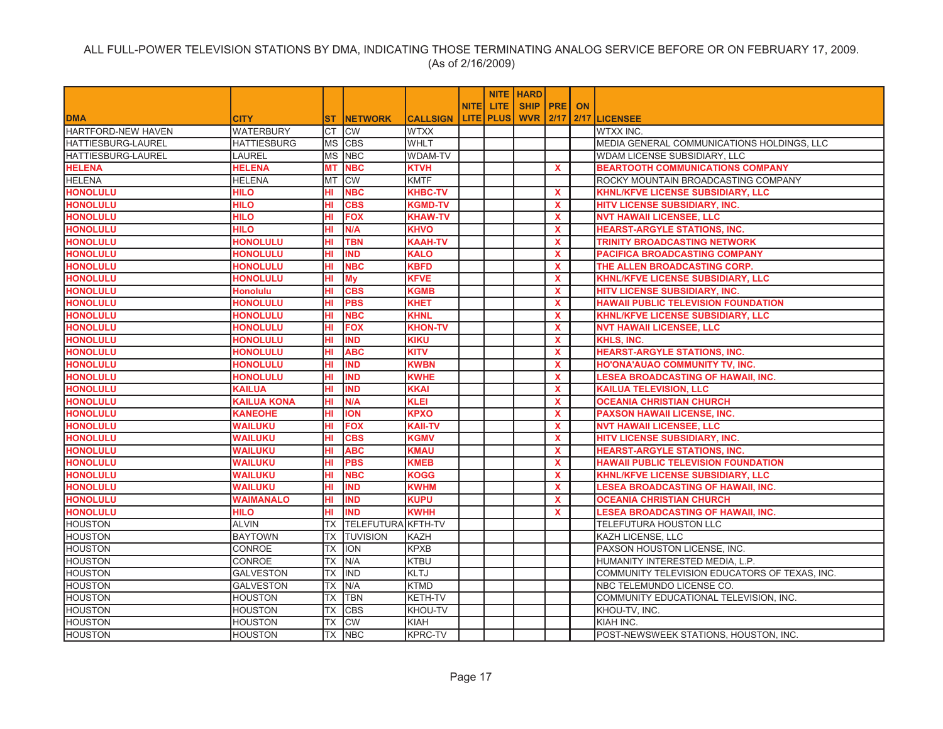|                           |                    |           |                           |                 |              |           | <b>NITE   HARD</b> |              |                                               |
|---------------------------|--------------------|-----------|---------------------------|-----------------|--------------|-----------|--------------------|--------------|-----------------------------------------------|
|                           |                    |           |                           |                 | <b>NITEI</b> | LITE.     | SHIP PRE ON        |              |                                               |
| <b>DMA</b>                | <b>CITY</b>        | <b>ST</b> | <b>NETWORK</b>            | <b>CALLSIGN</b> |              | LITE PLUS | <b>WVR 2/17</b>    |              | 2/17 LICENSEE                                 |
| <b>HARTFORD-NEW HAVEN</b> | <b>WATERBURY</b>   | <b>CT</b> | <b>CW</b>                 | <b>WTXX</b>     |              |           |                    |              | <b>WTXX INC.</b>                              |
| HATTIESBURG-LAUREL        | <b>HATTIESBURG</b> | <b>MS</b> | <b>CBS</b>                | <b>WHLT</b>     |              |           |                    |              | MEDIA GENERAL COMMUNICATIONS HOLDINGS, LLC    |
| HATTIESBURG-LAUREL        | <b>LAUREL</b>      | <b>MS</b> | <b>NBC</b>                | <b>WDAM-TV</b>  |              |           |                    |              | WDAM LICENSE SUBSIDIARY, LLC                  |
| <b>HELENA</b>             | <b>HELENA</b>      | <b>MT</b> | <b>NBC</b>                | <b>KTVH</b>     |              |           |                    | <b>X</b>     | <b>BEARTOOTH COMMUNICATIONS COMPANY</b>       |
| <b>HELENA</b>             | <b>HELENA</b>      | <b>MT</b> | <b>CW</b>                 | <b>KMTF</b>     |              |           |                    |              | ROCKY MOUNTAIN BROADCASTING COMPANY           |
| <b>HONOLULU</b>           | <b>HILO</b>        | HI        | <b>NBC</b>                | <b>KHBC-TV</b>  |              |           |                    | X            | KHNL/KFVE LICENSE SUBSIDIARY, LLC             |
| <b>HONOLULU</b>           | <b>HILO</b>        | HI.       | <b>CBS</b>                | <b>KGMD-TV</b>  |              |           |                    | $\mathbf{x}$ | HITV LICENSE SUBSIDIARY, INC.                 |
| <b>HONOLULU</b>           | <b>HILO</b>        | HI        | <b>FOX</b>                | <b>KHAW-TV</b>  |              |           |                    | X            | <b>NVT HAWAII LICENSEE, LLC</b>               |
| <b>HONOLULU</b>           | <b>HILO</b>        | HI        | N/A                       | <b>KHVO</b>     |              |           |                    | X            | <b>HEARST-ARGYLE STATIONS, INC.</b>           |
| <b>HONOLULU</b>           | <b>HONOLULU</b>    | HI        | TBN                       | <b>KAAH-TV</b>  |              |           |                    | $\mathbf x$  | <b>TRINITY BROADCASTING NETWORK</b>           |
| <b>HONOLULU</b>           | <b>HONOLULU</b>    | HI        | <b>IND</b>                | <b>KALO</b>     |              |           |                    | $\mathbf{x}$ | PACIFICA BROADCASTING COMPANY                 |
| <b>HONOLULU</b>           | <b>HONOLULU</b>    | HI        | <b>NBC</b>                | <b>KBFD</b>     |              |           |                    | $\mathbf{x}$ | THE ALLEN BROADCASTING CORP.                  |
| <b>HONOLULU</b>           | <b>HONOLULU</b>    | HI        | <b>My</b>                 | <b>KFVE</b>     |              |           |                    | X            | KHNL/KFVE LICENSE SUBSIDIARY, LLC             |
| <b>HONOLULU</b>           | <b>Honolulu</b>    | HI        | <b>CBS</b>                | <b>KGMB</b>     |              |           |                    | $\mathbf{x}$ | HITV LICENSE SUBSIDIARY, INC.                 |
| <b>HONOLULU</b>           | <b>HONOLULU</b>    | HI        | <b>PBS</b>                | <b>KHET</b>     |              |           |                    | $\mathbf{x}$ | <b>HAWAII PUBLIC TELEVISION FOUNDATION</b>    |
| <b>HONOLULU</b>           | <b>HONOLULU</b>    | HI        | <b>NBC</b>                | <b>KHNL</b>     |              |           |                    | $\mathbf x$  | <b>KHNL/KFVE LICENSE SUBSIDIARY, LLC</b>      |
| <b>HONOLULU</b>           | <b>HONOLULU</b>    | HI        | <b>FOX</b>                | <b>KHON-TV</b>  |              |           |                    | $\mathbf{x}$ | <b>NVT HAWAII LICENSEE, LLC</b>               |
| <b>HONOLULU</b>           | <b>HONOLULU</b>    | HI.       | <b>IND</b>                | <b>KIKU</b>     |              |           |                    | <b>X</b>     | <b>KHLS, INC.</b>                             |
| <b>HONOLULU</b>           | <b>HONOLULU</b>    | HI        | <b>ABC</b>                | <b>KITV</b>     |              |           |                    | X            | <b>HEARST-ARGYLE STATIONS, INC.</b>           |
| <b>HONOLULU</b>           | <b>HONOLULU</b>    | HI        | <b>IND</b>                | <b>KWBN</b>     |              |           |                    | $\mathbf{x}$ | <b>HO'ONA'AUAO COMMUNITY TV, INC.</b>         |
| <b>HONOLULU</b>           | <b>HONOLULU</b>    | HI        | <b>IND</b>                | <b>KWHE</b>     |              |           |                    | <b>X</b>     | <b>LESEA BROADCASTING OF HAWAII, INC.</b>     |
| <b>HONOLULU</b>           | <b>KAILUA</b>      | HI        | <b>IND</b>                | <b>KKAI</b>     |              |           |                    | $\mathbf{x}$ | <b>KAILUA TELEVISION, LLC</b>                 |
| <b>HONOLULU</b>           | <b>KAILUA KONA</b> | HI        | N/A                       | <b>KLEI</b>     |              |           |                    | $\mathbf{x}$ | <b>OCEANIA CHRISTIAN CHURCH</b>               |
| <b>HONOLULU</b>           | <b>KANEOHE</b>     | HI        | <b>ION</b>                | <b>KPXO</b>     |              |           |                    | X            | <b>PAXSON HAWAII LICENSE, INC.</b>            |
| <b>HONOLULU</b>           | <b>WAILUKU</b>     | HI        | <b>FOX</b>                | <b>KAII-TV</b>  |              |           |                    | $\mathbf{x}$ | <b>NVT HAWAII LICENSEE, LLC</b>               |
| <b>HONOLULU</b>           | <b>WAILUKU</b>     | HI        | <b>CBS</b>                | <b>KGMV</b>     |              |           |                    | $\mathbf{x}$ | HITV LICENSE SUBSIDIARY, INC.                 |
| <b>HONOLULU</b>           | <b>WAILUKU</b>     | HI        | <b>ABC</b>                | <b>KMAU</b>     |              |           |                    | X            | <b>HEARST-ARGYLE STATIONS, INC.</b>           |
| <b>HONOLULU</b>           | <b>WAILUKU</b>     | HI        | <b>PBS</b>                | <b>KMEB</b>     |              |           |                    | $\mathbf{x}$ | <b>HAWAII PUBLIC TELEVISION FOUNDATION</b>    |
| <b>HONOLULU</b>           | <b>WAILUKU</b>     | HI        | <b>NBC</b>                | <b>KOGG</b>     |              |           |                    | $\mathbf{x}$ | <b>KHNL/KFVE LICENSE SUBSIDIARY, LLC</b>      |
| <b>HONOLULU</b>           | <b>WAILUKU</b>     | HI        | <b>IND</b>                | <b>KWHM</b>     |              |           |                    | $\mathbf{x}$ | <b>LESEA BROADCASTING OF HAWAII, INC.</b>     |
| <b>HONOLULU</b>           | <b>WAIMANALO</b>   | HI.       | <b>IND</b>                | <b>KUPU</b>     |              |           |                    | $\mathbf{x}$ | <b>OCEANIA CHRISTIAN CHURCH</b>               |
| <b>HONOLULU</b>           | <b>HILO</b>        | HI        | <b>IND</b>                | <b>KWHH</b>     |              |           |                    | $\mathbf{x}$ | <b>LESEA BROADCASTING OF HAWAII, INC.</b>     |
| <b>HOUSTON</b>            | <b>ALVIN</b>       | <b>TX</b> | <b>TELEFUTURA KFTH-TV</b> |                 |              |           |                    |              | TELEFUTURA HOUSTON LLC                        |
| <b>HOUSTON</b>            | <b>BAYTOWN</b>     | <b>TX</b> | <b>TUVISION</b>           | <b>KAZH</b>     |              |           |                    |              | <b>KAZH LICENSE, LLC</b>                      |
| <b>HOUSTON</b>            | CONROE             | <b>TX</b> | <b>ION</b>                | <b>KPXB</b>     |              |           |                    |              | PAXSON HOUSTON LICENSE, INC.                  |
| <b>HOUSTON</b>            | CONROE             | <b>TX</b> | N/A                       | <b>KTBU</b>     |              |           |                    |              | HUMANITY INTERESTED MEDIA, L.P.               |
| <b>HOUSTON</b>            | <b>GALVESTON</b>   | <b>TX</b> | IND                       | <b>KLTJ</b>     |              |           |                    |              | COMMUNITY TELEVISION EDUCATORS OF TEXAS, INC. |
| <b>HOUSTON</b>            | <b>GALVESTON</b>   | <b>TX</b> | N/A                       | <b>KTMD</b>     |              |           |                    |              | NBC TELEMUNDO LICENSE CO.                     |
| <b>HOUSTON</b>            | <b>HOUSTON</b>     | TX        | <b>TBN</b>                | KETH-TV         |              |           |                    |              | COMMUNITY EDUCATIONAL TELEVISION, INC.        |
| <b>HOUSTON</b>            | <b>HOUSTON</b>     | TX        | <b>CBS</b>                | KHOU-TV         |              |           |                    |              | KHOU-TV, INC.                                 |
| <b>HOUSTON</b>            | <b>HOUSTON</b>     | TX        | <b>CW</b>                 | <b>KIAH</b>     |              |           |                    |              | KIAH INC.                                     |
| <b>HOUSTON</b>            | <b>HOUSTON</b>     |           | <b>TX NBC</b>             | <b>KPRC-TV</b>  |              |           |                    |              | POST-NEWSWEEK STATIONS, HOUSTON, INC.         |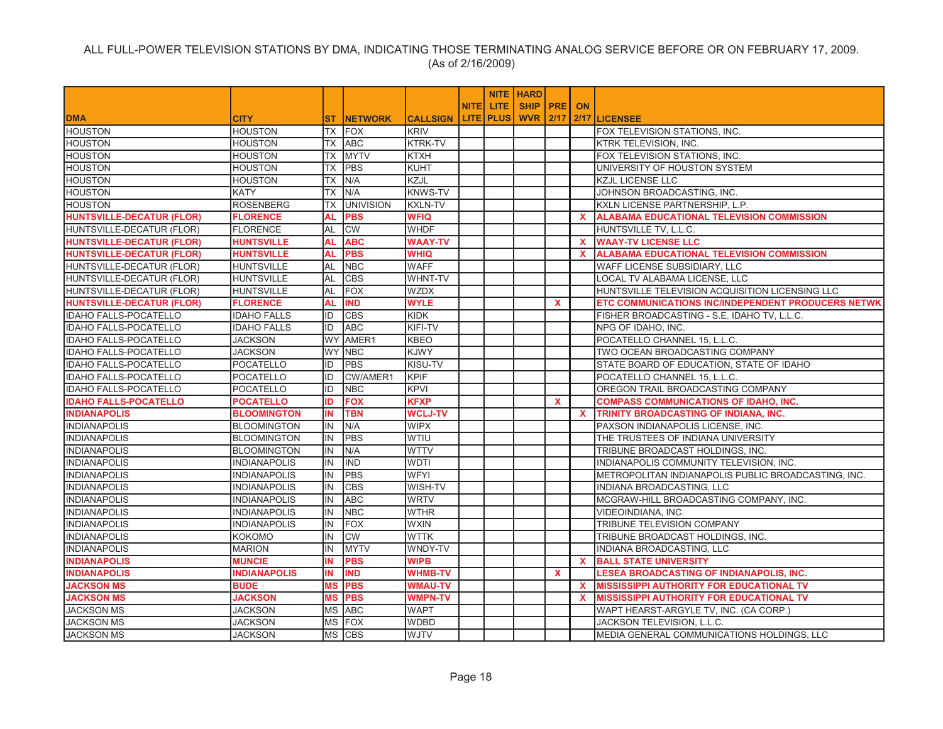|                                  |                     |                 |                  |                 |              |                  | <b>NITE HARD</b>   |                           |              |                                                     |
|----------------------------------|---------------------|-----------------|------------------|-----------------|--------------|------------------|--------------------|---------------------------|--------------|-----------------------------------------------------|
|                                  |                     |                 |                  |                 | <b>NITEI</b> | LITE.            | <b>SHIP PRE ON</b> |                           |              |                                                     |
| <b>DMA</b>                       | <b>CITY</b>         | ST.             | <b>INETWORK</b>  | <b>CALLSIGN</b> |              | <b>LITE PLUS</b> | <b>WVR 2/17</b>    |                           |              | 2/17 LICENSEE                                       |
| <b>HOUSTON</b>                   | <b>HOUSTON</b>      | TX              | <b>FOX</b>       | <b>KRIV</b>     |              |                  |                    |                           |              | FOX TELEVISION STATIONS. INC.                       |
| <b>HOUSTON</b>                   | <b>HOUSTON</b>      | TX              | <b>ABC</b>       | KTRK-TV         |              |                  |                    |                           |              | <b>KTRK TELEVISION, INC.</b>                        |
| <b>HOUSTON</b>                   | <b>HOUSTON</b>      | TX              | <b>MYTV</b>      | <b>KTXH</b>     |              |                  |                    |                           |              | FOX TELEVISION STATIONS, INC.                       |
| <b>HOUSTON</b>                   | <b>HOUSTON</b>      | <b>TX</b>       | <b>PBS</b>       | <b>KUHT</b>     |              |                  |                    |                           |              | UNIVERSITY OF HOUSTON SYSTEM                        |
| <b>HOUSTON</b>                   | <b>HOUSTON</b>      | TX              | N/A              | KZJL            |              |                  |                    |                           |              | <b>KZJL LICENSE LLC</b>                             |
| <b>HOUSTON</b>                   | <b>KATY</b>         | $\overline{TX}$ | N/A              | <b>KNWS-TV</b>  |              |                  |                    |                           |              | JOHNSON BROADCASTING, INC.                          |
| <b>HOUSTON</b>                   | <b>ROSENBERG</b>    | <b>TX</b>       | <b>UNIVISION</b> | <b>KXLN-TV</b>  |              |                  |                    |                           |              | KXLN LICENSE PARTNERSHIP, L.P.                      |
| <b>HUNTSVILLE-DECATUR (FLOR)</b> | <b>FLORENCE</b>     | AL              | <b>PBS</b>       | <b>WFIQ</b>     |              |                  |                    |                           | $\mathbf{x}$ | <b>ALABAMA EDUCATIONAL TELEVISION COMMISSION</b>    |
| HUNTSVILLE-DECATUR (FLOR)        | <b>FLORENCE</b>     | AL              | <b>CW</b>        | <b>WHDF</b>     |              |                  |                    |                           |              | HUNTSVILLE TV, L.L.C.                               |
| <b>HUNTSVILLE-DECATUR (FLOR)</b> | <b>HUNTSVILLE</b>   | AL              | <b>ABC</b>       | <b>WAAY-TV</b>  |              |                  |                    |                           | <b>X</b>     | <b>WAAY-TV LICENSE LLC</b>                          |
| <b>HUNTSVILLE-DECATUR (FLOR)</b> | <b>HUNTSVILLE</b>   | <b>AL</b>       | <b>PBS</b>       | <b>WHIQ</b>     |              |                  |                    |                           | $\mathbf{x}$ | <b>ALABAMA EDUCATIONAL TELEVISION COMMISSION</b>    |
| HUNTSVILLE-DECATUR (FLOR)        | <b>HUNTSVILLE</b>   | AL              | <b>NBC</b>       | <b>WAFF</b>     |              |                  |                    |                           |              | WAFF LICENSE SUBSIDIARY, LLC                        |
| HUNTSVILLE-DECATUR (FLOR)        | <b>HUNTSVILLE</b>   | AL              | <b>CBS</b>       | WHNT-TV         |              |                  |                    |                           |              | LOCAL TV ALABAMA LICENSE, LLC                       |
| HUNTSVILLE-DECATUR (FLOR)        | <b>HUNTSVILLE</b>   | AL              | <b>FOX</b>       | <b>WZDX</b>     |              |                  |                    |                           |              | HUNTSVILLE TELEVISION ACQUISITION LICENSING LLC     |
| <b>HUNTSVILLE-DECATUR (FLOR)</b> | <b>FLORENCE</b>     | AL              | <b>IND</b>       | <b>WYLE</b>     |              |                  |                    | $\mathbf{x}$              |              | ETC COMMUNICATIONS INC/INDEPENDENT PRODUCERS NETWK  |
| <b>IDAHO FALLS-POCATELLO</b>     | <b>IDAHO FALLS</b>  | ID              | <b>CBS</b>       | KIDK            |              |                  |                    |                           |              | FISHER BROADCASTING - S.E. IDAHO TV, L.L.C.         |
| <b>IDAHO FALLS-POCATELLO</b>     | <b>IDAHO FALLS</b>  | ID              | <b>ABC</b>       | <b>KIFI-TV</b>  |              |                  |                    |                           |              | NPG OF IDAHO, INC.                                  |
| <b>IDAHO FALLS-POCATELLO</b>     | <b>JACKSON</b>      | <b>WY</b>       | AMER1            | <b>KBEO</b>     |              |                  |                    |                           |              | POCATELLO CHANNEL 15, L.L.C.                        |
| <b>IDAHO FALLS-POCATELLO</b>     | <b>JACKSON</b>      | <b>WY</b>       | <b>NBC</b>       | <b>KJWY</b>     |              |                  |                    |                           |              | TWO OCEAN BROADCASTING COMPANY                      |
| <b>IDAHO FALLS-POCATELLO</b>     | <b>POCATELLO</b>    | ID              | <b>PBS</b>       | KISU-TV         |              |                  |                    |                           |              | STATE BOARD OF EDUCATION, STATE OF IDAHO            |
| <b>IDAHO FALLS-POCATELLO</b>     | <b>POCATELLO</b>    | ID              | CW/AMER1         | <b>KPIF</b>     |              |                  |                    |                           |              | POCATELLO CHANNEL 15, L.L.C.                        |
| <b>IDAHO FALLS-POCATELLO</b>     | POCATELLO           | ID              | <b>NBC</b>       | <b>KPVI</b>     |              |                  |                    |                           |              | OREGON TRAIL BROADCASTING COMPANY                   |
| <b>IDAHO FALLS-POCATELLO</b>     | <b>POCATELLO</b>    | ID              | <b>FOX</b>       | <b>KFXP</b>     |              |                  |                    | $\mathbf{x}$              |              | <b>COMPASS COMMUNICATIONS OF IDAHO, INC.</b>        |
| <b>INDIANAPOLIS</b>              | <b>BLOOMINGTON</b>  | IN              | <b>TBN</b>       | <b>WCLJ-TV</b>  |              |                  |                    |                           | <b>X</b>     | TRINITY BROADCASTING OF INDIANA, INC.               |
| <b>INDIANAPOLIS</b>              | <b>BLOOMINGTON</b>  | IN              | N/A              | <b>WIPX</b>     |              |                  |                    |                           |              | PAXSON INDIANAPOLIS LICENSE, INC.                   |
| <b>INDIANAPOLIS</b>              | <b>BLOOMINGTON</b>  | IN              | <b>PBS</b>       | <b>WTIU</b>     |              |                  |                    |                           |              | THE TRUSTEES OF INDIANA UNIVERSITY                  |
| <b>INDIANAPOLIS</b>              | <b>BLOOMINGTON</b>  | IN              | N/A              | <b>WTTV</b>     |              |                  |                    |                           |              | TRIBUNE BROADCAST HOLDINGS, INC.                    |
| <b>INDIANAPOLIS</b>              | <b>INDIANAPOLIS</b> | IN              | <b>IND</b>       | <b>WDTI</b>     |              |                  |                    |                           |              | INDIANAPOLIS COMMUNITY TELEVISION, INC.             |
| <b>INDIANAPOLIS</b>              | <b>INDIANAPOLIS</b> | IN              | <b>PBS</b>       | <b>WFYI</b>     |              |                  |                    |                           |              | METROPOLITAN INDIANAPOLIS PUBLIC BROADCASTING, INC. |
| <b>INDIANAPOLIS</b>              | <b>INDIANAPOLIS</b> | IN              | <b>CBS</b>       | WISH-TV         |              |                  |                    |                           |              | INDIANA BROADCASTING, LLC                           |
| <b>INDIANAPOLIS</b>              | <b>INDIANAPOLIS</b> | IN              | <b>ABC</b>       | <b>WRTV</b>     |              |                  |                    |                           |              | MCGRAW-HILL BROADCASTING COMPANY, INC.              |
| <b>INDIANAPOLIS</b>              | <b>INDIANAPOLIS</b> | IN              | <b>NBC</b>       | <b>WTHR</b>     |              |                  |                    |                           |              | VIDEOINDIANA, INC.                                  |
| <b>INDIANAPOLIS</b>              | <b>INDIANAPOLIS</b> | IN              | <b>FOX</b>       | <b>WXIN</b>     |              |                  |                    |                           |              | TRIBUNE TELEVISION COMPANY                          |
| <b>INDIANAPOLIS</b>              | <b>KOKOMO</b>       | IN              | <b>CW</b>        | <b>WTTK</b>     |              |                  |                    |                           |              | TRIBUNE BROADCAST HOLDINGS, INC.                    |
| <b>INDIANAPOLIS</b>              | <b>MARION</b>       | IN              | <b>MYTV</b>      | WNDY-TV         |              |                  |                    |                           |              | INDIANA BROADCASTING, LLC                           |
| <b>INDIANAPOLIS</b>              | <b>MUNCIE</b>       | IN.             | <b>PBS</b>       | <b>WIPB</b>     |              |                  |                    |                           | $\mathbf{x}$ | <b>BALL STATE UNIVERSITY</b>                        |
| <b>INDIANAPOLIS</b>              | <b>INDIANAPOLIS</b> | IN              | <b>IND</b>       | <b>WHMB-TV</b>  |              |                  |                    | $\boldsymbol{\mathsf{x}}$ |              | LESEA BROADCASTING OF INDIANAPOLIS, INC.            |
| <b>JACKSON MS</b>                | <b>BUDE</b>         | <b>MS</b>       | <b>PBS</b>       | <b>WMAU-TV</b>  |              |                  |                    |                           | $\mathbf{x}$ | <b>MISSISSIPPI AUTHORITY FOR EDUCATIONAL TV</b>     |
| <b>JACKSON MS</b>                | <b>JACKSON</b>      | ΜS              | <b>PBS</b>       | <b>WMPN-TV</b>  |              |                  |                    |                           | <b>X</b>     | <b>MISSISSIPPI AUTHORITY FOR EDUCATIONAL TV</b>     |
| <b>JACKSON MS</b>                | <b>JACKSON</b>      |                 | MS ABC           | <b>WAPT</b>     |              |                  |                    |                           |              | WAPT HEARST-ARGYLE TV, INC. (CA CORP.)              |
| <b>JACKSON MS</b>                | <b>JACKSON</b>      | <b>MS</b>       | <b>FOX</b>       | <b>WDBD</b>     |              |                  |                    |                           |              | JACKSON TELEVISION, L.L.C.                          |
| <b>JACKSON MS</b>                | <b>JACKSON</b>      |                 | MS CBS           | <b>WJTV</b>     |              |                  |                    |                           |              | MEDIA GENERAL COMMUNICATIONS HOLDINGS, LLC          |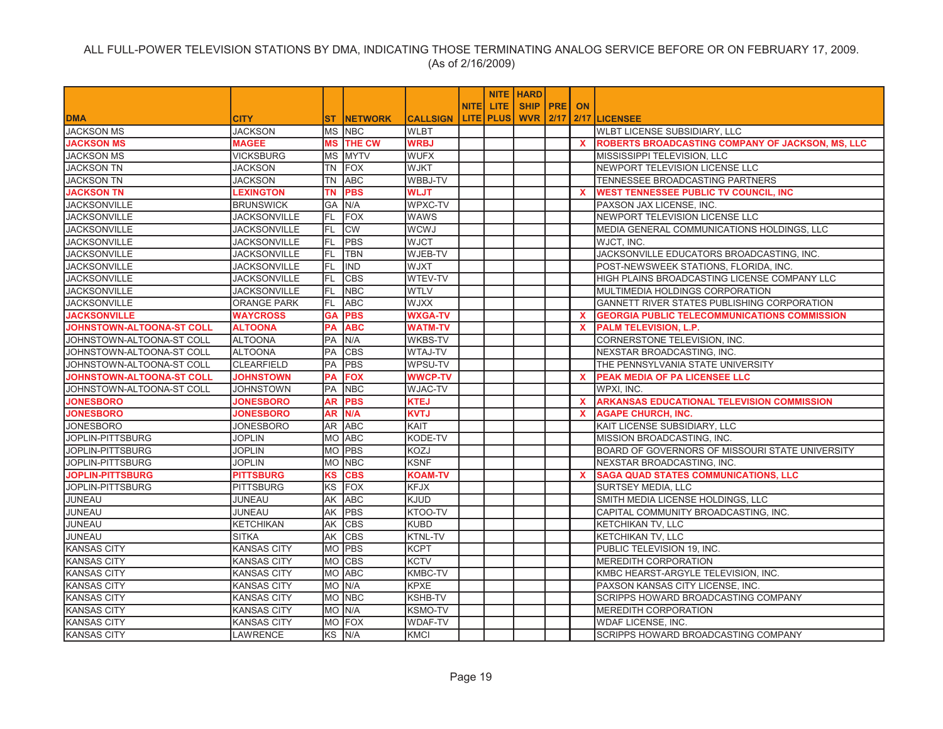|                                  |                     |           |                 |                 |             |                  | <b>NITE   HARD</b> |              |                                                         |
|----------------------------------|---------------------|-----------|-----------------|-----------------|-------------|------------------|--------------------|--------------|---------------------------------------------------------|
|                                  |                     |           |                 |                 | <b>NITE</b> | <b>LITE</b>      | SHIP   PRE         | <b>ON</b>    |                                                         |
| <b>DMA</b>                       | CITY                | ST.       | <b>INETWORK</b> | <b>CALLSIGN</b> |             | <b>LITE PLUS</b> | <b>WVR 2/17</b>    |              | 2/17 LICENSEE                                           |
| <b>JACKSON MS</b>                | <b>JACKSON</b>      |           | MS INBC         | <b>WLBT</b>     |             |                  |                    |              | WLBT LICENSE SUBSIDIARY, LLC                            |
| <b>JACKSON MS</b>                | <b>MAGEE</b>        | MS        | <b>THE CW</b>   | <b>WRBJ</b>     |             |                  |                    | $\mathbf{x}$ | <b>ROBERTS BROADCASTING COMPANY OF JACKSON, MS, LLC</b> |
| <b>JACKSON MS</b>                | <b>VICKSBURG</b>    | ΜS        | <b>MYTV</b>     | <b>WUFX</b>     |             |                  |                    |              | MISSISSIPPI TELEVISION, LLC                             |
| <b>JACKSON TN</b>                | <b>JACKSON</b>      | TN        | <b>FOX</b>      | <b>WJKT</b>     |             |                  |                    |              | NEWPORT TELEVISION LICENSE LLC                          |
| <b>JACKSON TN</b>                | <b>JACKSON</b>      | <b>TN</b> | <b>ABC</b>      | WBBJ-TV         |             |                  |                    |              | TENNESSEE BROADCASTING PARTNERS                         |
| <b>JACKSON TN</b>                | <b>LEXINGTON</b>    | ΤN        | <b>PBS</b>      | <b>WLJT</b>     |             |                  |                    | <b>X</b>     | <b>WEST TENNESSEE PUBLIC TV COUNCIL, INC</b>            |
| <b>JACKSONVILLE</b>              | <b>BRUNSWICK</b>    | GA        | N/A             | WPXC-TV         |             |                  |                    |              | PAXSON JAX LICENSE, INC.                                |
| <b>JACKSONVILLE</b>              | <b>JACKSONVILLE</b> | FL.       | FOX             | <b>WAWS</b>     |             |                  |                    |              | NEWPORT TELEVISION LICENSE LLC                          |
| <b>JACKSONVILLE</b>              | <b>JACKSONVILLE</b> | <b>FL</b> | <b>CW</b>       | <b>WCWJ</b>     |             |                  |                    |              | MEDIA GENERAL COMMUNICATIONS HOLDINGS, LLC              |
| <b>JACKSONVILLE</b>              | JACKSONVILLE        | FL.       | <b>PBS</b>      | <b>WJCT</b>     |             |                  |                    |              | WJCT, INC.                                              |
| <b>JACKSONVILLE</b>              | <b>JACKSONVILLE</b> | FL.       | <b>TBN</b>      | WJEB-TV         |             |                  |                    |              | JACKSONVILLE EDUCATORS BROADCASTING, INC.               |
| <b>JACKSONVILLE</b>              | <b>JACKSONVILLE</b> | FL.       | <b>IND</b>      | <b>WJXT</b>     |             |                  |                    |              | POST-NEWSWEEK STATIONS, FLORIDA, INC.                   |
| <b>JACKSONVILLE</b>              | JACKSONVILLE        | FL.       | <b>CBS</b>      | WTEV-TV         |             |                  |                    |              | HIGH PLAINS BROADCASTING LICENSE COMPANY LLC            |
| <b>JACKSONVILLE</b>              | <b>JACKSONVILLE</b> | FL.       | <b>NBC</b>      | <b>WTLV</b>     |             |                  |                    |              | MULTIMEDIA HOLDINGS CORPORATION                         |
| <b>JACKSONVILLE</b>              | <b>ORANGE PARK</b>  | FL.       | <b>ABC</b>      | <b>XXLW</b>     |             |                  |                    |              | GANNETT RIVER STATES PUBLISHING CORPORATION             |
| <b>JACKSONVILLE</b>              | <b>WAYCROSS</b>     | <b>GA</b> | <b>PBS</b>      | <b>WXGA-TV</b>  |             |                  |                    | $\mathbf x$  | <b>GEORGIA PUBLIC TELECOMMUNICATIONS COMMISSION</b>     |
| <b>JOHNSTOWN-ALTOONA-ST COLL</b> | <b>ALTOONA</b>      | PA        | <b>ABC</b>      | <b>WATM-TV</b>  |             |                  |                    | $\mathbf{x}$ | <b>PALM TELEVISION, L.P.</b>                            |
| JOHNSTOWN-ALTOONA-ST COLL        | <b>ALTOONA</b>      | PA        | N/A             | WKBS-TV         |             |                  |                    |              | CORNERSTONE TELEVISION, INC.                            |
| JOHNSTOWN-ALTOONA-ST COLL        | <b>ALTOONA</b>      | PA        | <b>CBS</b>      | <b>WTAJ-TV</b>  |             |                  |                    |              | NEXSTAR BROADCASTING, INC.                              |
| JOHNSTOWN-ALTOONA-ST COLL        | <b>CLEARFIELD</b>   | PA        | <b>PBS</b>      | WPSU-TV         |             |                  |                    |              | THE PENNSYLVANIA STATE UNIVERSITY                       |
| JOHNSTOWN-ALTOONA-ST COLL        | <b>JOHNSTOWN</b>    | PА        | <b>FOX</b>      | <b>WWCP-TV</b>  |             |                  |                    | <b>X</b>     | PEAK MEDIA OF PA LICENSEE LLC                           |
| JOHNSTOWN-ALTOONA-ST COLL        | <b>JOHNSTOWN</b>    | PA        | <b>NBC</b>      | <b>WJAC-TV</b>  |             |                  |                    |              | WPXI, INC.                                              |
| <b>JONESBORO</b>                 | <b>JONESBORO</b>    | AR        | <b>PBS</b>      | <b>KTEJ</b>     |             |                  |                    | $\mathbf{x}$ | <b>ARKANSAS EDUCATIONAL TELEVISION COMMISSION</b>       |
| <b>JONESBORO</b>                 | <b>JONESBORO</b>    | <b>AR</b> | N/A             | <b>KVTJ</b>     |             |                  |                    | <b>X</b>     | <b>AGAPE CHURCH, INC.</b>                               |
| <b>JONESBORO</b>                 | <b>JONESBORO</b>    |           | AR ABC          | KAIT            |             |                  |                    |              | KAIT LICENSE SUBSIDIARY, LLC                            |
| JOPLIN-PITTSBURG                 | <b>JOPLIN</b>       |           | MO ABC          | KODE-TV         |             |                  |                    |              | MISSION BROADCASTING, INC.                              |
| JOPLIN-PITTSBURG                 | <b>JOPLIN</b>       |           | MO PBS          | KOZJ            |             |                  |                    |              | BOARD OF GOVERNORS OF MISSOURI STATE UNIVERSITY         |
| JOPLIN-PITTSBURG                 | <b>JOPLIN</b>       |           | MO NBC          | <b>KSNF</b>     |             |                  |                    |              | NEXSTAR BROADCASTING, INC.                              |
| <b>JOPLIN-PITTSBURG</b>          | <b>PITTSBURG</b>    | ΚS        | <b>CBS</b>      | <b>KOAM-TV</b>  |             |                  |                    | <b>X</b>     | <b>SAGA QUAD STATES COMMUNICATIONS, LLC</b>             |
| JOPLIN-PITTSBURG                 | <b>PITTSBURG</b>    | KS        | FOX             | <b>KFJX</b>     |             |                  |                    |              | SURTSEY MEDIA, LLC                                      |
| JUNEAU                           | JUNEAU              | AΚ        | <b>ABC</b>      | <b>KJUD</b>     |             |                  |                    |              | SMITH MEDIA LICENSE HOLDINGS, LLC                       |
| JUNEAU                           | JUNEAU              | AΚ        | PBS             | KTOO-TV         |             |                  |                    |              | CAPITAL COMMUNITY BROADCASTING, INC.                    |
| JUNEAU                           | <b>KETCHIKAN</b>    | AΚ        | <b>CBS</b>      | <b>KUBD</b>     |             |                  |                    |              | KETCHIKAN TV, LLC                                       |
| JUNEAU                           | <b>SITKA</b>        | АK        | <b>CBS</b>      | KTNL-TV         |             |                  |                    |              | KETCHIKAN TV, LLC                                       |
| <b>KANSAS CITY</b>               | <b>KANSAS CITY</b>  |           | MO PBS          | <b>KCPT</b>     |             |                  |                    |              | PUBLIC TELEVISION 19, INC.                              |
| <b>KANSAS CITY</b>               | <b>KANSAS CITY</b>  |           | MO CBS          | <b>KCTV</b>     |             |                  |                    |              | <b>MEREDITH CORPORATION</b>                             |
| <b>KANSAS CITY</b>               | <b>KANSAS CITY</b>  |           | MO ABC          | KMBC-TV         |             |                  |                    |              | KMBC HEARST-ARGYLE TELEVISION. INC.                     |
| <b>KANSAS CITY</b>               | <b>KANSAS CITY</b>  |           | MO N/A          | <b>KPXE</b>     |             |                  |                    |              | PAXSON KANSAS CITY LICENSE, INC.                        |
| <b>KANSAS CITY</b>               | <b>KANSAS CITY</b>  |           | MO NBC          | <b>KSHB-TV</b>  |             |                  |                    |              | SCRIPPS HOWARD BROADCASTING COMPANY                     |
| <b>KANSAS CITY</b>               | <b>KANSAS CITY</b>  |           | MO N/A          | <b>KSMO-TV</b>  |             |                  |                    |              | <b>MEREDITH CORPORATION</b>                             |
| <b>KANSAS CITY</b>               | KANSAS CITY         |           | MO FOX          | <b>WDAF-TV</b>  |             |                  |                    |              | WDAF LICENSE, INC.                                      |
| <b>KANSAS CITY</b>               | <b>LAWRENCE</b>     |           | KS N/A          | <b>KMCI</b>     |             |                  |                    |              | SCRIPPS HOWARD BROADCASTING COMPANY                     |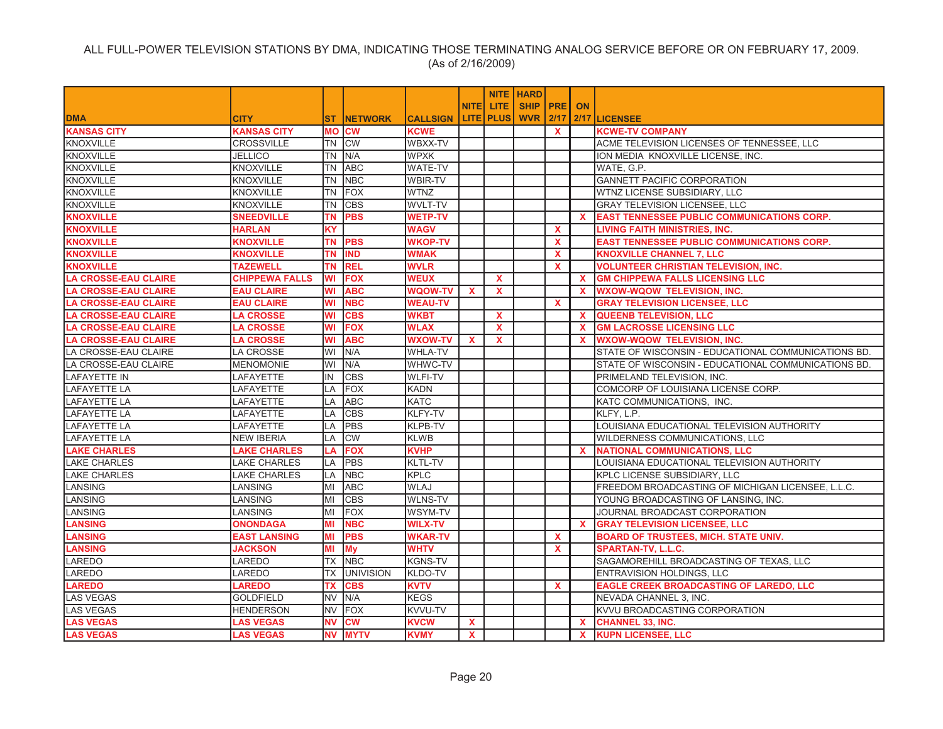|                             |                       |           |                  |                 |                         |              | <b>NITE HARD</b> |              |              |                                                     |
|-----------------------------|-----------------------|-----------|------------------|-----------------|-------------------------|--------------|------------------|--------------|--------------|-----------------------------------------------------|
|                             |                       |           |                  |                 | <b>NITEI</b>            | LITE.        | SHIP PRE ON      |              |              |                                                     |
| <b>DMA</b>                  | <b>CITY</b>           | <b>ST</b> | <b>INETWORK</b>  | <b>CALLSIGN</b> |                         | LITE PLUS    | <b>WVR 2/17</b>  |              |              | 2/17 LICENSEE                                       |
| <b>KANSAS CITY</b>          | <b>KANSAS CITY</b>    |           | <b>MO CW</b>     | <b>KCWE</b>     |                         |              |                  | <b>X</b>     |              | <b>KCWE-TV COMPANY</b>                              |
| <b>KNOXVILLE</b>            | <b>CROSSVILLE</b>     | TN        | <b>CW</b>        | WBXX-TV         |                         |              |                  |              |              | ACME TELEVISION LICENSES OF TENNESSEE, LLC          |
| <b>KNOXVILLE</b>            | <b>JELLICO</b>        | <b>TN</b> | N/A              | <b>WPXK</b>     |                         |              |                  |              |              | ION MEDIA KNOXVILLE LICENSE, INC.                   |
| <b>KNOXVILLE</b>            | <b>KNOXVILLE</b>      | <b>TN</b> | <b>ABC</b>       | WATE-TV         |                         |              |                  |              |              | WATE, G.P.                                          |
| <b>KNOXVILLE</b>            | <b>KNOXVILLE</b>      | <b>TN</b> | <b>NBC</b>       | WBIR-TV         |                         |              |                  |              |              | <b>GANNETT PACIFIC CORPORATION</b>                  |
| <b>KNOXVILLE</b>            | <b>KNOXVILLE</b>      | <b>TN</b> | FOX              | <b>WTNZ</b>     |                         |              |                  |              |              | WTNZ LICENSE SUBSIDIARY, LLC                        |
| <b>KNOXVILLE</b>            | <b>KNOXVILLE</b>      | <b>TN</b> | <b>CBS</b>       | WVLT-TV         |                         |              |                  |              |              | GRAY TELEVISION LICENSEE, LLC                       |
| <b>KNOXVILLE</b>            | <b>SNEEDVILLE</b>     | TN        | <b>PBS</b>       | <b>WETP-TV</b>  |                         |              |                  |              | <b>X</b>     | <b>EAST TENNESSEE PUBLIC COMMUNICATIONS CORP.</b>   |
| <b>KNOXVILLE</b>            | <b>HARLAN</b>         | <b>KY</b> |                  | <b>WAGV</b>     |                         |              |                  | $\mathbf{x}$ |              | LIVING FAITH MINISTRIES. INC.                       |
| <b>KNOXVILLE</b>            | <b>KNOXVILLE</b>      | ΤN        | <b>PBS</b>       | <b>WKOP-TV</b>  |                         |              |                  | <b>X</b>     |              | <b>EAST TENNESSEE PUBLIC COMMUNICATIONS CORP.</b>   |
| <b>KNOXVILLE</b>            | <b>KNOXVILLE</b>      | <b>TN</b> | <b>IND</b>       | <b>WMAK</b>     |                         |              |                  | $\mathbf{x}$ |              | <b>KNOXVILLE CHANNEL 7, LLC</b>                     |
| <b>KNOXVILLE</b>            | <b>TAZEWELL</b>       | TN        | <b>REL</b>       | <b>WVLR</b>     |                         |              |                  | $\mathbf{x}$ |              | <b>VOLUNTEER CHRISTIAN TELEVISION. INC.</b>         |
| <b>LA CROSSE-EAU CLAIRE</b> | <b>CHIPPEWA FALLS</b> | WI        | <b>FOX</b>       | <b>WEUX</b>     |                         | $\mathbf{x}$ |                  |              | X.           | <b>GM CHIPPEWA FALLS LICENSING LLC</b>              |
| <b>LA CROSSE-EAU CLAIRE</b> | <b>EAU CLAIRE</b>     | WI        | <b>ABC</b>       | <b>WQOW-TV</b>  | $\mathbf{x}$            | $\mathbf{x}$ |                  |              | $\mathbf{x}$ | <b>WXOW-WQOW TELEVISION, INC.</b>                   |
| <b>LA CROSSE-EAU CLAIRE</b> | <b>EAU CLAIRE</b>     | WI        | <b>NBC</b>       | <b>WEAU-TV</b>  |                         |              |                  | <b>X</b>     |              | <b>GRAY TELEVISION LICENSEE, LLC</b>                |
| <b>LA CROSSE-EAU CLAIRE</b> | <b>LA CROSSE</b>      | WI        | <b>CBS</b>       | <b>WKBT</b>     |                         | $\mathbf{x}$ |                  |              | $\mathbf{x}$ | <b>QUEENB TELEVISION, LLC</b>                       |
| <b>LA CROSSE-EAU CLAIRE</b> | <b>LA CROSSE</b>      | WI        | <b>FOX</b>       | <b>WLAX</b>     |                         | $\mathbf{x}$ |                  |              | $\mathbf{x}$ | <b>GM LACROSSE LICENSING LLC</b>                    |
| <b>LA CROSSE-EAU CLAIRE</b> | <b>LA CROSSE</b>      | WI        | <b>ABC</b>       | <b>WXOW-TV</b>  | X                       | X            |                  |              | <b>X</b>     | <b>WXOW-WQOW TELEVISION, INC.</b>                   |
| LA CROSSE-EAU CLAIRE        | LA CROSSE             | WI        | N/A              | WHLA-TV         |                         |              |                  |              |              | STATE OF WISCONSIN - EDUCATIONAL COMMUNICATIONS BD. |
| LA CROSSE-EAU CLAIRE        | <b>MENOMONIE</b>      | WI        | N/A              | WHWC-TV         |                         |              |                  |              |              | STATE OF WISCONSIN - EDUCATIONAL COMMUNICATIONS BD. |
| <b>LAFAYETTE IN</b>         | LAFAYETTE             | IN        | <b>CBS</b>       | <b>WLFI-TV</b>  |                         |              |                  |              |              | PRIMELAND TELEVISION, INC.                          |
| <b>LAFAYETTE LA</b>         | LAFAYETTE             | LA        | <b>FOX</b>       | <b>KADN</b>     |                         |              |                  |              |              | COMCORP OF LOUISIANA LICENSE CORP.                  |
| <b>LAFAYETTE LA</b>         | LAFAYETTE             | LA        | <b>ABC</b>       | <b>KATC</b>     |                         |              |                  |              |              | KATC COMMUNICATIONS, INC.                           |
| <b>LAFAYETTE LA</b>         | LAFAYETTE             | LA        | <b>CBS</b>       | KLFY-TV         |                         |              |                  |              |              | KLFY, L.P.                                          |
| <b>LAFAYETTE LA</b>         | <b>LAFAYETTE</b>      | LA        | PBS              | <b>KLPB-TV</b>  |                         |              |                  |              |              | LOUISIANA EDUCATIONAL TELEVISION AUTHORITY          |
| <b>LAFAYETTE LA</b>         | <b>NEW IBERIA</b>     | LA        | <b>CW</b>        | <b>KLWB</b>     |                         |              |                  |              |              | WILDERNESS COMMUNICATIONS, LLC                      |
| <b>LAKE CHARLES</b>         | <b>LAKE CHARLES</b>   | LA        | <b>FOX</b>       | <b>KVHP</b>     |                         |              |                  |              | <b>X</b>     | <b>NATIONAL COMMUNICATIONS, LLC</b>                 |
| <b>LAKE CHARLES</b>         | <b>LAKE CHARLES</b>   | LA        | PBS              | KLTL-TV         |                         |              |                  |              |              | LOUISIANA EDUCATIONAL TELEVISION AUTHORITY          |
| <b>LAKE CHARLES</b>         | <b>LAKE CHARLES</b>   | LA        | <b>NBC</b>       | <b>KPLC</b>     |                         |              |                  |              |              | KPLC LICENSE SUBSIDIARY, LLC                        |
| LANSING                     | LANSING               | MI        | <b>ABC</b>       | <b>WLAJ</b>     |                         |              |                  |              |              | FREEDOM BROADCASTING OF MICHIGAN LICENSEE, L.L.C.   |
| <b>LANSING</b>              | <b>LANSING</b>        | MI        | <b>CBS</b>       | <b>WLNS-TV</b>  |                         |              |                  |              |              | YOUNG BROADCASTING OF LANSING, INC.                 |
| LANSING                     | <b>LANSING</b>        | MI        | <b>FOX</b>       | WSYM-TV         |                         |              |                  |              |              | JOURNAL BROADCAST CORPORATION                       |
| <b>LANSING</b>              | <b>ONONDAGA</b>       | MI        | <b>NBC</b>       | <b>WILX-TV</b>  |                         |              |                  |              | $\mathbf{x}$ | <b>GRAY TELEVISION LICENSEE, LLC</b>                |
| <b>LANSING</b>              | <b>EAST LANSING</b>   | MI        | <b>PBS</b>       | <b>WKAR-TV</b>  |                         |              |                  | $\mathbf{x}$ |              | <b>BOARD OF TRUSTEES, MICH. STATE UNIV.</b>         |
| <b>LANSING</b>              | <b>JACKSON</b>        | MI        | <b>My</b>        | <b>WHTV</b>     |                         |              |                  | $\mathbf{x}$ |              | <b>SPARTAN-TV, L.L.C.</b>                           |
| LAREDO                      | LAREDO                | TX        | <b>NBC</b>       | <b>KGNS-TV</b>  |                         |              |                  |              |              | SAGAMOREHILL BROADCASTING OF TEXAS, LLC             |
| <b>LAREDO</b>               | LAREDO                | <b>TX</b> | <b>UNIVISION</b> | KLDO-TV         |                         |              |                  |              |              | ENTRAVISION HOLDINGS, LLC                           |
| <b>LAREDO</b>               | <b>LAREDO</b>         | <b>TX</b> | <b>CBS</b>       | <b>KVTV</b>     |                         |              |                  | $\mathbf{x}$ |              | <b>EAGLE CREEK BROADCASTING OF LAREDO, LLC</b>      |
| <b>LAS VEGAS</b>            | <b>GOLDFIELD</b>      | <b>NV</b> | N/A              | <b>KEGS</b>     |                         |              |                  |              |              | NEVADA CHANNEL 3, INC.                              |
| <b>LAS VEGAS</b>            | <b>HENDERSON</b>      | <b>NV</b> | <b>FOX</b>       | KVVU-TV         |                         |              |                  |              |              | KVVU BROADCASTING CORPORATION                       |
| <b>LAS VEGAS</b>            | <b>LAS VEGAS</b>      | <b>NV</b> | <b>CW</b>        | KVCW            | <b>X</b>                |              |                  |              | X.           | <b>CHANNEL 33, INC.</b>                             |
| <b>LAS VEGAS</b>            | <b>LAS VEGAS</b>      | <b>NV</b> | <b>MYTV</b>      | <b>KVMY</b>     | $\overline{\mathbf{X}}$ |              |                  |              | $\mathbf{x}$ | <b>KUPN LICENSEE, LLC</b>                           |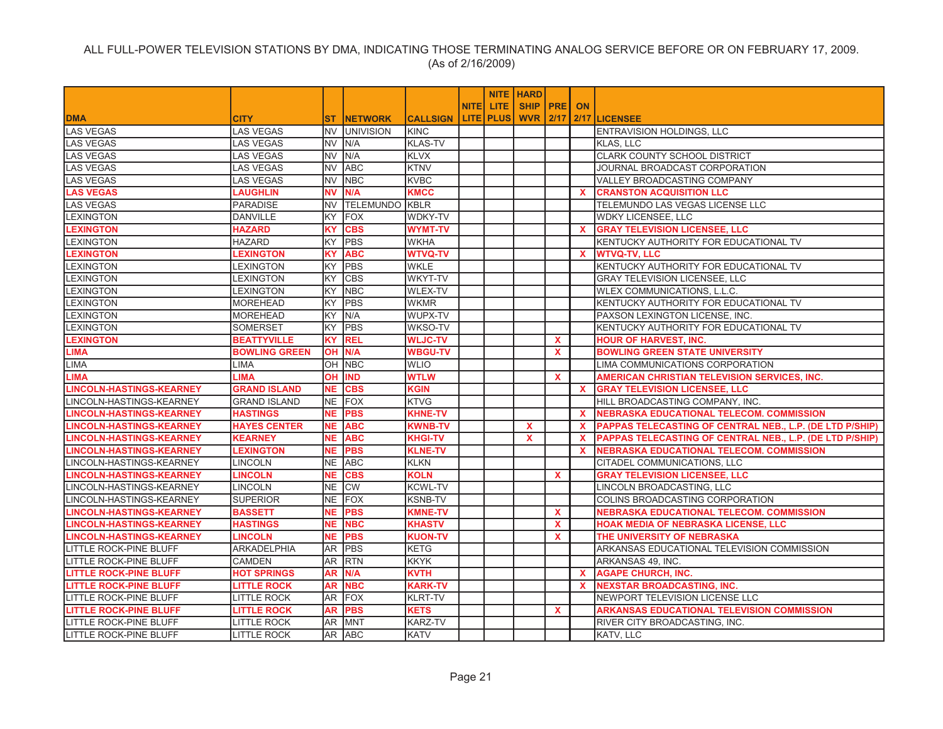|                                 |                      |           |                  |                 |              |             | <b>NITE   HARD</b> |              |              |                                                                 |
|---------------------------------|----------------------|-----------|------------------|-----------------|--------------|-------------|--------------------|--------------|--------------|-----------------------------------------------------------------|
|                                 |                      |           |                  |                 | <b>NITE</b>  | <b>LITE</b> | SHIP   PRE         |              | <b>ON</b>    |                                                                 |
| <b>DMA</b>                      | <b>CITY</b>          | ST.       | <b>INETWORK</b>  | <b>CALLSIGN</b> | <b>LITEI</b> | <b>PLUS</b> | <b>WVR 2/17</b>    |              | 2/17         | <b>LICENSEE</b>                                                 |
| <b>LAS VEGAS</b>                | <b>LAS VEGAS</b>     | NV        | <b>UNIVISION</b> | <b>KINC</b>     |              |             |                    |              |              | ENTRAVISION HOLDINGS, LLC                                       |
| <b>LAS VEGAS</b>                | <b>LAS VEGAS</b>     | NV.       | N/A              | <b>KLAS-TV</b>  |              |             |                    |              |              | <b>KLAS, LLC</b>                                                |
| <b>LAS VEGAS</b>                | <b>LAS VEGAS</b>     | <b>NV</b> | N/A              | <b>KLVX</b>     |              |             |                    |              |              | <b>CLARK COUNTY SCHOOL DISTRICT</b>                             |
| <b>LAS VEGAS</b>                | LAS VEGAS            | <b>NV</b> | <b>ABC</b>       | <b>KTNV</b>     |              |             |                    |              |              | JOURNAL BROADCAST CORPORATION                                   |
| <b>LAS VEGAS</b>                | <b>LAS VEGAS</b>     | <b>NV</b> | <b>NBC</b>       | <b>KVBC</b>     |              |             |                    |              |              | <b>VALLEY BROADCASTING COMPANY</b>                              |
| <b>LAS VEGAS</b>                | <b>LAUGHLIN</b>      | <b>NV</b> | N/A              | <b>KMCC</b>     |              |             |                    |              | $\mathbf{x}$ | <b>CRANSTON ACQUISITION LLC</b>                                 |
| <b>LAS VEGAS</b>                | <b>PARADISE</b>      | <b>NV</b> | <b>TELEMUNDO</b> | <b>KBLR</b>     |              |             |                    |              |              | TELEMUNDO LAS VEGAS LICENSE LLC                                 |
| <b>LEXINGTON</b>                | <b>DANVILLE</b>      | KY        | <b>FOX</b>       | <b>WDKY-TV</b>  |              |             |                    |              |              | <b>WDKY LICENSEE, LLC</b>                                       |
| <b>LEXINGTON</b>                | <b>HAZARD</b>        | ΚÝ        | <b>CBS</b>       | <b>WYMT-TV</b>  |              |             |                    |              | <b>X</b>     | <b>GRAY TELEVISION LICENSEE, LLC</b>                            |
| <b>EXINGTON</b>                 | <b>HAZARD</b>        | KY        | <b>PBS</b>       | <b>WKHA</b>     |              |             |                    |              |              | KENTUCKY AUTHORITY FOR EDUCATIONAL TV                           |
| <b>LEXINGTON</b>                | <b>LEXINGTON</b>     | KΥ        | <b>ABC</b>       | <b>WTVQ-TV</b>  |              |             |                    |              | $\mathbf{x}$ | <b>WTVQ-TV, LLC</b>                                             |
| <b>LEXINGTON</b>                | LEXINGTON            | ΚY        | <b>PBS</b>       | <b>WKLE</b>     |              |             |                    |              |              | KENTUCKY AUTHORITY FOR EDUCATIONAL TV                           |
| <b>LEXINGTON</b>                | LEXINGTON            | KY        | <b>CBS</b>       | WKYT-TV         |              |             |                    |              |              | <b>GRAY TELEVISION LICENSEE, LLC</b>                            |
| <b>LEXINGTON</b>                | <b>LEXINGTON</b>     | ΚY        | <b>NBC</b>       | <b>WLEX-TV</b>  |              |             |                    |              |              | WLEX COMMUNICATIONS, L.L.C.                                     |
| LEXINGTON                       | <b>MOREHEAD</b>      | ΚY        | <b>PBS</b>       | <b>WKMR</b>     |              |             |                    |              |              | KENTUCKY AUTHORITY FOR EDUCATIONAL TV                           |
| <b>LEXINGTON</b>                | <b>MOREHEAD</b>      | KY        | N/A              | WUPX-TV         |              |             |                    |              |              | PAXSON LEXINGTON LICENSE, INC.                                  |
| <b>LEXINGTON</b>                | <b>SOMERSET</b>      | ΚY        | <b>PBS</b>       | <b>WKSO-TV</b>  |              |             |                    |              |              | KENTUCKY AUTHORITY FOR EDUCATIONAL TV                           |
| <b>LEXINGTON</b>                | <b>BEATTYVILLE</b>   | <b>KY</b> | <b>REL</b>       | <b>WLJC-TV</b>  |              |             |                    | $\mathbf{x}$ |              | <b>HOUR OF HARVEST, INC.</b>                                    |
| <b>LIMA</b>                     | <b>BOWLING GREEN</b> |           | OH IN/A          | <b>WBGU-TV</b>  |              |             |                    | $\mathbf{x}$ |              | <b>BOWLING GREEN STATE UNIVERSITY</b>                           |
| <b>LIMA</b>                     | LIMA                 | OH        | <b>NBC</b>       | <b>WLIO</b>     |              |             |                    |              |              | LIMA COMMUNICATIONS CORPORATION                                 |
| <b>LIMA</b>                     | LIMA                 | OН        | <b>IND</b>       | <b>WTLW</b>     |              |             |                    | $\mathbf{x}$ |              | <b>AMERICAN CHRISTIAN TELEVISION SERVICES, INC.</b>             |
| <b>LINCOLN-HASTINGS-KEARNEY</b> | <b>GRAND ISLAND</b>  | <b>NE</b> | <b>CBS</b>       | <b>KGIN</b>     |              |             |                    |              | $\mathbf{x}$ | <b>GRAY TELEVISION LICENSEE, LLC</b>                            |
| LINCOLN-HASTINGS-KEARNEY        | <b>GRAND ISLAND</b>  | NE.       | <b>FOX</b>       | <b>KTVG</b>     |              |             |                    |              |              | HILL BROADCASTING COMPANY, INC.                                 |
| <b>LINCOLN-HASTINGS-KEARNEY</b> | <b>HASTINGS</b>      | <b>NE</b> | <b>PBS</b>       | <b>KHNE-TV</b>  |              |             |                    |              | $\mathbf{x}$ | <b>NEBRASKA EDUCATIONAL TELECOM. COMMISSION</b>                 |
| <b>LINCOLN-HASTINGS-KEARNEY</b> | <b>HAYES CENTER</b>  | NE.       | <b>ABC</b>       | <b>KWNB-TV</b>  |              |             | $\mathbf{x}$       |              | $\mathbf{x}$ | <b>PAPPAS TELECASTING OF CENTRAL NEB., L.P. (DE LTD P/SHIP)</b> |
| <b>LINCOLN-HASTINGS-KEARNEY</b> | <b>KEARNEY</b>       | <b>NE</b> | <b>ABC</b>       | <b>KHGI-TV</b>  |              |             | X                  |              | $\mathbf{x}$ | PAPPAS TELECASTING OF CENTRAL NEB., L.P. (DE LTD P/SHIP)        |
| <b>LINCOLN-HASTINGS-KEARNEY</b> | <b>LEXINGTON</b>     | <b>NE</b> | <b>PBS</b>       | <b>KLNE-TV</b>  |              |             |                    |              | $\mathbf{x}$ | <b>NEBRASKA EDUCATIONAL TELECOM. COMMISSION</b>                 |
| LINCOLN-HASTINGS-KEARNEY        | <b>LINCOLN</b>       | NE        | <b>ABC</b>       | <b>KLKN</b>     |              |             |                    |              |              | CITADEL COMMUNICATIONS, LLC                                     |
| <b>LINCOLN-HASTINGS-KEARNEY</b> | <b>LINCOLN</b>       | <b>NE</b> | <b>CBS</b>       | <b>KOLN</b>     |              |             |                    | $\mathbf{x}$ |              | <b>GRAY TELEVISION LICENSEE, LLC</b>                            |
| LINCOLN-HASTINGS-KEARNEY        | <b>LINCOLN</b>       | NE.       | <b>CW</b>        | <b>KCWL-TV</b>  |              |             |                    |              |              | LINCOLN BROADCASTING. LLC                                       |
| LINCOLN-HASTINGS-KEARNEY        | <b>SUPERIOR</b>      | NE        | <b>FOX</b>       | <b>KSNB-TV</b>  |              |             |                    |              |              | COLINS BROADCASTING CORPORATION                                 |
| <b>LINCOLN-HASTINGS-KEARNEY</b> | <b>BASSETT</b>       | <b>NE</b> | <b>PBS</b>       | <b>KMNE-TV</b>  |              |             |                    | $\mathbf{x}$ |              | NEBRASKA EDUCATIONAL TELECOM. COMMISSION                        |
| <b>LINCOLN-HASTINGS-KEARNEY</b> | <b>HASTINGS</b>      | NE.       | <b>NBC</b>       | <b>KHASTV</b>   |              |             |                    | $\mathbf{x}$ |              | HOAK MEDIA OF NEBRASKA LICENSE, LLC                             |
| <b>LINCOLN-HASTINGS-KEARNEY</b> | <b>LINCOLN</b>       | NE.       | <b>PBS</b>       | <b>KUON-TV</b>  |              |             |                    | $\mathbf{x}$ |              | THE UNIVERSITY OF NEBRASKA                                      |
| <b>LITTLE ROCK-PINE BLUFF</b>   | <b>ARKADELPHIA</b>   | AR.       | <b>PBS</b>       | <b>KETG</b>     |              |             |                    |              |              | ARKANSAS EDUCATIONAL TELEVISION COMMISSION                      |
| <b>LITTLE ROCK-PINE BLUFF</b>   | <b>CAMDEN</b>        | AR        | <b>RTN</b>       | <b>KKYK</b>     |              |             |                    |              |              | ARKANSAS 49, INC.                                               |
| <b>LITTLE ROCK-PINE BLUFF</b>   | <b>HOT SPRINGS</b>   | AR        | N/A              | <b>KVTH</b>     |              |             |                    |              | <b>X</b>     | <b>AGAPE CHURCH, INC.</b>                                       |
| <b>LITTLE ROCK-PINE BLUFF</b>   | <b>LITTLE ROCK</b>   | AR        | <b>NBC</b>       | <b>KARK-TV</b>  |              |             |                    |              | $\mathbf{x}$ | <b>NEXSTAR BROADCASTING. INC.</b>                               |
| LITTLE ROCK-PINE BLUFF          | LITTLE ROCK          | AR        | FOX              | <b>KLRT-TV</b>  |              |             |                    |              |              | NEWPORT TELEVISION LICENSE LLC                                  |
| <b>LITTLE ROCK-PINE BLUFF</b>   | <b>LITTLE ROCK</b>   | AR        | <b>PBS</b>       | <b>KETS</b>     |              |             |                    | $\mathbf{x}$ |              | <b>ARKANSAS EDUCATIONAL TELEVISION COMMISSION</b>               |
| <b>LITTLE ROCK-PINE BLUFF</b>   | <b>LITTLE ROCK</b>   | AR        | <b>MNT</b>       | <b>KARZ-TV</b>  |              |             |                    |              |              | RIVER CITY BROADCASTING. INC.                                   |
| LITTLE ROCK-PINE BLUFF          | LITTLE ROCK          |           | AR ABC           | <b>KATV</b>     |              |             |                    |              |              | KATV. LLC                                                       |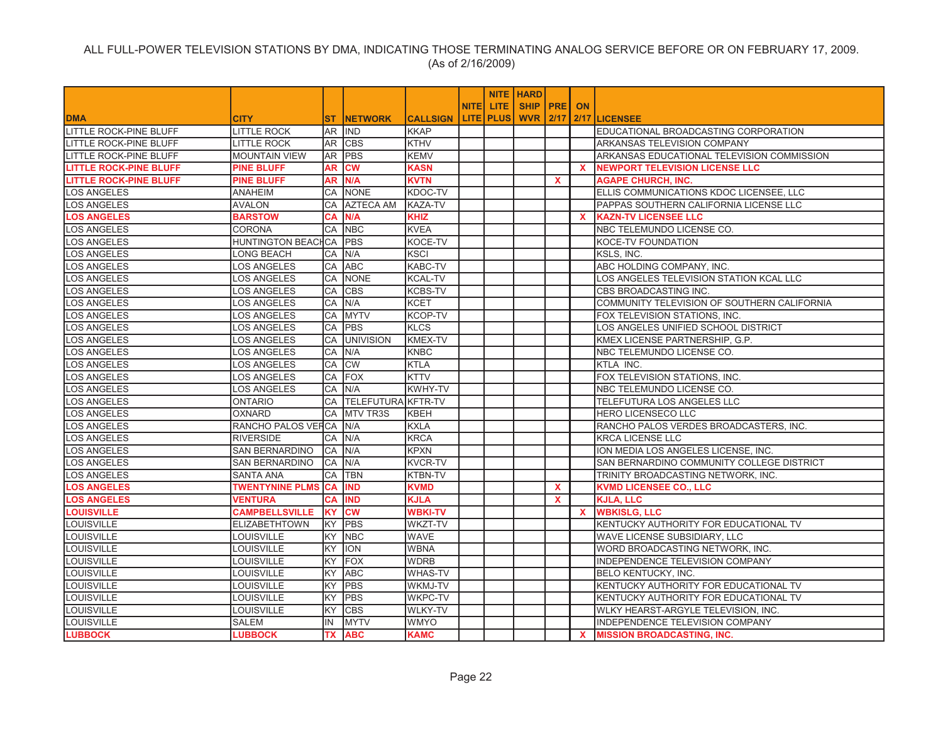|                               |                        |           |                           |                 |           | <b>NITE   HARD</b> |              |              |                                             |
|-------------------------------|------------------------|-----------|---------------------------|-----------------|-----------|--------------------|--------------|--------------|---------------------------------------------|
|                               |                        |           |                           |                 | NITE LITE | SHIP   PRE   ON    |              |              |                                             |
| <b>DMA</b>                    | <b>CITY</b>            | <b>ST</b> | <b>NETWORK</b>            | <b>CALLSIGN</b> | LITE PLUS | WVR                | 2/17         |              | 2/17 LICENSEE                               |
| <b>LITTLE ROCK-PINE BLUFF</b> | <b>LITTLE ROCK</b>     | AR        | <b>IND</b>                | <b>KKAP</b>     |           |                    |              |              | EDUCATIONAL BROADCASTING CORPORATION        |
| <b>LITTLE ROCK-PINE BLUFF</b> | <b>LITTLE ROCK</b>     | AR        | <b>CBS</b>                | KTHV            |           |                    |              |              | ARKANSAS TELEVISION COMPANY                 |
| <b>LITTLE ROCK-PINE BLUFF</b> | <b>MOUNTAIN VIEW</b>   | AR        | PBS                       | <b>KEMV</b>     |           |                    |              |              | ARKANSAS EDUCATIONAL TELEVISION COMMISSION  |
| <b>LITTLE ROCK-PINE BLUFF</b> | <b>PINE BLUFF</b>      | AR        | <b>CW</b>                 | <b>KASN</b>     |           |                    |              | $\mathbf{x}$ | <b>NEWPORT TELEVISION LICENSE LLC</b>       |
| <b>LITTLE ROCK-PINE BLUFF</b> | <b>PINE BLUFF</b>      | AR        | N/A                       | <b>KVTN</b>     |           |                    | $\mathbf{x}$ |              | <b>AGAPE CHURCH, INC.</b>                   |
| LOS ANGELES                   | <b>ANAHEIM</b>         | CA        | <b>NONE</b>               | KDOC-TV         |           |                    |              |              | ELLIS COMMUNICATIONS KDOC LICENSEE, LLC     |
| <b>OS ANGELES</b>             | <b>AVALON</b>          | CA        | <b>AZTECA AM</b>          | <b>KAZA-TV</b>  |           |                    |              |              | PAPPAS SOUTHERN CALIFORNIA LICENSE LLC      |
| <b>LOS ANGELES</b>            | <b>BARSTOW</b>         | <b>CA</b> | N/A                       | <b>KHIZ</b>     |           |                    |              | $\mathbf{x}$ | <b>KAZN-TV LICENSEE LLC</b>                 |
| <b>LOS ANGELES</b>            | <b>CORONA</b>          | CA        | <b>NBC</b>                | <b>KVEA</b>     |           |                    |              |              | NBC TELEMUNDO LICENSE CO.                   |
| <b>OS ANGELES</b>             | HUNTINGTON BEACHCA     |           | <b>PBS</b>                | KOCE-TV         |           |                    |              |              | KOCE-TV FOUNDATION                          |
| <b>LOS ANGELES</b>            | LONG BEACH             | CA        | N/A                       | <b>KSCI</b>     |           |                    |              |              | KSLS, INC.                                  |
| <b>LOS ANGELES</b>            | <b>LOS ANGELES</b>     | CA        | <b>ABC</b>                | <b>KABC-TV</b>  |           |                    |              |              | ABC HOLDING COMPANY, INC.                   |
| .OS ANGELES                   | LOS ANGELES            | CA        | <b>NONE</b>               | <b>KCAL-TV</b>  |           |                    |              |              | OS ANGELES TELEVISION STATION KCAL LLC      |
| <b>LOS ANGELES</b>            | <b>LOS ANGELES</b>     | CA        | <b>CBS</b>                | <b>KCBS-TV</b>  |           |                    |              |              | CBS BROADCASTING INC.                       |
| <b>LOS ANGELES</b>            | <b>LOS ANGELES</b>     | CA        | N/A                       | <b>KCET</b>     |           |                    |              |              | COMMUNITY TELEVISION OF SOUTHERN CALIFORNIA |
| LOS ANGELES                   | <b>LOS ANGELES</b>     | CA        | <b>MYTV</b>               | <b>KCOP-TV</b>  |           |                    |              |              | FOX TELEVISION STATIONS, INC.               |
| <b>LOS ANGELES</b>            | <b>LOS ANGELES</b>     | CA        | <b>PBS</b>                | <b>KLCS</b>     |           |                    |              |              | LOS ANGELES UNIFIED SCHOOL DISTRICT         |
| <b>LOS ANGELES</b>            | LOS ANGELES            | CA        | <b>UNIVISION</b>          | <b>KMEX-TV</b>  |           |                    |              |              | KMEX LICENSE PARTNERSHIP, G.P.              |
| <b>LOS ANGELES</b>            | <b>LOS ANGELES</b>     | CA        | N/A                       | KNBC            |           |                    |              |              | NBC TELEMUNDO LICENSE CO.                   |
| <b>LOS ANGELES</b>            | LOS ANGELES            | CA        | <b>ICW</b>                | KTLA            |           |                    |              |              | KTLA INC.                                   |
| <b>LOS ANGELES</b>            | <b>LOS ANGELES</b>     | CA        | <b>FOX</b>                | <b>KTTV</b>     |           |                    |              |              | FOX TELEVISION STATIONS, INC.               |
| <b>LOS ANGELES</b>            | <b>LOS ANGELES</b>     | СA        | N/A                       | <b>KWHY-TV</b>  |           |                    |              |              | NBC TELEMUNDO LICENSE CO.                   |
| <b>LOS ANGELES</b>            | <b>ONTARIO</b>         | CA        | <b>TELEFUTURA KFTR-TV</b> |                 |           |                    |              |              | TELEFUTURA LOS ANGELES LLC                  |
| <b>LOS ANGELES</b>            | <b>OXNARD</b>          | CA        | <b>MTV TR3S</b>           | <b>KBEH</b>     |           |                    |              |              | HERO LICENSECO LLC                          |
| LOS ANGELES                   | RANCHO PALOS VEFCA     |           | N/A                       | <b>KXLA</b>     |           |                    |              |              | RANCHO PALOS VERDES BROADCASTERS, INC.      |
| <b>LOS ANGELES</b>            | <b>RIVERSIDE</b>       | CA        | N/A                       | <b>KRCA</b>     |           |                    |              |              | <b>KRCA LICENSE LLC</b>                     |
| LOS ANGELES                   | SAN BERNARDINO         | CA        | N/A                       | <b>KPXN</b>     |           |                    |              |              | ION MEDIA LOS ANGELES LICENSE, INC.         |
| <b>LOS ANGELES</b>            | SAN BERNARDINO         | CA        | N/A                       | <b>KVCR-TV</b>  |           |                    |              |              | SAN BERNARDINO COMMUNITY COLLEGE DISTRICT   |
| <b>LOS ANGELES</b>            | <b>SANTA ANA</b>       | CA        | <b>TBN</b>                | <b>KTBN-TV</b>  |           |                    |              |              | TRINITY BROADCASTING NETWORK, INC.          |
| <b>.OS ANGELES</b>            | <b>TWENTYNINE PLMS</b> | CA        | <b>IND</b>                | <b>KVMD</b>     |           |                    | $\mathbf{x}$ |              | <b>KVMD LICENSEE CO., LLC</b>               |
| <b>LOS ANGELES</b>            | <b>VENTURA</b>         | CA        | <b>IND</b>                | <b>KJLA</b>     |           |                    | $\mathbf{x}$ |              | <b>KJLA, LLC</b>                            |
| <b>LOUISVILLE</b>             | <b>CAMPBELLSVILLE</b>  | <b>KY</b> | <b>CW</b>                 | <b>WBKI-TV</b>  |           |                    |              | $\mathbf{x}$ | <b>WBKISLG, LLC</b>                         |
| LOUISVILLE                    | <b>ELIZABETHTOWN</b>   | KY        | <b>PBS</b>                | WKZT-TV         |           |                    |              |              | KENTUCKY AUTHORITY FOR EDUCATIONAL TV       |
| <b>LOUISVILLE</b>             | LOUISVILLE             | KY.       | <b>NBC</b>                | <b>WAVE</b>     |           |                    |              |              | WAVE LICENSE SUBSIDIARY, LLC                |
| <b>LOUISVILLE</b>             | LOUISVILLE             | KY        | <b>ION</b>                | <b>WBNA</b>     |           |                    |              |              | WORD BROADCASTING NETWORK, INC.             |
| <b>LOUISVILLE</b>             | LOUISVILLE             | KY.       | <b>FOX</b>                | <b>WDRB</b>     |           |                    |              |              | INDEPENDENCE TELEVISION COMPANY             |
| <b>LOUISVILLE</b>             | LOUISVILLE             | KY.       | <b>ABC</b>                | <b>WHAS-TV</b>  |           |                    |              |              | <b>BELO KENTUCKY, INC.</b>                  |
| <b>LOUISVILLE</b>             | LOUISVILLE             | KY        | <b>PBS</b>                | WKMJ-TV         |           |                    |              |              | KENTUCKY AUTHORITY FOR EDUCATIONAL TV       |
| <b>LOUISVILLE</b>             | LOUISVILLE             | KY.       | <b>PBS</b>                | <b>WKPC-TV</b>  |           |                    |              |              | KENTUCKY AUTHORITY FOR EDUCATIONAL TV       |
| <b>LOUISVILLE</b>             | LOUISVILLE             | KY.       | <b>CBS</b>                | <b>WLKY-TV</b>  |           |                    |              |              | WLKY HEARST-ARGYLE TELEVISION, INC.         |
| <b>LOUISVILLE</b>             | <b>SALEM</b>           | IN        | <b>MYTV</b>               | <b>WMYO</b>     |           |                    |              |              | <b>INDEPENDENCE TELEVISION COMPANY</b>      |
| <b>LUBBOCK</b>                | <b>LUBBOCK</b>         | TX        | <b>ABC</b>                | <b>KAMC</b>     |           |                    |              | <b>X</b>     | <b>MISSION BROADCASTING, INC.</b>           |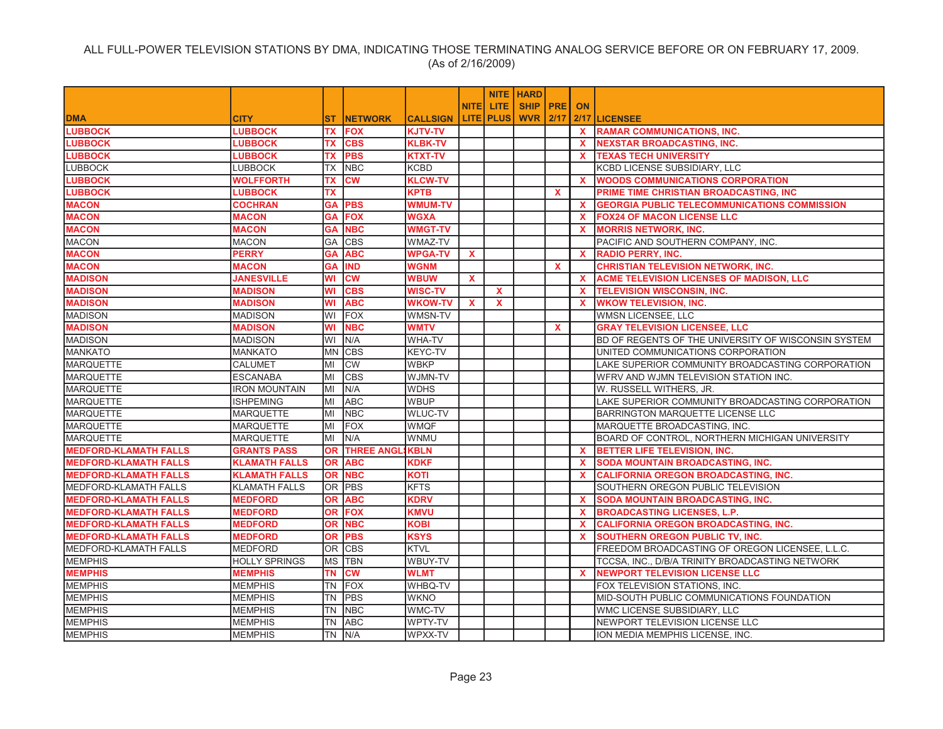|                              |                      |            |                   |                 |              |                  | <b>NITE   HARD</b> |              |              |                                                     |
|------------------------------|----------------------|------------|-------------------|-----------------|--------------|------------------|--------------------|--------------|--------------|-----------------------------------------------------|
|                              |                      |            |                   |                 | <b>NITE</b>  | <b>LITE</b>      | <b>SHIP PRE</b>    |              | <b>ON</b>    |                                                     |
| <b>DMA</b>                   | <b>CITY</b>          | ST.        | <b>NETWORK</b>    | <b>CALLSIGN</b> |              | <b>LITE PLUS</b> | <b>WVR 2/17</b>    |              |              | 2/17 LICENSEE                                       |
| <b>LUBBOCK</b>               | <b>LUBBOCK</b>       | TX         | <b>FOX</b>        | <b>KJTV-TV</b>  |              |                  |                    |              | <b>X</b>     | <b>RAMAR COMMUNICATIONS, INC.</b>                   |
| <b>LUBBOCK</b>               | <b>LUBBOCK</b>       | ТX         | <b>CBS</b>        | <b>KLBK-TV</b>  |              |                  |                    |              | X.           | <b>NEXSTAR BROADCASTING, INC.</b>                   |
| <b>LUBBOCK</b>               | <b>LUBBOCK</b>       | <b>TX</b>  | <b>PBS</b>        | <b>KTXT-TV</b>  |              |                  |                    |              | <b>X</b>     | <b>TEXAS TECH UNIVERSITY</b>                        |
| <b>LUBBOCK</b>               | LUBBOCK              | ТX         | <b>NBC</b>        | KCBD            |              |                  |                    |              |              | KCBD LICENSE SUBSIDIARY, LLC                        |
| <b>LUBBOCK</b>               | <b>WOLFFORTH</b>     | TX         | <b>CW</b>         | <b>KLCW-TV</b>  |              |                  |                    |              | $\mathbf{x}$ | <b>WOODS COMMUNICATIONS CORPORATION</b>             |
| <b>LUBBOCK</b>               | <b>LUBBOCK</b>       | <b>TX</b>  |                   | <b>KPTB</b>     |              |                  |                    | <b>X</b>     |              | PRIME TIME CHRISTIAN BROADCASTING, INC              |
| <b>MACON</b>                 | <b>COCHRAN</b>       | <b>GA</b>  | <b>PBS</b>        | <b>WMUM-TV</b>  |              |                  |                    |              | X.           | <b>GEORGIA PUBLIC TELECOMMUNICATIONS COMMISSION</b> |
| <b>MACON</b>                 | <b>MACON</b>         | GA         | <b>FOX</b>        | <b>WGXA</b>     |              |                  |                    |              | <b>X</b>     | <b>FOX24 OF MACON LICENSE LLC</b>                   |
| <b>MACON</b>                 | <b>MACON</b>         | <b>GA</b>  | <b>NBC</b>        | <b>WMGT-TV</b>  |              |                  |                    |              | $\mathbf{x}$ | <b>MORRIS NETWORK, INC.</b>                         |
| <b>MACON</b>                 | <b>MACON</b>         | GA         | <b>CBS</b>        | WMAZ-TV         |              |                  |                    |              |              | PACIFIC AND SOUTHERN COMPANY, INC.                  |
| <b>MACON</b>                 | <b>PERRY</b>         | <b>GA</b>  | <b>ABC</b>        | <b>WPGA-TV</b>  | $\mathbf{x}$ |                  |                    |              | $\mathbf{x}$ | <b>RADIO PERRY, INC.</b>                            |
| <b>MACON</b>                 | <b>MACON</b>         | <b>GA</b>  | <b>IND</b>        | <b>WGNM</b>     |              |                  |                    | <b>X</b>     |              | <b>CHRISTIAN TELEVISION NETWORK, INC.</b>           |
| <b>MADISON</b>               | <b>JANESVILLE</b>    | WI         | cw                | <b>WBUW</b>     | X            |                  |                    |              | $\mathbf{x}$ | <b>ACME TELEVISION LICENSES OF MADISON, LLC</b>     |
| <b>MADISON</b>               | <b>MADISON</b>       | WI         | <b>CBS</b>        | WISC-TV         |              | $\mathbf{x}$     |                    |              | $\mathbf{x}$ | <b>TELEVISION WISCONSIN, INC.</b>                   |
| <b>MADISON</b>               | <b>MADISON</b>       | WI         | <b>ABC</b>        | <b>WKOW-TV</b>  | X            | X                |                    |              | <b>X</b>     | <b>WKOW TELEVISION, INC.</b>                        |
| <b>MADISON</b>               | <b>MADISON</b>       | WI         | FOX               | WMSN-TV         |              |                  |                    |              |              | <b>WMSN LICENSEE, LLC</b>                           |
| <b>MADISON</b>               | <b>MADISON</b>       | WI         | <b>NBC</b>        | <b>WMTV</b>     |              |                  |                    | $\mathbf{x}$ |              | <b>GRAY TELEVISION LICENSEE, LLC</b>                |
| <b>MADISON</b>               | <b>MADISON</b>       | WI         | N/A               | WHA-TV          |              |                  |                    |              |              | BD OF REGENTS OF THE UNIVERSITY OF WISCONSIN SYSTEM |
| <b>MANKATO</b>               | <b>MANKATO</b>       | <b>MN</b>  | <b>CBS</b>        | KEYC-TV         |              |                  |                    |              |              | UNITED COMMUNICATIONS CORPORATION                   |
| <b>MARQUETTE</b>             | <b>CALUMET</b>       | MI         | <b>CW</b>         | <b>WBKP</b>     |              |                  |                    |              |              | LAKE SUPERIOR COMMUNITY BROADCASTING CORPORATION    |
| <b>MARQUETTE</b>             | <b>ESCANABA</b>      | MI         | <b>CBS</b>        | <b>WJMN-TV</b>  |              |                  |                    |              |              | WFRV AND WJMN TELEVISION STATION INC.               |
| <b>MARQUETTE</b>             | <b>IRON MOUNTAIN</b> | MI         | N/A               | <b>WDHS</b>     |              |                  |                    |              |              | W. RUSSELL WITHERS, JR.                             |
| <b>MARQUETTE</b>             | <b>ISHPEMING</b>     | MI         | <b>ABC</b>        | <b>WBUP</b>     |              |                  |                    |              |              | LAKE SUPERIOR COMMUNITY BROADCASTING CORPORATION    |
| <b>MARQUETTE</b>             | <b>MARQUETTE</b>     | MI         | <b>NBC</b>        | WLUC-TV         |              |                  |                    |              |              | BARRINGTON MARQUETTE LICENSE LLC                    |
| <b>MARQUETTE</b>             | <b>MARQUETTE</b>     | lмı        | <b>FOX</b>        | <b>WMQF</b>     |              |                  |                    |              |              | MARQUETTE BROADCASTING, INC.                        |
| <b>MARQUETTE</b>             | <b>MARQUETTE</b>     | MI         | N/A               | WNMU            |              |                  |                    |              |              | BOARD OF CONTROL, NORTHERN MICHIGAN UNIVERSITY      |
| <b>MEDFORD-KLAMATH FALLS</b> | <b>GRANTS PASS</b>   | <b>OR</b>  | <b>THREE ANGL</b> | <b>KBLN</b>     |              |                  |                    |              | <b>X</b>     | <b>BETTER LIFE TELEVISION, INC.</b>                 |
| <b>MEDFORD-KLAMATH FALLS</b> | <b>KLAMATH FALLS</b> | <b>OR</b>  | <b>ABC</b>        | <b>KDKF</b>     |              |                  |                    |              | <b>X</b>     | <b>SODA MOUNTAIN BROADCASTING, INC.</b>             |
| <b>MEDFORD-KLAMATH FALLS</b> | <b>KLAMATH FALLS</b> | <b>OR</b>  | <b>NBC</b>        | KOTI            |              |                  |                    |              | $\mathbf{x}$ | <b>CALIFORNIA OREGON BROADCASTING, INC.</b>         |
| <b>MEDFORD-KLAMATH FALLS</b> | <b>KLAMATH FALLS</b> | <b>OR</b>  | <b>PBS</b>        | <b>KFTS</b>     |              |                  |                    |              |              | SOUTHERN OREGON PUBLIC TELEVISION                   |
| <b>MEDFORD-KLAMATH FALLS</b> | <b>MEDFORD</b>       | <b>OR</b>  | <b>ABC</b>        | <b>KDRV</b>     |              |                  |                    |              | X.           | <b>SODA MOUNTAIN BROADCASTING, INC.</b>             |
| <b>MEDFORD-KLAMATH FALLS</b> | <b>MEDFORD</b>       | <b>OR</b>  | <b>FOX</b>        | <b>KMVU</b>     |              |                  |                    |              | <b>X</b>     | <b>BROADCASTING LICENSES, L.P.</b>                  |
| <b>MEDFORD-KLAMATH FALLS</b> | <b>MEDFORD</b>       | <b>OR</b>  | <b>NBC</b>        | KOBI            |              |                  |                    |              | X.           | <b>CALIFORNIA OREGON BROADCASTING, INC.</b>         |
| <b>MEDFORD-KLAMATH FALLS</b> | <b>MEDFORD</b>       | 0R.        | <b>PBS</b>        | <b>KSYS</b>     |              |                  |                    |              | <b>X</b>     | <b>SOUTHERN OREGON PUBLIC TV, INC.</b>              |
| <b>MEDFORD-KLAMATH FALLS</b> | <b>MEDFORD</b>       | <b>OR</b>  | <b>CBS</b>        | <b>KTVL</b>     |              |                  |                    |              |              | FREEDOM BROADCASTING OF OREGON LICENSEE, L.L.C.     |
| <b>MEMPHIS</b>               | <b>HOLLY SPRINGS</b> | <b>IMS</b> | <b>TBN</b>        | WBUY-TV         |              |                  |                    |              |              | TCCSA, INC., D/B/A TRINITY BROADCASTING NETWORK     |
| <b>MEMPHIS</b>               | <b>MEMPHIS</b>       | TN         | <b>CW</b>         | <b>WLMT</b>     |              |                  |                    |              | <b>X</b>     | <b>NEWPORT TELEVISION LICENSE LLC</b>               |
| <b>MEMPHIS</b>               | <b>MEMPHIS</b>       | TN         | <b>FOX</b>        | WHBQ-TV         |              |                  |                    |              |              | FOX TELEVISION STATIONS, INC.                       |
| <b>MEMPHIS</b>               | <b>MEMPHIS</b>       | TN         | PBS               | WKNO            |              |                  |                    |              |              | MID-SOUTH PUBLIC COMMUNICATIONS FOUNDATION          |
| <b>MEMPHIS</b>               | <b>MEMPHIS</b>       | <b>TN</b>  | <b>NBC</b>        | WMC-TV          |              |                  |                    |              |              | WMC LICENSE SUBSIDIARY, LLC                         |
| <b>MEMPHIS</b>               | <b>MEMPHIS</b>       | TN         | <b>ABC</b>        | WPTY-TV         |              |                  |                    |              |              | NEWPORT TELEVISION LICENSE LLC                      |
| <b>MEMPHIS</b>               | <b>MEMPHIS</b>       |            | TN N/A            | WPXX-TV         |              |                  |                    |              |              | ION MEDIA MEMPHIS LICENSE, INC.                     |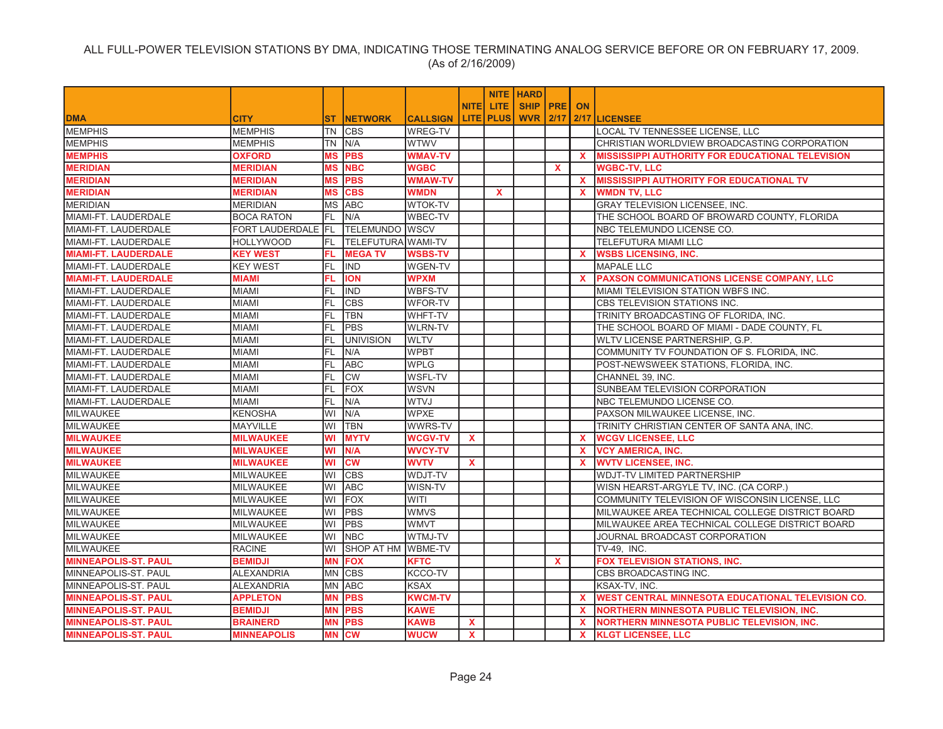|                             |                    |              |                           |                 |              |                  | <b>NITE HARD</b>   |              |              |                                                           |
|-----------------------------|--------------------|--------------|---------------------------|-----------------|--------------|------------------|--------------------|--------------|--------------|-----------------------------------------------------------|
|                             |                    |              |                           |                 | <b>NITE</b>  | LITE.            | <b>SHIP PRE ON</b> |              |              |                                                           |
| <b>DMA</b>                  | <b>CITY</b>        | ST.          | <b>INETWORK</b>           | <b>CALLSIGN</b> |              | <b>LITE PLUS</b> | <b>WVR 2/17</b>    |              |              | 2/17 LICENSEE                                             |
| <b>MEMPHIS</b>              | <b>MEMPHIS</b>     | <b>TN</b>    | <b>CBS</b>                | <b>WREG-TV</b>  |              |                  |                    |              |              | LOCAL TV TENNESSEE LICENSE, LLC                           |
| <b>MEMPHIS</b>              | <b>MEMPHIS</b>     | TN           | N/A                       | <b>WTWV</b>     |              |                  |                    |              |              | CHRISTIAN WORLDVIEW BROADCASTING CORPORATION              |
| <b>MEMPHIS</b>              | <b>OXFORD</b>      | <b>MS</b>    | <b>PBS</b>                | <b>WMAV-TV</b>  |              |                  |                    |              | <b>X</b>     | <b>MISSISSIPPI AUTHORITY FOR EDUCATIONAL TELEVISION</b>   |
| <b>MERIDIAN</b>             | <b>MERIDIAN</b>    | <b>MS</b>    | <b>NBC</b>                | <b>WGBC</b>     |              |                  |                    | X            |              | <b>WGBC-TV, LLC</b>                                       |
| <b>MERIDIAN</b>             | <b>MERIDIAN</b>    | <b>MS</b>    | <b>PBS</b>                | <b>WMAW-TV</b>  |              |                  |                    |              | $\mathbf{x}$ | <b>MISSISSIPPI AUTHORITY FOR EDUCATIONAL TV</b>           |
| <b>MERIDIAN</b>             | <b>MERIDIAN</b>    | <b>MS</b>    | <b>CBS</b>                | <b>WMDN</b>     |              | $\mathbf{x}$     |                    |              | <b>X</b>     | <b>WMDN TV, LLC</b>                                       |
| <b>MERIDIAN</b>             | <b>MERIDIAN</b>    | <b>IMS</b>   | <b>ABC</b>                | <b>WTOK-TV</b>  |              |                  |                    |              |              | <b>GRAY TELEVISION LICENSEE, INC.</b>                     |
| MIAMI-FT. LAUDERDALE        | <b>BOCA RATON</b>  | IFL.         | N/A                       | <b>WBEC-TV</b>  |              |                  |                    |              |              | THE SCHOOL BOARD OF BROWARD COUNTY, FLORIDA               |
| MIAMI-FT. LAUDERDALE        | FORT LAUDERDALE FL |              | <b>TELEMUNDO WSCV</b>     |                 |              |                  |                    |              |              | INBC TELEMUNDO LICENSE CO.                                |
| MIAMI-FT. LAUDERDALE        | <b>HOLLYWOOD</b>   | FL.          | <b>TELEFUTURA WAMI-TV</b> |                 |              |                  |                    |              |              | TELEFUTURA MIAMI LLC                                      |
| <b>MIAMI-FT. LAUDERDALE</b> | <b>KEY WEST</b>    | FL           | <b>MEGATV</b>             | <b>WSBS-TV</b>  |              |                  |                    |              | $\mathbf{x}$ | <b>WSBS LICENSING, INC.</b>                               |
| MIAMI-FT. LAUDERDALE        | <b>KEY WEST</b>    | FL.          | <b>IND</b>                | <b>WGEN-TV</b>  |              |                  |                    |              |              | <b>MAPALE LLC</b>                                         |
| <b>MIAMI-FT. LAUDERDALE</b> | <b>MIAMI</b>       | FL.          | <b>ION</b>                | <b>WPXM</b>     |              |                  |                    |              | $\mathbf{x}$ | PAXSON COMMUNICATIONS LICENSE COMPANY, LLC                |
| MIAMI-FT. LAUDERDALE        | <b>MIAMI</b>       | <b>FL</b>    | <b>IND</b>                | WBFS-TV         |              |                  |                    |              |              | MIAMI TELEVISION STATION WBFS INC.                        |
| MIAMI-FT. LAUDERDALE        | <b>MIAMI</b>       | FL           | <b>CBS</b>                | <b>WFOR-TV</b>  |              |                  |                    |              |              | CBS TELEVISION STATIONS INC.                              |
| MIAMI-FT. LAUDERDALE        | <b>MIAMI</b>       | FL           | <b>TBN</b>                | <b>WHFT-TV</b>  |              |                  |                    |              |              | TRINITY BROADCASTING OF FLORIDA, INC.                     |
| MIAMI-FT. LAUDERDALE        | <b>MIAMI</b>       | IFL.         | <b>PBS</b>                | <b>WLRN-TV</b>  |              |                  |                    |              |              | THE SCHOOL BOARD OF MIAMI - DADE COUNTY, FL               |
| MIAMI-FT. LAUDERDALE        | <b>MIAMI</b>       | FL           | <b>UNIVISION</b>          | <b>WLTV</b>     |              |                  |                    |              |              | WLTV LICENSE PARTNERSHIP, G.P.                            |
| MIAMI-FT. LAUDERDALE        | <b>MIAMI</b>       | FL.          | N/A                       | <b>WPBT</b>     |              |                  |                    |              |              | COMMUNITY TV FOUNDATION OF S. FLORIDA, INC.               |
| MIAMI-FT. LAUDERDALE        | <b>MIAMI</b>       | lfL          | <b>ABC</b>                | <b>WPLG</b>     |              |                  |                    |              |              | POST-NEWSWEEK STATIONS, FLORIDA, INC.                     |
| MIAMI-FT. LAUDERDALE        | <b>MIAMI</b>       | FL           | <b>CW</b>                 | WSFL-TV         |              |                  |                    |              |              | CHANNEL 39, INC.                                          |
| MIAMI-FT. LAUDERDALE        | <b>MIAMI</b>       | IFL.         | FOX                       | <b>WSVN</b>     |              |                  |                    |              |              | SUNBEAM TELEVISION CORPORATION                            |
| MIAMI-FT. LAUDERDALE        | <b>MIAMI</b>       | FL           | N/A                       | <b>WTVJ</b>     |              |                  |                    |              |              | NBC TELEMUNDO LICENSE CO.                                 |
| <b>MILWAUKEE</b>            | <b>KENOSHA</b>     | WI           | N/A                       | <b>WPXE</b>     |              |                  |                    |              |              | PAXSON MILWAUKEE LICENSE, INC.                            |
| <b>MILWAUKEE</b>            | <b>MAYVILLE</b>    | lwı          | <b>TBN</b>                | <b>WWRS-TV</b>  |              |                  |                    |              |              | TRINITY CHRISTIAN CENTER OF SANTA ANA, INC.               |
| <b>MILWAUKEE</b>            | <b>MILWAUKEE</b>   | WI           | <b>MYTV</b>               | <b>WCGV-TV</b>  | $\mathbf{x}$ |                  |                    |              | X.           | <b>WCGV LICENSEE, LLC</b>                                 |
| <b>MILWAUKEE</b>            | <b>MILWAUKEE</b>   | WI           | N/A                       | <b>WVCY-TV</b>  |              |                  |                    |              | X.           | <b>VCY AMERICA, INC.</b>                                  |
| <b>MILWAUKEE</b>            | <b>MILWAUKEE</b>   | WI           | <b>CM</b>                 | <b>WVTV</b>     | $\mathbf{x}$ |                  |                    |              | <b>X</b>     | <b>WVTV LICENSEE, INC.</b>                                |
| MILWAUKEE                   | <b>MILWAUKEE</b>   | WI           | <b>CBS</b>                | WDJT-TV         |              |                  |                    |              |              | <b>WDJT-TV LIMITED PARTNERSHIP</b>                        |
| <b>MILWAUKEE</b>            | <b>MILWAUKEE</b>   | WI           | <b>ABC</b>                | WISN-TV         |              |                  |                    |              |              | WISN HEARST-ARGYLE TV, INC. (CA CORP.)                    |
| <b>MILWAUKEE</b>            | <b>MILWAUKEE</b>   | WI           | FOX                       | WITI            |              |                  |                    |              |              | COMMUNITY TELEVISION OF WISCONSIN LICENSE, LLC            |
| MILWAUKEE                   | <b>MILWAUKEE</b>   | WI           | <b>PBS</b>                | <b>WMVS</b>     |              |                  |                    |              |              | MILWAUKEE AREA TECHNICAL COLLEGE DISTRICT BOARD           |
| <b>MILWAUKEE</b>            | <b>MILWAUKEE</b>   | WI           | <b>PBS</b>                | <b>WMVT</b>     |              |                  |                    |              |              | MILWAUKEE AREA TECHNICAL COLLEGE DISTRICT BOARD           |
| <b>MILWAUKEE</b>            | <b>MILWAUKEE</b>   | WI           | <b>NBC</b>                | WTMJ-TV         |              |                  |                    |              |              | JOURNAL BROADCAST CORPORATION                             |
| <b>MILWAUKEE</b>            | <b>RACINE</b>      | WI           | SHOP AT HM WBME-TV        |                 |              |                  |                    |              |              | TV-49. INC.                                               |
| <b>MINNEAPOLIS-ST, PAUL</b> | <b>BEMIDJI</b>     | <b>MN</b>    | <b>FOX</b>                | <b>KFTC</b>     |              |                  |                    | $\mathbf{x}$ |              | <b>FOX TELEVISION STATIONS, INC.</b>                      |
| MINNEAPOLIS-ST. PAUL        | <b>ALEXANDRIA</b>  | <b>IMN</b>   | <b>CBS</b>                | <b>KCCO-TV</b>  |              |                  |                    |              |              | CBS BROADCASTING INC.                                     |
| MINNEAPOLIS-ST. PAUL        | <b>ALEXANDRIA</b>  | <b>MN</b>    | <b>ABC</b>                | <b>KSAX</b>     |              |                  |                    |              |              | KSAX-TV, INC.                                             |
| <b>MINNEAPOLIS-ST, PAUL</b> | <b>APPLETON</b>    | <b>MN</b>    | <b>PBS</b>                | <b>KWCM-TV</b>  |              |                  |                    |              | <b>X</b>     | <b>IWEST CENTRAL MINNESOTA EDUCATIONAL TELEVISION CO.</b> |
| <b>MINNEAPOLIS-ST. PAUL</b> | <b>BEMIDJI</b>     | <b>MN</b>    | <b>PBS</b>                | <b>KAWE</b>     |              |                  |                    |              | X.           | <b>NORTHERN MINNESOTA PUBLIC TELEVISION, INC.</b>         |
| <b>MINNEAPOLIS-ST. PAUL</b> | <b>BRAINERD</b>    | <b>MN</b>    | <b>PBS</b>                | <b>KAWB</b>     | $\mathbf{x}$ |                  |                    |              | <b>X</b>     | <b>NORTHERN MINNESOTA PUBLIC TELEVISION. INC.</b>         |
| <b>MINNEAPOLIS-ST. PAUL</b> | <b>MINNEAPOLIS</b> | <b>MN CW</b> |                           | <b>WUCW</b>     | $\mathbf{x}$ |                  |                    |              |              | <b>X</b> KLGT LICENSEE. LLC                               |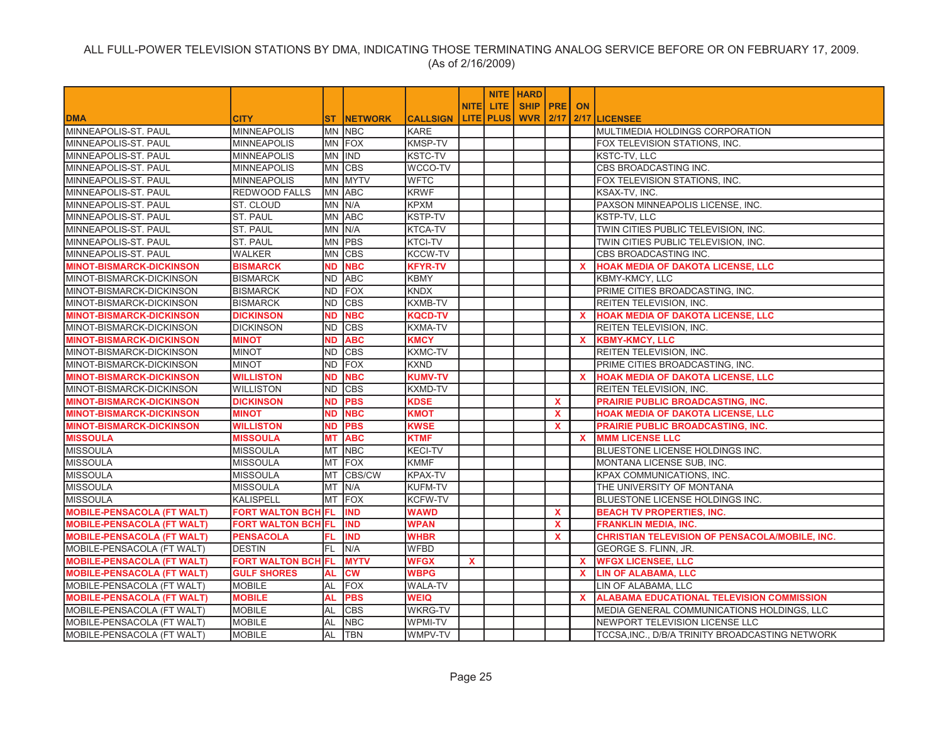|                                   |                           |           |                    |                 |              |                    | <b>NITE HARD</b>   |              |              |                                                  |
|-----------------------------------|---------------------------|-----------|--------------------|-----------------|--------------|--------------------|--------------------|--------------|--------------|--------------------------------------------------|
|                                   |                           |           |                    |                 | <b>NITEI</b> | LITE.              | <b>SHIP PRE ON</b> |              |              |                                                  |
| <b>IDMA</b>                       | <b>CITY</b>               |           | <b>ST INETWORK</b> | <b>CALLSIGN</b> |              | <b>LITE   PLUS</b> | <b>WVR 2/17</b>    |              |              | 2/17 LICENSEE                                    |
| <b>MINNEAPOLIS-ST. PAUL</b>       | <b>MINNEAPOLIS</b>        |           | MN NBC             | <b>KARE</b>     |              |                    |                    |              |              | IMULTIMEDIA HOLDINGS CORPORATION                 |
| <b>MINNEAPOLIS-ST. PAUL</b>       | <b>MINNEAPOLIS</b>        |           | MN FOX             | <b>KMSP-TV</b>  |              |                    |                    |              |              | FOX TELEVISION STATIONS, INC.                    |
| MINNEAPOLIS-ST. PAUL              | <b>MINNEAPOLIS</b>        |           | MN IND             | <b>KSTC-TV</b>  |              |                    |                    |              |              | <b>KSTC-TV, LLC</b>                              |
| MINNEAPOLIS-ST. PAUL              | <b>MINNEAPOLIS</b>        |           | MN CBS             | WCCO-TV         |              |                    |                    |              |              | CBS BROADCASTING INC.                            |
| MINNEAPOLIS-ST. PAUL              | <b>MINNEAPOLIS</b>        |           | MN MYTV            | <b>WFTC</b>     |              |                    |                    |              |              | FOX TELEVISION STATIONS, INC.                    |
| MINNEAPOLIS-ST. PAUL              | <b>REDWOOD FALLS</b>      |           | MN ABC             | <b>KRWF</b>     |              |                    |                    |              |              | KSAX-TV. INC.                                    |
| MINNEAPOLIS-ST. PAUL              | ST. CLOUD                 |           | MN N/A             | <b>KPXM</b>     |              |                    |                    |              |              | PAXSON MINNEAPOLIS LICENSE, INC.                 |
| MINNEAPOLIS-ST. PAUL              | <b>ST. PAUL</b>           |           | MN ABC             | <b>KSTP-TV</b>  |              |                    |                    |              |              | KSTP-TV, LLC                                     |
| MINNEAPOLIS-ST. PAUL              | <b>ST. PAUL</b>           |           | MN N/A             | <b>KTCA-TV</b>  |              |                    |                    |              |              | TWIN CITIES PUBLIC TELEVISION, INC.              |
| MINNEAPOLIS-ST. PAUL              | ST. PAUL                  |           | MN PBS             | <b>KTCI-TV</b>  |              |                    |                    |              |              | TWIN CITIES PUBLIC TELEVISION, INC.              |
| MINNEAPOLIS-ST. PAUL              | <b>WALKER</b>             |           | MN CBS             | <b>KCCW-TV</b>  |              |                    |                    |              |              | CBS BROADCASTING INC.                            |
| <b>MINOT-BISMARCK-DICKINSON</b>   | <b>BISMARCK</b>           | <b>ND</b> | <b>NBC</b>         | <b>KFYR-TV</b>  |              |                    |                    |              | <b>X</b>     | <b>HOAK MEDIA OF DAKOTA LICENSE, LLC</b>         |
| MINOT-BISMARCK-DICKINSON          | <b>BISMARCK</b>           |           | ND ABC             | <b>KBMY</b>     |              |                    |                    |              |              | KBMY-KMCY, LLC                                   |
| MINOT-BISMARCK-DICKINSON          | <b>BISMARCK</b>           | ND.       | <b>FOX</b>         | <b>KNDX</b>     |              |                    |                    |              |              | PRIME CITIES BROADCASTING, INC.                  |
| MINOT-BISMARCK-DICKINSON          | <b>BISMARCK</b>           | ND.       | <b>CBS</b>         | <b>KXMB-TV</b>  |              |                    |                    |              |              | REITEN TELEVISION, INC.                          |
| <b>MINOT-BISMARCK-DICKINSON</b>   | <b>DICKINSON</b>          | <b>ND</b> | <b>NBC</b>         | <b>KQCD-TV</b>  |              |                    |                    |              | $\mathbf{x}$ | <b>HOAK MEDIA OF DAKOTA LICENSE, LLC</b>         |
| MINOT-BISMARCK-DICKINSON          | <b>DICKINSON</b>          | ND.       | <b>CBS</b>         | <b>KXMA-TV</b>  |              |                    |                    |              |              | <b>REITEN TELEVISION, INC.</b>                   |
| <b>MINOT-BISMARCK-DICKINSON</b>   | <b>MINOT</b>              | <b>ND</b> | <b>ABC</b>         | <b>KMCY</b>     |              |                    |                    |              | $\mathbf{x}$ | <b>KBMY-KMCY, LLC</b>                            |
| MINOT-BISMARCK-DICKINSON          | <b>MINOT</b>              | ND.       | <b>CBS</b>         | <b>KXMC-TV</b>  |              |                    |                    |              |              | REITEN TELEVISION, INC.                          |
| MINOT-BISMARCK-DICKINSON          | <b>MINOT</b>              | ND.       | <b>FOX</b>         | <b>KXND</b>     |              |                    |                    |              |              | PRIME CITIES BROADCASTING, INC.                  |
| <b>MINOT-BISMARCK-DICKINSON</b>   | <b>WILLISTON</b>          | ND.       | <b>NBC</b>         | <b>KUMV-TV</b>  |              |                    |                    |              | <b>X</b>     | <b>HOAK MEDIA OF DAKOTA LICENSE, LLC</b>         |
| MINOT-BISMARCK-DICKINSON          | <b>WILLISTON</b>          | ND        | <b>CBS</b>         | KXMD-TV         |              |                    |                    |              |              | REITEN TELEVISION, INC.                          |
| <b>MINOT-BISMARCK-DICKINSON</b>   | <b>DICKINSON</b>          | <b>ND</b> | <b>PBS</b>         | <b>KDSE</b>     |              |                    |                    | $\mathbf{x}$ |              | PRAIRIE PUBLIC BROADCASTING, INC.                |
| <b>MINOT-BISMARCK-DICKINSON</b>   | <b>MINOT</b>              | ND        | <b>NBC</b>         | <b>KMOT</b>     |              |                    |                    | $\mathbf x$  |              | <b>HOAK MEDIA OF DAKOTA LICENSE, LLC</b>         |
| <b>MINOT-BISMARCK-DICKINSON</b>   | <b>WILLISTON</b>          | ND        | <b>PBS</b>         | <b>KWSE</b>     |              |                    |                    | $\mathbf{x}$ |              | PRAIRIE PUBLIC BROADCASTING, INC.                |
| <b>MISSOULA</b>                   | <b>MISSOULA</b>           | МT        | <b>ABC</b>         | <b>KTMF</b>     |              |                    |                    |              | <b>X</b>     | <b>MMM LICENSE LLC</b>                           |
| <b>MISSOULA</b>                   | <b>MISSOULA</b>           |           | MT NBC             | <b>KECI-TV</b>  |              |                    |                    |              |              | BLUESTONE LICENSE HOLDINGS INC.                  |
| <b>MISSOULA</b>                   | <b>MISSOULA</b>           |           | MT FOX             | <b>KMMF</b>     |              |                    |                    |              |              | MONTANA LICENSE SUB, INC.                        |
| <b>MISSOULA</b>                   | <b>MISSOULA</b>           | <b>MT</b> | CBS/CW             | KPAX-TV         |              |                    |                    |              |              | KPAX COMMUNICATIONS, INC.                        |
| <b>MISSOULA</b>                   | <b>MISSOULA</b>           | МT        | N/A                | <b>KUFM-TV</b>  |              |                    |                    |              |              | THE UNIVERSITY OF MONTANA                        |
| <b>MISSOULA</b>                   | <b>KALISPELL</b>          | МT        | <b>FOX</b>         | <b>KCFW-TV</b>  |              |                    |                    |              |              | BLUESTONE LICENSE HOLDINGS INC.                  |
| <b>MOBILE-PENSACOLA (FT WALT)</b> | <b>FORT WALTON BCH</b>    | <b>FL</b> | <b>IND</b>         | <b>WAWD</b>     |              |                    |                    | $\mathbf x$  |              | <b>BEACH TV PROPERTIES, INC.</b>                 |
| <b>MOBILE-PENSACOLA (FT WALT)</b> | <b>FORT WALTON BCH FL</b> |           | <b>IND</b>         | <b>WPAN</b>     |              |                    |                    | $\mathbf x$  |              | <b>FRANKLIN MEDIA, INC.</b>                      |
| <b>MOBILE-PENSACOLA (FT WALT)</b> | <b>PENSACOLA</b>          | FL        | <b>IND</b>         | <b>WHBR</b>     |              |                    |                    | $\mathbf{x}$ |              | CHRISTIAN TELEVISION OF PENSACOLA/MOBILE, INC.   |
| MOBILE-PENSACOLA (FT WALT)        | <b>DESTIN</b>             | FL.       | N/A                | <b>WFBD</b>     |              |                    |                    |              |              | GEORGE S. FLINN, JR.                             |
| <b>MOBILE-PENSACOLA (FT WALT)</b> | <b>FORT WALTON BCH FL</b> |           | <b>MYTV</b>        | <b>WFGX</b>     | $\mathbf{x}$ |                    |                    |              | $\mathbf{x}$ | <b>WFGX LICENSEE, LLC</b>                        |
| <b>MOBILE-PENSACOLA (FT WALT)</b> | <b>GULF SHORES</b>        | AL        | <b>CW</b>          | <b>WBPG</b>     |              |                    |                    |              | $\mathbf{x}$ | <b>LIN OF ALABAMA, LLC</b>                       |
| MOBILE-PENSACOLA (FT WALT)        | <b>MOBILE</b>             | AL        | <b>FOX</b>         | <b>WALA-TV</b>  |              |                    |                    |              |              | LIN OF ALABAMA, LLC                              |
| <b>MOBILE-PENSACOLA (FT WALT)</b> | <b>MOBILE</b>             | AL        | <b>PBS</b>         | <b>WEIQ</b>     |              |                    |                    |              | $\mathbf{x}$ | <b>ALABAMA EDUCATIONAL TELEVISION COMMISSION</b> |
| MOBILE-PENSACOLA (FT WALT)        | <b>MOBILE</b>             | AL        | <b>CBS</b>         | <b>WKRG-TV</b>  |              |                    |                    |              |              | IMEDIA GENERAL COMMUNICATIONS HOLDINGS. LLC      |
| MOBILE-PENSACOLA (FT WALT)        | <b>MOBILE</b>             | AL        | <b>NBC</b>         | WPMI-TV         |              |                    |                    |              |              | NEWPORT TELEVISION LICENSE LLC                   |
| MOBILE-PENSACOLA (FT WALT)        | <b>MOBILE</b>             | <b>AL</b> | <b>TBN</b>         | <b>WMPV-TV</b>  |              |                    |                    |              |              | TCCSA.INC D/B/A TRINITY BROADCASTING NETWORK     |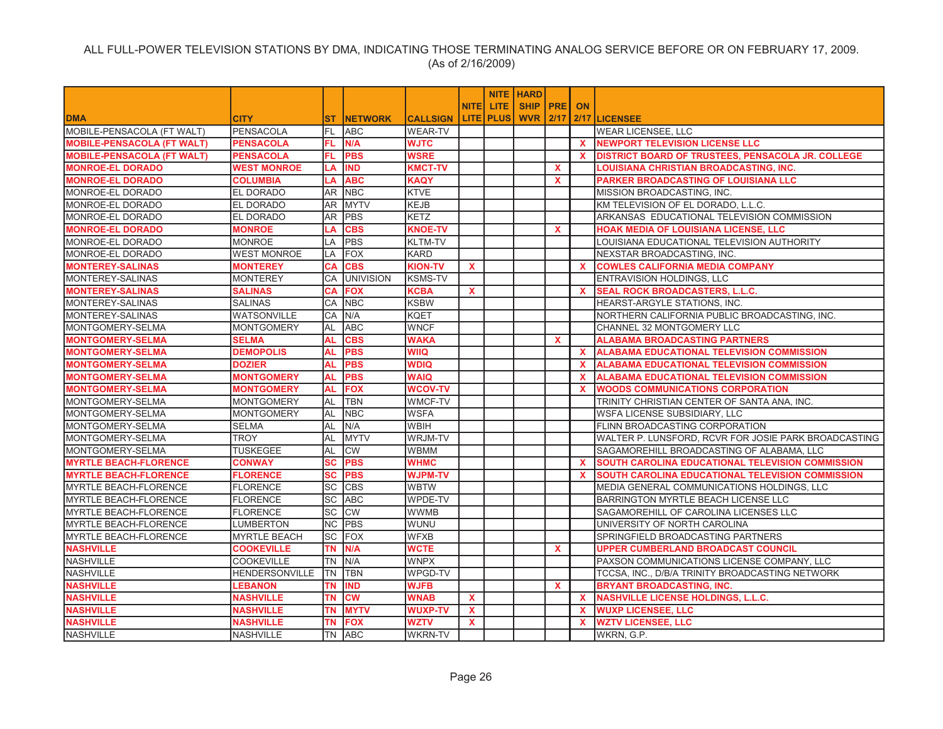|                                   |                       |             |                        |                 |              |                  | <b>NITE   HARD</b> |              |              |                                                      |
|-----------------------------------|-----------------------|-------------|------------------------|-----------------|--------------|------------------|--------------------|--------------|--------------|------------------------------------------------------|
|                                   |                       |             |                        |                 | <b>NITEI</b> | LITE.            | <b>SHIP PRE</b>    |              | <b>ON</b>    |                                                      |
| <b>DMA</b>                        | <b>CITY</b>           | <b>ST</b>   | <b>INETWORK</b>        | <b>CALLSIGN</b> |              | <b>LITE PLUS</b> | <b>WVR 2/17</b>    |              |              | 2/17 LICENSEE                                        |
| MOBILE-PENSACOLA (FT WALT)        | <b>PENSACOLA</b>      | FL          | <b>ABC</b>             | <b>WEAR-TV</b>  |              |                  |                    |              |              | <b>WEAR LICENSEE, LLC</b>                            |
| <b>MOBILE-PENSACOLA (FT WALT)</b> | <b>PENSACOLA</b>      | FL.         | N/A                    | <b>WJTC</b>     |              |                  |                    |              | $\mathbf{x}$ | NEWPORT TELEVISION LICENSE LLC                       |
| <b>MOBILE-PENSACOLA (FT WALT)</b> | <b>PENSACOLA</b>      | FL.         | <b>PBS</b>             | <b>WSRE</b>     |              |                  |                    |              | $\mathbf{x}$ | DISTRICT BOARD OF TRUSTEES, PENSACOLA JR. COLLEGE    |
| <b>MONROE-EL DORADO</b>           | <b>WEST MONROE</b>    | LA          | <b>IND</b>             | <b>KMCT-TV</b>  |              |                  |                    | $\mathbf{x}$ |              | LOUISIANA CHRISTIAN BROADCASTING, INC.               |
| <b>MONROE-EL DORADO</b>           | <b>COLUMBIA</b>       | LA          | <b>ABC</b>             | <b>KAQY</b>     |              |                  |                    | $\mathbf{x}$ |              | <b>PARKER BROADCASTING OF LOUISIANA LLC</b>          |
| MONROE-EL DORADO                  | EL DORADO             | AR.         | <b>NBC</b>             | <b>KTVE</b>     |              |                  |                    |              |              | MISSION BROADCASTING, INC.                           |
| MONROE-EL DORADO                  | <b>EL DORADO</b>      | AR          | <b>MYTV</b>            | <b>KEJB</b>     |              |                  |                    |              |              | KM TELEVISION OF EL DORADO, L.L.C.                   |
| MONROE-EL DORADO                  | <b>EL DORADO</b>      | AR.         | PBS                    | <b>KETZ</b>     |              |                  |                    |              |              | ARKANSAS EDUCATIONAL TELEVISION COMMISSION           |
| <b>MONROE-EL DORADO</b>           | <b>MONROE</b>         | LA          | <b>CBS</b>             | <b>KNOE-TV</b>  |              |                  |                    | $\mathbf{x}$ |              | <b>HOAK MEDIA OF LOUISIANA LICENSE. LLC</b>          |
| MONROE-EL DORADO                  | <b>MONROE</b>         | LA          | <b>PBS</b>             | KLTM-TV         |              |                  |                    |              |              | LOUISIANA EDUCATIONAL TELEVISION AUTHORITY           |
| MONROE-EL DORADO                  | <b>WEST MONROE</b>    | LA          | <b>FOX</b>             | <b>KARD</b>     |              |                  |                    |              |              | NEXSTAR BROADCASTING, INC.                           |
| <b>MONTEREY-SALINAS</b>           | <b>MONTEREY</b>       | CA          | <b>CBS</b>             | <b>KION-TV</b>  | X            |                  |                    |              | <b>X</b>     | <b>COWLES CALIFORNIA MEDIA COMPANY</b>               |
| MONTEREY-SALINAS                  | <b>MONTEREY</b>       | CA          | <b>UNIVISION</b>       | <b>KSMS-TV</b>  |              |                  |                    |              |              | ENTRAVISION HOLDINGS, LLC                            |
| <b>MONTEREY-SALINAS</b>           | <b>SALINAS</b>        | СA          | <b>FOX</b>             | <b>KCBA</b>     | X            |                  |                    |              | $\mathbf{x}$ | <b>SEAL ROCK BROADCASTERS, L.L.C.</b>                |
| MONTEREY-SALINAS                  | <b>SALINAS</b>        | СA          | <b>NBC</b>             | <b>KSBW</b>     |              |                  |                    |              |              | HEARST-ARGYLE STATIONS, INC.                         |
| MONTEREY-SALINAS                  | WATSONVILLE           | CA          | N/A                    | <b>KQET</b>     |              |                  |                    |              |              | NORTHERN CALIFORNIA PUBLIC BROADCASTING, INC.        |
| MONTGOMERY-SELMA                  | <b>MONTGOMERY</b>     | AL          | <b>ABC</b>             | <b>WNCF</b>     |              |                  |                    |              |              | CHANNEL 32 MONTGOMERY LLC                            |
| <b>MONTGOMERY-SELMA</b>           | <b>SELMA</b>          | <b>AL</b>   | <b>CBS</b>             | <b>WAKA</b>     |              |                  |                    | <b>X</b>     |              | <b>ALABAMA BROADCASTING PARTNERS</b>                 |
| <b>MONTGOMERY-SELMA</b>           | <b>DEMOPOLIS</b>      | <b>AL</b>   | <b>PBS</b>             | WIIQ            |              |                  |                    |              | $\mathbf{x}$ | <b>ALABAMA EDUCATIONAL TELEVISION COMMISSION</b>     |
| <b>MONTGOMERY-SELMA</b>           | <b>DOZIER</b>         | <b>AL</b>   | <b>PBS</b>             | <b>WDIQ</b>     |              |                  |                    |              | $\mathbf{x}$ | <b>ALABAMA EDUCATIONAL TELEVISION COMMISSION</b>     |
| <b>MONTGOMERY-SELMA</b>           | <b>MONTGOMERY</b>     | <b>AL</b>   | <b>PBS</b>             | <b>WAIQ</b>     |              |                  |                    |              | <b>X</b>     | <b>ALABAMA EDUCATIONAL TELEVISION COMMISSION</b>     |
| <b>MONTGOMERY-SELMA</b>           | <b>MONTGOMERY</b>     | <b>AL</b>   | <b>FOX</b>             | <b>WCOV-TV</b>  |              |                  |                    |              | $\mathbf{x}$ | <b>WOODS COMMUNICATIONS CORPORATION</b>              |
| MONTGOMERY-SELMA                  | <b>MONTGOMERY</b>     | AL          | TBN                    | WMCF-TV         |              |                  |                    |              |              | TRINITY CHRISTIAN CENTER OF SANTA ANA, INC.          |
| MONTGOMERY-SELMA                  | <b>MONTGOMERY</b>     | AL          | <b>NBC</b>             | <b>WSFA</b>     |              |                  |                    |              |              | WSFA LICENSE SUBSIDIARY, LLC                         |
| MONTGOMERY-SELMA                  | <b>SELMA</b>          | <b>AL</b>   | N/A                    | <b>WBIH</b>     |              |                  |                    |              |              | FLINN BROADCASTING CORPORATION                       |
| MONTGOMERY-SELMA                  | <b>TROY</b>           | <b>AL</b>   | <b>IMYTV</b>           | <b>WRJM-TV</b>  |              |                  |                    |              |              | WALTER P. LUNSFORD, RCVR FOR JOSIE PARK BROADCASTING |
| MONTGOMERY-SELMA                  | <b>TUSKEGEE</b>       | AL          | <b>CW</b>              | WBMM            |              |                  |                    |              |              | SAGAMOREHILL BROADCASTING OF ALABAMA, LLC            |
| <b>MYRTLE BEACH-FLORENCE</b>      | <b>CONWAY</b>         | SC          | <b>PBS</b>             | <b>WHMC</b>     |              |                  |                    |              | X.           | SOUTH CAROLINA EDUCATIONAL TELEVISION COMMISSION     |
| <b>MYRTLE BEACH-FLORENCE</b>      | <b>FLORENCE</b>       | SC          | <b>PBS</b>             | <b>WJPM-TV</b>  |              |                  |                    |              | $\mathbf{x}$ | SOUTH CAROLINA EDUCATIONAL TELEVISION COMMISSION     |
| <b>MYRTLE BEACH-FLORENCE</b>      | <b>FLORENCE</b>       | <b>SC</b>   | <b>CBS</b>             | <b>WBTW</b>     |              |                  |                    |              |              | MEDIA GENERAL COMMUNICATIONS HOLDINGS, LLC           |
| <b>MYRTLE BEACH-FLORENCE</b>      | <b>FLORENCE</b>       | SC          | <b>ABC</b>             | WPDE-TV         |              |                  |                    |              |              | BARRINGTON MYRTLE BEACH LICENSE LLC                  |
| <b>MYRTLE BEACH-FLORENCE</b>      | <b>FLORENCE</b>       | SC          | CW                     | <b>WWMB</b>     |              |                  |                    |              |              | SAGAMOREHILL OF CAROLINA LICENSES LLC                |
| <b>MYRTLE BEACH-FLORENCE</b>      | LUMBERTON             | NC.         | <b>PBS</b>             | WUNU            |              |                  |                    |              |              | UNIVERSITY OF NORTH CAROLINA                         |
| <b>MYRTLE BEACH-FLORENCE</b>      | <b>MYRTLE BEACH</b>   | <b>SC</b>   | FOX                    | <b>WFXB</b>     |              |                  |                    |              |              | SPRINGFIELD BROADCASTING PARTNERS                    |
| <b>NASHVILLE</b>                  | <b>COOKEVILLE</b>     | <b>TN</b>   | N/A                    | <b>WCTE</b>     |              |                  |                    | $\mathbf{x}$ |              | <b>UPPER CUMBERLAND BROADCAST COUNCIL</b>            |
| <b>NASHVILLE</b>                  | <b>COOKEVILLE</b>     | <b>TN</b>   | N/A                    | <b>WNPX</b>     |              |                  |                    |              |              | PAXSON COMMUNICATIONS LICENSE COMPANY, LLC           |
| <b>NASHVILLE</b>                  | <b>HENDERSONVILLE</b> | <b>I</b> TN | TBN                    | WPGD-TV         |              |                  |                    |              |              | TCCSA, INC., D/B/A TRINITY BROADCASTING NETWORK      |
| <b>NASHVILLE</b>                  | <b>LEBANON</b>        | <b>TN</b>   | <b>IND</b>             | <b>WJFB</b>     |              |                  |                    | $\mathbf{x}$ |              | <b>BRYANT BROADCASTING, INC.</b>                     |
| <b>NASHVILLE</b>                  | <b>NASHVILLE</b>      | <b>TN</b>   | $\overline{\text{cw}}$ | <b>WNAB</b>     | $\mathbf{x}$ |                  |                    |              | $\mathbf{x}$ | <b>NASHVILLE LICENSE HOLDINGS, L.L.C.</b>            |
| <b>NASHVILLE</b>                  | <b>NASHVILLE</b>      | <b>TN</b>   | <b>MYTV</b>            | <b>WUXP-TV</b>  | $\mathbf{x}$ |                  |                    |              | $\mathbf{x}$ | <b>WUXP LICENSEE, LLC</b>                            |
| <b>NASHVILLE</b>                  | <b>NASHVILLE</b>      | ΤN          | <b>FOX</b>             | WZTV            | <b>X</b>     |                  |                    |              | <b>X</b>     | <b>WZTV LICENSEE, LLC</b>                            |
| <b>NASHVILLE</b>                  | <b>NASHVILLE</b>      |             | TN ABC                 | <b>WKRN-TV</b>  |              |                  |                    |              |              | WKRN, G.P.                                           |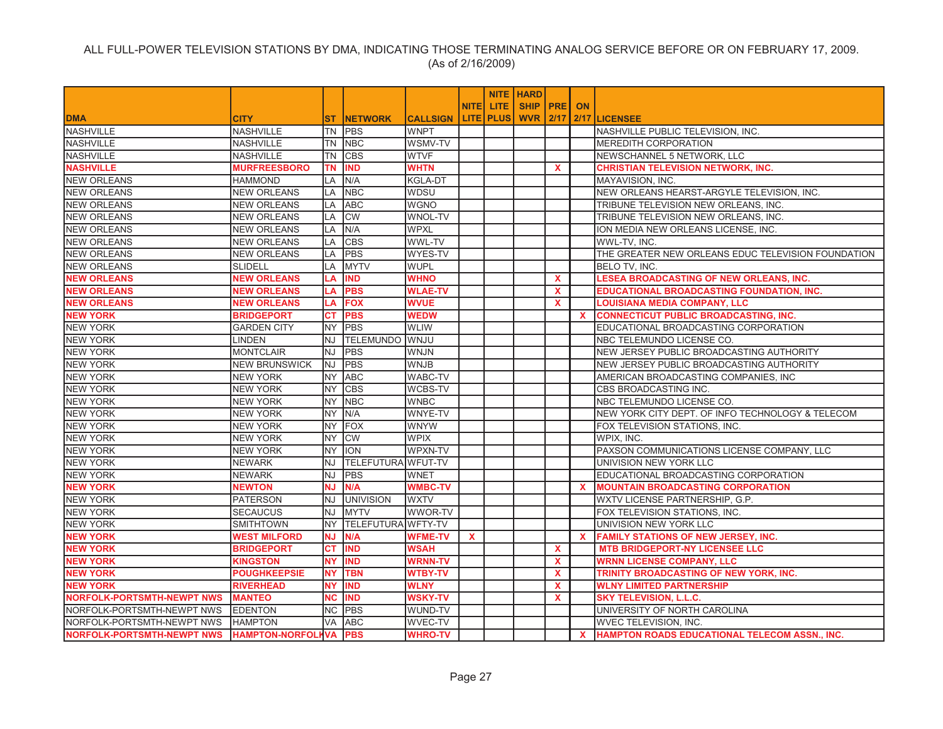|                                                    |                      |           |                    |                 |              |                  | <b>NITE   HARD</b> |              |              |                                                      |
|----------------------------------------------------|----------------------|-----------|--------------------|-----------------|--------------|------------------|--------------------|--------------|--------------|------------------------------------------------------|
|                                                    |                      |           |                    |                 | <b>NITEI</b> | LITE.            | <b>SHIP PRE</b>    |              | <b>ON</b>    |                                                      |
| <b>DMA</b>                                         | <b>CITY</b>          | ST.       | <b>INETWORK</b>    | <b>CALLSIGN</b> |              | <b>LITE PLUS</b> | <b>WVR 2/17</b>    |              |              | 2/17 LICENSEE                                        |
| <b>NASHVILLE</b>                                   | <b>NASHVILLE</b>     | TN        | <b>IPBS</b>        | <b>WNPT</b>     |              |                  |                    |              |              | NASHVILLE PUBLIC TELEVISION. INC.                    |
| <b>NASHVILLE</b>                                   | NASHVILLE            | TN        | <b>NBC</b>         | WSMV-TV         |              |                  |                    |              |              | <b>MEREDITH CORPORATION</b>                          |
| <b>NASHVILLE</b>                                   | <b>NASHVILLE</b>     | TN        | <b>CBS</b>         | <b>WTVF</b>     |              |                  |                    |              |              | NEWSCHANNEL 5 NETWORK, LLC                           |
| <b>NASHVILLE</b>                                   | <b>MURFREESBORO</b>  | <b>TN</b> | <b>IND</b>         | <b>WHTN</b>     |              |                  |                    | $\mathbf{x}$ |              | <b>CHRISTIAN TELEVISION NETWORK, INC.</b>            |
| <b>NEW ORLEANS</b>                                 | <b>HAMMOND</b>       | LA        | N/A                | <b>KGLA-DT</b>  |              |                  |                    |              |              | MAYAVISION, INC.                                     |
| <b>NEW ORLEANS</b>                                 | <b>NEW ORLEANS</b>   | LA        | <b>NBC</b>         | WDSU            |              |                  |                    |              |              | NEW ORLEANS HEARST-ARGYLE TELEVISION, INC.           |
| <b>NEW ORLEANS</b>                                 | <b>NEW ORLEANS</b>   | LA        | <b>ABC</b>         | <b>WGNO</b>     |              |                  |                    |              |              | TRIBUNE TELEVISION NEW ORLEANS, INC.                 |
| <b>NEW ORLEANS</b>                                 | <b>NEW ORLEANS</b>   | LA        | <b>CW</b>          | <b>WNOL-TV</b>  |              |                  |                    |              |              | TRIBUNE TELEVISION NEW ORLEANS, INC.                 |
| <b>NEW ORLEANS</b>                                 | <b>NEW ORLEANS</b>   | LA        | N/A                | <b>WPXL</b>     |              |                  |                    |              |              | ION MEDIA NEW ORLEANS LICENSE, INC.                  |
| <b>NEW ORLEANS</b>                                 | <b>NEW ORLEANS</b>   | LA        | <b>CBS</b>         | WWL-TV          |              |                  |                    |              |              | WWL-TV, INC.                                         |
| <b>NEW ORLEANS</b>                                 | <b>NEW ORLEANS</b>   | LA        | PBS                | WYES-TV         |              |                  |                    |              |              | THE GREATER NEW ORLEANS EDUC TELEVISION FOUNDATION   |
| <b>NEW ORLEANS</b>                                 | <b>SLIDELL</b>       | LA        | <b>IMYTV</b>       | <b>WUPL</b>     |              |                  |                    |              |              | BELO TV, INC.                                        |
| <b>NEW ORLEANS</b>                                 | <b>NEW ORLEANS</b>   | LA        | <b>IND</b>         | <b>WHNO</b>     |              |                  |                    | X            |              | LESEA BROADCASTING OF NEW ORLEANS, INC.              |
| <b>NEW ORLEANS</b>                                 | <b>NEW ORLEANS</b>   | LA        | <b>PBS</b>         | <b>WLAE-TV</b>  |              |                  |                    | $\mathbf{x}$ |              | <b>EDUCATIONAL BROADCASTING FOUNDATION, INC.</b>     |
| <b>NEW ORLEANS</b>                                 | <b>NEW ORLEANS</b>   | LA        | <b>FOX</b>         | <b>WVUE</b>     |              |                  |                    | $\mathbf{x}$ |              | LOUISIANA MEDIA COMPANY, LLC                         |
| <b>NEW YORK</b>                                    | <b>BRIDGEPORT</b>    | <b>CT</b> | <b>PBS</b>         | <b>WEDW</b>     |              |                  |                    |              | $\mathbf{x}$ | <b>CONNECTICUT PUBLIC BROADCASTING, INC.</b>         |
| <b>NEW YORK</b>                                    | <b>GARDEN CITY</b>   |           | NY PBS             | <b>WLIW</b>     |              |                  |                    |              |              | EDUCATIONAL BROADCASTING CORPORATION                 |
| <b>NEW YORK</b>                                    | <b>LINDEN</b>        | NJ        | <b>TELEMUNDO</b>   | <b>WNJU</b>     |              |                  |                    |              |              | NBC TELEMUNDO LICENSE CO.                            |
| <b>NEW YORK</b>                                    | <b>MONTCLAIR</b>     | NJ        | <b>PBS</b>         | <b>WNJN</b>     |              |                  |                    |              |              | NEW JERSEY PUBLIC BROADCASTING AUTHORITY             |
| <b>NEW YORK</b>                                    | <b>NEW BRUNSWICK</b> | <b>NJ</b> | PBS                | <b>WNJB</b>     |              |                  |                    |              |              | NEW JERSEY PUBLIC BROADCASTING AUTHORITY             |
| <b>NEW YORK</b>                                    | <b>NEW YORK</b>      | <b>NY</b> | <b>ABC</b>         | WABC-TV         |              |                  |                    |              |              | AMERICAN BROADCASTING COMPANIES, INC                 |
| <b>NEW YORK</b>                                    | <b>NEW YORK</b>      | <b>NY</b> | <b>CBS</b>         | WCBS-TV         |              |                  |                    |              |              | CBS BROADCASTING INC.                                |
| <b>NEW YORK</b>                                    | <b>NEW YORK</b>      | <b>NY</b> | <b>NBC</b>         | <b>WNBC</b>     |              |                  |                    |              |              | NBC TELEMUNDO LICENSE CO.                            |
| <b>NEW YORK</b>                                    | <b>NEW YORK</b>      | <b>NY</b> | N/A                | WNYE-TV         |              |                  |                    |              |              | NEW YORK CITY DEPT. OF INFO TECHNOLOGY & TELECOM     |
| <b>NEW YORK</b>                                    | <b>NEW YORK</b>      | <b>NY</b> | FOX                | <b>WNYW</b>     |              |                  |                    |              |              | FOX TELEVISION STATIONS, INC.                        |
| <b>NEW YORK</b>                                    | <b>NEW YORK</b>      | NY.       | <b>CW</b>          | <b>WPIX</b>     |              |                  |                    |              |              | WPIX, INC.                                           |
| <b>NEW YORK</b>                                    | <b>NEW YORK</b>      | <b>NY</b> | <b>ION</b>         | WPXN-TV         |              |                  |                    |              |              | PAXSON COMMUNICATIONS LICENSE COMPANY, LLC           |
| <b>NEW YORK</b>                                    | <b>NEWARK</b>        | NJ        | TELEFUTURA WFUT-TV |                 |              |                  |                    |              |              | UNIVISION NEW YORK LLC                               |
| <b>NEW YORK</b>                                    | <b>NEWARK</b>        | NJ        | <b>PBS</b>         | <b>WNET</b>     |              |                  |                    |              |              | EDUCATIONAL BROADCASTING CORPORATION                 |
| <b>NEW YORK</b>                                    | <b>NEWTON</b>        | <b>NJ</b> | N/A                | <b>WMBC-TV</b>  |              |                  |                    |              | <b>X</b>     | <b>MOUNTAIN BROADCASTING CORPORATION</b>             |
| <b>NEW YORK</b>                                    | <b>PATERSON</b>      | NJ        | <b>UNIVISION</b>   | <b>WXTV</b>     |              |                  |                    |              |              | WXTV LICENSE PARTNERSHIP, G.P.                       |
| <b>NEW YORK</b>                                    | <b>SECAUCUS</b>      | NJ        | <b>MYTV</b>        | WWOR-TV         |              |                  |                    |              |              | FOX TELEVISION STATIONS, INC.                        |
| <b>NEW YORK</b>                                    | <b>SMITHTOWN</b>     | <b>NY</b> | TELEFUTURA WFTY-TV |                 |              |                  |                    |              |              | UNIVISION NEW YORK LLC                               |
| <b>NEW YORK</b>                                    | <b>WEST MILFORD</b>  | ΝJ        | N/A                | <b>WFME-TV</b>  | $\mathbf{x}$ |                  |                    |              | $\mathbf{x}$ | <b>FAMILY STATIONS OF NEW JERSEY, INC.</b>           |
| <b>NEW YORK</b>                                    | BRIDGEPORT           | СT        | <b>IND</b>         | <b>WSAH</b>     |              |                  |                    | $\mathbf{x}$ |              | <b>MTB BRIDGEPORT-NY LICENSEE LLC</b>                |
| <b>NEW YORK</b>                                    | <b>KINGSTON</b>      | <b>NY</b> | <b>IND</b>         | <b>WRNN-TV</b>  |              |                  |                    | $\mathbf{x}$ |              | <b>WRNN LICENSE COMPANY, LLC</b>                     |
| <b>NEW YORK</b>                                    | <b>POUGHKEEPSIE</b>  | <b>NY</b> | <b>TBN</b>         | <b>WTBY-TV</b>  |              |                  |                    | $\mathbf{x}$ |              | TRINITY BROADCASTING OF NEW YORK. INC.               |
| <b>NEW YORK</b>                                    | <b>RIVERHEAD</b>     | <b>NY</b> | <b>IND</b>         | <b>WLNY</b>     |              |                  |                    | $\mathbf{x}$ |              | <b>WLNY LIMITED PARTNERSHIP</b>                      |
| <b>NORFOLK-PORTSMTH-NEWPT NWS</b>                  | <b>MANTEO</b>        | <b>NC</b> | <b>IND</b>         | <b>WSKY-TV</b>  |              |                  |                    | $\mathbf{x}$ |              | <b>SKY TELEVISION, L.L.C.</b>                        |
| NORFOLK-PORTSMTH-NEWPT NWS                         | <b>EDENTON</b>       | NC.       | <b>IPBS</b>        | WUND-TV         |              |                  |                    |              |              | UNIVERSITY OF NORTH CAROLINA                         |
| NORFOLK-PORTSMTH-NEWPT NWS                         | <b>HAMPTON</b>       | VA        | <b>ABC</b>         | <b>WVEC-TV</b>  |              |                  |                    |              |              | WVEC TELEVISION, INC.                                |
| NORFOLK-PORTSMTH-NEWPT NWS  HAMPTON-NORFOLHVA  PBS |                      |           |                    | <b>WHRO-TV</b>  |              |                  |                    |              | $\mathbf{x}$ | <b>HAMPTON ROADS EDUCATIONAL TELECOM ASSN., INC.</b> |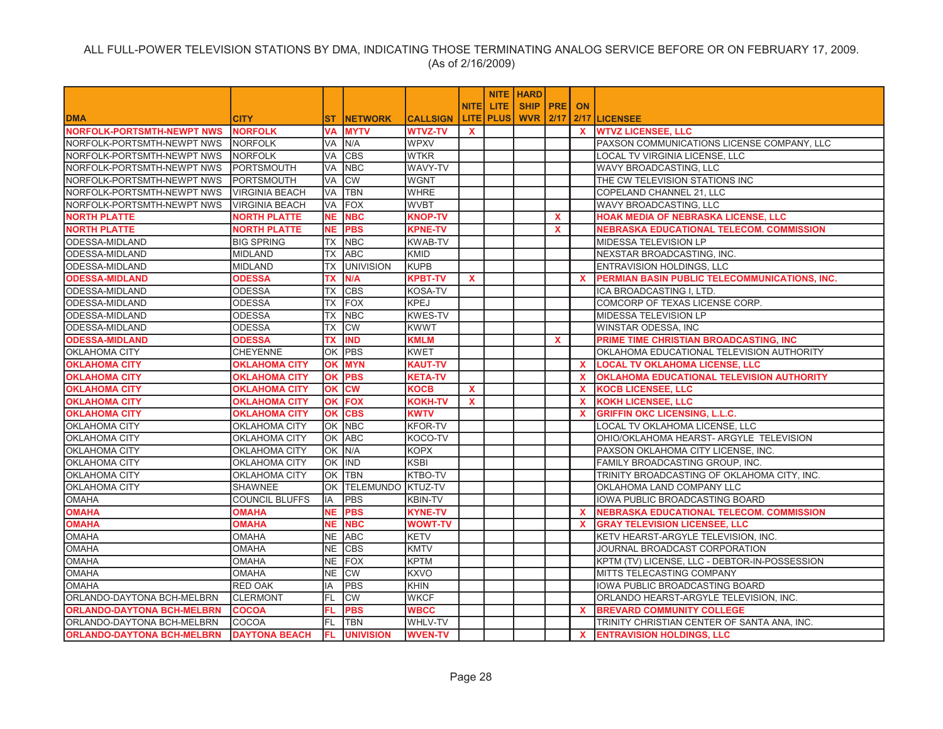|                                   |                       |           |                          |                 |              |             | <b>NITE   HARD</b> |              |              |                                                  |
|-----------------------------------|-----------------------|-----------|--------------------------|-----------------|--------------|-------------|--------------------|--------------|--------------|--------------------------------------------------|
|                                   |                       |           |                          |                 | <b>NITE</b>  | LITE.       | <b>SHIP PRE</b>    |              | <b>ON</b>    |                                                  |
| <b>DMA</b>                        | <b>CITY</b>           | <b>ST</b> | <b>NETWORK</b>           | <b>CALLSIGN</b> | <b>LITE</b>  | <b>PLUS</b> | <b>WVR 2/17</b>    |              |              | 2/17 LICENSEE                                    |
| <b>NORFOLK-PORTSMTH-NEWPT NWS</b> | <b>NORFOLK</b>        | VA        | <b>MYTV</b>              | <b>WTVZ-TV</b>  | <b>X</b>     |             |                    |              | $\mathbf{x}$ | <b>WTVZ LICENSEE, LLC</b>                        |
| NORFOLK-PORTSMTH-NEWPT NWS        | NORFOLK               | VA        | N/A                      | <b>WPXV</b>     |              |             |                    |              |              | PAXSON COMMUNICATIONS LICENSE COMPANY, LLC       |
| NORFOLK-PORTSMTH-NEWPT NWS        | <b>NORFOLK</b>        | VA        | <b>CBS</b>               | <b>WTKR</b>     |              |             |                    |              |              | LOCAL TV VIRGINIA LICENSE, LLC                   |
| NORFOLK-PORTSMTH-NEWPT NWS        | PORTSMOUTH            | VA        | <b>NBC</b>               | WAVY-TV         |              |             |                    |              |              | WAVY BROADCASTING, LLC                           |
| NORFOLK-PORTSMTH-NEWPT NWS        | <b>PORTSMOUTH</b>     | VA        | <b>CW</b>                | <b>WGNT</b>     |              |             |                    |              |              | THE CW TELEVISION STATIONS INC                   |
| NORFOLK-PORTSMTH-NEWPT NWS        | <b>VIRGINIA BEACH</b> | VA        | <b>TBN</b>               | <b>WHRE</b>     |              |             |                    |              |              | COPELAND CHANNEL 21, LLC                         |
| NORFOLK-PORTSMTH-NEWPT NWS        | <b>VIRGINIA BEACH</b> | VA        | <b>FOX</b>               | <b>WVBT</b>     |              |             |                    |              |              | WAVY BROADCASTING, LLC                           |
| <b>NORTH PLATTE</b>               | <b>NORTH PLATTE</b>   | <b>NE</b> | <b>NBC</b>               | <b>KNOP-TV</b>  |              |             |                    | X.           |              | HOAK MEDIA OF NEBRASKA LICENSE, LLC              |
| <b>NORTH PLATTE</b>               | <b>NORTH PLATTE</b>   | <b>NE</b> | <b>PBS</b>               | <b>KPNE-TV</b>  |              |             |                    | $\mathbf{x}$ |              | <b>NEBRASKA EDUCATIONAL TELECOM. COMMISSION</b>  |
| ODESSA-MIDLAND                    | <b>BIG SPRING</b>     | <b>TX</b> | <b>NBC</b>               | <b>KWAB-TV</b>  |              |             |                    |              |              | MIDESSA TELEVISION LP                            |
| ODESSA-MIDLAND                    | <b>MIDLAND</b>        | ТX        | <b>ABC</b>               | <b>KMID</b>     |              |             |                    |              |              | NEXSTAR BROADCASTING, INC.                       |
| ODESSA-MIDLAND                    | <b>MIDLAND</b>        | <b>TX</b> | <b>UNIVISION</b>         | <b>KUPB</b>     |              |             |                    |              |              | ENTRAVISION HOLDINGS, LLC                        |
| <b>ODESSA-MIDLAND</b>             | <b>ODESSA</b>         | TX        | N/A                      | <b>KPBT-TV</b>  | $\mathbf{x}$ |             |                    |              | <b>X</b>     | PERMIAN BASIN PUBLIC TELECOMMUNICATIONS, INC.    |
| ODESSA-MIDLAND                    | <b>ODESSA</b>         | <b>TX</b> | <b>CBS</b>               | <b>KOSA-TV</b>  |              |             |                    |              |              | ICA BROADCASTING I, LTD.                         |
| ODESSA-MIDLAND                    | <b>ODESSA</b>         | <b>TX</b> | <b>FOX</b>               | <b>KPEJ</b>     |              |             |                    |              |              | COMCORP OF TEXAS LICENSE CORP.                   |
| ODESSA-MIDLAND                    | <b>ODESSA</b>         | ТX        | <b>NBC</b>               | <b>KWES-TV</b>  |              |             |                    |              |              | MIDESSA TELEVISION LP                            |
| ODESSA-MIDLAND                    | <b>ODESSA</b>         | <b>TX</b> | <b>CW</b>                | <b>KWWT</b>     |              |             |                    |              |              | WINSTAR ODESSA, INC                              |
| <b>ODESSA-MIDLAND</b>             | <b>ODESSA</b>         | <b>TX</b> | <b>IND</b>               | <b>KMLM</b>     |              |             |                    | $\mathbf{x}$ |              | PRIME TIME CHRISTIAN BROADCASTING, INC           |
| <b>OKLAHOMA CITY</b>              | <b>CHEYENNE</b>       | ОK        | PBS                      | <b>KWET</b>     |              |             |                    |              |              | OKLAHOMA EDUCATIONAL TELEVISION AUTHORITY        |
| <b>OKLAHOMA CITY</b>              | <b>OKLAHOMA CITY</b>  | ΟK        | <b>MYN</b>               | <b>KAUT-TV</b>  |              |             |                    |              | $\mathbf{x}$ | <b>LOCAL TV OKLAHOMA LICENSE, LLC</b>            |
| <b>OKLAHOMA CITY</b>              | <b>OKLAHOMA CITY</b>  | ΟK        | <b>PBS</b>               | <b>KETA-TV</b>  |              |             |                    |              | <b>X</b>     | <b>OKLAHOMA EDUCATIONAL TELEVISION AUTHORITY</b> |
| <b>OKLAHOMA CITY</b>              | <b>OKLAHOMA CITY</b>  | OK        | <b>CW</b>                | <b>KOCB</b>     | $\mathbf{x}$ |             |                    |              | $\mathbf{x}$ | <b>KOCB LICENSEE, LLC</b>                        |
| <b>OKLAHOMA CITY</b>              | <b>OKLAHOMA CITY</b>  | OK        | <b>FOX</b>               | <b>KOKH-TV</b>  | $\mathbf{x}$ |             |                    |              | $\mathbf{x}$ | <b>KOKH LICENSEE, LLC</b>                        |
| <b>OKLAHOMA CITY</b>              | <b>OKLAHOMA CITY</b>  | OK        | <b>CBS</b>               | <b>KWTV</b>     |              |             |                    |              | <b>X</b>     | <b>GRIFFIN OKC LICENSING, L.L.C.</b>             |
| <b>OKLAHOMA CITY</b>              | OKLAHOMA CITY         |           | OK NBC                   | <b>KFOR-TV</b>  |              |             |                    |              |              | LOCAL TV OKLAHOMA LICENSE, LLC                   |
| <b>OKLAHOMA CITY</b>              | OKLAHOMA CITY         | ОK        | <b>ABC</b>               | KOCO-TV         |              |             |                    |              |              | OHIO/OKLAHOMA HEARST- ARGYLE TELEVISION          |
| <b>OKLAHOMA CITY</b>              | OKLAHOMA CITY         | OK.       | N/A                      | <b>KOPX</b>     |              |             |                    |              |              | PAXSON OKLAHOMA CITY LICENSE, INC.               |
| <b>OKLAHOMA CITY</b>              | <b>OKLAHOMA CITY</b>  |           | OK IND                   | <b>KSBI</b>     |              |             |                    |              |              | FAMILY BROADCASTING GROUP, INC.                  |
| <b>OKLAHOMA CITY</b>              | OKLAHOMA CITY         | OK        | <b>TBN</b>               | KTBO-TV         |              |             |                    |              |              | TRINITY BROADCASTING OF OKLAHOMA CITY, INC.      |
| <b>OKLAHOMA CITY</b>              | <b>SHAWNEE</b>        | OK        | <b>TELEMUNDO KTUZ-TV</b> |                 |              |             |                    |              |              | OKLAHOMA LAND COMPANY LLC                        |
| <b>OMAHA</b>                      | <b>COUNCIL BLUFFS</b> | IA        | PBS                      | <b>KBIN-TV</b>  |              |             |                    |              |              | IOWA PUBLIC BROADCASTING BOARD                   |
| <b>OMAHA</b>                      | <b>OMAHA</b>          | <b>NE</b> | <b>PBS</b>               | <b>KYNE-TV</b>  |              |             |                    |              | <b>X</b>     | <b>NEBRASKA EDUCATIONAL TELECOM. COMMISSION</b>  |
| <b>OMAHA</b>                      | <b>OMAHA</b>          | NE.       | <b>NBC</b>               | <b>WOWT-TV</b>  |              |             |                    |              | x            | <b>GRAY TELEVISION LICENSEE, LLC</b>             |
| <b>OMAHA</b>                      | <b>OMAHA</b>          | NE        | <b>ABC</b>               | <b>KETV</b>     |              |             |                    |              |              | KETV HEARST-ARGYLE TELEVISION. INC.              |
| <b>OMAHA</b>                      | <b>OMAHA</b>          | NE        | <b>CBS</b>               | <b>KMTV</b>     |              |             |                    |              |              | JOURNAL BROADCAST CORPORATION                    |
| <b>OMAHA</b>                      | <b>OMAHA</b>          | NE        | FOX                      | <b>KPTM</b>     |              |             |                    |              |              | KPTM (TV) LICENSE, LLC - DEBTOR-IN-POSSESSION    |
| <b>OMAHA</b>                      | <b>OMAHA</b>          | NE        | <b>CW</b>                | <b>KXVO</b>     |              |             |                    |              |              | <b>MITTS TELECASTING COMPANY</b>                 |
| <b>OMAHA</b>                      | <b>RED OAK</b>        | IA        | <b>PBS</b>               | <b>KHIN</b>     |              |             |                    |              |              | IOWA PUBLIC BROADCASTING BOARD                   |
| ORLANDO-DAYTONA BCH-MELBRN        | <b>CLERMONT</b>       | FL.       | <b>CW</b>                | <b>WKCF</b>     |              |             |                    |              |              | ORLANDO HEARST-ARGYLE TELEVISION, INC.           |
| <b>ORLANDO-DAYTONA BCH-MELBRN</b> | <b>COCOA</b>          | FL        | <b>PBS</b>               | <b>WBCC</b>     |              |             |                    |              | $\mathbf{x}$ | <b>BREVARD COMMUNITY COLLEGE</b>                 |
| ORLANDO-DAYTONA BCH-MELBRN        | COCOA                 | FL        | <b>TBN</b>               | <b>WHLV-TV</b>  |              |             |                    |              |              | TRINITY CHRISTIAN CENTER OF SANTA ANA. INC.      |
| <b>ORLANDO-DAYTONA BCH-MELBRN</b> | <b>DAYTONA BEACH</b>  |           | <b>FL UNIVISION</b>      | <b>WVEN-TV</b>  |              |             |                    |              | $\mathbf{x}$ | <b>ENTRAVISION HOLDINGS, LLC</b>                 |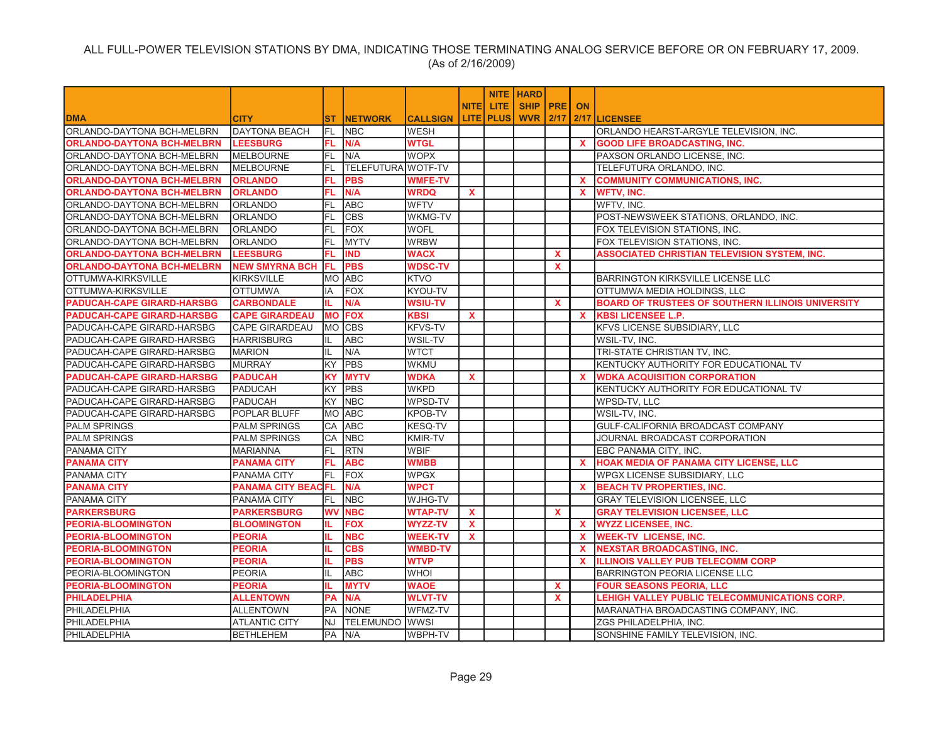|                                   |                           |           |                    |                 |              |                    | <b>NITE   HARD</b> |              |              |                                                     |
|-----------------------------------|---------------------------|-----------|--------------------|-----------------|--------------|--------------------|--------------------|--------------|--------------|-----------------------------------------------------|
|                                   |                           |           |                    |                 | <b>NITEI</b> | LITE.              | <b>SHIP PRE</b>    |              | <b>ON</b>    |                                                     |
| <b>DMA</b>                        | <b>CITY</b>               | ST        | <b>INETWORK</b>    | <b>CALLSIGN</b> |              | <b>LITE   PLUS</b> | <b>WVR 2/17</b>    |              |              | 2/17 LICENSEE                                       |
| ORLANDO-DAYTONA BCH-MELBRN        | <b>DAYTONA BEACH</b>      | FL        | <b>NBC</b>         | WESH            |              |                    |                    |              |              | ORLANDO HEARST-ARGYLE TELEVISION, INC.              |
| <b>ORLANDO-DAYTONA BCH-MELBRN</b> | <b>LEESBURG</b>           | FL.       | N/A                | <b>WTGL</b>     |              |                    |                    |              | $\mathbf{x}$ | <b>GOOD LIFE BROADCASTING, INC.</b>                 |
| ORLANDO-DAYTONA BCH-MELBRN        | <b>MELBOURNE</b>          | FL.       | N/A                | <b>WOPX</b>     |              |                    |                    |              |              | PAXSON ORLANDO LICENSE, INC.                        |
| ORLANDO-DAYTONA BCH-MELBRN        | <b>MELBOURNE</b>          | FL.       | TELEFUTURA WOTF-TV |                 |              |                    |                    |              |              | TELEFUTURA ORLANDO, INC.                            |
| <b>ORLANDO-DAYTONA BCH-MELBRN</b> | <b>ORLANDO</b>            | FL.       | <b>PBS</b>         | <b>WMFE-TV</b>  |              |                    |                    |              | $\mathbf{x}$ | <b>COMMUNITY COMMUNICATIONS, INC.</b>               |
| <b>ORLANDO-DAYTONA BCH-MELBRN</b> | <b>ORLANDO</b>            | FL        | N/A                | <b>WRDQ</b>     | X            |                    |                    |              | $\mathbf{x}$ | <b>WFTV, INC.</b>                                   |
| ORLANDO-DAYTONA BCH-MELBRN        | <b>ORLANDO</b>            | FL.       | <b>ABC</b>         | <b>WFTV</b>     |              |                    |                    |              |              | WFTV, INC.                                          |
| ORLANDO-DAYTONA BCH-MELBRN        | <b>ORLANDO</b>            | FL.       | <b>CBS</b>         | <b>WKMG-TV</b>  |              |                    |                    |              |              | POST-NEWSWEEK STATIONS, ORLANDO, INC.               |
| ORLANDO-DAYTONA BCH-MELBRN        | <b>ORLANDO</b>            | FL        | FOX                | <b>WOFL</b>     |              |                    |                    |              |              | FOX TELEVISION STATIONS, INC.                       |
| ORLANDO-DAYTONA BCH-MELBRN        | <b>ORLANDO</b>            | FL        | <b>IMYTV</b>       | <b>WRBW</b>     |              |                    |                    |              |              | FOX TELEVISION STATIONS, INC.                       |
| <b>ORLANDO-DAYTONA BCH-MELBRN</b> | <b>LEESBURG</b>           | FL.       | <b>IND</b>         | <b>WACX</b>     |              |                    |                    | $\mathbf{x}$ |              | <b>ASSOCIATED CHRISTIAN TELEVISION SYSTEM. INC.</b> |
| <b>ORLANDO-DAYTONA BCH-MELBRN</b> | <b>NEW SMYRNA BCH</b>     | FL.       | <b>PBS</b>         | <b>WDSC-TV</b>  |              |                    |                    | $\mathbf{x}$ |              |                                                     |
| OTTUMWA-KIRKSVILLE                | <b>KIRKSVILLE</b>         |           | MO ABC             | <b>KTVO</b>     |              |                    |                    |              |              | <b>BARRINGTON KIRKSVILLE LICENSE LLC</b>            |
| OTTUMWA-KIRKSVILLE                | <b>OTTUMWA</b>            | IA        | FOX                | KYOU-TV         |              |                    |                    |              |              | OTTUMWA MEDIA HOLDINGS, LLC                         |
| <b>PADUCAH-CAPE GIRARD-HARSBG</b> | <b>CARBONDALE</b>         | IL.       | N/A                | <b>WSIU-TV</b>  |              |                    |                    | $\mathbf{x}$ |              | BOARD OF TRUSTEES OF SOUTHERN ILLINOIS UNIVERSITY   |
| PADUCAH-CAPE GIRARD-HARSBG        | <b>CAPE GIRARDEAU</b>     | <b>MO</b> | <b>FOX</b>         | <b>KBSI</b>     | $\mathbf{x}$ |                    |                    |              | $\mathbf{x}$ | <b>KBSI LICENSEE L.P.</b>                           |
| PADUCAH-CAPE GIRARD-HARSBG        | <b>CAPE GIRARDEAU</b>     |           | MO CBS             | <b>KFVS-TV</b>  |              |                    |                    |              |              | KFVS LICENSE SUBSIDIARY, LLC                        |
| PADUCAH-CAPE GIRARD-HARSBG        | <b>HARRISBURG</b>         | IL.       | <b>ABC</b>         | <b>WSIL-TV</b>  |              |                    |                    |              |              | WSIL-TV. INC.                                       |
| PADUCAH-CAPE GIRARD-HARSBG        | <b>MARION</b>             | IL.       | N/A                | <b>WTCT</b>     |              |                    |                    |              |              | TRI-STATE CHRISTIAN TV, INC.                        |
| PADUCAH-CAPE GIRARD-HARSBG        | <b>MURRAY</b>             | KY.       | <b>PBS</b>         | <b>WKMU</b>     |              |                    |                    |              |              | KENTUCKY AUTHORITY FOR EDUCATIONAL TV               |
| <b>PADUCAH-CAPE GIRARD-HARSBG</b> | <b>PADUCAH</b>            | ΚY        | <b>MYTV</b>        | <b>WDKA</b>     | $\mathbf{x}$ |                    |                    |              | <b>X</b>     | <b>WDKA ACQUISITION CORPORATION</b>                 |
| PADUCAH-CAPE GIRARD-HARSBG        | <b>PADUCAH</b>            | KY        | <b>PBS</b>         | <b>WKPD</b>     |              |                    |                    |              |              | KENTUCKY AUTHORITY FOR EDUCATIONAL TV               |
| PADUCAH-CAPE GIRARD-HARSBG        | <b>PADUCAH</b>            | KY        | <b>NBC</b>         | WPSD-TV         |              |                    |                    |              |              | WPSD-TV. LLC                                        |
| PADUCAH-CAPE GIRARD-HARSBG        | POPLAR BLUFF              | <b>MO</b> | ABC                | <b>KPOB-TV</b>  |              |                    |                    |              |              | WSIL-TV, INC.                                       |
| PALM SPRINGS                      | <b>PALM SPRINGS</b>       | СA        | ABC                | <b>KESQ-TV</b>  |              |                    |                    |              |              | GULF-CALIFORNIA BROADCAST COMPANY                   |
| <b>PALM SPRINGS</b>               | <b>PALM SPRINGS</b>       | CA        | <b>NBC</b>         | <b>KMIR-TV</b>  |              |                    |                    |              |              | JOURNAL BROADCAST CORPORATION                       |
| <b>PANAMA CITY</b>                | <b>MARIANNA</b>           | FL.       | <b>RTN</b>         | <b>WBIF</b>     |              |                    |                    |              |              | EBC PANAMA CITY, INC.                               |
| <b>PANAMA CITY</b>                | <b>PANAMA CITY</b>        | FL.       | <b>ABC</b>         | <b>WMBB</b>     |              |                    |                    |              | <b>X</b>     | HOAK MEDIA OF PANAMA CITY LICENSE, LLC              |
| PANAMA CITY                       | <b>PANAMA CITY</b>        | FL.       | FOX                | <b>WPGX</b>     |              |                    |                    |              |              | WPGX LICENSE SUBSIDIARY, LLC                        |
| <b>PANAMA CITY</b>                | <b>PANAMA CITY BEACFL</b> |           | N/A                | <b>WPCT</b>     |              |                    |                    |              | $\mathbf{x}$ | <b>BEACH TV PROPERTIES, INC.</b>                    |
| PANAMA CITY                       | <b>PANAMA CITY</b>        | FL        | <b>NBC</b>         | WJHG-TV         |              |                    |                    |              |              | <b>GRAY TELEVISION LICENSEE. LLC</b>                |
| <b>PARKERSBURG</b>                | <b>PARKERSBURG</b>        | <b>WV</b> | <b>NBC</b>         | <b>WTAP-TV</b>  | $\mathbf{x}$ |                    |                    | $\mathbf{x}$ |              | <b>GRAY TELEVISION LICENSEE, LLC</b>                |
| <b>PEORIA-BLOOMINGTON</b>         | <b>BLOOMINGTON</b>        | IL.       | <b>FOX</b>         | <b>WYZZ-TV</b>  | <b>X</b>     |                    |                    |              | <b>X</b>     | <b>WYZZ LICENSEE, INC.</b>                          |
| <b>PEORIA-BLOOMINGTON</b>         | <b>PEORIA</b>             | IL.       | <b>NBC</b>         | <b>WEEK-TV</b>  | $\mathbf{x}$ |                    |                    |              | $\mathbf{x}$ | <b>WEEK-TV LICENSE, INC.</b>                        |
| <b>PEORIA-BLOOMINGTON</b>         | <b>PEORIA</b>             | IL.       | <b>CBS</b>         | <b>WMBD-TV</b>  |              |                    |                    |              | x            | <b>NEXSTAR BROADCASTING, INC.</b>                   |
| <b>PEORIA-BLOOMINGTON</b>         | <b>PEORIA</b>             | IL.       | <b>PBS</b>         | <b>WTVP</b>     |              |                    |                    |              | $\mathbf{x}$ | <b>ILLINOIS VALLEY PUB TELECOMM CORP</b>            |
| PEORIA-BLOOMINGTON                | <b>PEORIA</b>             | IL.       | <b>ABC</b>         | <b>WHOI</b>     |              |                    |                    |              |              | <b>BARRINGTON PEORIA LICENSE LLC</b>                |
| <b>PEORIA-BLOOMINGTON</b>         | <b>PEORIA</b>             | IL.       | <b>MYTV</b>        | <b>WAOE</b>     |              |                    |                    | $\mathbf{x}$ |              | <b>FOUR SEASONS PEORIA, LLC</b>                     |
| <b>PHILADELPHIA</b>               | <b>ALLENTOWN</b>          | PA        | N/A                | <b>WLVT-TV</b>  |              |                    |                    | $\mathbf{x}$ |              | LEHIGH VALLEY PUBLIC TELECOMMUNICATIONS CORP.       |
| <b>PHILADELPHIA</b>               | <b>ALLENTOWN</b>          | PA        | <b>NONE</b>        | WFMZ-TV         |              |                    |                    |              |              | MARANATHA BROADCASTING COMPANY, INC.                |
| PHILADELPHIA                      | <b>ATLANTIC CITY</b>      | NJ        | <b>TELEMUNDO</b>   | <b>WWSI</b>     |              |                    |                    |              |              | ZGS PHILADELPHIA. INC.                              |
| PHILADELPHIA                      | <b>BETHLEHEM</b>          |           | PA IN/A            | WBPH-TV         |              |                    |                    |              |              | SONSHINE FAMILY TELEVISION. INC.                    |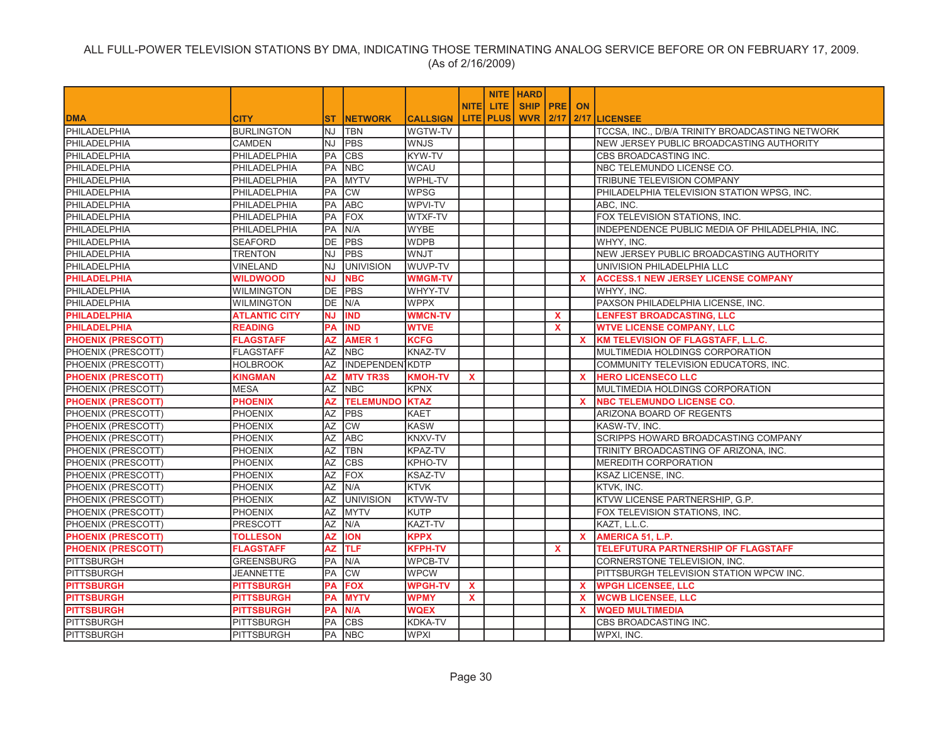|                           |                      |                 |                        |                 |              |             | NITE HARD       |              |              |                                                 |
|---------------------------|----------------------|-----------------|------------------------|-----------------|--------------|-------------|-----------------|--------------|--------------|-------------------------------------------------|
|                           |                      |                 |                        |                 | <b>NITEI</b> | LITE.       | SHIP   PRE   ON |              |              |                                                 |
| <b>DMA</b>                | <b>CITY</b>          | ST              | <b>NETWORK</b>         | <b>CALLSIGN</b> |              | LITE   PLUS | <b>WVR 2/17</b> |              |              | <b>2/17 LICENSEE</b>                            |
| PHILADELPHIA              | <b>BURLINGTON</b>    | NJ              | <b>TBN</b>             | WGTW-TV         |              |             |                 |              |              | TCCSA, INC., D/B/A TRINITY BROADCASTING NETWORK |
| PHILADELPHIA              | <b>CAMDEN</b>        | <b>NJ</b>       | <b>PBS</b>             | <b>WNJS</b>     |              |             |                 |              |              | NEW JERSEY PUBLIC BROADCASTING AUTHORITY        |
| PHILADELPHIA              | PHILADELPHIA         | PA              | <b>CBS</b>             | KYW-TV          |              |             |                 |              |              | CBS BROADCASTING INC.                           |
| PHILADELPHIA              | PHILADELPHIA         | PA              | <b>NBC</b>             | <b>WCAU</b>     |              |             |                 |              |              | NBC TELEMUNDO LICENSE CO.                       |
| PHILADELPHIA              | PHILADELPHIA         | PA              | <b>MYTV</b>            | <b>WPHL-TV</b>  |              |             |                 |              |              | TRIBUNE TELEVISION COMPANY                      |
| PHILADELPHIA              | PHILADELPHIA         | PA              | <b>CW</b>              | <b>WPSG</b>     |              |             |                 |              |              | PHILADELPHIA TELEVISION STATION WPSG, INC.      |
| PHILADELPHIA              | PHILADELPHIA         | PA              | <b>ABC</b>             | WPVI-TV         |              |             |                 |              |              | ABC, INC.                                       |
| PHILADELPHIA              | PHILADELPHIA         | PA              | <b>FOX</b>             | WTXF-TV         |              |             |                 |              |              | FOX TELEVISION STATIONS, INC.                   |
| PHILADELPHIA              | PHILADELPHIA         | PA              | N/A                    | <b>WYBE</b>     |              |             |                 |              |              | INDEPENDENCE PUBLIC MEDIA OF PHILADELPHIA, INC. |
| PHILADELPHIA              | <b>SEAFORD</b>       | DE              | <b>PBS</b>             | <b>WDPB</b>     |              |             |                 |              |              | WHYY, INC.                                      |
| PHILADELPHIA              | <b>TRENTON</b>       | <b>NJ</b>       | <b>PBS</b>             | WNJT            |              |             |                 |              |              | NEW JERSEY PUBLIC BROADCASTING AUTHORITY        |
| PHILADELPHIA              | <b>VINELAND</b>      | NJ              | <b>UNIVISION</b>       | WUVP-TV         |              |             |                 |              |              | UNIVISION PHILADELPHIA LLC                      |
| <b>PHILADELPHIA</b>       | <b>WILDWOOD</b>      | ΝJ              | <b>NBC</b>             | <b>WMGM-TV</b>  |              |             |                 |              | $\mathbf{x}$ | <b>ACCESS.1 NEW JERSEY LICENSE COMPANY</b>      |
| <b>PHILADELPHIA</b>       | <b>WILMINGTON</b>    | <b>DE</b>       | <b>PBS</b>             | WHYY-TV         |              |             |                 |              |              | WHYY, INC.                                      |
| PHILADELPHIA              | <b>WILMINGTON</b>    | <b>DE</b>       | N/A                    | <b>WPPX</b>     |              |             |                 |              |              | PAXSON PHILADELPHIA LICENSE, INC.               |
| <b>PHILADELPHIA</b>       | <b>ATLANTIC CITY</b> | ΝJ              | <b>IND</b>             | <b>WMCN-TV</b>  |              |             |                 | $\mathbf x$  |              | <b>LENFEST BROADCASTING, LLC</b>                |
| <b>PHILADELPHIA</b>       | <b>READING</b>       | <b>PA</b>       | <b>IND</b>             | <b>WTVE</b>     |              |             |                 | $\mathbf{x}$ |              | <b>WTVE LICENSE COMPANY, LLC</b>                |
| <b>PHOENIX (PRESCOTT)</b> | <b>FLAGSTAFF</b>     | AZ              | <b>AMER1</b>           | <b>KCFG</b>     |              |             |                 |              | $\mathbf{x}$ | <b>KM TELEVISION OF FLAGSTAFF, L.L.C.</b>       |
| PHOENIX (PRESCOTT)        | <b>FLAGSTAFF</b>     |                 | AZ NBC                 | <b>KNAZ-TV</b>  |              |             |                 |              |              | MULTIMEDIA HOLDINGS CORPORATION                 |
| PHOENIX (PRESCOTT)        | <b>HOLBROOK</b>      | AZ              | <b>INDEPENDEN KDTP</b> |                 |              |             |                 |              |              | COMMUNITY TELEVISION EDUCATORS, INC.            |
| <b>PHOENIX (PRESCOTT)</b> | <b>KINGMAN</b>       | AZ              | <b>MTV TR3S</b>        | <b>KMOH-TV</b>  | $\mathbf{x}$ |             |                 |              | $\mathbf{x}$ | <b>HERO LICENSECO LLC</b>                       |
| PHOENIX (PRESCOTT)        | <b>MESA</b>          | AZ              | <b>NBC</b>             | <b>KPNX</b>     |              |             |                 |              |              | MULTIMEDIA HOLDINGS CORPORATION                 |
| <b>PHOENIX (PRESCOTT)</b> | <b>PHOENIX</b>       | <b>AZ</b>       | <b>TELEMUNDO KTAZ</b>  |                 |              |             |                 |              | $\mathbf{x}$ | <b>NBC TELEMUNDO LICENSE CO.</b>                |
| PHOENIX (PRESCOTT)        | <b>PHOENIX</b>       | ΑZ              | PBS                    | <b>KAET</b>     |              |             |                 |              |              | ARIZONA BOARD OF REGENTS                        |
| PHOENIX (PRESCOTT)        | PHOENIX              | $\overline{AZ}$ | <b>CW</b>              | <b>KASW</b>     |              |             |                 |              |              | KASW-TV, INC.                                   |
| PHOENIX (PRESCOTT)        | <b>PHOENIX</b>       | AZ              | <b>ABC</b>             | KNXV-TV         |              |             |                 |              |              | SCRIPPS HOWARD BROADCASTING COMPANY             |
| PHOENIX (PRESCOTT)        | <b>PHOENIX</b>       | $\overline{AZ}$ | <b>TBN</b>             | KPAZ-TV         |              |             |                 |              |              | TRINITY BROADCASTING OF ARIZONA, INC.           |
| PHOENIX (PRESCOTT)        | <b>PHOENIX</b>       | $\overline{AZ}$ | <b>CBS</b>             | <b>KPHO-TV</b>  |              |             |                 |              |              | <b>MEREDITH CORPORATION</b>                     |
| PHOENIX (PRESCOTT)        | <b>PHOENIX</b>       | $\overline{AZ}$ | <b>FOX</b>             | <b>KSAZ-TV</b>  |              |             |                 |              |              | KSAZ LICENSE, INC.                              |
| PHOENIX (PRESCOTT)        | <b>PHOENIX</b>       | AZ              | N/A                    | <b>KTVK</b>     |              |             |                 |              |              | KTVK, INC.                                      |
| PHOENIX (PRESCOTT)        | PHOENIX              | <b>AZ</b>       | <b>UNIVISION</b>       | KTVW-TV         |              |             |                 |              |              | KTVW LICENSE PARTNERSHIP, G.P.                  |
| PHOENIX (PRESCOTT)        | <b>PHOENIX</b>       | <b>AZ</b>       | MYTV                   | <b>KUTP</b>     |              |             |                 |              |              | FOX TELEVISION STATIONS, INC.                   |
| PHOENIX (PRESCOTT)        | <b>PRESCOTT</b>      | $\overline{AZ}$ | N/A                    | KAZT-TV         |              |             |                 |              |              | KAZT. L.L.C.                                    |
| <b>PHOENIX (PRESCOTT)</b> | <b>TOLLESON</b>      | <b>AZ</b>       | <b>ION</b>             | <b>KPPX</b>     |              |             |                 |              | $\mathbf{x}$ | AMERICA 51, L.P.                                |
| <b>PHOENIX (PRESCOTT)</b> | <b>FLAGSTAFF</b>     | <b>AZ</b>       | <b>TLF</b>             | <b>KFPH-TV</b>  |              |             |                 | $\mathbf{x}$ |              | <b>TELEFUTURA PARTNERSHIP OF FLAGSTAFF</b>      |
| <b>PITTSBURGH</b>         | <b>GREENSBURG</b>    | <b>PA</b>       | N/A                    | <b>WPCB-TV</b>  |              |             |                 |              |              | CORNERSTONE TELEVISION, INC.                    |
| <b>PITTSBURGH</b>         | JEANNETTE            | РA              | <b>CW</b>              | <b>WPCW</b>     |              |             |                 |              |              | PITTSBURGH TELEVISION STATION WPCW INC.         |
| <b>PITTSBURGH</b>         | <b>PITTSBURGH</b>    | PA              | <b>FOX</b>             | <b>WPGH-TV</b>  | $\mathbf{x}$ |             |                 |              | $\mathbf{x}$ | <b>WPGH LICENSEE, LLC</b>                       |
| <b>PITTSBURGH</b>         | <b>PITTSBURGH</b>    | PА              | <b>MYTV</b>            | <b>WPMY</b>     | $\mathbf{x}$ |             |                 |              | <b>X</b>     | <b>WCWB LICENSEE, LLC</b>                       |
| <b>PITTSBURGH</b>         | <b>PITTSBURGH</b>    | РA              | N/A                    | <b>WQEX</b>     |              |             |                 |              | X.           | <b>WQED MULTIMEDIA</b>                          |
| <b>PITTSBURGH</b>         | <b>PITTSBURGH</b>    | PA              | <b>CBS</b>             | <b>KDKA-TV</b>  |              |             |                 |              |              | CBS BROADCASTING INC.                           |
| PITTSBURGH                | <b>PITTSBURGH</b>    |                 | PA NBC                 | <b>WPXI</b>     |              |             |                 |              |              | WPXI, INC.                                      |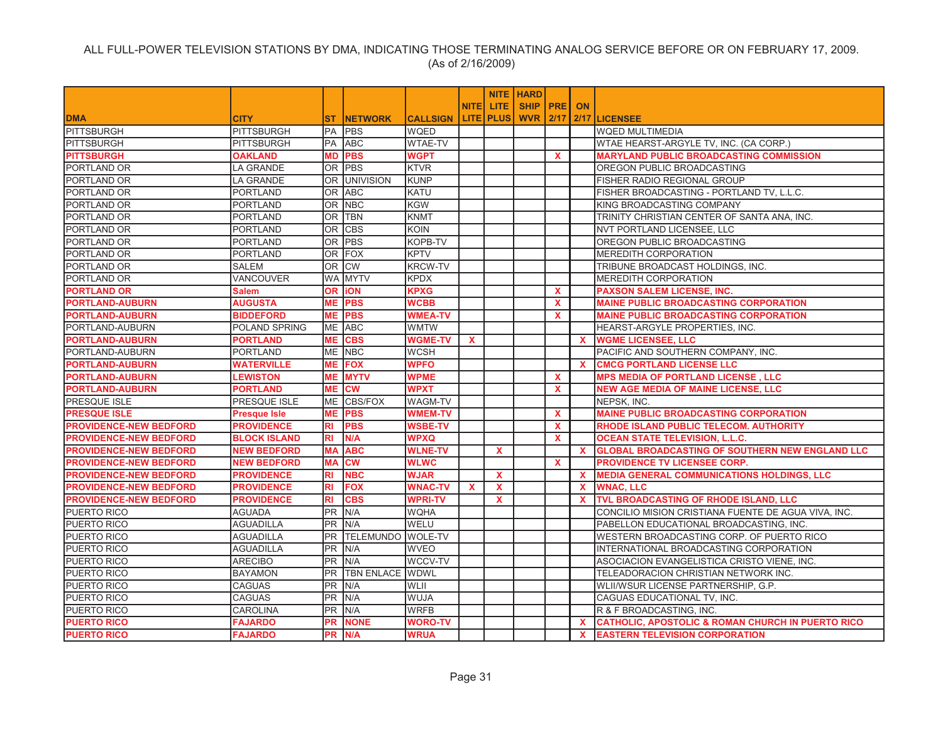|                               |                     |                 |                   |                 |              |                  | <b>NITE   HARD</b> |              |              |                                                              |
|-------------------------------|---------------------|-----------------|-------------------|-----------------|--------------|------------------|--------------------|--------------|--------------|--------------------------------------------------------------|
|                               |                     |                 |                   |                 | <b>NITEI</b> | LITE.            | SHIP   PRE         |              | <b>ON</b>    |                                                              |
| <b>DMA</b>                    | <b>CITY</b>         | <b>ST</b>       | <b>NETWORK</b>    | <b>CALLSIGN</b> |              | <b>LITE PLUS</b> | <b>WVR 2/17</b>    |              |              | 2/17 LICENSEE                                                |
| <b>PITTSBURGH</b>             | <b>PITTSBURGH</b>   | PA              | <b>PBS</b>        | WQED            |              |                  |                    |              |              | <b>WQED MULTIMEDIA</b>                                       |
| <b>PITTSBURGH</b>             | <b>PITTSBURGH</b>   | PA              | <b>ABC</b>        | <b>WTAE-TV</b>  |              |                  |                    |              |              | WTAE HEARST-ARGYLE TV, INC. (CA CORP.)                       |
| <b>PITTSBURGH</b>             | <b>OAKLAND</b>      | MD              | <b>PBS</b>        | <b>WGPT</b>     |              |                  |                    | $\mathbf{x}$ |              | <b>MARYLAND PUBLIC BROADCASTING COMMISSION</b>               |
| PORTLAND OR                   | LA GRANDE           |                 | OR PBS            | <b>KTVR</b>     |              |                  |                    |              |              | OREGON PUBLIC BROADCASTING                                   |
| PORTLAND OR                   | <b>LA GRANDE</b>    |                 | OR UNIVISION      | <b>KUNP</b>     |              |                  |                    |              |              | FISHER RADIO REGIONAL GROUP                                  |
| PORTLAND OR                   | <b>PORTLAND</b>     | 0R              | <b>ABC</b>        | KATU            |              |                  |                    |              |              | FISHER BROADCASTING - PORTLAND TV, L.L.C.                    |
| PORTLAND OR                   | <b>PORTLAND</b>     | 0R              | <b>NBC</b>        | <b>KGW</b>      |              |                  |                    |              |              | KING BROADCASTING COMPANY                                    |
| PORTLAND OR                   | <b>PORTLAND</b>     | 0R              | <b>TBN</b>        | <b>KNMT</b>     |              |                  |                    |              |              | TRINITY CHRISTIAN CENTER OF SANTA ANA, INC.                  |
| PORTLAND OR                   | <b>PORTLAND</b>     | OR.             | <b>CBS</b>        | <b>KOIN</b>     |              |                  |                    |              |              | NVT PORTLAND LICENSEE, LLC                                   |
| PORTLAND OR                   | <b>PORTLAND</b>     | 0R              | <b>PBS</b>        | KOPB-TV         |              |                  |                    |              |              | OREGON PUBLIC BROADCASTING                                   |
| PORTLAND OR                   | <b>PORTLAND</b>     | OR.             | FOX               | <b>KPTV</b>     |              |                  |                    |              |              | <b>MEREDITH CORPORATION</b>                                  |
| PORTLAND OR                   | <b>SALEM</b>        | OR.             | <b>CW</b>         | <b>KRCW-TV</b>  |              |                  |                    |              |              | TRIBUNE BROADCAST HOLDINGS, INC.                             |
| PORTLAND OR                   | VANCOUVER           |                 | WA MYTV           | <b>KPDX</b>     |              |                  |                    |              |              | MEREDITH CORPORATION                                         |
| <b>PORTLAND OR</b>            | <b>Salem</b>        | OR I            | <b>iON</b>        | <b>KPXG</b>     |              |                  |                    | $\mathbf{x}$ |              | <b>PAXSON SALEM LICENSE, INC.</b>                            |
| <b>PORTLAND-AUBURN</b>        | <b>AUGUSTA</b>      | МE              | <b>PBS</b>        | <b>WCBB</b>     |              |                  |                    | $\mathbf{x}$ |              | <b>MAINE PUBLIC BROADCASTING CORPORATION</b>                 |
| <b>PORTLAND-AUBURN</b>        | <b>BIDDEFORD</b>    | MЕ              | <b>PBS</b>        | <b>WMEA-TV</b>  |              |                  |                    | $\mathbf x$  |              | <b>MAINE PUBLIC BROADCASTING CORPORATION</b>                 |
| PORTLAND-AUBURN               | POLAND SPRING       | <b>ME</b>       | ABC               | <b>WMTW</b>     |              |                  |                    |              |              | HEARST-ARGYLE PROPERTIES, INC.                               |
| <b>PORTLAND-AUBURN</b>        | PORTLAND            | MЕ              | <b>CBS</b>        | <b>WGME-TV</b>  | <b>X</b>     |                  |                    |              | X.           | <b>WGME LICENSEE, LLC</b>                                    |
| PORTLAND-AUBURN               | <b>PORTLAND</b>     |                 | ME NBC            | <b>WCSH</b>     |              |                  |                    |              |              | PACIFIC AND SOUTHERN COMPANY, INC.                           |
| <b>PORTLAND-AUBURN</b>        | <b>WATERVILLE</b>   | MЕ              | <b>FOX</b>        | <b>WPFO</b>     |              |                  |                    |              | $\mathbf{x}$ | <b>CMCG PORTLAND LICENSE LLC</b>                             |
| <b>PORTLAND-AUBURN</b>        | <b>LEWISTON</b>     | MЕ              | <b>MYTV</b>       | <b>WPME</b>     |              |                  |                    | X.           |              | <b>MPS MEDIA OF PORTLAND LICENSE , LLC</b>                   |
| <b>PORTLAND-AUBURN</b>        | <b>PORTLAND</b>     | MЕ              | <b>CW</b>         | <b>WPXT</b>     |              |                  |                    | $\mathbf{x}$ |              | <b>NEW AGE MEDIA OF MAINE LICENSE, LLC</b>                   |
| <b>PRESQUE ISLE</b>           | PRESQUE ISLE        | ME              | CBS/FOX           | WAGM-TV         |              |                  |                    |              |              | NEPSK, INC.                                                  |
| <b>PRESQUE ISLE</b>           | <b>Presque Isle</b> | MЕ              | <b>PBS</b>        | <b>WMEM-TV</b>  |              |                  |                    | $\mathbf{x}$ |              | <b>MAINE PUBLIC BROADCASTING CORPORATION</b>                 |
| <b>PROVIDENCE-NEW BEDFORD</b> | <b>PROVIDENCE</b>   | RI              | <b>PBS</b>        | <b>WSBE-TV</b>  |              |                  |                    | $\mathbf{x}$ |              | RHODE ISLAND PUBLIC TELECOM. AUTHORITY                       |
| <b>PROVIDENCE-NEW BEDFORD</b> | <b>BLOCK ISLAND</b> | RI              | N/A               | <b>WPXQ</b>     |              |                  |                    | $\mathbf{x}$ |              | <b>OCEAN STATE TELEVISION, L.L.C.</b>                        |
| <b>PROVIDENCE-NEW BEDFORD</b> | <b>NEW BEDFORD</b>  | MА              | <b>ABC</b>        | <b>WLNE-TV</b>  |              | X                |                    |              | $\mathbf{x}$ | <b>GLOBAL BROADCASTING OF SOUTHERN NEW ENGLAND LLC</b>       |
| <b>PROVIDENCE-NEW BEDFORD</b> | <b>NEW BEDFORD</b>  | MА              | <b>CW</b>         | <b>WLWC</b>     |              |                  |                    | $\mathbf{x}$ |              | <b>PROVIDENCE TV LICENSEE CORP.</b>                          |
| <b>PROVIDENCE-NEW BEDFORD</b> | <b>PROVIDENCE</b>   | RI              | <b>NBC</b>        | <b>WJAR</b>     |              | $\mathbf x$      |                    |              | $\mathbf{x}$ | <b>MEDIA GENERAL COMMUNICATIONS HOLDINGS, LLC</b>            |
| <b>PROVIDENCE-NEW BEDFORD</b> | <b>PROVIDENCE</b>   | RI              | <b>FOX</b>        | <b>WNAC-TV</b>  | $\mathbf x$  | X                |                    |              | $\mathbf{x}$ | <b>WNAC, LLC</b>                                             |
| <b>PROVIDENCE-NEW BEDFORD</b> | <b>PROVIDENCE</b>   | RI              | <b>CBS</b>        | <b>WPRI-TV</b>  |              | $\mathbf{x}$     |                    |              | $\mathbf{x}$ | TVL BROADCASTING OF RHODE ISLAND, LLC                        |
| <b>PUERTO RICO</b>            | <b>AGUADA</b>       | <b>PR</b>       | N/A               | <b>WQHA</b>     |              |                  |                    |              |              | CONCILIO MISION CRISTIANA FUENTE DE AGUA VIVA, INC.          |
| PUERTO RICO                   | <b>AGUADILLA</b>    | <b>PR</b>       | N/A               | WELU            |              |                  |                    |              |              | PABELLON EDUCATIONAL BROADCASTING, INC.                      |
| PUERTO RICO                   | <b>AGUADILLA</b>    | PR              | <b>TELEMUNDO</b>  | <b>WOLE-TV</b>  |              |                  |                    |              |              | WESTERN BROADCASTING CORP. OF PUERTO RICO                    |
| <b>PUERTO RICO</b>            | <b>AGUADILLA</b>    | $\overline{PR}$ | N/A               | <b>WVEO</b>     |              |                  |                    |              |              | INTERNATIONAL BROADCASTING CORPORATION                       |
| <b>PUERTO RICO</b>            | <b>ARECIBO</b>      | <b>PR</b>       | N/A               | WCCV-TV         |              |                  |                    |              |              | ASOCIACION EVANGELISTICA CRISTO VIENE, INC.                  |
| <b>PUERTO RICO</b>            | <b>BAYAMON</b>      | <b>PR</b>       | <b>TBN ENLACE</b> | <b>WDWL</b>     |              |                  |                    |              |              | TELEADORACION CHRISTIAN NETWORK INC.                         |
| <b>PUERTO RICO</b>            | <b>CAGUAS</b>       | $\overline{PR}$ | N/A               | WLII            |              |                  |                    |              |              | WLII/WSUR LICENSE PARTNERSHIP, G.P.                          |
| <b>PUERTO RICO</b>            | <b>CAGUAS</b>       | <b>PR</b>       | N/A               | WUJA            |              |                  |                    |              |              | CAGUAS EDUCATIONAL TV, INC.                                  |
| PUERTO RICO                   | <b>CAROLINA</b>     | <b>PR</b>       | N/A               | <b>WRFB</b>     |              |                  |                    |              |              | R & F BROADCASTING, INC.                                     |
| <b>PUERTO RICO</b>            | <b>FAJARDO</b>      | PR              | <b>NONE</b>       | <b>WORO-TV</b>  |              |                  |                    |              | <b>X</b>     | <b>CATHOLIC, APOSTOLIC &amp; ROMAN CHURCH IN PUERTO RICO</b> |
| <b>PUERTO RICO</b>            | <b>FAJARDO</b>      | PR              | N/A               | <b>WRUA</b>     |              |                  |                    |              | $\mathbf{x}$ | <b>EASTERN TELEVISION CORPORATION</b>                        |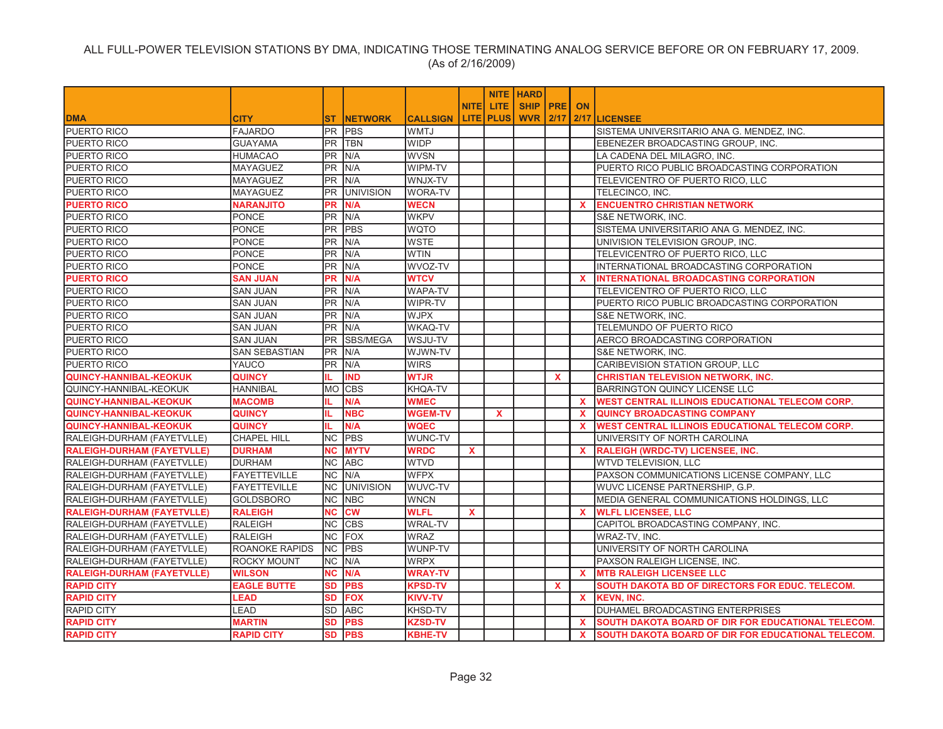|                                   |                       |           |                  |                 |              |                  | <b>NITE HARD</b> |              |              |                                                           |
|-----------------------------------|-----------------------|-----------|------------------|-----------------|--------------|------------------|------------------|--------------|--------------|-----------------------------------------------------------|
|                                   |                       |           |                  |                 | <b>NITEI</b> | <b>LITE</b>      | <b>SHIP PRE</b>  |              | <b>ON</b>    |                                                           |
| <b>DMA</b>                        | <b>CITY</b>           | ST        | <b>INETWORK</b>  | <b>CALLSIGN</b> |              | <b>LITE PLUS</b> |                  |              |              | <b>WVR   2/17   2/17   LICENSEE</b>                       |
| PUERTO RICO                       | <b>FAJARDO</b>        | PR        | <b>PBS</b>       | WMTJ            |              |                  |                  |              |              | SISTEMA UNIVERSITARIO ANA G. MENDEZ, INC.                 |
| <b>PUERTO RICO</b>                | <b>GUAYAMA</b>        | <b>PR</b> | <b>TBN</b>       | <b>WIDP</b>     |              |                  |                  |              |              | EBENEZER BROADCASTING GROUP, INC.                         |
| <b>PUERTO RICO</b>                | <b>HUMACAO</b>        | PR.       | N/A              | <b>WVSN</b>     |              |                  |                  |              |              | LA CADENA DEL MILAGRO, INC.                               |
| PUERTO RICO                       | MAYAGUEZ              | <b>PR</b> | N/A              | WIPM-TV         |              |                  |                  |              |              | PUERTO RICO PUBLIC BROADCASTING CORPORATION               |
| PUERTO RICO                       | MAYAGUEZ              |           | PR N/A           | WNJX-TV         |              |                  |                  |              |              | TELEVICENTRO OF PUERTO RICO, LLC                          |
| <b>PUERTO RICO</b>                | MAYAGUEZ              | <b>PR</b> | <b>UNIVISION</b> | <b>WORA-TV</b>  |              |                  |                  |              |              | TELECINCO, INC.                                           |
| <b>PUERTO RICO</b>                | <b>NARANJITO</b>      | PR        | N/A              | <b>WECN</b>     |              |                  |                  |              | $\mathbf{x}$ | <b>ENCUENTRO CHRISTIAN NETWORK</b>                        |
| PUERTO RICO                       | <b>PONCE</b>          | PR.       | N/A              | <b>WKPV</b>     |              |                  |                  |              |              | S&E NETWORK, INC.                                         |
| <b>PUERTO RICO</b>                | <b>PONCE</b>          | PR.       | <b>PBS</b>       | <b>WQTO</b>     |              |                  |                  |              |              | SISTEMA UNIVERSITARIO ANA G. MENDEZ, INC.                 |
| <b>PUERTO RICO</b>                | PONCE                 | <b>PR</b> | N/A              | <b>WSTE</b>     |              |                  |                  |              |              | UNIVISION TELEVISION GROUP, INC.                          |
| PUERTO RICO                       | <b>PONCE</b>          | PR.       | N/A              | <b>WTIN</b>     |              |                  |                  |              |              | TELEVICENTRO OF PUERTO RICO, LLC                          |
| <b>PUERTO RICO</b>                | <b>PONCE</b>          | PR.       | N/A              | WVOZ-TV         |              |                  |                  |              |              | INTERNATIONAL BROADCASTING CORPORATION                    |
| <b>PUERTO RICO</b>                | SAN JUAN              | PR        | N/A              | <b>WTCV</b>     |              |                  |                  |              | x            | <b>INTERNATIONAL BROADCASTING CORPORATION</b>             |
| PUERTO RICO                       | <b>SAN JUAN</b>       | <b>PR</b> | N/A              | <b>WAPA-TV</b>  |              |                  |                  |              |              | TELEVICENTRO OF PUERTO RICO, LLC                          |
| <b>PUERTO RICO</b>                | <b>SAN JUAN</b>       | PR.       | N/A              | WIPR-TV         |              |                  |                  |              |              | PUERTO RICO PUBLIC BROADCASTING CORPORATION               |
| <b>PUERTO RICO</b>                | <b>SAN JUAN</b>       | PR        | N/A              | <b>WJPX</b>     |              |                  |                  |              |              | S&E NETWORK, INC.                                         |
| PUERTO RICO                       | <b>SAN JUAN</b>       | <b>PR</b> | N/A              | <b>WKAQ-TV</b>  |              |                  |                  |              |              | TELEMUNDO OF PUERTO RICO                                  |
| <b>PUERTO RICO</b>                | <b>SAN JUAN</b>       | <b>PR</b> | SBS/MEGA         | WSJU-TV         |              |                  |                  |              |              | AERCO BROADCASTING CORPORATION                            |
| PUERTO RICO                       | SAN SEBASTIAN         | <b>PR</b> | N/A              | WJWN-TV         |              |                  |                  |              |              | S&E NETWORK, INC.                                         |
| PUERTO RICO                       | YAUCO                 | <b>PR</b> | N/A              | <b>WIRS</b>     |              |                  |                  |              |              | CARIBEVISION STATION GROUP, LLC                           |
| <b>QUINCY-HANNIBAL-KEOKUK</b>     | <b>QUINCY</b>         | IL.       | <b>IND</b>       | <b>WTJR</b>     |              |                  |                  | $\mathbf{x}$ |              | <b>CHRISTIAN TELEVISION NETWORK, INC.</b>                 |
| QUINCY-HANNIBAL-KEOKUK            | <b>HANNIBAL</b>       |           | MO CBS           | KHQA-TV         |              |                  |                  |              |              | <b>BARRINGTON QUINCY LICENSE LLC</b>                      |
| <b>QUINCY-HANNIBAL-KEOKUK</b>     | <b>MACOMB</b>         | IL.       | N/A              | <b>WMEC</b>     |              |                  |                  |              | <b>X</b>     | <b>WEST CENTRAL ILLINOIS EDUCATIONAL TELECOM CORP.</b>    |
| <b>QUINCY-HANNIBAL-KEOKUK</b>     | <b>QUINCY</b>         | IL.       | <b>NBC</b>       | <b>WGEM-TV</b>  |              | <b>X</b>         |                  |              | X.           | <b>QUINCY BROADCASTING COMPANY</b>                        |
| <b>QUINCY-HANNIBAL-KEOKUK</b>     | <b>QUINCY</b>         | IL.       | N/A              | <b>WQEC</b>     |              |                  |                  |              | $\mathbf{x}$ | <b>WEST CENTRAL ILLINOIS EDUCATIONAL TELECOM CORP.</b>    |
| RALEIGH-DURHAM (FAYETVLLE)        | <b>CHAPEL HILL</b>    | NC.       | <b>PBS</b>       | WUNC-TV         |              |                  |                  |              |              | UNIVERSITY OF NORTH CAROLINA                              |
| <b>RALEIGH-DURHAM (FAYETVLLE)</b> | <b>DURHAM</b>         | <b>NC</b> | <b>MYTV</b>      | <b>WRDC</b>     | X            |                  |                  |              | $\mathbf{x}$ | RALEIGH (WRDC-TV) LICENSEE, INC.                          |
| RALEIGH-DURHAM (FAYETVLLE)        | <b>DURHAM</b>         | NC        | <b>ABC</b>       | <b>WTVD</b>     |              |                  |                  |              |              | WTVD TELEVISION, LLC                                      |
| RALEIGH-DURHAM (FAYETVLLE)        | <b>FAYETTEVILLE</b>   | <b>NC</b> | N/A              | <b>WFPX</b>     |              |                  |                  |              |              | PAXSON COMMUNICATIONS LICENSE COMPANY, LLC                |
| RALEIGH-DURHAM (FAYETVLLE)        | <b>FAYETTEVILLE</b>   | <b>NC</b> | <b>UNIVISION</b> | WUVC-TV         |              |                  |                  |              |              | WUVC LICENSE PARTNERSHIP, G.P.                            |
| RALEIGH-DURHAM (FAYETVLLE)        | <b>GOLDSBORO</b>      |           | NC NBC           | <b>WNCN</b>     |              |                  |                  |              |              | MEDIA GENERAL COMMUNICATIONS HOLDINGS, LLC                |
| <b>RALEIGH-DURHAM (FAYETVLLE)</b> | <b>RALEIGH</b>        | <b>NC</b> | <b>CW</b>        | <b>WLFL</b>     | $\mathbf{x}$ |                  |                  |              | $\mathbf{x}$ | <b>WLFL LICENSEE, LLC</b>                                 |
| RALEIGH-DURHAM (FAYETVLLE)        | <b>RALEIGH</b>        | NС        | <b>CBS</b>       | <b>WRAL-TV</b>  |              |                  |                  |              |              | CAPITOL BROADCASTING COMPANY, INC.                        |
| RALEIGH-DURHAM (FAYETVLLE)        | <b>RALEIGH</b>        | NC.       | FOX              | <b>WRAZ</b>     |              |                  |                  |              |              | WRAZ-TV, INC.                                             |
| RALEIGH-DURHAM (FAYETVLLE)        | <b>ROANOKE RAPIDS</b> | <b>NC</b> | <b>PBS</b>       | WUNP-TV         |              |                  |                  |              |              | UNIVERSITY OF NORTH CAROLINA                              |
| RALEIGH-DURHAM (FAYETVLLE)        | <b>ROCKY MOUNT</b>    | NC        | N/A              | <b>WRPX</b>     |              |                  |                  |              |              | PAXSON RALEIGH LICENSE, INC.                              |
| <b>RALEIGH-DURHAM (FAYETVLLE)</b> | <b>WILSON</b>         | <b>NC</b> | N/A              | <b>WRAY-TV</b>  |              |                  |                  |              | $\mathbf{x}$ | <b>MTB RALEIGH LICENSEE LLC</b>                           |
| <b>RAPID CITY</b>                 | <b>EAGLE BUTTE</b>    | SD        | <b>PBS</b>       | <b>KPSD-TV</b>  |              |                  |                  | $\mathbf{x}$ |              | SOUTH DAKOTA BD OF DIRECTORS FOR EDUC. TELECOM.           |
| <b>RAPID CITY</b>                 | LEAD                  | SD        | <b>FOX</b>       | <b>KIVV-TV</b>  |              |                  |                  |              | X.           | <b>KEVN, INC.</b>                                         |
| <b>RAPID CITY</b>                 | LEAD                  | SD        | <b>ABC</b>       | KHSD-TV         |              |                  |                  |              |              | DUHAMEL BROADCASTING ENTERPRISES                          |
| <b>RAPID CITY</b>                 | <b>MARTIN</b>         | <b>SD</b> | <b>PBS</b>       | <b>KZSD-TV</b>  |              |                  |                  |              | $\mathbf{x}$ | <b>SOUTH DAKOTA BOARD OF DIR FOR EDUCATIONAL TELECOM.</b> |
| <b>RAPID CITY</b>                 | <b>RAPID CITY</b>     |           | SD PBS           | <b>KBHE-TV</b>  |              |                  |                  |              |              | X ISOUTH DAKOTA BOARD OF DIR FOR EDUCATIONAL TELECOM.     |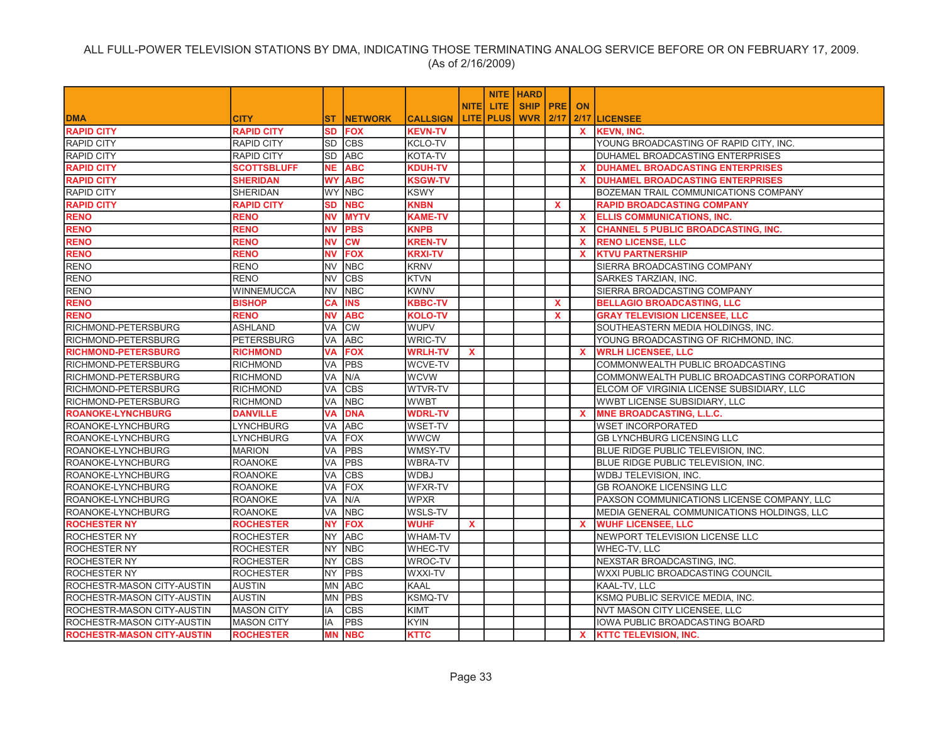|                                   |                    |           |                |                 |              |                  | <b>NITE HARD</b> |              |              |                                              |
|-----------------------------------|--------------------|-----------|----------------|-----------------|--------------|------------------|------------------|--------------|--------------|----------------------------------------------|
|                                   |                    |           |                |                 | <b>NITE</b>  | <b>LITE</b>      | <b>SHIP PRE</b>  |              | <b>ON</b>    |                                              |
| <b>DMA</b>                        | <b>CITY</b>        | ST.       | <b>NETWORK</b> | <b>CALLSIGN</b> |              | <b>LITE PLUS</b> | <b>WVR 2/17</b>  |              |              | 2/17 LICENSEE                                |
| <b>RAPID CITY</b>                 | <b>RAPID CITY</b>  | <b>SD</b> | <b>FOX</b>     | <b>KEVN-TV</b>  |              |                  |                  |              | $\mathbf{x}$ | <b>KEVN, INC.</b>                            |
| RAPID CITY                        | <b>RAPID CITY</b>  | <b>SD</b> | <b>CBS</b>     | KCLO-TV         |              |                  |                  |              |              | YOUNG BROADCASTING OF RAPID CITY, INC.       |
| <b>RAPID CITY</b>                 | <b>RAPID CITY</b>  | <b>SD</b> | <b>ABC</b>     | KOTA-TV         |              |                  |                  |              |              | DUHAMEL BROADCASTING ENTERPRISES             |
| <b>RAPID CITY</b>                 | <b>SCOTTSBLUFF</b> | <b>NE</b> | <b>ABC</b>     | <b>KDUH-TV</b>  |              |                  |                  |              | <b>X</b>     | <b>DUHAMEL BROADCASTING ENTERPRISES</b>      |
| <b>RAPID CITY</b>                 | <b>SHERIDAN</b>    | <b>WY</b> | <b>ABC</b>     | <b>KSGW-TV</b>  |              |                  |                  |              | <b>X</b>     | <b>DUHAMEL BROADCASTING ENTERPRISES</b>      |
| <b>RAPID CITY</b>                 | <b>SHERIDAN</b>    |           | WY NBC         | <b>KSWY</b>     |              |                  |                  |              |              | BOZEMAN TRAIL COMMUNICATIONS COMPANY         |
| <b>RAPID CITY</b>                 | <b>RAPID CITY</b>  | <b>SD</b> | <b>NBC</b>     | <b>KNBN</b>     |              |                  |                  | $\mathbf{x}$ |              | <b>RAPID BROADCASTING COMPANY</b>            |
| <b>RENO</b>                       | <b>RENO</b>        | <b>NV</b> | <b>MYTV</b>    | <b>KAME-TV</b>  |              |                  |                  |              | $\mathbf{x}$ | <b>ELLIS COMMUNICATIONS, INC.</b>            |
| <b>RENO</b>                       | <b>RENO</b>        | <b>NV</b> | <b>PBS</b>     | <b>KNPB</b>     |              |                  |                  |              | $\mathbf{x}$ | <b>CHANNEL 5 PUBLIC BROADCASTING, INC.</b>   |
| <b>RENO</b>                       | <b>RENO</b>        | <b>NV</b> | <b>CW</b>      | <b>KREN-TV</b>  |              |                  |                  |              | X            | <b>RENO LICENSE, LLC</b>                     |
| <b>RENO</b>                       | <b>RENO</b>        | <b>NV</b> | <b>FOX</b>     | <b>KRXI-TV</b>  |              |                  |                  |              | $\mathbf{x}$ | <b>KTVU PARTNERSHIP</b>                      |
| <b>RENO</b>                       | <b>RENO</b>        | <b>NV</b> | <b>NBC</b>     | <b>KRNV</b>     |              |                  |                  |              |              | SIERRA BROADCASTING COMPANY                  |
| <b>RENO</b>                       | <b>RENO</b>        | <b>NV</b> | <b>CBS</b>     | <b>KTVN</b>     |              |                  |                  |              |              | SARKES TARZIAN, INC.                         |
| <b>RENO</b>                       | <b>WINNEMUCCA</b>  | <b>NV</b> | <b>NBC</b>     | <b>KWNV</b>     |              |                  |                  |              |              | SIERRA BROADCASTING COMPANY                  |
| <b>RENO</b>                       | <b>BISHOP</b>      | CA        | <b>INS</b>     | <b>KBBC-TV</b>  |              |                  |                  | $\mathbf{x}$ |              | <b>BELLAGIO BROADCASTING, LLC</b>            |
| <b>RENO</b>                       | <b>RENO</b>        | <b>NV</b> | <b>ABC</b>     | <b>KOLO-TV</b>  |              |                  |                  | $\mathbf{x}$ |              | <b>GRAY TELEVISION LICENSEE, LLC</b>         |
| RICHMOND-PETERSBURG               | <b>ASHLAND</b>     | <b>VA</b> | <b>CW</b>      | <b>WUPV</b>     |              |                  |                  |              |              | SOUTHEASTERN MEDIA HOLDINGS, INC.            |
| RICHMOND-PETERSBURG               | <b>PETERSBURG</b>  | VA        | <b>ABC</b>     | <b>WRIC-TV</b>  |              |                  |                  |              |              | YOUNG BROADCASTING OF RICHMOND, INC.         |
| <b>RICHMOND-PETERSBURG</b>        | <b>RICHMOND</b>    | VA        | <b>FOX</b>     | <b>WRLH-TV</b>  | $\mathbf{x}$ |                  |                  |              | $\mathbf x$  | <b>WRLH LICENSEE, LLC</b>                    |
| RICHMOND-PETERSBURG               | <b>RICHMOND</b>    | VA        | <b>PBS</b>     | WCVE-TV         |              |                  |                  |              |              | COMMONWEALTH PUBLIC BROADCASTING             |
| RICHMOND-PETERSBURG               | <b>RICHMOND</b>    | VA        | N/A            | <b>WCVW</b>     |              |                  |                  |              |              | COMMONWEALTH PUBLIC BROADCASTING CORPORATION |
| RICHMOND-PETERSBURG               | <b>RICHMOND</b>    | VA        | <b>CBS</b>     | WTVR-TV         |              |                  |                  |              |              | ELCOM OF VIRGINIA LICENSE SUBSIDIARY, LLC    |
| RICHMOND-PETERSBURG               | <b>RICHMOND</b>    | VA        | <b>NBC</b>     | <b>WWBT</b>     |              |                  |                  |              |              | WWBT LICENSE SUBSIDIARY, LLC                 |
| <b>ROANOKE-LYNCHBURG</b>          | <b>DANVILLE</b>    | VA        | <b>DNA</b>     | <b>WDRL-TV</b>  |              |                  |                  |              | $\mathbf{x}$ | <b>MNE BROADCASTING, L.L.C.</b>              |
| ROANOKE-LYNCHBURG                 | <b>LYNCHBURG</b>   | VA        | <b>ABC</b>     | <b>WSET-TV</b>  |              |                  |                  |              |              | <b>WSET INCORPORATED</b>                     |
| ROANOKE-LYNCHBURG                 | <b>LYNCHBURG</b>   | VA        | <b>FOX</b>     | <b>WWCW</b>     |              |                  |                  |              |              | GB LYNCHBURG LICENSING LLC                   |
| ROANOKE-LYNCHBURG                 | <b>MARION</b>      | VA        | PBS            | WMSY-TV         |              |                  |                  |              |              | BLUE RIDGE PUBLIC TELEVISION, INC.           |
| ROANOKE-LYNCHBURG                 | <b>ROANOKE</b>     | VA        | <b>PBS</b>     | <b>WBRA-TV</b>  |              |                  |                  |              |              | BLUE RIDGE PUBLIC TELEVISION, INC.           |
| ROANOKE-LYNCHBURG                 | <b>ROANOKE</b>     | VA        | <b>CBS</b>     | <b>WDBJ</b>     |              |                  |                  |              |              | WDBJ TELEVISION, INC.                        |
| ROANOKE-LYNCHBURG                 | <b>ROANOKE</b>     | VA        | <b>FOX</b>     | <b>WFXR-TV</b>  |              |                  |                  |              |              | GB ROANOKE LICENSING LLC                     |
| ROANOKE-LYNCHBURG                 | <b>ROANOKE</b>     | VA        | N/A            | <b>WPXR</b>     |              |                  |                  |              |              | PAXSON COMMUNICATIONS LICENSE COMPANY, LLC   |
| ROANOKE-LYNCHBURG                 | <b>ROANOKE</b>     | VA        | <b>NBC</b>     | WSLS-TV         |              |                  |                  |              |              | MEDIA GENERAL COMMUNICATIONS HOLDINGS, LLC   |
| <b>ROCHESTER NY</b>               | <b>ROCHESTER</b>   | <b>NY</b> | <b>FOX</b>     | <b>WUHF</b>     | $\mathbf{x}$ |                  |                  |              | $\mathbf{x}$ | <b>WUHF LICENSEE, LLC</b>                    |
| ROCHESTER NY                      | <b>ROCHESTER</b>   | <b>NY</b> | <b>ABC</b>     | WHAM-TV         |              |                  |                  |              |              | NEWPORT TELEVISION LICENSE LLC               |
| <b>ROCHESTER NY</b>               | <b>ROCHESTER</b>   | <b>NY</b> | <b>NBC</b>     | WHEC-TV         |              |                  |                  |              |              | WHEC-TV, LLC                                 |
| <b>ROCHESTER NY</b>               | <b>ROCHESTER</b>   | <b>NY</b> | <b>CBS</b>     | WROC-TV         |              |                  |                  |              |              | NEXSTAR BROADCASTING, INC.                   |
| <b>ROCHESTER NY</b>               | <b>ROCHESTER</b>   | <b>NY</b> | <b>PBS</b>     | <b>WXXI-TV</b>  |              |                  |                  |              |              | WXXI PUBLIC BROADCASTING COUNCIL             |
| ROCHESTR-MASON CITY-AUSTIN        | <b>AUSTIN</b>      | <b>MN</b> | <b>ABC</b>     | <b>KAAL</b>     |              |                  |                  |              |              | KAAL-TV, LLC                                 |
| ROCHESTR-MASON CITY-AUSTIN        | <b>AUSTIN</b>      | <b>MN</b> | <b>PBS</b>     | KSMQ-TV         |              |                  |                  |              |              | KSMQ PUBLIC SERVICE MEDIA, INC.              |
| ROCHESTR-MASON CITY-AUSTIN        | <b>MASON CITY</b>  | IA        | <b>CBS</b>     | <b>KIMT</b>     |              |                  |                  |              |              | NVT MASON CITY LICENSEE, LLC                 |
| ROCHESTR-MASON CITY-AUSTIN        | <b>MASON CITY</b>  | IA        | <b>PBS</b>     | <b>KYIN</b>     |              |                  |                  |              |              | IOWA PUBLIC BROADCASTING BOARD               |
| <b>ROCHESTR-MASON CITY-AUSTIN</b> | <b>ROCHESTER</b>   | <b>MN</b> | <b>NBC</b>     | <b>KTTC</b>     |              |                  |                  |              | <b>X</b>     | <b>KTTC TELEVISION. INC.</b>                 |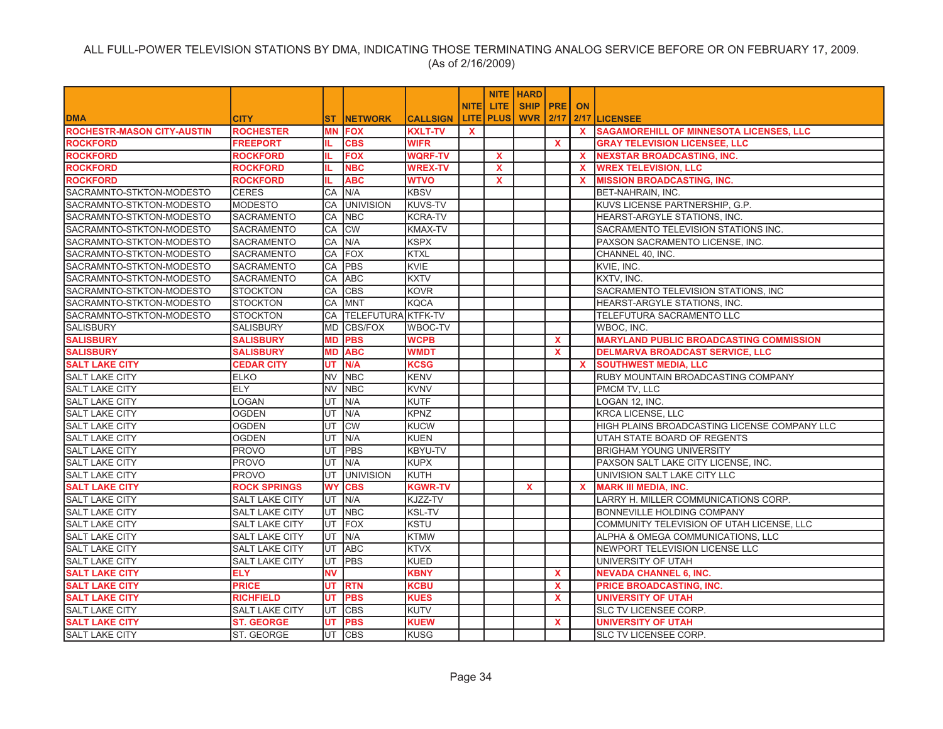|                                   |                       |            |                    |                 |              |              | <b>NITE   HARD</b> |              |              |                                                |
|-----------------------------------|-----------------------|------------|--------------------|-----------------|--------------|--------------|--------------------|--------------|--------------|------------------------------------------------|
|                                   |                       |            |                    |                 | <b>NITE</b>  | LITE.        | SHIP   PRE         |              | <b>ON</b>    |                                                |
| <b>DMA</b>                        | <b>CITY</b>           | <b>ST</b>  | <b>INETWORK</b>    | <b>CALLSIGN</b> | <b>LITE</b>  | <b>PLUS</b>  | <b>WVR 2/17</b>    |              |              | 2/17 LICENSEE                                  |
| <b>ROCHESTR-MASON CITY-AUSTIN</b> | <b>ROCHESTER</b>      | <b>MN</b>  | <b>FOX</b>         | <b>KXLT-TV</b>  | $\mathbf{x}$ |              |                    |              | $\mathbf{x}$ | <b>SAGAMOREHILL OF MINNESOTA LICENSES, LLC</b> |
| <b>ROCKFORD</b>                   | <b>FREEPORT</b>       |            | <b>CBS</b>         | <b>WIFR</b>     |              |              |                    | $\mathbf{x}$ |              | <b>GRAY TELEVISION LICENSEE, LLC</b>           |
| <b>ROCKFORD</b>                   | <b>ROCKFORD</b>       | IL.        | <b>FOX</b>         | <b>WQRF-TV</b>  |              | $\mathbf x$  |                    |              | $\mathbf{x}$ | <b>NEXSTAR BROADCASTING, INC.</b>              |
| <b>ROCKFORD</b>                   | <b>ROCKFORD</b>       | IL.        | <b>NBC</b>         | <b>WREX-TV</b>  |              | X            |                    |              | $\mathbf{x}$ | <b>WREX TELEVISION, LLC</b>                    |
| <b>ROCKFORD</b>                   | <b>ROCKFORD</b>       | IL.        | <b>ABC</b>         | <b>WTVO</b>     |              | $\mathbf{x}$ |                    |              | $\mathbf{x}$ | <b>MISSION BROADCASTING, INC.</b>              |
| SACRAMNTO-STKTON-MODESTO          | <b>CERES</b>          | CA         | N/A                | <b>KBSV</b>     |              |              |                    |              |              | BET-NAHRAIN, INC.                              |
| SACRAMNTO-STKTON-MODESTO          | <b>MODESTO</b>        | CA         | <b>UNIVISION</b>   | <b>KUVS-TV</b>  |              |              |                    |              |              | KUVS LICENSE PARTNERSHIP, G.P.                 |
| SACRAMNTO-STKTON-MODESTO          | SACRAMENTO            | CA         | <b>NBC</b>         | <b>KCRA-TV</b>  |              |              |                    |              |              | HEARST-ARGYLE STATIONS, INC.                   |
| SACRAMNTO-STKTON-MODESTO          | SACRAMENTO            | CA         | <b>CW</b>          | KMAX-TV         |              |              |                    |              |              | SACRAMENTO TELEVISION STATIONS INC.            |
| SACRAMNTO-STKTON-MODESTO          | SACRAMENTO            | CA         | N/A                | <b>KSPX</b>     |              |              |                    |              |              | PAXSON SACRAMENTO LICENSE, INC.                |
| SACRAMNTO-STKTON-MODESTO          | SACRAMENTO            | <b>CA</b>  | <b>FOX</b>         | <b>KTXL</b>     |              |              |                    |              |              | CHANNEL 40, INC.                               |
| SACRAMNTO-STKTON-MODESTO          | <b>SACRAMENTO</b>     | CA         | <b>PBS</b>         | <b>KVIE</b>     |              |              |                    |              |              | KVIE, INC.                                     |
| SACRAMNTO-STKTON-MODESTO          | <b>SACRAMENTO</b>     | CA         | <b>ABC</b>         | <b>KXTV</b>     |              |              |                    |              |              | KXTV, INC.                                     |
| SACRAMNTO-STKTON-MODESTO          | <b>STOCKTON</b>       | CA         | <b>CBS</b>         | <b>KOVR</b>     |              |              |                    |              |              | SACRAMENTO TELEVISION STATIONS, INC            |
| SACRAMNTO-STKTON-MODESTO          | <b>STOCKTON</b>       | CA         | <b>IMNT</b>        | <b>KQCA</b>     |              |              |                    |              |              | HEARST-ARGYLE STATIONS, INC.                   |
| SACRAMNTO-STKTON-MODESTO          | <b>STOCKTON</b>       | CA         | TELEFUTURA KTFK-TV |                 |              |              |                    |              |              | TELEFUTURA SACRAMENTO LLC                      |
| <b>SALISBURY</b>                  | <b>SALISBURY</b>      | <b>MD</b>  | <b>CBS/FOX</b>     | WBOC-TV         |              |              |                    |              |              | WBOC. INC.                                     |
| <b>SALISBURY</b>                  | <b>SALISBURY</b>      | <b>MD</b>  | <b>PBS</b>         | <b>WCPB</b>     |              |              |                    | <b>X</b>     |              | <b>MARYLAND PUBLIC BROADCASTING COMMISSION</b> |
| <b>SALISBURY</b>                  | <b>SALISBURY</b>      | <b>MD</b>  | <b>ABC</b>         | <b>WMDT</b>     |              |              |                    | $\mathbf{x}$ |              | <b>DELMARVA BROADCAST SERVICE, LLC</b>         |
| <b>SALT LAKE CITY</b>             | <b>CEDAR CITY</b>     | UT         | N/A                | <b>KCSG</b>     |              |              |                    |              | <b>X</b>     | <b>SOUTHWEST MEDIA, LLC</b>                    |
| <b>SALT LAKE CITY</b>             | <b>ELKO</b>           | <b>INV</b> | <b>NBC</b>         | KENV            |              |              |                    |              |              | RUBY MOUNTAIN BROADCASTING COMPANY             |
| <b>SALT LAKE CITY</b>             | <b>ELY</b>            | <b>NV</b>  | <b>NBC</b>         | <b>KVNV</b>     |              |              |                    |              |              | PMCM TV, LLC                                   |
| <b>SALT LAKE CITY</b>             | LOGAN                 | UT         | N/A                | <b>KUTF</b>     |              |              |                    |              |              | LOGAN 12, INC.                                 |
| <b>SALT LAKE CITY</b>             | <b>OGDEN</b>          | <b>UT</b>  | N/A                | <b>KPNZ</b>     |              |              |                    |              |              | KRCA LICENSE, LLC                              |
| <b>SALT LAKE CITY</b>             | <b>OGDEN</b>          | UT         | <b>CW</b>          | <b>KUCW</b>     |              |              |                    |              |              | HIGH PLAINS BROADCASTING LICENSE COMPANY LLC   |
| <b>SALT LAKE CITY</b>             | <b>OGDEN</b>          | UT         | N/A                | <b>KUEN</b>     |              |              |                    |              |              | UTAH STATE BOARD OF REGENTS                    |
| <b>SALT LAKE CITY</b>             | <b>PROVO</b>          | UT         | <b>PBS</b>         | KBYU-TV         |              |              |                    |              |              | <b>BRIGHAM YOUNG UNIVERSITY</b>                |
| <b>SALT LAKE CITY</b>             | <b>PROVO</b>          | UT         | IN/A               | <b>KUPX</b>     |              |              |                    |              |              | PAXSON SALT LAKE CITY LICENSE, INC.            |
| <b>SALT LAKE CITY</b>             | <b>PROVO</b>          | UT         | <b>UNIVISION</b>   | KUTH            |              |              |                    |              |              | UNIVISION SALT LAKE CITY LLC                   |
| <b>SALT LAKE CITY</b>             | <b>ROCK SPRINGS</b>   | <b>WY</b>  | <b>CBS</b>         | <b>KGWR-TV</b>  |              |              | X                  |              | $\mathbf{x}$ | <b>MARK III MEDIA, INC.</b>                    |
| <b>SALT LAKE CITY</b>             | <b>SALT LAKE CITY</b> | <b>UT</b>  | N/A                | KJZZ-TV         |              |              |                    |              |              | LARRY H. MILLER COMMUNICATIONS CORP.           |
| <b>SALT LAKE CITY</b>             | <b>SALT LAKE CITY</b> | UT         | <b>NBC</b>         | <b>KSL-TV</b>   |              |              |                    |              |              | BONNEVILLE HOLDING COMPANY                     |
| SALT LAKE CITY                    | <b>SALT LAKE CITY</b> | <b>IUT</b> | FOX                | KSTU            |              |              |                    |              |              | COMMUNITY TELEVISION OF UTAH LICENSE, LLC      |
| SALT LAKE CITY                    | <b>SALT LAKE CITY</b> | UT         | N/A                | <b>KTMW</b>     |              |              |                    |              |              | ALPHA & OMEGA COMMUNICATIONS, LLC              |
| <b>SALT LAKE CITY</b>             | <b>SALT LAKE CITY</b> | IUT.       | <b>ABC</b>         | <b>KTVX</b>     |              |              |                    |              |              | NEWPORT TELEVISION LICENSE LLC                 |
| SALT LAKE CITY                    | <b>SALT LAKE CITY</b> | IUT.       | <b>PBS</b>         | <b>KUED</b>     |              |              |                    |              |              | UNIVERSITY OF UTAH                             |
| <b>SALT LAKE CITY</b>             | <b>ELY</b>            | <b>NV</b>  |                    | <b>KBNY</b>     |              |              |                    | $\mathbf{x}$ |              | <b>NEVADA CHANNEL 6, INC.</b>                  |
| <b>SALT LAKE CITY</b>             | <b>PRICE</b>          | <b>UT</b>  | <b>RTN</b>         | <b>KCBU</b>     |              |              |                    | $\mathbf{x}$ |              | <b>PRICE BROADCASTING, INC.</b>                |
| <b>SALT LAKE CITY</b>             | <b>RICHFIELD</b>      | <b>UT</b>  | <b>PBS</b>         | <b>KUES</b>     |              |              |                    | $\mathbf{x}$ |              | <b>UNIVERSITY OF UTAH</b>                      |
| <b>SALT LAKE CITY</b>             | <b>SALT LAKE CITY</b> | <b>UT</b>  | <b>CBS</b>         | <b>KUTV</b>     |              |              |                    |              |              | SLC TV LICENSEE CORP.                          |
| <b>SALT LAKE CITY</b>             | <b>ST. GEORGE</b>     | UT         | <b>PBS</b>         | <b>KUEW</b>     |              |              |                    | $\mathbf{x}$ |              | <b>UNIVERSITY OF UTAH</b>                      |
| <b>SALT LAKE CITY</b>             | ST. GEORGE            | IUT.       | <b>CBS</b>         | <b>KUSG</b>     |              |              |                    |              |              | SLC TV LICENSEE CORP.                          |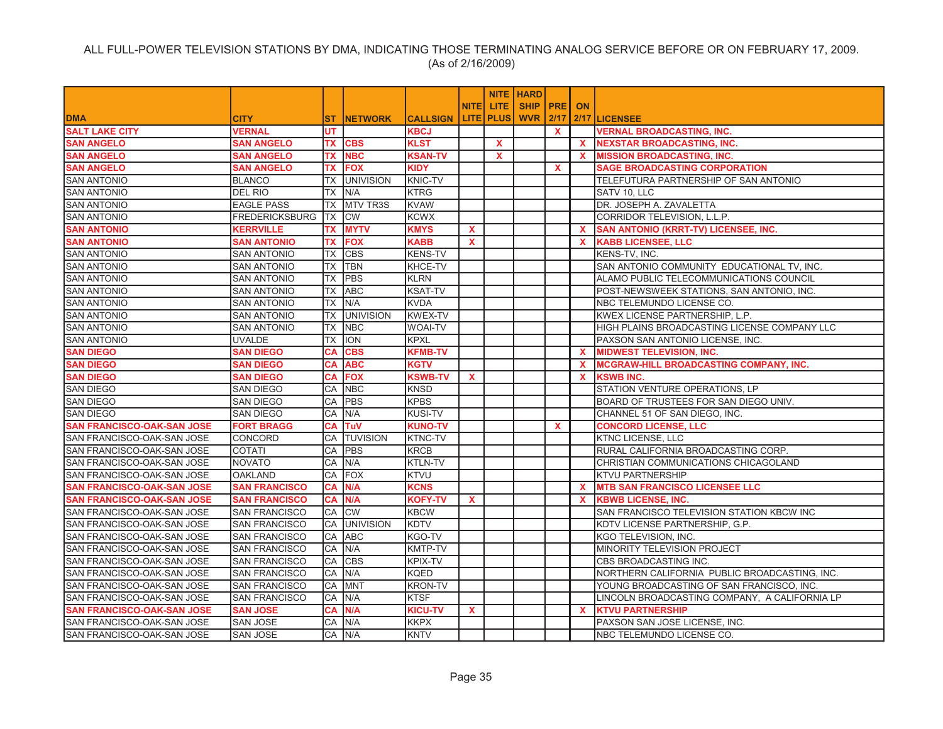|                                   |                       |            |                     |                 |              |                  | <b>NITE HARD</b>     |              |              |                                               |
|-----------------------------------|-----------------------|------------|---------------------|-----------------|--------------|------------------|----------------------|--------------|--------------|-----------------------------------------------|
|                                   |                       |            |                     |                 | <b>NITEI</b> | LITE.            | <b>SHIP IPREI ON</b> |              |              |                                               |
| <b>DMA</b>                        | <b>CITY</b>           | ST.        | <b>INETWORK</b>     | <b>CALLSIGN</b> |              | <b>LITE PLUS</b> |                      |              |              | <b>WVR 2/17 2/17 LICENSEE</b>                 |
| <b>SALT LAKE CITY</b>             | <b>VERNAL</b>         | <b>UT</b>  |                     | <b>KBCJ</b>     |              |                  |                      | $\mathbf{x}$ |              | <b>VERNAL BROADCASTING, INC.</b>              |
| <b>SAN ANGELO</b>                 | <b>SAN ANGELO</b>     |            | TX CBS              | <b>KLST</b>     |              | $\mathbf{x}$     |                      |              | X.           | NEXSTAR BROADCASTING, INC.                    |
| <b>SAN ANGELO</b>                 | <b>SAN ANGELO</b>     | <b>TX</b>  | <b>NBC</b>          | <b>KSAN-TV</b>  |              | X                |                      |              | <b>X</b>     | <b>MISSION BROADCASTING, INC.</b>             |
| <b>SAN ANGELO</b>                 | <b>SAN ANGELO</b>     |            | <b>TX FOX</b>       | <b>KIDY</b>     |              |                  |                      | <b>X</b>     |              | <b>SAGE BROADCASTING CORPORATION</b>          |
| <b>SAN ANTONIO</b>                | <b>BLANCO</b>         |            | <b>TX UNIVISION</b> | <b>KNIC-TV</b>  |              |                  |                      |              |              | TELEFUTURA PARTNERSHIP OF SAN ANTONIO         |
| <b>SAN ANTONIO</b>                | DEL RIO               |            | TX IN/A             | <b>KTRG</b>     |              |                  |                      |              |              | SATV 10, LLC                                  |
| <b>SAN ANTONIO</b>                | <b>EAGLE PASS</b>     |            | TX MTV TR3S         | <b>KVAW</b>     |              |                  |                      |              |              | DR. JOSEPH A. ZAVALETTA                       |
| <b>SAN ANTONIO</b>                | <b>FREDERICKSBURG</b> | TX CW      |                     | <b>KCWX</b>     |              |                  |                      |              |              | CORRIDOR TELEVISION, L.L.P.                   |
| <b>SAN ANTONIO</b>                | <b>KERRVILLE</b>      | <b>TX</b>  | <b>MYTV</b>         | <b>KMYS</b>     | <b>X</b>     |                  |                      |              | <b>X</b>     | <b>SAN ANTONIO (KRRT-TV) LICENSEE, INC.</b>   |
| <b>SAN ANTONIO</b>                | <b>SAN ANTONIO</b>    | TX         | <b>FOX</b>          | <b>KABB</b>     | <b>X</b>     |                  |                      |              | <b>X</b>     | <b>KABB LICENSEE, LLC</b>                     |
| <b>SAN ANTONIO</b>                | <b>SAN ANTONIO</b>    | <b>TX</b>  | <b>CBS</b>          | <b>KENS-TV</b>  |              |                  |                      |              |              | KENS-TV, INC.                                 |
| <b>SAN ANTONIO</b>                | <b>SAN ANTONIO</b>    | <b>TX</b>  | <b>TBN</b>          | KHCE-TV         |              |                  |                      |              |              | SAN ANTONIO COMMUNITY EDUCATIONAL TV, INC.    |
| <b>SAN ANTONIO</b>                | SAN ANTONIO           | <b>TX</b>  | <b>PBS</b>          | <b>KLRN</b>     |              |                  |                      |              |              | ALAMO PUBLIC TELECOMMUNICATIONS COUNCIL       |
| <b>SAN ANTONIO</b>                | <b>SAN ANTONIO</b>    | <b>ITX</b> | <b>ABC</b>          | <b>KSAT-TV</b>  |              |                  |                      |              |              | POST-NEWSWEEK STATIONS, SAN ANTONIO, INC.     |
| <b>SAN ANTONIO</b>                | <b>SAN ANTONIO</b>    | <b>TX</b>  | N/A                 | <b>KVDA</b>     |              |                  |                      |              |              | NBC TELEMUNDO LICENSE CO.                     |
| <b>SAN ANTONIO</b>                | <b>SAN ANTONIO</b>    | <b>TX</b>  | <b>UNIVISION</b>    | <b>KWEX-TV</b>  |              |                  |                      |              |              | KWEX LICENSE PARTNERSHIP, L.P.                |
| <b>SAN ANTONIO</b>                | <b>SAN ANTONIO</b>    | <b>TX</b>  | <b>NBC</b>          | <b>WOAI-TV</b>  |              |                  |                      |              |              | HIGH PLAINS BROADCASTING LICENSE COMPANY LLC  |
| <b>SAN ANTONIO</b>                | <b>UVALDE</b>         | <b>TX</b>  | <b>ION</b>          | <b>KPXL</b>     |              |                  |                      |              |              | PAXSON SAN ANTONIO LICENSE, INC.              |
| <b>SAN DIEGO</b>                  | <b>SAN DIEGO</b>      | CA         | <b>CBS</b>          | <b>KFMB-TV</b>  |              |                  |                      |              | $\mathbf{x}$ | <b>MIDWEST TELEVISION, INC.</b>               |
| <b>SAN DIEGO</b>                  | <b>SAN DIEGO</b>      | CA         | <b>ABC</b>          | <b>KGTV</b>     |              |                  |                      |              | $\mathbf{x}$ | <b>MCGRAW-HILL BROADCASTING COMPANY, INC.</b> |
| <b>SAN DIEGO</b>                  | <b>SAN DIEGO</b>      | CA         | <b>FOX</b>          | <b>KSWB-TV</b>  | $\mathbf{x}$ |                  |                      |              | <b>X</b>     | <b>KSWB INC.</b>                              |
| <b>SAN DIEGO</b>                  | <b>SAN DIEGO</b>      | CA         | <b>NBC</b>          | <b>KNSD</b>     |              |                  |                      |              |              | STATION VENTURE OPERATIONS, LP                |
| <b>SAN DIEGO</b>                  | <b>SAN DIEGO</b>      | CA         | <b>PBS</b>          | <b>KPBS</b>     |              |                  |                      |              |              | BOARD OF TRUSTEES FOR SAN DIEGO UNIV.         |
| <b>SAN DIEGO</b>                  | <b>SAN DIEGO</b>      | CA         | N/A                 | <b>KUSI-TV</b>  |              |                  |                      |              |              | CHANNEL 51 OF SAN DIEGO, INC.                 |
| <b>SAN FRANCISCO-OAK-SAN JOSE</b> | <b>FORT BRAGG</b>     | CA         | TuV                 | <b>KUNO-TV</b>  |              |                  |                      | X            |              | <b>CONCORD LICENSE, LLC</b>                   |
| SAN FRANCISCO-OAK-SAN JOSE        | CONCORD               | CA         | <b>TUVISION</b>     | KTNC-TV         |              |                  |                      |              |              | <b>KTNC LICENSE, LLC</b>                      |
| SAN FRANCISCO-OAK-SAN JOSE        | <b>COTATI</b>         | СA         | <b>PBS</b>          | <b>KRCB</b>     |              |                  |                      |              |              | RURAL CALIFORNIA BROADCASTING CORP.           |
| SAN FRANCISCO-OAK-SAN JOSE        | <b>NOVATO</b>         | CA         | N/A                 | KTLN-TV         |              |                  |                      |              |              | CHRISTIAN COMMUNICATIONS CHICAGOLAND          |
| SAN FRANCISCO-OAK-SAN JOSE        | <b>OAKLAND</b>        | CA         | <b>FOX</b>          | <b>KTVU</b>     |              |                  |                      |              |              | <b>KTVU PARTNERSHIP</b>                       |
| <b>SAN FRANCISCO-OAK-SAN JOSE</b> | <b>SAN FRANCISCO</b>  | <b>CA</b>  | N/A                 | <b>KCNS</b>     |              |                  |                      |              | <b>X</b>     | <b>MTB SAN FRANCISCO LICENSEE LLC</b>         |
| <b>SAN FRANCISCO-OAK-SAN JOSE</b> | <b>SAN FRANCISCO</b>  | <b>CA</b>  | N/A                 | <b>KOFY-TV</b>  | $\mathbf{x}$ |                  |                      |              | $\mathbf{x}$ | <b>KBWB LICENSE, INC.</b>                     |
| SAN FRANCISCO-OAK-SAN JOSE        | <b>SAN FRANCISCO</b>  | CA         | <b>CW</b>           | <b>KBCW</b>     |              |                  |                      |              |              | SAN FRANCISCO TELEVISION STATION KBCW INC     |
| SAN FRANCISCO-OAK-SAN JOSE        | <b>SAN FRANCISCO</b>  |            | CA UNIVISION        | <b>KDTV</b>     |              |                  |                      |              |              | KDTV LICENSE PARTNERSHIP, G.P.                |
| SAN FRANCISCO-OAK-SAN JOSE        | <b>SAN FRANCISCO</b>  | CA         | <b>ABC</b>          | KGO-TV          |              |                  |                      |              |              | KGO TELEVISION, INC.                          |
| SAN FRANCISCO-OAK-SAN JOSE        | <b>SAN FRANCISCO</b>  | CA         | N/A                 | <b>KMTP-TV</b>  |              |                  |                      |              |              | MINORITY TELEVISION PROJECT                   |
| SAN FRANCISCO-OAK-SAN JOSE        | <b>SAN FRANCISCO</b>  | CA         | <b>CBS</b>          | KPIX-TV         |              |                  |                      |              |              | CBS BROADCASTING INC.                         |
| SAN FRANCISCO-OAK-SAN JOSE        | <b>SAN FRANCISCO</b>  | <b>CA</b>  | IN/A                | KQED            |              |                  |                      |              |              | NORTHERN CALIFORNIA PUBLIC BROADCASTING, INC. |
| SAN FRANCISCO-OAK-SAN JOSE        | <b>SAN FRANCISCO</b>  | CA         | <b>MNT</b>          | <b>KRON-TV</b>  |              |                  |                      |              |              | YOUNG BROADCASTING OF SAN FRANCISCO, INC.     |
| SAN FRANCISCO-OAK-SAN JOSE        | <b>SAN FRANCISCO</b>  | <b>CA</b>  | N/A                 | <b>KTSF</b>     |              |                  |                      |              |              | LINCOLN BROADCASTING COMPANY, A CALIFORNIA LP |
| <b>SAN FRANCISCO-OAK-SAN JOSE</b> | <b>SAN JOSE</b>       | <b>CA</b>  | N/A                 | <b>KICU-TV</b>  | $\mathbf{x}$ |                  |                      |              | $\mathbf{x}$ | <b>KTVU PARTNERSHIP</b>                       |
| SAN FRANCISCO-OAK-SAN JOSE        | <b>SAN JOSE</b>       | CA         | N/A                 | <b>KKPX</b>     |              |                  |                      |              |              | PAXSON SAN JOSE LICENSE, INC.                 |
| SAN FRANCISCO-OAK-SAN JOSE        | <b>SAN JOSE</b>       | CA N/A     |                     | <b>KNTV</b>     |              |                  |                      |              |              | NBC TELEMUNDO LICENSE CO.                     |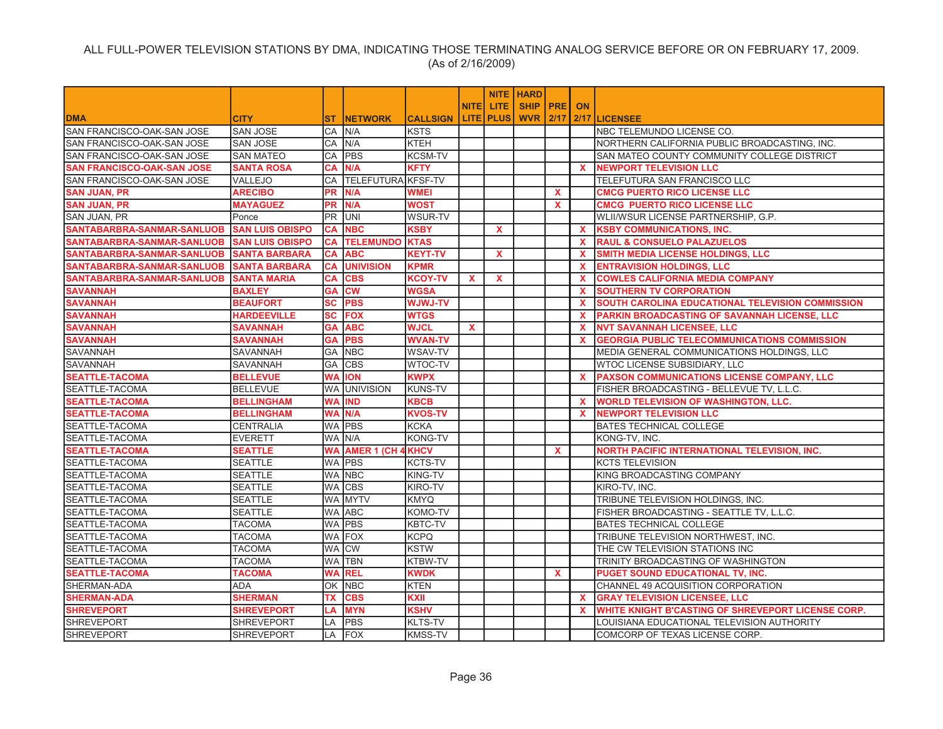|                                   |                        |           |                           |                 |              |                  | <b>NITE HARD</b> |              |              |                                                     |
|-----------------------------------|------------------------|-----------|---------------------------|-----------------|--------------|------------------|------------------|--------------|--------------|-----------------------------------------------------|
|                                   |                        |           |                           |                 | <b>NITEI</b> | LITE.            | SHIP   PRE       |              | <b>ON</b>    |                                                     |
| <b>DMA</b>                        | <b>CITY</b>            | ST.       | <b>NETWORK</b>            | <b>CALLSIGN</b> |              | <b>LITE PLUS</b> | <b>WVR 2/17</b>  |              |              | 2/17 LICENSEE                                       |
| SAN FRANCISCO-OAK-SAN JOSE        | <b>SAN JOSE</b>        | CA        | N/A                       | <b>KSTS</b>     |              |                  |                  |              |              | NBC TELEMUNDO LICENSE CO.                           |
| SAN FRANCISCO-OAK-SAN JOSE        | <b>SAN JOSE</b>        | СA        | N/A                       | <b>KTEH</b>     |              |                  |                  |              |              | NORTHERN CALIFORNIA PUBLIC BROADCASTING, INC.       |
| SAN FRANCISCO-OAK-SAN JOSE        | <b>SAN MATEO</b>       | CA        | <b>PBS</b>                | <b>KCSM-TV</b>  |              |                  |                  |              |              | SAN MATEO COUNTY COMMUNITY COLLEGE DISTRICT         |
| <b>SAN FRANCISCO-OAK-SAN JOSE</b> | <b>SANTA ROSA</b>      | <b>CA</b> | N/A                       | <b>KFTY</b>     |              |                  |                  |              | $\mathbf{x}$ | <b>NEWPORT TELEVISION LLC</b>                       |
| SAN FRANCISCO-OAK-SAN JOSE        | VALLEJO                | CA        | <b>TELEFUTURA KFSF-TV</b> |                 |              |                  |                  |              |              | TELEFUTURA SAN FRANCISCO LLC                        |
| <b>SAN JUAN, PR</b>               | <b>ARECIBO</b>         | <b>PR</b> | N/A                       | <b>WMEI</b>     |              |                  |                  | $\mathbf{x}$ |              | <b>CMCG PUERTO RICO LICENSE LLC</b>                 |
| <b>SAN JUAN, PR</b>               | <b>MAYAGUEZ</b>        | <b>PR</b> | N/A                       | <b>WOST</b>     |              |                  |                  | $\mathbf{x}$ |              | <b>CMCG PUERTO RICO LICENSE LLC</b>                 |
| SAN JUAN, PR                      | Ponce                  | PR        | UNI                       | WSUR-TV         |              |                  |                  |              |              | WLII/WSUR LICENSE PARTNERSHIP, G.P.                 |
| SANTABARBRA-SANMAR-SANLUOB        | <b>SAN LUIS OBISPO</b> | CA        | <b>NBC</b>                | <b>KSBY</b>     |              | $\mathbf x$      |                  |              | $\mathbf{x}$ | <b>KSBY COMMUNICATIONS, INC.</b>                    |
| SANTABARBRA-SANMAR-SANLUOB        | <b>SAN LUIS OBISPO</b> | CA        | <b>TELEMUNDO KTAS</b>     |                 |              |                  |                  |              | <b>X</b>     | <b>RAUL &amp; CONSUELO PALAZUELOS</b>               |
| SANTABARBRA-SANMAR-SANLUOB        | <b>SANTA BARBARA</b>   | CA        | <b>ABC</b>                | <b>KEYT-TV</b>  |              | X                |                  |              | <b>X</b>     | SMITH MEDIA LICENSE HOLDINGS, LLC                   |
| SANTABARBRA-SANMAR-SANLUOB        | <b>SANTA BARBARA</b>   | СA        | <b>UNIVISION</b>          | <b>KPMR</b>     |              |                  |                  |              | $\mathbf{x}$ | <b>ENTRAVISION HOLDINGS, LLC</b>                    |
| SANTABARBRA-SANMAR-SANLUOB        | <b>SANTA MARIA</b>     | СA        | <b>CBS</b>                | <b>KCOY-TV</b>  | X            | $\mathbf x$      |                  |              | <b>X</b>     | <b>COWLES CALIFORNIA MEDIA COMPANY</b>              |
| <b>SAVANNAH</b>                   | <b>BAXLEY</b>          | GA        | <b>CW</b>                 | <b>WGSA</b>     |              |                  |                  |              | <b>X</b>     | <b>SOUTHERN TV CORPORATION</b>                      |
| <b>SAVANNAH</b>                   | <b>BEAUFORT</b>        | SC        | <b>PBS</b>                | <b>WJWJ-TV</b>  |              |                  |                  |              | $\mathbf{x}$ | SOUTH CAROLINA EDUCATIONAL TELEVISION COMMISSION    |
| <b>SAVANNAH</b>                   | <b>HARDEEVILLE</b>     | SC        | <b>FOX</b>                | <b>WTGS</b>     |              |                  |                  |              | $\mathbf{x}$ | PARKIN BROADCASTING OF SAVANNAH LICENSE, LLC        |
| <b>SAVANNAH</b>                   | <b>SAVANNAH</b>        | <b>GA</b> | <b>ABC</b>                | <b>WJCL</b>     | $\mathbf{x}$ |                  |                  |              | $\mathbf{x}$ | <b>NVT SAVANNAH LICENSEE, LLC</b>                   |
| <b>SAVANNAH</b>                   | <b>SAVANNAH</b>        | GА        | <b>PBS</b>                | <b>WVAN-TV</b>  |              |                  |                  |              | <b>X</b>     | <b>GEORGIA PUBLIC TELECOMMUNICATIONS COMMISSION</b> |
| <b>SAVANNAH</b>                   | SAVANNAH               | GА        | <b>NBC</b>                | <b>WSAV-TV</b>  |              |                  |                  |              |              | MEDIA GENERAL COMMUNICATIONS HOLDINGS, LLC          |
| SAVANNAH                          | SAVANNAH               | GA        | <b>CBS</b>                | WTOC-TV         |              |                  |                  |              |              | WTOC LICENSE SUBSIDIARY, LLC                        |
| <b>SEATTLE-TACOMA</b>             | <b>BELLEVUE</b>        | <b>WA</b> | <b>ION</b>                | <b>KWPX</b>     |              |                  |                  |              | <b>X</b>     | PAXSON COMMUNICATIONS LICENSE COMPANY, LLC          |
| SEATTLE-TACOMA                    | <b>BELLEVUE</b>        |           | WA UNIVISION              | <b>KUNS-TV</b>  |              |                  |                  |              |              | FISHER BROADCASTING - BELLEVUE TV, L.L.C.           |
| <b>SEATTLE-TACOMA</b>             | <b>BELLINGHAM</b>      | <b>WA</b> | <b>IND</b>                | <b>KBCB</b>     |              |                  |                  |              | <b>X</b>     | <b>WORLD TELEVISION OF WASHINGTON, LLC.</b>         |
| <b>SEATTLE-TACOMA</b>             | <b>BELLINGHAM</b>      | WA        | N/A                       | <b>KVOS-TV</b>  |              |                  |                  |              | X.           | <b>NEWPORT TELEVISION LLC</b>                       |
| SEATTLE-TACOMA                    | <b>CENTRALIA</b>       |           | WA PBS                    | <b>KCKA</b>     |              |                  |                  |              |              | <b>BATES TECHNICAL COLLEGE</b>                      |
| SEATTLE-TACOMA                    | <b>EVERETT</b>         |           | WA N/A                    | <b>KONG-TV</b>  |              |                  |                  |              |              | KONG-TV, INC.                                       |
| <b>SEATTLE-TACOMA</b>             | <b>SEATTLE</b>         | WA        | <b>AMER 1 (CH 4 KHCV</b>  |                 |              |                  |                  | $\mathbf{x}$ |              | NORTH PACIFIC INTERNATIONAL TELEVISION, INC.        |
| SEATTLE-TACOMA                    | <b>SEATTLE</b>         |           | WA <b>PBS</b>             | <b>KCTS-TV</b>  |              |                  |                  |              |              | <b>KCTS TELEVISION</b>                              |
| SEATTLE-TACOMA                    | <b>SEATTLE</b>         |           | WA NBC                    | <b>KING-TV</b>  |              |                  |                  |              |              | KING BROADCASTING COMPANY                           |
| SEATTLE-TACOMA                    | <b>SEATTLE</b>         |           | WA CBS                    | KIRO-TV         |              |                  |                  |              |              | KIRO-TV, INC.                                       |
| SEATTLE-TACOMA                    | <b>SEATTLE</b>         |           | WA MYTV                   | <b>KMYQ</b>     |              |                  |                  |              |              | TRIBUNE TELEVISION HOLDINGS, INC.                   |
| SEATTLE-TACOMA                    | <b>SEATTLE</b>         |           | WA ABC                    | KOMO-TV         |              |                  |                  |              |              | FISHER BROADCASTING - SEATTLE TV, L.L.C.            |
| SEATTLE-TACOMA                    | <b>TACOMA</b>          |           | WA PBS                    | KBTC-TV         |              |                  |                  |              |              | BATES TECHNICAL COLLEGE                             |
| SEATTLE-TACOMA                    | <b>TACOMA</b>          |           | WA FOX                    | <b>KCPQ</b>     |              |                  |                  |              |              | TRIBUNE TELEVISION NORTHWEST, INC.                  |
| SEATTLE-TACOMA                    | <b>TACOMA</b>          | WA        | <b>CW</b>                 | <b>KSTW</b>     |              |                  |                  |              |              | THE CW TELEVISION STATIONS INC                      |
| SEATTLE-TACOMA                    | <b>TACOMA</b>          | WA        | <b>TBN</b>                | KTBW-TV         |              |                  |                  |              |              | TRINITY BROADCASTING OF WASHINGTON                  |
| <b>SEATTLE-TACOMA</b>             | <b>TACOMA</b>          | <b>WA</b> | <b>REL</b>                | <b>KWDK</b>     |              |                  |                  | $\mathbf{x}$ |              | PUGET SOUND EDUCATIONAL TV, INC.                    |
| SHERMAN-ADA                       | <b>ADA</b>             | ОK        | <b>NBC</b>                | <b>KTEN</b>     |              |                  |                  |              |              | CHANNEL 49 ACQUISITION CORPORATION                  |
| <b>SHERMAN-ADA</b>                | <b>SHERMAN</b>         | TX        | <b>CBS</b>                | KXII            |              |                  |                  |              | <b>X</b>     | <b>GRAY TELEVISION LICENSEE, LLC</b>                |
| <b>SHREVEPORT</b>                 | <b>SHREVEPORT</b>      | LA        | <b>MYN</b>                | <b>KSHV</b>     |              |                  |                  |              | X.           | WHITE KNIGHT B'CASTING OF SHREVEPORT LICENSE CORP.  |
| <b>SHREVEPORT</b>                 | <b>SHREVEPORT</b>      | LA        | <b>PBS</b>                | <b>KLTS-TV</b>  |              |                  |                  |              |              | LOUISIANA EDUCATIONAL TELEVISION AUTHORITY          |
| <b>SHREVEPORT</b>                 | SHREVEPORT             | LA        | <b>FOX</b>                | <b>KMSS-TV</b>  |              |                  |                  |              |              | COMCORP OF TEXAS LICENSE CORP.                      |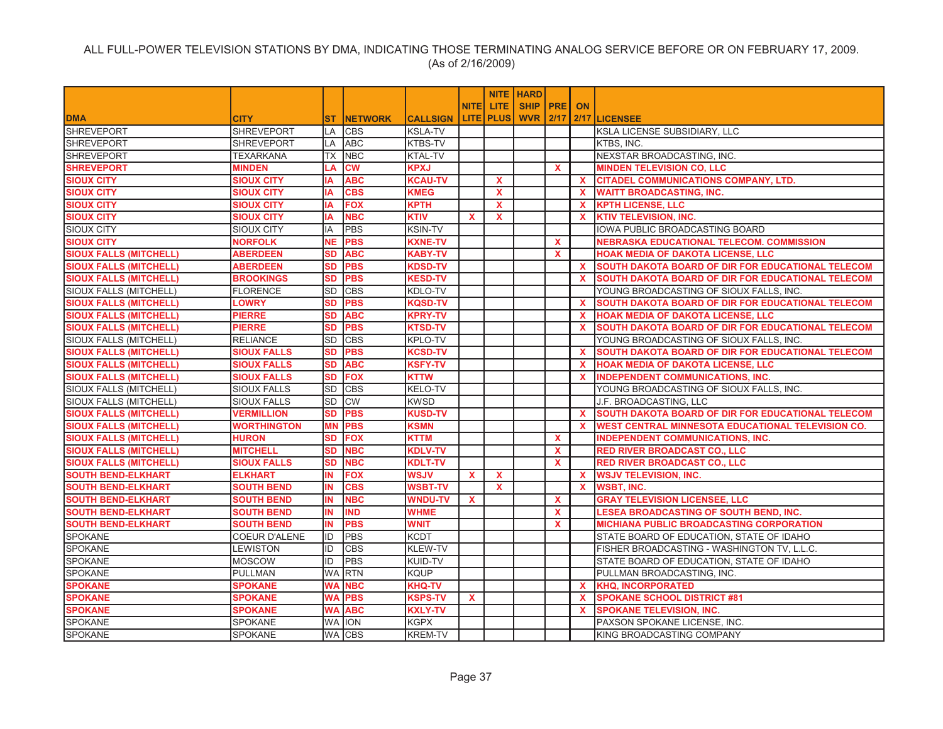|                               |                      |           |                 |                 |              |                    | <b>NITE HARD</b>     |              |              |                                                          |
|-------------------------------|----------------------|-----------|-----------------|-----------------|--------------|--------------------|----------------------|--------------|--------------|----------------------------------------------------------|
|                               |                      |           |                 |                 | <b>NITEI</b> | LITE.              | <b>SHIP IPREI ON</b> |              |              |                                                          |
| <b>DMA</b>                    | <b>CITY</b>          | ST.       | <b>INETWORK</b> | <b>CALLSIGN</b> |              | <b>LITE   PLUS</b> |                      |              |              | <b>WVR 2/17 2/17 LICENSEE</b>                            |
| <b>SHREVEPORT</b>             | <b>SHREVEPORT</b>    | LA        | <b>CBS</b>      | <b>KSLA-TV</b>  |              |                    |                      |              |              | KSLA LICENSE SUBSIDIARY, LLC                             |
| <b>SHREVEPORT</b>             | <b>SHREVEPORT</b>    | LA        | <b>ABC</b>      | <b>KTBS-TV</b>  |              |                    |                      |              |              | KTBS. INC.                                               |
| <b>SHREVEPORT</b>             | TEXARKANA            | TX        | <b>NBC</b>      | KTAL-TV         |              |                    |                      |              |              | NEXSTAR BROADCASTING, INC.                               |
| <b>SHREVEPORT</b>             | <b>MINDEN</b>        | LA        | <b>CW</b>       | <b>KPXJ</b>     |              |                    |                      | <b>X</b>     |              | <b>MINDEN TELEVISION CO, LLC</b>                         |
| <b>SIOUX CITY</b>             | <b>SIOUX CITY</b>    | IA        | <b>ABC</b>      | <b>KCAU-TV</b>  |              | $\mathbf{x}$       |                      |              | <b>X</b>     | <b>CITADEL COMMUNICATIONS COMPANY, LTD.</b>              |
| <b>SIOUX CITY</b>             | <b>SIOUX CITY</b>    | IA        | <b>CBS</b>      | <b>KMEG</b>     |              | $\mathbf{x}$       |                      |              | <b>X</b>     | <b>WAITT BROADCASTING, INC.</b>                          |
| <b>SIOUX CITY</b>             | <b>SIOUX CITY</b>    | ΙA        | <b>FOX</b>      | <b>KPTH</b>     |              | $\mathbf{x}$       |                      |              | <b>X</b>     | <b>KPTH LICENSE, LLC</b>                                 |
| <b>SIOUX CITY</b>             | <b>SIOUX CITY</b>    | IA        | <b>NBC</b>      | <b>KTIV</b>     | $\mathbf{x}$ | X                  |                      |              | <b>X</b>     | <b>KTIV TELEVISION, INC.</b>                             |
| <b>SIOUX CITY</b>             | <b>SIOUX CITY</b>    | IA        | <b>PBS</b>      | <b>KSIN-TV</b>  |              |                    |                      |              |              | IOWA PUBLIC BROADCASTING BOARD                           |
| <b>SIOUX CITY</b>             | <b>NORFOLK</b>       | <b>NE</b> | <b>PBS</b>      | <b>KXNE-TV</b>  |              |                    |                      | X.           |              | NEBRASKA EDUCATIONAL TELECOM. COMMISSION                 |
| <b>SIOUX FALLS (MITCHELL)</b> | <b>ABERDEEN</b>      | <b>SD</b> | <b>ABC</b>      | <b>KABY-TV</b>  |              |                    |                      | $\mathbf{x}$ |              | <b>HOAK MEDIA OF DAKOTA LICENSE, LLC</b>                 |
| <b>SIOUX FALLS (MITCHELL)</b> | <b>ABERDEEN</b>      | <b>SD</b> | <b>PBS</b>      | KDSD-TV         |              |                    |                      |              | <b>X</b>     | <b>SOUTH DAKOTA BOARD OF DIR FOR EDUCATIONAL TELECOM</b> |
| <b>SIOUX FALLS (MITCHELL)</b> | <b>BROOKINGS</b>     | <b>SD</b> | <b>PBS</b>      | <b>KESD-TV</b>  |              |                    |                      |              | X.           | <b>SOUTH DAKOTA BOARD OF DIR FOR EDUCATIONAL TELECOM</b> |
| <b>SIOUX FALLS (MITCHELL)</b> | <b>FLORENCE</b>      | <b>SD</b> | <b>CBS</b>      | KDLO-TV         |              |                    |                      |              |              | YOUNG BROADCASTING OF SIOUX FALLS, INC.                  |
| <b>SIOUX FALLS (MITCHELL)</b> | <b>LOWRY</b>         | <b>SD</b> | <b>PBS</b>      | <b>KQSD-TV</b>  |              |                    |                      |              | $\mathbf{x}$ | SOUTH DAKOTA BOARD OF DIR FOR EDUCATIONAL TELECOM        |
| <b>SIOUX FALLS (MITCHELL)</b> | <b>PIERRE</b>        | <b>SD</b> | <b>ABC</b>      | <b>KPRY-TV</b>  |              |                    |                      |              | <b>X</b>     | <b>HOAK MEDIA OF DAKOTA LICENSE, LLC</b>                 |
| <b>SIOUX FALLS (MITCHELL)</b> | <b>PIERRE</b>        | <b>SD</b> | <b>PBS</b>      | <b>KTSD-TV</b>  |              |                    |                      |              | $\mathbf{x}$ | SOUTH DAKOTA BOARD OF DIR FOR EDUCATIONAL TELECOM        |
| SIOUX FALLS (MITCHELL)        | <b>RELIANCE</b>      | <b>SD</b> | <b>CBS</b>      | <b>KPLO-TV</b>  |              |                    |                      |              |              | YOUNG BROADCASTING OF SIOUX FALLS, INC.                  |
| <b>SIOUX FALLS (MITCHELL)</b> | <b>SIOUX FALLS</b>   | <b>SD</b> | <b>PBS</b>      | <b>KCSD-TV</b>  |              |                    |                      |              | $\mathbf{x}$ | SOUTH DAKOTA BOARD OF DIR FOR EDUCATIONAL TELECOM        |
| <b>SIOUX FALLS (MITCHELL)</b> | <b>SIOUX FALLS</b>   | <b>SD</b> | <b>ABC</b>      | <b>KSFY-TV</b>  |              |                    |                      |              | $\mathbf{x}$ | <b>HOAK MEDIA OF DAKOTA LICENSE, LLC</b>                 |
| <b>SIOUX FALLS (MITCHELL)</b> | <b>SIOUX FALLS</b>   | <b>SD</b> | <b>FOX</b>      | <b>KTTW</b>     |              |                    |                      |              | <b>X</b>     | <b>INDEPENDENT COMMUNICATIONS, INC.</b>                  |
| SIOUX FALLS (MITCHELL)        | <b>SIOUX FALLS</b>   | <b>SD</b> | <b>CBS</b>      | KELO-TV         |              |                    |                      |              |              | YOUNG BROADCASTING OF SIOUX FALLS, INC.                  |
| <b>SIOUX FALLS (MITCHELL)</b> | <b>SIOUX FALLS</b>   | <b>SD</b> | <b>CW</b>       | <b>KWSD</b>     |              |                    |                      |              |              | J.F. BROADCASTING, LLC                                   |
| <b>SIOUX FALLS (MITCHELL)</b> | <b>VERMILLION</b>    | <b>SD</b> | <b>PBS</b>      | <b>KUSD-TV</b>  |              |                    |                      |              | <b>X</b>     | SOUTH DAKOTA BOARD OF DIR FOR EDUCATIONAL TELECOM        |
| <b>SIOUX FALLS (MITCHELL)</b> | <b>WORTHINGTON</b>   | <b>MN</b> | <b>PBS</b>      | <b>KSMN</b>     |              |                    |                      |              | X.           | <b>WEST CENTRAL MINNESOTA EDUCATIONAL TELEVISION CO.</b> |
| <b>SIOUX FALLS (MITCHELL)</b> | <b>HURON</b>         | <b>SD</b> | <b>FOX</b>      | KTTM            |              |                    |                      | X            |              | <b>INDEPENDENT COMMUNICATIONS, INC.</b>                  |
| <b>SIOUX FALLS (MITCHELL)</b> | <b>MITCHELL</b>      | <b>SD</b> | <b>NBC</b>      | <b>KDLV-TV</b>  |              |                    |                      | <b>X</b>     |              | <b>RED RIVER BROADCAST CO., LLC</b>                      |
| <b>SIOUX FALLS (MITCHELL)</b> | <b>SIOUX FALLS</b>   | <b>SD</b> | <b>NBC</b>      | <b>KDLT-TV</b>  |              |                    |                      | $\mathbf{x}$ |              | <b>RED RIVER BROADCAST CO., LLC</b>                      |
| <b>SOUTH BEND-ELKHART</b>     | <b>ELKHART</b>       | IN        | <b>FOX</b>      | <b>WSJV</b>     | $\mathbf{x}$ | $\mathbf{x}$       |                      |              | <b>X</b>     | <b>WSJV TELEVISION, INC.</b>                             |
| <b>SOUTH BEND-ELKHART</b>     | <b>SOUTH BEND</b>    | IN        | <b>CBS</b>      | <b>WSBT-TV</b>  |              | $\mathbf{x}$       |                      |              | <b>X</b>     | <b>WSBT, INC.</b>                                        |
| <b>SOUTH BEND-ELKHART</b>     | <b>SOUTH BEND</b>    | IN        | <b>NBC</b>      | <b>WNDU-TV</b>  | $\mathbf{x}$ |                    |                      | <b>X</b>     |              | <b>GRAY TELEVISION LICENSEE, LLC</b>                     |
| <b>SOUTH BEND-ELKHART</b>     | <b>SOUTH BEND</b>    | <b>IN</b> | <b>IND</b>      | WHME            |              |                    |                      | X            |              | <b>LESEA BROADCASTING OF SOUTH BEND, INC.</b>            |
| <b>SOUTH BEND-ELKHART</b>     | <b>SOUTH BEND</b>    | IN        | <b>PBS</b>      | WNIT            |              |                    |                      | X            |              | <b>MICHIANA PUBLIC BROADCASTING CORPORATION</b>          |
| <b>SPOKANE</b>                | <b>COEUR D'ALENE</b> | ID        | <b>PBS</b>      | <b>KCDT</b>     |              |                    |                      |              |              | STATE BOARD OF EDUCATION, STATE OF IDAHO                 |
| <b>SPOKANE</b>                | LEWISTON             | ID        | <b>CBS</b>      | <b>KLEW-TV</b>  |              |                    |                      |              |              | FISHER BROADCASTING - WASHINGTON TV, L.L.C.              |
| <b>SPOKANE</b>                | <b>MOSCOW</b>        | ID        | PBS             | KUID-TV         |              |                    |                      |              |              | STATE BOARD OF EDUCATION, STATE OF IDAHO                 |
| <b>SPOKANE</b>                | <b>PULLMAN</b>       | <b>WA</b> | <b>IRTN</b>     | <b>KQUP</b>     |              |                    |                      |              |              | PULLMAN BROADCASTING, INC.                               |
| <b>SPOKANE</b>                | <b>SPOKANE</b>       | WA        | <b>NBC</b>      | <b>KHQ-TV</b>   |              |                    |                      |              | <b>X</b>     | <b>KHQ, INCORPORATED</b>                                 |
| <b>SPOKANE</b>                | <b>SPOKANE</b>       | <b>WA</b> | <b>PBS</b>      | <b>KSPS-TV</b>  | <b>X</b>     |                    |                      |              | <b>X</b>     | <b>SPOKANE SCHOOL DISTRICT #81</b>                       |
| <b>SPOKANE</b>                | <b>SPOKANE</b>       | <b>WA</b> | <b>ABC</b>      | <b>KXLY-TV</b>  |              |                    |                      |              | <b>X</b>     | <b>ISPOKANE TELEVISION, INC.</b>                         |
| <b>SPOKANE</b>                | <b>SPOKANE</b>       |           | WA ION          | <b>KGPX</b>     |              |                    |                      |              |              | PAXSON SPOKANE LICENSE. INC.                             |
| SPOKANE                       | <b>SPOKANE</b>       |           | <b>WA CBS</b>   | <b>KREM-TV</b>  |              |                    |                      |              |              | KING BROADCASTING COMPANY                                |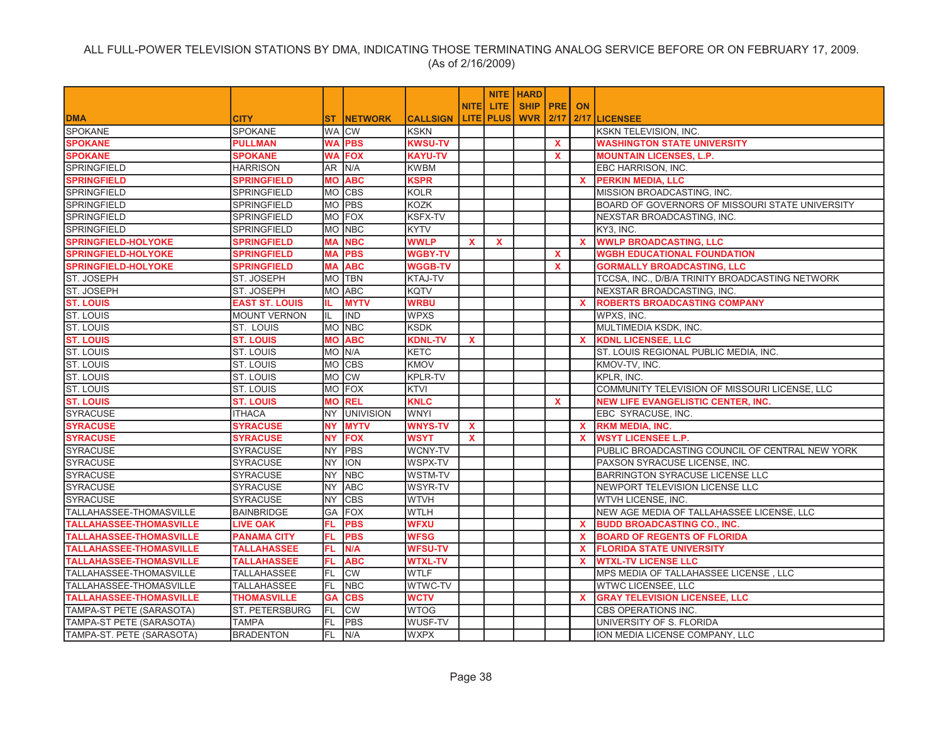|                                |                       |           |                  |                 |              |                    | <b>NITE   HARD</b> |              |              |                                                 |
|--------------------------------|-----------------------|-----------|------------------|-----------------|--------------|--------------------|--------------------|--------------|--------------|-------------------------------------------------|
|                                |                       |           |                  |                 | <b>NITEI</b> | LITE.              | <b>SHIP PRE</b>    |              | <b>ON</b>    |                                                 |
| <b>DMA</b>                     | <b>CITY</b>           | <b>ST</b> | <b>NETWORK</b>   | <b>CALLSIGN</b> |              | <b>LITE   PLUS</b> | <b>WVR 2/17</b>    |              |              | 2/17 LICENSEE                                   |
| <b>SPOKANE</b>                 | SPOKANE               |           | WA CW            | <b>KSKN</b>     |              |                    |                    |              |              | KSKN TELEVISION, INC.                           |
| <b>SPOKANE</b>                 | <b>PULLMAN</b>        | WA        | <b>PBS</b>       | <b>KWSU-TV</b>  |              |                    |                    | $\mathbf{x}$ |              | <b>WASHINGTON STATE UNIVERSITY</b>              |
| <b>SPOKANE</b>                 | <b>SPOKANE</b>        | WA        | <b>FOX</b>       | <b>KAYU-TV</b>  |              |                    |                    | $\mathbf{x}$ |              | <b>MOUNTAIN LICENSES, L.P.</b>                  |
| <b>SPRINGFIELD</b>             | HARRISON              | AR        | N/A              | <b>KWBM</b>     |              |                    |                    |              |              | EBC HARRISON, INC.                              |
| <b>SPRINGFIELD</b>             | <b>SPRINGFIELD</b>    | MО        | <b>ABC</b>       | <b>KSPR</b>     |              |                    |                    |              |              | X PERKIN MEDIA, LLC                             |
| <b>SPRINGFIELD</b>             | SPRINGFIELD           |           | MO CBS           | <b>KOLR</b>     |              |                    |                    |              |              | MISSION BROADCASTING, INC.                      |
| <b>SPRINGFIELD</b>             | SPRINGFIELD           |           | MO PBS           | <b>KOZK</b>     |              |                    |                    |              |              | BOARD OF GOVERNORS OF MISSOURI STATE UNIVERSITY |
| SPRINGFIELD                    | SPRINGFIELD           |           | MO FOX           | KSFX-TV         |              |                    |                    |              |              | NEXSTAR BROADCASTING, INC.                      |
| <b>SPRINGFIELD</b>             | SPRINGFIELD           |           | MO NBC           | <b>KYTV</b>     |              |                    |                    |              |              | KY3, INC.                                       |
| <b>SPRINGFIELD-HOLYOKE</b>     | <b>SPRINGFIELD</b>    | MА        | <b>NBC</b>       | <b>WWLP</b>     | X            | $\mathbf x$        |                    |              | $\mathbf{x}$ | <b>WWLP BROADCASTING, LLC</b>                   |
| <b>SPRINGFIELD-HOLYOKE</b>     | <b>SPRINGFIELD</b>    | <b>MA</b> | <b>PBS</b>       | <b>WGBY-TV</b>  |              |                    |                    | $\mathbf{x}$ |              | <b>WGBH EDUCATIONAL FOUNDATION</b>              |
| <b>SPRINGFIELD-HOLYOKE</b>     | <b>SPRINGFIELD</b>    | MА        | <b>ABC</b>       | <b>WGGB-TV</b>  |              |                    |                    | $\mathbf{x}$ |              | <b>GORMALLY BROADCASTING, LLC</b>               |
| <b>ST. JOSEPH</b>              | <b>ST. JOSEPH</b>     |           | MO TBN           | KTAJ-TV         |              |                    |                    |              |              | TCCSA, INC., D/B/A TRINITY BROADCASTING NETWORK |
| ST. JOSEPH                     | ST. JOSEPH            |           | MO ABC           | <b>KQTV</b>     |              |                    |                    |              |              | NEXSTAR BROADCASTING, INC.                      |
| <b>ST. LOUIS</b>               | <b>EAST ST. LOUIS</b> | IL.       | <b>MYTV</b>      | <b>WRBU</b>     |              |                    |                    |              | <b>X</b>     | <b>ROBERTS BROADCASTING COMPANY</b>             |
| <b>ST. LOUIS</b>               | <b>MOUNT VERNON</b>   | IL.       | <b>IND</b>       | <b>WPXS</b>     |              |                    |                    |              |              | WPXS, INC.                                      |
| <b>ST. LOUIS</b>               | ST. LOUIS             |           | MO NBC           | <b>KSDK</b>     |              |                    |                    |              |              | MULTIMEDIA KSDK, INC.                           |
| <b>ST. LOUIS</b>               | <b>ST. LOUIS</b>      | МO        | <b>ABC</b>       | <b>KDNL-TV</b>  | X.           |                    |                    |              | <b>X</b>     | <b>KDNL LICENSEE, LLC</b>                       |
| ST. LOUIS                      | <b>ST. LOUIS</b>      |           | MO N/A           | <b>KETC</b>     |              |                    |                    |              |              | ST. LOUIS REGIONAL PUBLIC MEDIA, INC.           |
| <b>ST. LOUIS</b>               | <b>ST. LOUIS</b>      |           | MO CBS           | <b>KMOV</b>     |              |                    |                    |              |              | KMOV-TV, INC.                                   |
| ST. LOUIS                      | <b>ST. LOUIS</b>      |           | MO CW            | <b>KPLR-TV</b>  |              |                    |                    |              |              | KPLR, INC.                                      |
| ST. LOUIS                      | <b>ST. LOUIS</b>      |           | MO FOX           | <b>KTVI</b>     |              |                    |                    |              |              | COMMUNITY TELEVISION OF MISSOURI LICENSE, LLC   |
| <b>ST. LOUIS</b>               | <b>ST. LOUIS</b>      |           | <b>MO REL</b>    | <b>KNLC</b>     |              |                    |                    | $\mathbf{x}$ |              | <b>NEW LIFE EVANGELISTIC CENTER, INC.</b>       |
| <b>SYRACUSE</b>                | <b>ITHACA</b>         | NY .      | <b>UNIVISION</b> | <b>WNYI</b>     |              |                    |                    |              |              | EBC SYRACUSE, INC.                              |
| <b>SYRACUSE</b>                | <b>SYRACUSE</b>       | <b>NY</b> | <b>MYTV</b>      | <b>WNYS-TV</b>  | $\mathbf{x}$ |                    |                    |              | $\mathbf{x}$ | <b>RKM MEDIA, INC.</b>                          |
| <b>SYRACUSE</b>                | <b>SYRACUSE</b>       | <b>NY</b> | <b>FOX</b>       | <b>WSYT</b>     | $\mathbf{x}$ |                    |                    |              | $\mathbf{x}$ | <b>WSYT LICENSEE L.P.</b>                       |
| <b>SYRACUSE</b>                | <b>SYRACUSE</b>       | NY.       | <b>PBS</b>       | WCNY-TV         |              |                    |                    |              |              | PUBLIC BROADCASTING COUNCIL OF CENTRAL NEW YORK |
| <b>SYRACUSE</b>                | <b>SYRACUSE</b>       | NY        | <b>ION</b>       | WSPX-TV         |              |                    |                    |              |              | PAXSON SYRACUSE LICENSE, INC.                   |
| <b>SYRACUSE</b>                | <b>SYRACUSE</b>       | <b>NY</b> | <b>NBC</b>       | <b>WSTM-TV</b>  |              |                    |                    |              |              | BARRINGTON SYRACUSE LICENSE LLC                 |
| <b>SYRACUSE</b>                | <b>SYRACUSE</b>       | NY.       | <b>ABC</b>       | <b>WSYR-TV</b>  |              |                    |                    |              |              | NEWPORT TELEVISION LICENSE LLC                  |
| <b>SYRACUSE</b>                | <b>SYRACUSE</b>       | NΥ        | <b>CBS</b>       | <b>WTVH</b>     |              |                    |                    |              |              | WTVH LICENSE, INC.                              |
| TALLAHASSEE-THOMASVILLE        | <b>BAINBRIDGE</b>     | GA        | <b>FOX</b>       | <b>WTLH</b>     |              |                    |                    |              |              | NEW AGE MEDIA OF TALLAHASSEE LICENSE, LLC       |
| <b>TALLAHASSEE-THOMASVILLE</b> | <b>LIVE OAK</b>       | FL.       | <b>PBS</b>       | <b>WFXU</b>     |              |                    |                    |              | $\mathbf{x}$ | <b>BUDD BROADCASTING CO., INC.</b>              |
| <b>TALLAHASSEE-THOMASVILLE</b> | <b>PANAMA CITY</b>    | FL.       | <b>PBS</b>       | <b>WFSG</b>     |              |                    |                    |              | X.           | <b>BOARD OF REGENTS OF FLORIDA</b>              |
| <b>TALLAHASSEE-THOMASVILLE</b> | <b>TALLAHASSEE</b>    | FL        | N/A              | <b>WFSU-TV</b>  |              |                    |                    |              | <b>X</b>     | <b>FLORIDA STATE UNIVERSITY</b>                 |
| <b>TALLAHASSEE-THOMASVILLE</b> | <b>TALLAHASSEE</b>    | FL.       | <b>ABC</b>       | <b>WTXL-TV</b>  |              |                    |                    |              | <b>X</b>     | <b>WTXL-TV LICENSE LLC</b>                      |
| TALLAHASSEE-THOMASVILLE        | <b>TALLAHASSEE</b>    | FL        | <b>CW</b>        | <b>WTLF</b>     |              |                    |                    |              |              | MPS MEDIA OF TALLAHASSEE LICENSE , LLC          |
| TALLAHASSEE-THOMASVILLE        | <b>TALLAHASSEE</b>    | FL.       | <b>NBC</b>       | WTWC-TV         |              |                    |                    |              |              | WTWC LICENSEE, LLC                              |
| <b>TALLAHASSEE-THOMASVILLE</b> | <b>THOMASVILLE</b>    | GА        | <b>CBS</b>       | <b>WCTV</b>     |              |                    |                    |              | <b>X</b>     | <b>GRAY TELEVISION LICENSEE, LLC</b>            |
| TAMPA-ST PETE (SARASOTA)       | <b>ST. PETERSBURG</b> | FL.       | <b>CW</b>        | <b>WTOG</b>     |              |                    |                    |              |              | CBS OPERATIONS INC.                             |
| TAMPA-ST PETE (SARASOTA)       | <b>TAMPA</b>          | FL        | <b>PBS</b>       | WUSF-TV         |              |                    |                    |              |              | UNIVERSITY OF S. FLORIDA                        |
| TAMPA-ST. PETE (SARASOTA)      | <b>BRADENTON</b>      | FL.       | N/A              | <b>WXPX</b>     |              |                    |                    |              |              | ION MEDIA LICENSE COMPANY, LLC                  |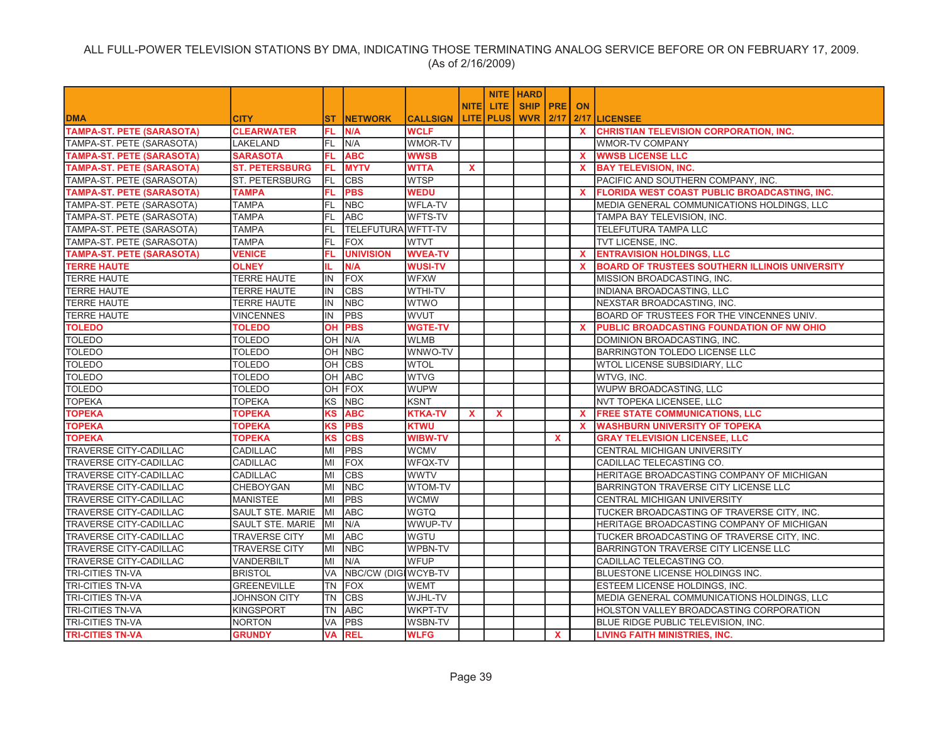|                                  |                       |           |                     |                 |              |                    | <b>NITE HARD</b> |    |              |                                                       |
|----------------------------------|-----------------------|-----------|---------------------|-----------------|--------------|--------------------|------------------|----|--------------|-------------------------------------------------------|
|                                  |                       |           |                     |                 | <b>NITEI</b> | <b>LITE</b>        | <b>SHIP PRE</b>  |    | <b>ON</b>    |                                                       |
| <b>DMA</b>                       | <b>CITY</b>           | <b>ST</b> | <b>NETWORK</b>      | <b>CALLSIGN</b> |              | <b>LITE   PLUS</b> | <b>WVR 2/17</b>  |    |              | 2/17 LICENSEE                                         |
| <b>TAMPA-ST. PETE (SARASOTA)</b> | <b>CLEARWATER</b>     | FL.       | N/A                 | <b>WCLF</b>     |              |                    |                  |    | <b>X</b>     | <b>CHRISTIAN TELEVISION CORPORATION, INC.</b>         |
| TAMPA-ST. PETE (SARASOTA)        | LAKELAND              | FL        | N/A                 | WMOR-TV         |              |                    |                  |    |              | <b>WMOR-TV COMPANY</b>                                |
| <b>TAMPA-ST. PETE (SARASOTA)</b> | <b>SARASOTA</b>       | FL.       | <b>ABC</b>          | <b>WWSB</b>     |              |                    |                  |    | $\mathbf{x}$ | <b>WWSB LICENSE LLC</b>                               |
| <b>TAMPA-ST. PETE (SARASOTA)</b> | <b>ST. PETERSBURG</b> | FL        | <b>MYTV</b>         | <b>WTTA</b>     | $\mathbf x$  |                    |                  |    | <b>X</b>     | <b>BAY TELEVISION, INC.</b>                           |
| TAMPA-ST. PETE (SARASOTA)        | ST. PETERSBURG        | FL        | <b>CBS</b>          | <b>WTSP</b>     |              |                    |                  |    |              | PACIFIC AND SOUTHERN COMPANY, INC.                    |
| <b>TAMPA-ST. PETE (SARASOTA)</b> | <b>TAMPA</b>          | FL.       | <b>PBS</b>          | <b>WEDU</b>     |              |                    |                  |    | <b>X</b>     | <b>FLORIDA WEST COAST PUBLIC BROADCASTING, INC.</b>   |
| TAMPA-ST. PETE (SARASOTA)        | <b>TAMPA</b>          | FL        | <b>NBC</b>          | <b>WFLA-TV</b>  |              |                    |                  |    |              | MEDIA GENERAL COMMUNICATIONS HOLDINGS, LLC            |
| TAMPA-ST. PETE (SARASOTA)        | <b>TAMPA</b>          | IFL.      | <b>ABC</b>          | WFTS-TV         |              |                    |                  |    |              | TAMPA BAY TELEVISION, INC.                            |
| TAMPA-ST. PETE (SARASOTA)        | <b>TAMPA</b>          | FL.       | TELEFUTURA WFTT-TV  |                 |              |                    |                  |    |              | <b>TELEFUTURA TAMPA LLC</b>                           |
| TAMPA-ST. PETE (SARASOTA)        | <b>TAMPA</b>          | FL        | FOX                 | <b>WTVT</b>     |              |                    |                  |    |              | TVT LICENSE, INC.                                     |
| <b>TAMPA-ST. PETE (SARASOTA)</b> | <b>VENICE</b>         | FL.       | <b>UNIVISION</b>    | <b>WVEA-TV</b>  |              |                    |                  |    | $\mathbf{x}$ | <b>ENTRAVISION HOLDINGS, LLC</b>                      |
| <b>TERRE HAUTE</b>               | <b>OLNEY</b>          | IL.       | N/A                 | <b>WUSI-TV</b>  |              |                    |                  |    | <b>X</b>     | <b>BOARD OF TRUSTEES SOUTHERN ILLINOIS UNIVERSITY</b> |
| <b>TERRE HAUTE</b>               | <b>TERRE HAUTE</b>    | IN        | FOX                 | <b>WFXW</b>     |              |                    |                  |    |              | MISSION BROADCASTING, INC.                            |
| <b>TERRE HAUTE</b>               | <b>TERRE HAUTE</b>    | IN.       | <b>CBS</b>          | WTHI-TV         |              |                    |                  |    |              | INDIANA BROADCASTING, LLC                             |
| <b>TERRE HAUTE</b>               | <b>TERRE HAUTE</b>    | IN        | <b>NBC</b>          | WTWO            |              |                    |                  |    |              | NEXSTAR BROADCASTING, INC.                            |
| <b>TERRE HAUTE</b>               | <b>VINCENNES</b>      | IN        | PBS                 | WVUT            |              |                    |                  |    |              | BOARD OF TRUSTEES FOR THE VINCENNES UNIV.             |
| <b>TOLEDO</b>                    | <b>TOLEDO</b>         | OH        | <b>PBS</b>          | <b>WGTE-TV</b>  |              |                    |                  |    | <b>X</b>     | PUBLIC BROADCASTING FOUNDATION OF NW OHIO             |
| <b>TOLEDO</b>                    | <b>TOLEDO</b>         | OH        | N/A                 | <b>WLMB</b>     |              |                    |                  |    |              | DOMINION BROADCASTING, INC.                           |
| <b>TOLEDO</b>                    | <b>TOLEDO</b>         |           | OH NBC              | WNWO-TV         |              |                    |                  |    |              | BARRINGTON TOLEDO LICENSE LLC                         |
| <b>TOLEDO</b>                    | <b>TOLEDO</b>         | OH        | <b>CBS</b>          | <b>WTOL</b>     |              |                    |                  |    |              | WTOL LICENSE SUBSIDIARY, LLC                          |
| <b>TOLEDO</b>                    | <b>TOLEDO</b>         | OH        | <b>ABC</b>          | <b>WTVG</b>     |              |                    |                  |    |              | WTVG, INC.                                            |
| <b>TOLEDO</b>                    | <b>TOLEDO</b>         | OH        | FOX                 | <b>WUPW</b>     |              |                    |                  |    |              | WUPW BROADCASTING, LLC                                |
| <b>TOPEKA</b>                    | <b>TOPEKA</b>         | KS        | <b>NBC</b>          | <b>KSNT</b>     |              |                    |                  |    |              | NVT TOPEKA LICENSEE, LLC                              |
| <b>TOPEKA</b>                    | <b>TOPEKA</b>         | <b>KS</b> | <b>ABC</b>          | <b>KTKA-TV</b>  | <b>X</b>     | $\mathbf{x}$       |                  |    | $\mathbf{x}$ | <b>FREE STATE COMMUNICATIONS, LLC</b>                 |
| <b>TOPEKA</b>                    | <b>TOPEKA</b>         | <b>KS</b> | <b>PBS</b>          | <b>KTWU</b>     |              |                    |                  |    | $\mathbf{x}$ | <b>WASHBURN UNIVERSITY OF TOPEKA</b>                  |
| <b>TOPEKA</b>                    | <b>TOPEKA</b>         | KS        | <b>CBS</b>          | <b>WIBW-TV</b>  |              |                    |                  | X  |              | <b>GRAY TELEVISION LICENSEE, LLC</b>                  |
| <b>TRAVERSE CITY-CADILLAC</b>    | CADILLAC              | MI        | <b>PBS</b>          | <b>WCMV</b>     |              |                    |                  |    |              | CENTRAL MICHIGAN UNIVERSITY                           |
| <b>TRAVERSE CITY-CADILLAC</b>    | <b>CADILLAC</b>       | MI        | <b>FOX</b>          | WFQX-TV         |              |                    |                  |    |              | CADILLAC TELECASTING CO.                              |
| <b>TRAVERSE CITY-CADILLAC</b>    | <b>CADILLAC</b>       | MI        | <b>CBS</b>          | <b>WWTV</b>     |              |                    |                  |    |              | HERITAGE BROADCASTING COMPANY OF MICHIGAN             |
| <b>TRAVERSE CITY-CADILLAC</b>    | CHEBOYGAN             | lмı       | <b>NBC</b>          | <b>WTOM-TV</b>  |              |                    |                  |    |              | BARRINGTON TRAVERSE CITY LICENSE LLC                  |
| <b>TRAVERSE CITY-CADILLAC</b>    | <b>MANISTEE</b>       | MI        | PBS                 | <b>WCMW</b>     |              |                    |                  |    |              | CENTRAL MICHIGAN UNIVERSITY                           |
| <b>TRAVERSE CITY-CADILLAC</b>    | SAULT STE. MARIE      | MI        | <b>ABC</b>          | <b>WGTQ</b>     |              |                    |                  |    |              | TUCKER BROADCASTING OF TRAVERSE CITY, INC.            |
| TRAVERSE CITY-CADILLAC           | SAULT STE. MARIE      | MI        | N/A                 | WWUP-TV         |              |                    |                  |    |              | HERITAGE BROADCASTING COMPANY OF MICHIGAN             |
| <b>TRAVERSE CITY-CADILLAC</b>    | <b>TRAVERSE CITY</b>  | MI        | <b>ABC</b>          | WGTU            |              |                    |                  |    |              | TUCKER BROADCASTING OF TRAVERSE CITY, INC.            |
| <b>TRAVERSE CITY-CADILLAC</b>    | <b>TRAVERSE CITY</b>  | lмı       | <b>NBC</b>          | <b>WPBN-TV</b>  |              |                    |                  |    |              | BARRINGTON TRAVERSE CITY LICENSE LLC                  |
| <b>TRAVERSE CITY-CADILLAC</b>    | VANDERBILT            | MI        | N/A                 | <b>WFUP</b>     |              |                    |                  |    |              | CADILLAC TELECASTING CO.                              |
| <b>TRI-CITIES TN-VA</b>          | <b>BRISTOL</b>        | VA        | NBC/CW (DIGIWCYB-TV |                 |              |                    |                  |    |              | BLUESTONE LICENSE HOLDINGS INC.                       |
| <b>TRI-CITIES TN-VA</b>          | <b>GREENEVILLE</b>    | <b>TN</b> | <b>FOX</b>          | <b>WEMT</b>     |              |                    |                  |    |              | ESTEEM LICENSE HOLDINGS, INC.                         |
| <b>TRI-CITIES TN-VA</b>          | <b>JOHNSON CITY</b>   | <b>TN</b> | <b>CBS</b>          | WJHL-TV         |              |                    |                  |    |              | MEDIA GENERAL COMMUNICATIONS HOLDINGS, LLC            |
| <b>TRI-CITIES TN-VA</b>          | <b>KINGSPORT</b>      | <b>TN</b> | <b>ABC</b>          | <b>WKPT-TV</b>  |              |                    |                  |    |              | HOLSTON VALLEY BROADCASTING CORPORATION               |
| TRI-CITIES TN-VA                 | <b>NORTON</b>         | <b>VA</b> | <b>PBS</b>          | <b>WSBN-TV</b>  |              |                    |                  |    |              | <b>BLUE RIDGE PUBLIC TELEVISION. INC.</b>             |
| <b>TRI-CITIES TN-VA</b>          | <b>GRUNDY</b>         | <b>VA</b> | <b>REL</b>          | <b>WLFG</b>     |              |                    |                  | X. |              | LIVING FAITH MINISTRIES. INC.                         |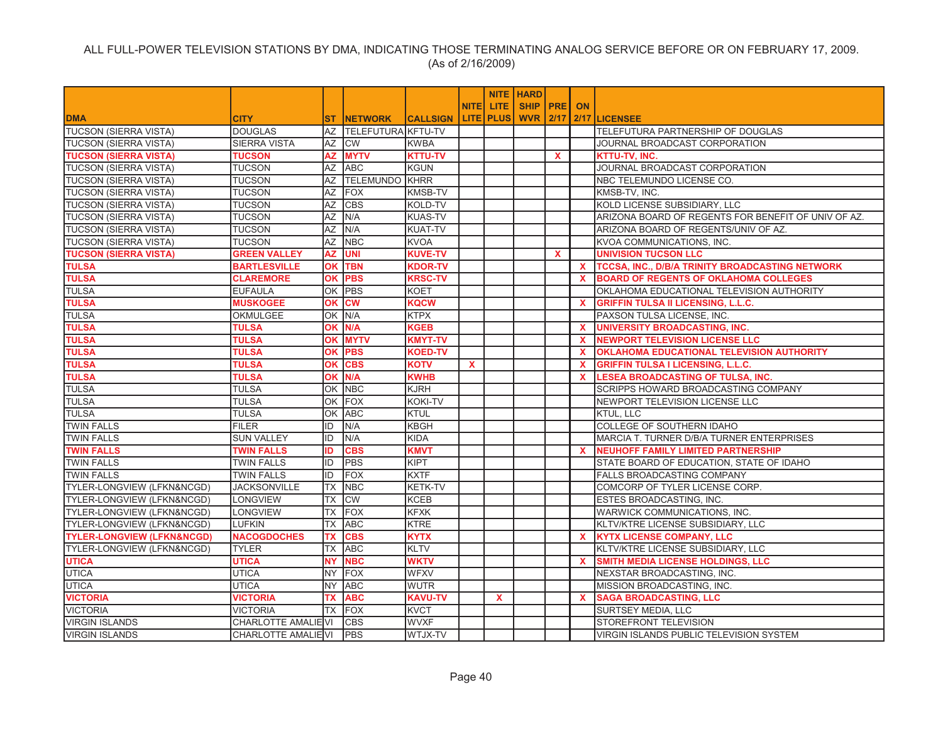|                                       |                            |           |                       |                 |              |                  | <b>NITE   HARD</b> |              |              |                                                     |
|---------------------------------------|----------------------------|-----------|-----------------------|-----------------|--------------|------------------|--------------------|--------------|--------------|-----------------------------------------------------|
|                                       |                            |           |                       |                 | <b>NITEI</b> | LITE.            | <b>SHIP PRE ON</b> |              |              |                                                     |
| <b>DMA</b>                            | <b>CITY</b>                | ST.       | <b>NETWORK</b>        | <b>CALLSIGN</b> |              | <b>LITE PLUS</b> | WVR I              | 2/17         |              | 2/17 LICENSEE                                       |
| <b>TUCSON (SIERRA VISTA)</b>          | <b>DOUGLAS</b>             | AZ        | TELEFUTURA KFTU-TV    |                 |              |                  |                    |              |              | TELEFUTURA PARTNERSHIP OF DOUGLAS                   |
| <b>TUCSON (SIERRA VISTA)</b>          | <b>SIERRA VISTA</b>        | AZ        | <b>CW</b>             | <b>KWBA</b>     |              |                  |                    |              |              | JOURNAL BROADCAST CORPORATION                       |
| <b>TUCSON (SIERRA VISTA)</b>          | <b>TUCSON</b>              | <b>AZ</b> | <b>MYTV</b>           | <b>KTTU-TV</b>  |              |                  |                    | $\mathbf x$  |              | <b>KTTU-TV, INC.</b>                                |
| <b>TUCSON (SIERRA VISTA)</b>          | TUCSON                     | AZ        | <b>ABC</b>            | <b>KGUN</b>     |              |                  |                    |              |              | JOURNAL BROADCAST CORPORATION                       |
| <b>TUCSON (SIERRA VISTA)</b>          | TUCSON                     | AZ        | <b>TELEMUNDO KHRR</b> |                 |              |                  |                    |              |              | NBC TELEMUNDO LICENSE CO.                           |
| <b>TUCSON (SIERRA VISTA)</b>          | TUCSON                     | AZ        | FOX                   | <b>KMSB-TV</b>  |              |                  |                    |              |              | KMSB-TV, INC.                                       |
| <b>TUCSON (SIERRA VISTA)</b>          | <b>TUCSON</b>              | AZ        | <b>CBS</b>            | KOLD-TV         |              |                  |                    |              |              | KOLD LICENSE SUBSIDIARY, LLC                        |
| <b>TUCSON (SIERRA VISTA)</b>          | TUCSON                     | AZ        | N/A                   | <b>KUAS-TV</b>  |              |                  |                    |              |              | ARIZONA BOARD OF REGENTS FOR BENEFIT OF UNIV OF AZ. |
| <b>TUCSON (SIERRA VISTA)</b>          | TUCSON                     | AZ        | N/A                   | <b>KUAT-TV</b>  |              |                  |                    |              |              | ARIZONA BOARD OF REGENTS/UNIV OF AZ.                |
| <b>TUCSON (SIERRA VISTA)</b>          | TUCSON                     | AZ        | <b>NBC</b>            | <b>KVOA</b>     |              |                  |                    |              |              | KVOA COMMUNICATIONS, INC.                           |
| <b>TUCSON (SIERRA VISTA)</b>          | <b>GREEN VALLEY</b>        | AZ        | <b>UNI</b>            | <b>KUVE-TV</b>  |              |                  |                    | $\mathbf{x}$ |              | <b>UNIVISION TUCSON LLC</b>                         |
| <b>TULSA</b>                          | <b>BARTLESVILLE</b>        | <b>OK</b> | <b>TBN</b>            | <b>KDOR-TV</b>  |              |                  |                    |              | <b>X</b>     | TCCSA, INC., D/B/A TRINITY BROADCASTING NETWORK     |
| <b>TULSA</b>                          | <b>CLAREMORE</b>           | OK        | <b>PBS</b>            | <b>KRSC-TV</b>  |              |                  |                    |              | <b>X</b>     | <b>BOARD OF REGENTS OF OKLAHOMA COLLEGES</b>        |
| <b>TULSA</b>                          | <b>EUFAULA</b>             |           | OK PBS                | <b>KOET</b>     |              |                  |                    |              |              | OKLAHOMA EDUCATIONAL TELEVISION AUTHORITY           |
| <b>TULSA</b>                          | <b>MUSKOGEE</b>            | OK        | <b>CW</b>             | <b>KQCW</b>     |              |                  |                    |              | <b>X</b>     | <b>GRIFFIN TULSA II LICENSING, L.L.C.</b>           |
| <b>TULSA</b>                          | <b>OKMULGEE</b>            | OK        | N/A                   | <b>KTPX</b>     |              |                  |                    |              |              | PAXSON TULSA LICENSE, INC.                          |
| <b>TULSA</b>                          | <b>TULSA</b>               | <b>OK</b> | N/A                   | <b>KGEB</b>     |              |                  |                    |              | $\mathbf{x}$ | <b>UNIVERSITY BROADCASTING, INC.</b>                |
| <b>TULSA</b>                          | <b>TULSA</b>               | <b>OK</b> | <b>MYTV</b>           | <b>KMYT-TV</b>  |              |                  |                    |              | <b>X</b>     | <b>NEWPORT TELEVISION LICENSE LLC</b>               |
| <b>TULSA</b>                          | <b>TULSA</b>               | <b>OK</b> | <b>PBS</b>            | <b>KOED-TV</b>  |              |                  |                    |              | X            | OKLAHOMA EDUCATIONAL TELEVISION AUTHORITY           |
| <b>TULSA</b>                          | <b>TULSA</b>               | <b>OK</b> | <b>CBS</b>            | <b>KOTV</b>     | $\mathbf{x}$ |                  |                    |              | $\mathbf{x}$ | <b>GRIFFIN TULSA I LICENSING, L.L.C.</b>            |
| <b>TULSA</b>                          | TULSA                      | <b>OK</b> | N/A                   | <b>KWHB</b>     |              |                  |                    |              | <b>X</b>     | <b>LESEA BROADCASTING OF TULSA, INC.</b>            |
| <b>TULSA</b>                          | <b>TULSA</b>               |           | OK NBC                | <b>KJRH</b>     |              |                  |                    |              |              | SCRIPPS HOWARD BROADCASTING COMPANY                 |
| <b>TULSA</b>                          | <b>TULSA</b>               | OK        | <b>FOX</b>            | <b>KOKI-TV</b>  |              |                  |                    |              |              | NEWPORT TELEVISION LICENSE LLC                      |
| <b>TULSA</b>                          | <b>TULSA</b>               | OK        | <b>ABC</b>            | <b>KTUL</b>     |              |                  |                    |              |              | <b>KTUL, LLC</b>                                    |
| <b>TWIN FALLS</b>                     | <b>FILER</b>               | ID        | N/A                   | <b>KBGH</b>     |              |                  |                    |              |              | COLLEGE OF SOUTHERN IDAHO                           |
| <b>TWIN FALLS</b>                     | <b>SUN VALLEY</b>          | ID        | N/A                   | <b>KIDA</b>     |              |                  |                    |              |              | MARCIA T. TURNER D/B/A TURNER ENTERPRISES           |
| <b>TWIN FALLS</b>                     | <b>TWIN FALLS</b>          | ID        | <b>CBS</b>            | <b>KMVT</b>     |              |                  |                    |              | <b>X</b>     | <b>NEUHOFF FAMILY LIMITED PARTNERSHIP</b>           |
| <b>TWIN FALLS</b>                     | <b>TWIN FALLS</b>          | ID        | <b>PBS</b>            | <b>KIPT</b>     |              |                  |                    |              |              | STATE BOARD OF EDUCATION, STATE OF IDAHO            |
| <b>TWIN FALLS</b>                     | <b>TWIN FALLS</b>          | ID        | <b>FOX</b>            | <b>KXTF</b>     |              |                  |                    |              |              | <b>FALLS BROADCASTING COMPANY</b>                   |
| TYLER-LONGVIEW (LFKN&NCGD)            | <b>JACKSONVILLE</b>        | <b>TX</b> | <b>NBC</b>            | <b>KETK-TV</b>  |              |                  |                    |              |              | COMCORP OF TYLER LICENSE CORP.                      |
| TYLER-LONGVIEW (LFKN&NCGD)            | <b>LONGVIEW</b>            | TX        | <b>CW</b>             | <b>KCEB</b>     |              |                  |                    |              |              | ESTES BROADCASTING, INC.                            |
| TYLER-LONGVIEW (LFKN&NCGD)            | <b>LONGVIEW</b>            | ТX        | <b>FOX</b>            | <b>KFXK</b>     |              |                  |                    |              |              | <b>WARWICK COMMUNICATIONS, INC.</b>                 |
| TYLER-LONGVIEW (LFKN&NCGD)            | <b>LUFKIN</b>              | TX        | <b>ABC</b>            | <b>KTRE</b>     |              |                  |                    |              |              | KLTV/KTRE LICENSE SUBSIDIARY, LLC                   |
| <b>TYLER-LONGVIEW (LFKN&amp;NCGD)</b> | <b>NACOGDOCHES</b>         | <b>TX</b> | <b>CBS</b>            | <b>KYTX</b>     |              |                  |                    |              | $\mathbf{x}$ | <b>KYTX LICENSE COMPANY, LLC</b>                    |
| TYLER-LONGVIEW (LFKN&NCGD)            | <b>TYLER</b>               | <b>TX</b> | <b>ABC</b>            | <b>KLTV</b>     |              |                  |                    |              |              | KLTV/KTRE LICENSE SUBSIDIARY, LLC                   |
| <b>UTICA</b>                          | <b>UTICA</b>               | <b>NY</b> | <b>NBC</b>            | <b>WKTV</b>     |              |                  |                    |              | $\mathbf{x}$ | SMITH MEDIA LICENSE HOLDINGS, LLC                   |
| <b>UTICA</b>                          | <b>UTICA</b>               | NY.       | <b>FOX</b>            | <b>WFXV</b>     |              |                  |                    |              |              | NEXSTAR BROADCASTING, INC.                          |
| <b>UTICA</b>                          | <b>UTICA</b>               | NY.       | <b>ABC</b>            | <b>WUTR</b>     |              |                  |                    |              |              | MISSION BROADCASTING, INC.                          |
| <b>VICTORIA</b>                       | <b>VICTORIA</b>            | ТX        | <b>ABC</b>            | <b>KAVU-TV</b>  |              | $\mathbf{x}$     |                    |              | $\mathbf{x}$ | <b>SAGA BROADCASTING, LLC</b>                       |
| <b>VICTORIA</b>                       | <b>VICTORIA</b>            | <b>TX</b> | <b>FOX</b>            | <b>KVCT</b>     |              |                  |                    |              |              | <b>SURTSEY MEDIA, LLC</b>                           |
| <b>VIRGIN ISLANDS</b>                 | <b>CHARLOTTE AMALIE VI</b> |           | <b>CBS</b>            | <b>WVXF</b>     |              |                  |                    |              |              | STOREFRONT TELEVISION                               |
| <b>VIRGIN ISLANDS</b>                 | CHARLOTTE AMALIEVI         |           | <b>IPBS</b>           | <b>WTJX-TV</b>  |              |                  |                    |              |              | VIRGIN ISLANDS PUBLIC TELEVISION SYSTEM             |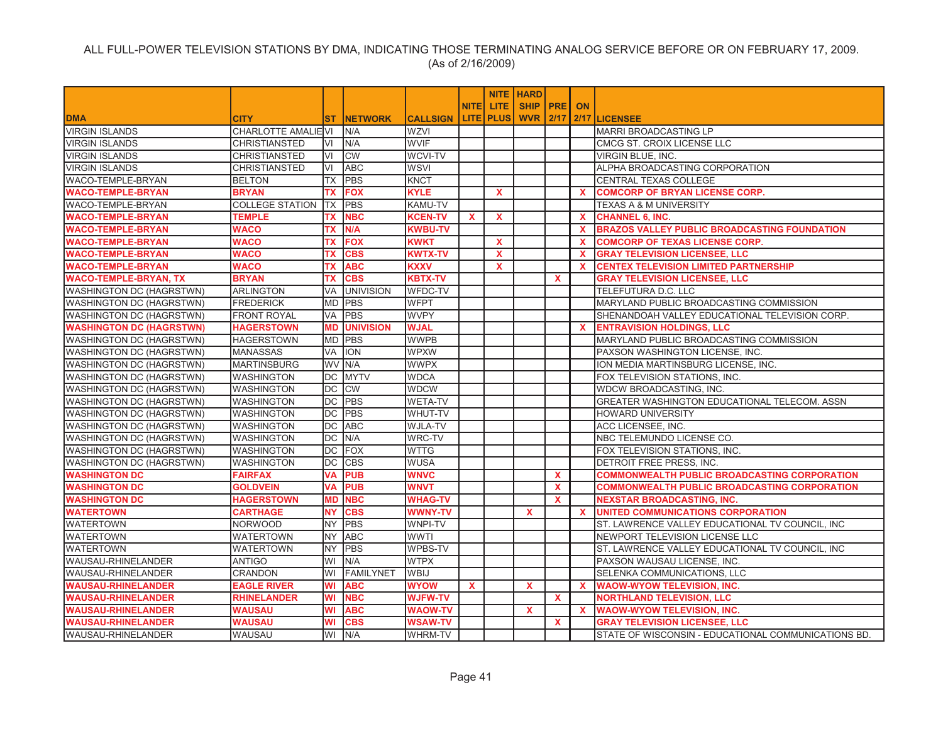|                                 |                           |           |                  |                 |              |                    | <b>NITE   HARD</b> |              |              |                                                     |
|---------------------------------|---------------------------|-----------|------------------|-----------------|--------------|--------------------|--------------------|--------------|--------------|-----------------------------------------------------|
|                                 |                           |           |                  |                 | <b>NITEI</b> | LITE.              | <b>SHIP PRE</b>    |              | <b>ON</b>    |                                                     |
| <b>DMA</b>                      | <b>CITY</b>               | <b>ST</b> | <b>INETWORK</b>  | <b>CALLSIGN</b> |              | <b>LITE   PLUS</b> | <b>WVR 2/17</b>    |              |              | 2/17 LICENSEE                                       |
| <b>VIRGIN ISLANDS</b>           | <b>CHARLOTTE AMALIEVI</b> |           | N/A              | <b>WZVI</b>     |              |                    |                    |              |              | <b>MARRI BROADCASTING LP</b>                        |
| <b>VIRGIN ISLANDS</b>           | <b>CHRISTIANSTED</b>      | VI        | N/A              | <b>WVIF</b>     |              |                    |                    |              |              | CMCG ST. CROIX LICENSE LLC                          |
| <b>VIRGIN ISLANDS</b>           | <b>CHRISTIANSTED</b>      | VI        | <b>CW</b>        | <b>WCVI-TV</b>  |              |                    |                    |              |              | VIRGIN BLUE, INC.                                   |
| <b>VIRGIN ISLANDS</b>           | <b>CHRISTIANSTED</b>      | VI        | <b>ABC</b>       | <b>WSVI</b>     |              |                    |                    |              |              | ALPHA BROADCASTING CORPORATION                      |
| <b>WACO-TEMPLE-BRYAN</b>        | <b>BELTON</b>             | <b>TX</b> | <b>PBS</b>       | <b>KNCT</b>     |              |                    |                    |              |              | <b>CENTRAL TEXAS COLLEGE</b>                        |
| <b>WACO-TEMPLE-BRYAN</b>        | <b>BRYAN</b>              | TX        | <b>FOX</b>       | <b>KYLE</b>     |              | X                  |                    |              | <b>X</b>     | <b>COMCORP OF BRYAN LICENSE CORP.</b>               |
| <b>WACO-TEMPLE-BRYAN</b>        | <b>COLLEGE STATION</b>    | <b>TX</b> | <b>PBS</b>       | KAMU-TV         |              |                    |                    |              |              | <b>TEXAS A &amp; M UNIVERSITY</b>                   |
| <b>WACO-TEMPLE-BRYAN</b>        | <b>TEMPLE</b>             | TX        | <b>NBC</b>       | <b>KCEN-TV</b>  | $\mathbf{x}$ | X                  |                    |              | <b>X</b>     | <b>CHANNEL 6, INC.</b>                              |
| <b>WACO-TEMPLE-BRYAN</b>        | <b>WACO</b>               | ТX        | N/A              | <b>KWBU-TV</b>  |              |                    |                    |              | $\mathbf{x}$ | <b>BRAZOS VALLEY PUBLIC BROADCASTING FOUNDATION</b> |
| <b>WACO-TEMPLE-BRYAN</b>        | <b>WACO</b>               | TX        | <b>FOX</b>       | <b>KWKT</b>     |              | $\mathbf{x}$       |                    |              | <b>X</b>     | <b>COMCORP OF TEXAS LICENSE CORP.</b>               |
| <b>WACO-TEMPLE-BRYAN</b>        | <b>WACO</b>               | <b>TX</b> | <b>CBS</b>       | <b>KWTX-TV</b>  |              | X                  |                    |              | <b>X</b>     | <b>GRAY TELEVISION LICENSEE, LLC</b>                |
| <b>WACO-TEMPLE-BRYAN</b>        | <b>WACO</b>               | TX        | <b>ABC</b>       | <b>KXXV</b>     |              | X                  |                    |              | <b>X</b>     | <b>CENTEX TELEVISION LIMITED PARTNERSHIP</b>        |
| <b>WACO-TEMPLE-BRYAN, TX</b>    | <b>BRYAN</b>              | TX        | <b>CBS</b>       | KBTX-TV         |              |                    |                    | X.           |              | <b>GRAY TELEVISION LICENSEE, LLC</b>                |
| <b>WASHINGTON DC (HAGRSTWN)</b> | <b>ARLINGTON</b>          | VA        | <b>UNIVISION</b> | WFDC-TV         |              |                    |                    |              |              | TELEFUTURA D.C. LLC                                 |
| <b>WASHINGTON DC (HAGRSTWN)</b> | <b>FREDERICK</b>          | <b>MD</b> | <b>PBS</b>       | <b>WFPT</b>     |              |                    |                    |              |              | MARYLAND PUBLIC BROADCASTING COMMISSION             |
| WASHINGTON DC (HAGRSTWN)        | <b>FRONT ROYAL</b>        | VA        | <b>PBS</b>       | <b>WVPY</b>     |              |                    |                    |              |              | SHENANDOAH VALLEY EDUCATIONAL TELEVISION CORP.      |
| <b>WASHINGTON DC (HAGRSTWN)</b> | <b>HAGERSTOWN</b>         | <b>MD</b> | <b>UNIVISION</b> | <b>WJAL</b>     |              |                    |                    |              | $\mathbf{x}$ | <b>ENTRAVISION HOLDINGS, LLC</b>                    |
| <b>WASHINGTON DC (HAGRSTWN)</b> | <b>HAGERSTOWN</b>         |           | MD PBS           | <b>WWPB</b>     |              |                    |                    |              |              | MARYLAND PUBLIC BROADCASTING COMMISSION             |
| <b>WASHINGTON DC (HAGRSTWN)</b> | <b>MANASSAS</b>           | VA        | <b>ION</b>       | <b>WPXW</b>     |              |                    |                    |              |              | PAXSON WASHINGTON LICENSE, INC.                     |
| <b>WASHINGTON DC (HAGRSTWN)</b> | <b>MARTINSBURG</b>        |           | WV N/A           | <b>WWPX</b>     |              |                    |                    |              |              | ION MEDIA MARTINSBURG LICENSE, INC.                 |
| <b>WASHINGTON DC (HAGRSTWN)</b> | <b>WASHINGTON</b>         |           | DC MYTV          | <b>WDCA</b>     |              |                    |                    |              |              | FOX TELEVISION STATIONS, INC.                       |
| <b>WASHINGTON DC (HAGRSTWN)</b> | <b>WASHINGTON</b>         | DC        | <b>CW</b>        | <b>WDCW</b>     |              |                    |                    |              |              | WDCW BROADCASTING, INC.                             |
| <b>WASHINGTON DC (HAGRSTWN)</b> | <b>WASHINGTON</b>         | <b>DC</b> | <b>PBS</b>       | <b>WETA-TV</b>  |              |                    |                    |              |              | GREATER WASHINGTON EDUCATIONAL TELECOM. ASSN        |
| <b>WASHINGTON DC (HAGRSTWN)</b> | <b>WASHINGTON</b>         | DC        | PBS              | WHUT-TV         |              |                    |                    |              |              | <b>HOWARD UNIVERSITY</b>                            |
| WASHINGTON DC (HAGRSTWN)        | <b>WASHINGTON</b>         | DC        | <b>ABC</b>       | WJLA-TV         |              |                    |                    |              |              | ACC LICENSEE, INC.                                  |
| WASHINGTON DC (HAGRSTWN)        | <b>WASHINGTON</b>         | <b>DC</b> | N/A              | WRC-TV          |              |                    |                    |              |              | NBC TELEMUNDO LICENSE CO.                           |
| <b>WASHINGTON DC (HAGRSTWN)</b> | <b>WASHINGTON</b>         | DC        | <b>FOX</b>       | <b>WTTG</b>     |              |                    |                    |              |              | FOX TELEVISION STATIONS, INC.                       |
| <b>WASHINGTON DC (HAGRSTWN)</b> | <b>WASHINGTON</b>         | DC        | <b>CBS</b>       | <b>WUSA</b>     |              |                    |                    |              |              | DETROIT FREE PRESS, INC.                            |
| <b>WASHINGTON DC</b>            | <b>FAIRFAX</b>            | <b>VA</b> | <b>PUB</b>       | <b>WNVC</b>     |              |                    |                    | $\mathbf{x}$ |              | <b>COMMONWEALTH PUBLIC BROADCASTING CORPORATION</b> |
| <b>WASHINGTON DC</b>            | <b>GOLDVEIN</b>           | VA        | <b>PUB</b>       | <b>WNVT</b>     |              |                    |                    | $\mathbf{x}$ |              | COMMONWEALTH PUBLIC BROADCASTING CORPORATION        |
| <b>WASHINGTON DC</b>            | <b>HAGERSTOWN</b>         | MD        | <b>NBC</b>       | <b>WHAG-TV</b>  |              |                    |                    | $\mathbf{x}$ |              | <b>NEXSTAR BROADCASTING, INC.</b>                   |
| <b>WATERTOWN</b>                | <b>CARTHAGE</b>           | <b>NY</b> | <b>CBS</b>       | <b>WWNY-TV</b>  |              |                    | $\mathbf{x}$       |              | <b>X</b>     | UNITED COMMUNICATIONS CORPORATION                   |
| <b>WATERTOWN</b>                | <b>NORWOOD</b>            | <b>NY</b> | PBS              | WNPI-TV         |              |                    |                    |              |              | ST. LAWRENCE VALLEY EDUCATIONAL TV COUNCIL, INC     |
| <b>WATERTOWN</b>                | <b>WATERTOWN</b>          | <b>NY</b> | ABC              | <b>WWTI</b>     |              |                    |                    |              |              | NEWPORT TELEVISION LICENSE LLC                      |
| <b>WATERTOWN</b>                | <b>WATERTOWN</b>          | <b>NY</b> | PBS              | <b>WPBS-TV</b>  |              |                    |                    |              |              | ST. LAWRENCE VALLEY EDUCATIONAL TV COUNCIL, INC     |
| WAUSAU-RHINELANDER              | <b>ANTIGO</b>             | WI        | N/A              | <b>WTPX</b>     |              |                    |                    |              |              | PAXSON WAUSAU LICENSE, INC.                         |
| <b>WAUSAU-RHINELANDER</b>       | <b>CRANDON</b>            | W١        | <b>FAMILYNET</b> | <b>WBIJ</b>     |              |                    |                    |              |              | SELENKA COMMUNICATIONS. LLC                         |
| <b>WAUSAU-RHINELANDER</b>       | <b>EAGLE RIVER</b>        | WI        | <b>ABC</b>       | <b>WYOW</b>     | $\mathbf{x}$ |                    | $\mathbf x$        |              | $\mathbf{x}$ | <b>WAOW-WYOW TELEVISION, INC.</b>                   |
| <b>WAUSAU-RHINELANDER</b>       | <b>RHINELANDER</b>        | WI        | <b>NBC</b>       | <b>WJFW-TV</b>  |              |                    |                    | $\mathbf{x}$ |              | <b>NORTHLAND TELEVISION, LLC</b>                    |
| <b>WAUSAU-RHINELANDER</b>       | <b>WAUSAU</b>             | WI        | <b>ABC</b>       | <b>WAOW-TV</b>  |              |                    | $\mathbf x$        |              | $\mathbf{x}$ | <b>WAOW-WYOW TELEVISION, INC.</b>                   |
| <b>WAUSAU-RHINELANDER</b>       | <b>WAUSAU</b>             | WI        | <b>CBS</b>       | <b>WSAW-TV</b>  |              |                    |                    | $\mathbf{x}$ |              | <b>GRAY TELEVISION LICENSEE. LLC</b>                |
| <b>WAUSAU-RHINELANDER</b>       | <b>WAUSAU</b>             |           | WI N/A           | WHRM-TV         |              |                    |                    |              |              | STATE OF WISCONSIN - EDUCATIONAL COMMUNICATIONS BD. |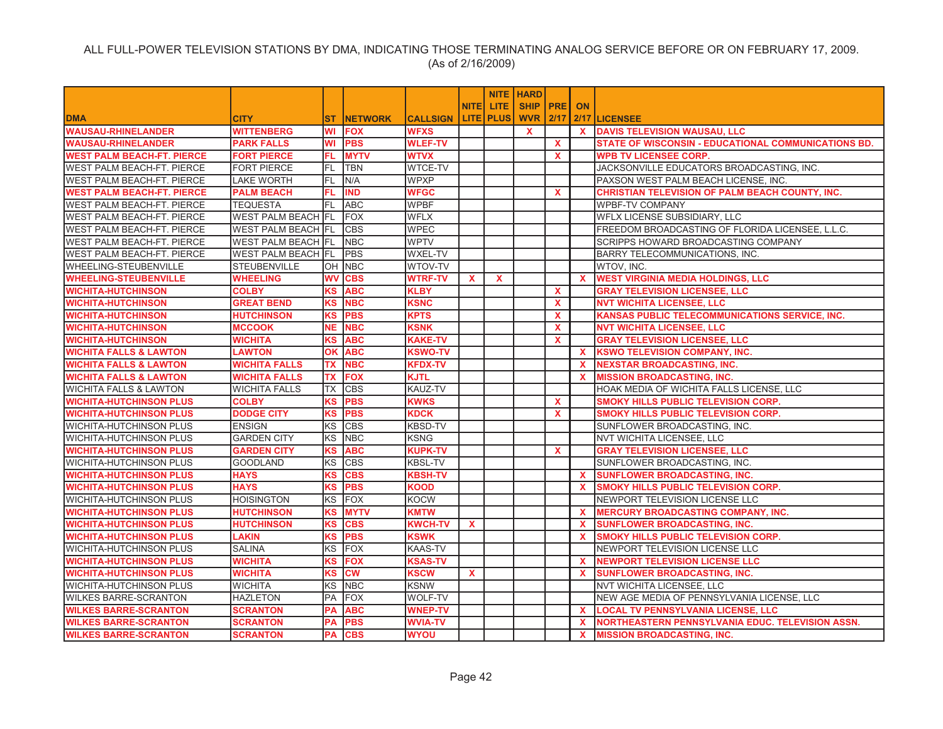|                                   |                           |            |                |                 |              |             | <b>NITE   HARD</b> |              |              |                                                            |
|-----------------------------------|---------------------------|------------|----------------|-----------------|--------------|-------------|--------------------|--------------|--------------|------------------------------------------------------------|
|                                   |                           |            |                |                 | <b>NITE</b>  | LITE.       | SHIP   PRE   ON    |              |              |                                                            |
| <b>DMA</b>                        | <b>CITY</b>               | <b>ST</b>  | <b>NETWORK</b> | <b>CALLSIGN</b> |              | LITE   PLUS | <b>WVR 2/17</b>    |              |              | 2/17 LICENSEE                                              |
| <b>WAUSAU-RHINELANDER</b>         | <b>WITTENBERG</b>         | WI         | <b>FOX</b>     | <b>WFXS</b>     |              |             | $\mathbf{x}$       |              | $\mathbf{x}$ | <b>DAVIS TELEVISION WAUSAU, LLC</b>                        |
| <b>WAUSAU-RHINELANDER</b>         | <b>PARK FALLS</b>         | WI         | <b>PBS</b>     | <b>WLEF-TV</b>  |              |             |                    | X            |              | <b>STATE OF WISCONSIN - EDUCATIONAL COMMUNICATIONS BD.</b> |
| <b>WEST PALM BEACH-FT. PIERCE</b> | <b>FORT PIERCE</b>        | FL.        | <b>MYTV</b>    | <b>WTVX</b>     |              |             |                    | $\mathbf{x}$ |              | <b>WPB TV LICENSEE CORP.</b>                               |
| <b>WEST PALM BEACH-FT. PIERCE</b> | <b>FORT PIERCE</b>        | FL.        | <b>TBN</b>     | <b>WTCE-TV</b>  |              |             |                    |              |              | JACKSONVILLE EDUCATORS BROADCASTING, INC.                  |
| <b>WEST PALM BEACH-FT. PIERCE</b> | <b>LAKE WORTH</b>         | FL         | N/A            | <b>WPXP</b>     |              |             |                    |              |              | PAXSON WEST PALM BEACH LICENSE, INC.                       |
| <b>WEST PALM BEACH-FT. PIERCE</b> | <b>PALM BEACH</b>         | FL.        | <b>IND</b>     | <b>WFGC</b>     |              |             |                    | <b>X</b>     |              | <b>CHRISTIAN TELEVISION OF PALM BEACH COUNTY, INC.</b>     |
| <b>WEST PALM BEACH-FT. PIERCE</b> | <b>TEQUESTA</b>           | IFL.       | <b>ABC</b>     | <b>WPBF</b>     |              |             |                    |              |              | <b>WPBF-TV COMPANY</b>                                     |
| <b>WEST PALM BEACH-FT. PIERCE</b> | <b>WEST PALM BEACH FL</b> |            | FOX            | <b>WFLX</b>     |              |             |                    |              |              | WFLX LICENSE SUBSIDIARY, LLC                               |
| <b>WEST PALM BEACH-FT. PIERCE</b> | <b>WEST PALM BEACH FL</b> |            | <b>CBS</b>     | <b>WPEC</b>     |              |             |                    |              |              | FREEDOM BROADCASTING OF FLORIDA LICENSEE, L.L.C.           |
| <b>WEST PALM BEACH-FT. PIERCE</b> | WEST PALM BEACH FL        |            | <b>NBC</b>     | <b>WPTV</b>     |              |             |                    |              |              | <b>SCRIPPS HOWARD BROADCASTING COMPANY</b>                 |
| <b>WEST PALM BEACH-FT. PIERCE</b> | WEST PALM BEACH FL        |            | PBS            | <b>WXEL-TV</b>  |              |             |                    |              |              | <b>BARRY TELECOMMUNICATIONS, INC.</b>                      |
| <b>WHEELING-STEUBENVILLE</b>      | <b>STEUBENVILLE</b>       |            | OH NBC         | WTOV-TV         |              |             |                    |              |              | WTOV, INC.                                                 |
| <b>WHEELING-STEUBENVILLE</b>      | <b>WHEELING</b>           | <b>WV</b>  | <b>CBS</b>     | <b>WTRF-TV</b>  | <b>X</b>     | $\mathbf x$ |                    |              | X.           | <b>WEST VIRGINIA MEDIA HOLDINGS, LLC</b>                   |
| <b>WICHITA-HUTCHINSON</b>         | <b>COLBY</b>              | <b>KS</b>  | <b>ABC</b>     | <b>KLBY</b>     |              |             |                    | $\mathbf{x}$ |              | <b>GRAY TELEVISION LICENSEE, LLC</b>                       |
| <b>WICHITA-HUTCHINSON</b>         | <b>GREAT BEND</b>         | KS         | <b>NBC</b>     | <b>KSNC</b>     |              |             |                    | $\mathbf{x}$ |              | <b>NVT WICHITA LICENSEE, LLC</b>                           |
| <b>WICHITA-HUTCHINSON</b>         | <b>HUTCHINSON</b>         | KS         | <b>PBS</b>     | <b>KPTS</b>     |              |             |                    | $\mathbf{x}$ |              | KANSAS PUBLIC TELECOMMUNICATIONS SERVICE, INC.             |
| <b>WICHITA-HUTCHINSON</b>         | <b>MCCOOK</b>             | <b>NE</b>  | <b>NBC</b>     | <b>KSNK</b>     |              |             |                    | $\mathbf{x}$ |              | <b>NVT WICHITA LICENSEE, LLC</b>                           |
| <b>WICHITA-HUTCHINSON</b>         | <b>WICHITA</b>            | KS         | <b>ABC</b>     | <b>KAKE-TV</b>  |              |             |                    | <b>X</b>     |              | <b>GRAY TELEVISION LICENSEE, LLC</b>                       |
| <b>WICHITA FALLS &amp; LAWTON</b> | <b>LAWTON</b>             | OK         | <b>ABC</b>     | <b>KSWO-TV</b>  |              |             |                    |              | <b>X</b>     | <b>KSWO TELEVISION COMPANY, INC.</b>                       |
| <b>WICHITA FALLS &amp; LAWTON</b> | <b>WICHITA FALLS</b>      | <b>TX</b>  | <b>NBC</b>     | <b>KFDX-TV</b>  |              |             |                    |              | <b>X</b>     | <b>NEXSTAR BROADCASTING, INC.</b>                          |
| <b>WICHITA FALLS &amp; LAWTON</b> | <b>WICHITA FALLS</b>      | TX         | <b>FOX</b>     | <b>KJTL</b>     |              |             |                    |              | <b>X</b>     | <b>MISSION BROADCASTING, INC.</b>                          |
| <b>WICHITA FALLS &amp; LAWTON</b> | <b>WICHITA FALLS</b>      | <b>ITX</b> | <b>CBS</b>     | KAUZ-TV         |              |             |                    |              |              | HOAK MEDIA OF WICHITA FALLS LICENSE, LLC                   |
| <b>WICHITA-HUTCHINSON PLUS</b>    | <b>COLBY</b>              | <b>KS</b>  | <b>PBS</b>     | <b>KWKS</b>     |              |             |                    | X            |              | <b>SMOKY HILLS PUBLIC TELEVISION CORP.</b>                 |
| <b>WICHITA-HUTCHINSON PLUS</b>    | <b>DODGE CITY</b>         | <b>KS</b>  | <b>PBS</b>     | <b>KDCK</b>     |              |             |                    | X            |              | <b>SMOKY HILLS PUBLIC TELEVISION CORP.</b>                 |
| <b>WICHITA-HUTCHINSON PLUS</b>    | <b>ENSIGN</b>             | KS         | <b>CBS</b>     | <b>KBSD-TV</b>  |              |             |                    |              |              | SUNFLOWER BROADCASTING, INC.                               |
| <b>WICHITA-HUTCHINSON PLUS</b>    | <b>GARDEN CITY</b>        | KS         | <b>NBC</b>     | <b>KSNG</b>     |              |             |                    |              |              | NVT WICHITA LICENSEE, LLC                                  |
| <b>WICHITA-HUTCHINSON PLUS</b>    | <b>GARDEN CITY</b>        | <b>KS</b>  | <b>ABC</b>     | <b>KUPK-TV</b>  |              |             |                    | X            |              | <b>GRAY TELEVISION LICENSEE, LLC</b>                       |
| <b>WICHITA-HUTCHINSON PLUS</b>    | <b>GOODLAND</b>           | KS         | <b>CBS</b>     | <b>KBSL-TV</b>  |              |             |                    |              |              | SUNFLOWER BROADCASTING, INC.                               |
| <b>WICHITA-HUTCHINSON PLUS</b>    | <b>HAYS</b>               | <b>KS</b>  | <b>CBS</b>     | <b>KBSH-TV</b>  |              |             |                    |              | X.           | <b>SUNFLOWER BROADCASTING, INC.</b>                        |
| <b>WICHITA-HUTCHINSON PLUS</b>    | <b>HAYS</b>               | <b>KS</b>  | <b>PBS</b>     | KOOD            |              |             |                    |              | $\mathbf{x}$ | SMOKY HILLS PUBLIC TELEVISION CORP.                        |
| <b>WICHITA-HUTCHINSON PLUS</b>    | <b>HOISINGTON</b>         | KS         | <b>FOX</b>     | <b>KOCW</b>     |              |             |                    |              |              | NEWPORT TELEVISION LICENSE LLC                             |
| <b>WICHITA-HUTCHINSON PLUS</b>    | <b>HUTCHINSON</b>         | <b>KS</b>  | <b>MYTV</b>    | <b>KMTW</b>     |              |             |                    |              | <b>X</b>     | <b>MERCURY BROADCASTING COMPANY, INC.</b>                  |
| <b>WICHITA-HUTCHINSON PLUS</b>    | <b>HUTCHINSON</b>         | <b>KS</b>  | <b>CBS</b>     | <b>KWCH-TV</b>  | $\mathbf{x}$ |             |                    |              | X.           | <b>SUNFLOWER BROADCASTING, INC.</b>                        |
| <b>WICHITA-HUTCHINSON PLUS</b>    | <b>LAKIN</b>              | <b>KS</b>  | <b>PBS</b>     | <b>KSWK</b>     |              |             |                    |              | $\mathbf{x}$ | SMOKY HILLS PUBLIC TELEVISION CORP.                        |
| <b>WICHITA-HUTCHINSON PLUS</b>    | <b>SALINA</b>             | KS         | <b>FOX</b>     | <b>KAAS-TV</b>  |              |             |                    |              |              | NEWPORT TELEVISION LICENSE LLC                             |
| <b>WICHITA-HUTCHINSON PLUS</b>    | <b>WICHITA</b>            | <b>KS</b>  | <b>FOX</b>     | <b>KSAS-TV</b>  |              |             |                    |              | $\mathbf{x}$ | NEWPORT TELEVISION LICENSE LLC                             |
| <b>WICHITA-HUTCHINSON PLUS</b>    | <b>WICHITA</b>            | <b>KS</b>  | <b>CM</b>      | <b>KSCW</b>     | $\mathbf{x}$ |             |                    |              | $\mathbf{x}$ | <b>SUNFLOWER BROADCASTING, INC.</b>                        |
| <b>WICHITA-HUTCHINSON PLUS</b>    | <b>WICHITA</b>            | KS         | <b>NBC</b>     | <b>KSNW</b>     |              |             |                    |              |              | <b>NVT WICHITA LICENSEE, LLC</b>                           |
| <b>WILKES BARRE-SCRANTON</b>      | <b>HAZLETON</b>           | PA         | FOX            | <b>WOLF-TV</b>  |              |             |                    |              |              | NEW AGE MEDIA OF PENNSYLVANIA LICENSE, LLC                 |
| <b>WILKES BARRE-SCRANTON</b>      | <b>SCRANTON</b>           | <b>PA</b>  | <b>ABC</b>     | <b>WNEP-TV</b>  |              |             |                    |              | X.           | <b>LOCAL TV PENNSYLVANIA LICENSE, LLC</b>                  |
| <b>WILKES BARRE-SCRANTON</b>      | <b>SCRANTON</b>           | PA         | <b>PBS</b>     | <b>WVIA-TV</b>  |              |             |                    |              | <b>X</b>     | NORTHEASTERN PENNSYLVANIA EDUC. TELEVISION ASSN.           |
| <b>WILKES BARRE-SCRANTON</b>      | SCRANTON                  | PA         | <b>CBS</b>     | <b>WYOU</b>     |              |             |                    |              | <b>X</b>     | <b>MISSION BROADCASTING, INC.</b>                          |